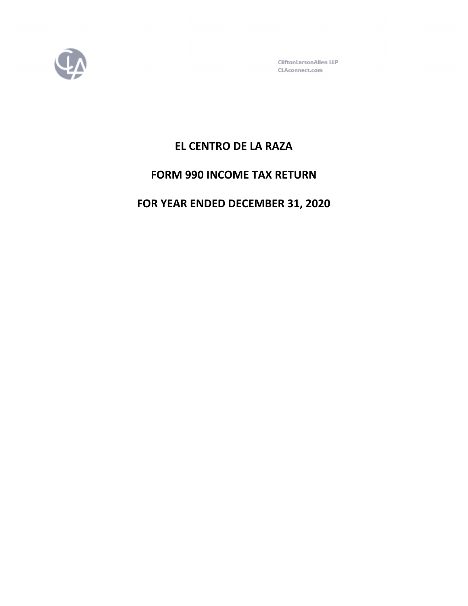

CliftonLarsonAllen LLP CLAconnect.com

# **EL CENTRO DE LA RAZA**

# **FORM 990 INCOME TAX RETURN**

# **FOR YEAR ENDED DECEMBER 31, 2020**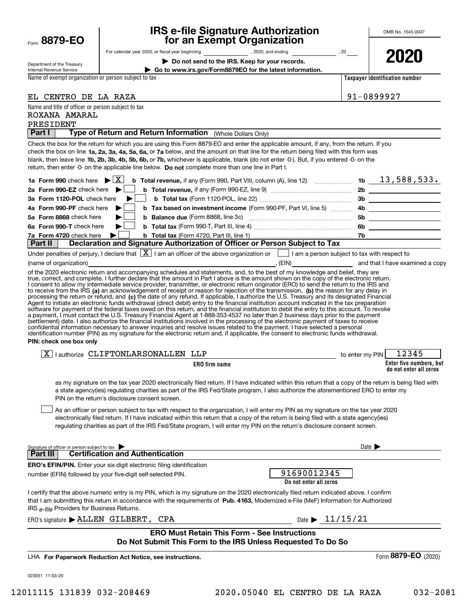| Form | 8879-1 |  | FΩ | € |
|------|--------|--|----|---|
|------|--------|--|----|---|

# **IRS e-file Signature Authorization for an Exempt Organization**

| Department of the Treasury |
|----------------------------|
| Internal Revenue Service   |
|                            |

For calendar year 2020, or fiscal year beginning and the state of the state of the state of the state of the state of the state of the state of the state of the state of the state of the state of the state of the state of

**| Do not send to the IRS. Keep for your records.**

**| Go to www.irs.gov/Form8879EO for the latest information.**

**2020**

Name of exempt organization or person subject to tax

**Taxpayer identification number**

| EL CENTRO DE LA RAZA                                                                                                                                                                                                                                                                      | 91-0899927                              |
|-------------------------------------------------------------------------------------------------------------------------------------------------------------------------------------------------------------------------------------------------------------------------------------------|-----------------------------------------|
| Name and title of officer or person subject to tax                                                                                                                                                                                                                                        |                                         |
| ROXANA AMARAL                                                                                                                                                                                                                                                                             |                                         |
| PRESIDENT                                                                                                                                                                                                                                                                                 |                                         |
| Type of Return and Return Information (Whole Dollars Only)<br>Part I                                                                                                                                                                                                                      |                                         |
| Check the box for the return for which you are using this Form 8879-EO and enter the applicable amount, if any, from the return. If you                                                                                                                                                   |                                         |
| check the box on line 1a, 2a, 3a, 4a, 5a, 6a, or 7a below, and the amount on that line for the return being filed with this form was                                                                                                                                                      |                                         |
| blank, then leave line 1b, 2b, 3b, 4b, 5b, 6b, or 7b, whichever is applicable, blank (do not enter -0-). But, if you entered -0- on the                                                                                                                                                   |                                         |
| return, then enter -0- on the applicable line below. Do not complete more than one line in Part I.                                                                                                                                                                                        |                                         |
|                                                                                                                                                                                                                                                                                           |                                         |
| 2a Form 990-EZ check here $\blacktriangleright$                                                                                                                                                                                                                                           |                                         |
| 3a Form 1120-POL check here<br>▶                                                                                                                                                                                                                                                          |                                         |
| 4a Form 990-PF check here<br>▶                                                                                                                                                                                                                                                            |                                         |
| 5a Form 8868 check here                                                                                                                                                                                                                                                                   |                                         |
| 6a Form 990-T check here<br>▶                                                                                                                                                                                                                                                             |                                         |
| 7a Form 4720 check here                                                                                                                                                                                                                                                                   |                                         |
| Declaration and Signature Authorization of Officer or Person Subject to Tax<br>Part II                                                                                                                                                                                                    |                                         |
| Under penalties of perjury, I declare that $\boxed{\mathbf{X}}$ I am an officer of the above organization or $\boxed{\phantom{\mathbf{X}}}$ I am a person subject to tax with respect to                                                                                                  |                                         |
| (name of organization)                                                                                                                                                                                                                                                                    | , (EIN) and that I have examined a copy |
| of the 2020 electronic return and accompanying schedules and statements, and, to the best of my knowledge and belief, they are                                                                                                                                                            |                                         |
| true, correct, and complete. I further declare that the amount in Part I above is the amount shown on the copy of the electronic return.<br>I consent to allow my intermediate service provider, transmitter, or electronic return originator (ERO) to send the return to the IRS and     |                                         |
| to receive from the IRS (a) an acknowledgement of receipt or reason for rejection of the transmission, (b) the reason for any delay in                                                                                                                                                    |                                         |
| processing the return or refund, and (c) the date of any refund. If applicable, I authorize the U.S. Treasury and its designated Financial                                                                                                                                                |                                         |
| Agent to initiate an electronic funds withdrawal (direct debit) entry to the financial institution account indicated in the tax preparation<br>software for payment of the federal taxes owed on this return, and the financial institution to debit the entry to this account. To revoke |                                         |
| a payment, I must contact the U.S. Treasury Financial Agent at 1-888-353-4537 no later than 2 business days prior to the payment                                                                                                                                                          |                                         |
| (settlement) date. I also authorize the financial institutions involved in the processing of the electronic payment of taxes to receive                                                                                                                                                   |                                         |
| confidential information necessary to answer inquiries and resolve issues related to the payment. I have selected a personal<br>identification number (PIN) as my signature for the electronic return and, if applicable, the consent to electronic funds withdrawal.                     |                                         |
| PIN: check one box only                                                                                                                                                                                                                                                                   |                                         |
| $\boxed{X}$   authorize CLIFTONLARSONALLEN LLP                                                                                                                                                                                                                                            | to enter my PIN $\vert$ 12345           |
| ERO firm name                                                                                                                                                                                                                                                                             | Enter five numbers, but                 |
|                                                                                                                                                                                                                                                                                           | do not enter all zeros                  |
| as my signature on the tax year 2020 electronically filed return. If I have indicated within this return that a copy of the return is being filed with                                                                                                                                    |                                         |
| a state agency(ies) regulating charities as part of the IRS Fed/State program, I also authorize the aforementioned ERO to enter my                                                                                                                                                        |                                         |
| PIN on the return's disclosure consent screen.                                                                                                                                                                                                                                            |                                         |
| As an officer or person subject to tax with respect to the organization, I will enter my PIN as my signature on the tax year 2020                                                                                                                                                         |                                         |
| electronically filed return. If I have indicated within this return that a copy of the return is being filed with a state agency(ies)                                                                                                                                                     |                                         |
| regulating charities as part of the IRS Fed/State program, I will enter my PIN on the return's disclosure consent screen.                                                                                                                                                                 |                                         |
|                                                                                                                                                                                                                                                                                           |                                         |
|                                                                                                                                                                                                                                                                                           | Date $\blacktriangleright$              |
| Signature of officer or person subject to tax<br><b>Certification and Authentication</b><br><b>Part III</b>                                                                                                                                                                               |                                         |
| <b>ERO's EFIN/PIN.</b> Enter your six-digit electronic filing identification                                                                                                                                                                                                              |                                         |
| 91690012345<br>number (EFIN) followed by your five-digit self-selected PIN.                                                                                                                                                                                                               |                                         |
| Do not enter all zeros                                                                                                                                                                                                                                                                    |                                         |
|                                                                                                                                                                                                                                                                                           |                                         |
| I certify that the above numeric entry is my PIN, which is my signature on the 2020 electronically filed return indicated above. I confirm<br>that I am submitting this return in accordance with the requirements of Pub. 4163, Modernized e-File (MeF) Information for Authorized       |                                         |
| IRS e-file Providers for Business Returns.                                                                                                                                                                                                                                                |                                         |
|                                                                                                                                                                                                                                                                                           |                                         |
| Date $\triangleright$ 11/15/21<br>$ERO's signature$ $\blacktriangleright$ ALLEN GILBERT, CPA                                                                                                                                                                                              |                                         |
| <b>ERO Must Retain This Form - See Instructions</b>                                                                                                                                                                                                                                       |                                         |
| Do Not Submit This Form to the IRS Unless Requested To Do So                                                                                                                                                                                                                              |                                         |
|                                                                                                                                                                                                                                                                                           | Form 8879-EO (2020)                     |
| LHA For Paperwork Reduction Act Notice, see instructions.                                                                                                                                                                                                                                 |                                         |
|                                                                                                                                                                                                                                                                                           |                                         |
| 023051 11-03-20                                                                                                                                                                                                                                                                           |                                         |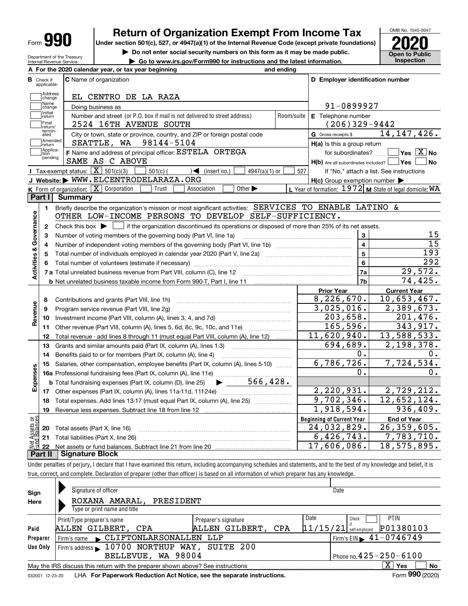| Form |  |
|------|--|
|------|--|

# **Return of Organization Exempt From Income Tax**

**Under section 501(c), 527, or 4947(a)(1) of the Internal Revenue Code (except private foundations) 2020**

**| Do not enter social security numbers on this form as it may be made public.**

**| Go to www.irs.gov/Form990 for instructions and the latest information. Inspection**



Department of the Treasury Internal Revenue Service **A For the 2020 calendar year, or tax year beginning and ending**

| в                         | Check if<br>applicable:    | <b>C</b> Name of organization                                                                                                           |            | D Employer identification number                                                                              |                                                           |  |  |  |
|---------------------------|----------------------------|-----------------------------------------------------------------------------------------------------------------------------------------|------------|---------------------------------------------------------------------------------------------------------------|-----------------------------------------------------------|--|--|--|
|                           | Address<br>change          | EL CENTRO DE LA RAZA                                                                                                                    |            |                                                                                                               |                                                           |  |  |  |
|                           | Name<br>change             | Doing business as                                                                                                                       |            | 91-0899927                                                                                                    |                                                           |  |  |  |
|                           | Initial<br>return          | Number and street (or P.O. box if mail is not delivered to street address)                                                              | Room/suite | E Telephone number                                                                                            |                                                           |  |  |  |
|                           | Final                      | 2524 16TH AVENUE SOUTH                                                                                                                  |            | $(206)329-9442$                                                                                               |                                                           |  |  |  |
|                           | return/<br>termin-<br>ated | City or town, state or province, country, and ZIP or foreign postal code                                                                |            | G Gross receipts \$                                                                                           | 14, 147, 426.                                             |  |  |  |
|                           | Amended<br>return          | SEATTLE, WA 98144-5104                                                                                                                  |            | $H(a)$ is this a group return                                                                                 |                                                           |  |  |  |
|                           | Applica-<br>tion           | F Name and address of principal officer: ESTELA ORTEGA                                                                                  |            | $\overline{\mathsf{Yes}\mathord{\;\;[\mathbf{X}\mathord{\;\;}\mathsf{No}\mathord{\;\;}}$<br>for subordinates? |                                                           |  |  |  |
|                           | pending                    | SAME AS C ABOVE                                                                                                                         |            | $H(b)$ Are all subordinates included? $\Box$ Yes                                                              | N <sub>o</sub>                                            |  |  |  |
|                           |                            | Tax-exempt status: $\boxed{\mathbf{X}}$ 501(c)(3)<br>$501(c)$ (<br>$\sqrt{\frac{1}{1}}$ (insert no.)<br>$4947(a)(1)$ or                 | 527        |                                                                                                               | If "No," attach a list. See instructions                  |  |  |  |
|                           |                            | J Website: WWW.ELCENTRODELARAZA.ORG                                                                                                     |            | $H(c)$ Group exemption number $\blacktriangleright$                                                           |                                                           |  |  |  |
|                           |                            | K Form of organization: X Corporation<br>Association<br>Other $\blacktriangleright$<br>Trust                                            |            |                                                                                                               | L Year of formation: $1972$ M State of legal domicile: WA |  |  |  |
|                           | Part I                     | <b>Summary</b>                                                                                                                          |            |                                                                                                               |                                                           |  |  |  |
|                           | 1.                         | Briefly describe the organization's mission or most significant activities: SERVICES TO ENABLE LATINO &                                 |            |                                                                                                               |                                                           |  |  |  |
|                           |                            | OTHER LOW-INCOME PERSONS TO DEVELOP SELF-SUFFICIENCY.                                                                                   |            |                                                                                                               |                                                           |  |  |  |
| Activities & Governance   | $\mathbf{2}$               | Check this box $\blacktriangleright$<br>if the organization discontinued its operations or disposed of more than 25% of its net assets. |            |                                                                                                               |                                                           |  |  |  |
|                           | з                          | Number of voting members of the governing body (Part VI, line 1a)                                                                       |            | 3                                                                                                             | 15                                                        |  |  |  |
|                           | 4                          |                                                                                                                                         |            | $\overline{\mathbf{4}}$                                                                                       | $\overline{15}$                                           |  |  |  |
|                           | 5                          |                                                                                                                                         |            | $\overline{5}$                                                                                                | 193                                                       |  |  |  |
|                           | 6                          |                                                                                                                                         |            | 6                                                                                                             | 292                                                       |  |  |  |
|                           |                            |                                                                                                                                         |            | 7a                                                                                                            | 29,572.                                                   |  |  |  |
|                           |                            |                                                                                                                                         |            | 7 <sub>b</sub>                                                                                                | 74,425.                                                   |  |  |  |
|                           |                            |                                                                                                                                         |            | <b>Prior Year</b>                                                                                             | <b>Current Year</b>                                       |  |  |  |
|                           |                            |                                                                                                                                         |            | 8,226,670.                                                                                                    | 10,653,467.                                               |  |  |  |
|                           | 8                          | Contributions and grants (Part VIII, line 1h)                                                                                           |            | 3,025,016.                                                                                                    | $\overline{2,389,673.}$                                   |  |  |  |
| Revenue                   | 9                          | Program service revenue (Part VIII, line 2g)                                                                                            |            | 203,658.                                                                                                      | 201,476.                                                  |  |  |  |
|                           | 10                         |                                                                                                                                         |            | 165, 596.                                                                                                     | 343,917.                                                  |  |  |  |
|                           |                            | 11 Other revenue (Part VIII, column (A), lines 5, 6d, 8c, 9c, 10c, and 11e)                                                             |            | 11,620,940.                                                                                                   | 13,588,533.                                               |  |  |  |
|                           | 12                         | Total revenue - add lines 8 through 11 (must equal Part VIII, column (A), line 12)                                                      |            | 694,689.                                                                                                      | 2,198,378.                                                |  |  |  |
|                           | 13                         | Grants and similar amounts paid (Part IX, column (A), lines 1-3)                                                                        |            | 0.                                                                                                            | 0.                                                        |  |  |  |
|                           | 14                         | Benefits paid to or for members (Part IX, column (A), line 4)                                                                           |            | 6,786,726.                                                                                                    | 7,724,534.                                                |  |  |  |
|                           | 15                         | Salaries, other compensation, employee benefits (Part IX, column (A), lines 5-10)                                                       |            | 0.                                                                                                            |                                                           |  |  |  |
|                           |                            |                                                                                                                                         |            |                                                                                                               | 0.                                                        |  |  |  |
|                           |                            | $\blacktriangleright$ 566,428.<br><b>b</b> Total fundraising expenses (Part IX, column (D), line 25)                                    |            |                                                                                                               |                                                           |  |  |  |
|                           |                            |                                                                                                                                         |            | 2,220,931.                                                                                                    | 2,729,212.                                                |  |  |  |
|                           |                            |                                                                                                                                         |            |                                                                                                               |                                                           |  |  |  |
|                           | 18                         | Total expenses. Add lines 13-17 (must equal Part IX, column (A), line 25)                                                               |            | 9,702,346.                                                                                                    | 12,652,124.                                               |  |  |  |
|                           | 19                         |                                                                                                                                         |            | 1,918,594.                                                                                                    | 936,409.                                                  |  |  |  |
|                           |                            |                                                                                                                                         |            | <b>Beginning of Current Year</b>                                                                              | <b>End of Year</b>                                        |  |  |  |
|                           | 20                         | Total assets (Part X, line 16)                                                                                                          |            | $\overline{24}$ , 032, 829.                                                                                   | 26,359,605.                                               |  |  |  |
| Expenses<br>ងខ្លី<br>sets |                            | 21 Total liabilities (Part X, line 26)                                                                                                  |            | 6,426,743.<br>17,606,086.                                                                                     | 7,783,710.<br>18,575,895.                                 |  |  |  |

Under penalties of perjury, I declare that I have examined this return, including accompanying schedules and statements, and to the best of my knowledge and belief, it is true, correct, and complete. Declaration of preparer (other than officer) is based on all information of which preparer has any knowledge.

| Sign     | Signature of officer                                                                                         | Date                                        |  |  |  |  |  |  |
|----------|--------------------------------------------------------------------------------------------------------------|---------------------------------------------|--|--|--|--|--|--|
| Here     | ROXANA AMARAL.<br>PRESIDENT                                                                                  |                                             |  |  |  |  |  |  |
|          | Type or print name and title                                                                                 |                                             |  |  |  |  |  |  |
|          | Print/Type preparer's name<br>Preparer's signature                                                           | Date<br><b>PTIN</b><br>Check                |  |  |  |  |  |  |
| Paid     | ALLEN GILBERT, CPA<br>ALLEN GILBERT.<br>CPA                                                                  | P01380103<br>$11/15/21$ self-employed       |  |  |  |  |  |  |
| Preparer | $\mathcal L$ CLIFTONLARSONALLEN<br>LLP<br>Firm's name                                                        | Firm's EIN $\blacktriangleright$ 41-0746749 |  |  |  |  |  |  |
| Use Only | Firm's address 10700 NORTHUP WAY, SUITE 200                                                                  |                                             |  |  |  |  |  |  |
|          | BELLEVUE, WA 98004                                                                                           | Phone no. $425 - 250 - 6100$                |  |  |  |  |  |  |
|          | May the IRS discuss this return with the preparer shown above? See instructions                              | X.<br>No<br>Yes                             |  |  |  |  |  |  |
|          | Form 990 (2020)<br>LHA For Paperwork Reduction Act Notice, see the separate instructions.<br>032001 12-23-20 |                                             |  |  |  |  |  |  |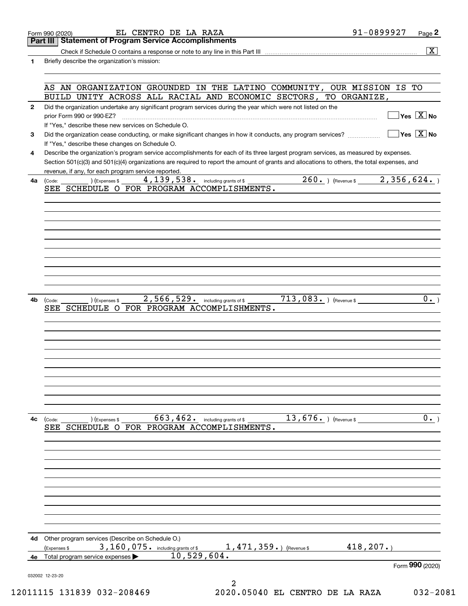|                | EL CENTRO DE LA RAZA<br>Form 990 (2020)                                                                                                                                                 | 91-0899927                      | $Page$ <sup>2</sup>                    |
|----------------|-----------------------------------------------------------------------------------------------------------------------------------------------------------------------------------------|---------------------------------|----------------------------------------|
|                | <b>Part III   Statement of Program Service Accomplishments</b>                                                                                                                          |                                 |                                        |
|                |                                                                                                                                                                                         |                                 | $\overline{\mathbf{X}}$                |
| 1              | Briefly describe the organization's mission:                                                                                                                                            |                                 |                                        |
|                |                                                                                                                                                                                         |                                 |                                        |
|                | AS AN ORGANIZATION GROUNDED IN THE LATINO COMMUNITY, OUR MISSION IS TO<br>BUILD UNITY ACROSS ALL RACIAL AND ECONOMIC SECTORS, TO ORGANIZE,                                              |                                 |                                        |
| $\mathbf{2}$   | Did the organization undertake any significant program services during the year which were not listed on the                                                                            |                                 |                                        |
|                |                                                                                                                                                                                         |                                 | $]$ Yes $[\overline{\mathrm{X}}]$ No   |
|                | If "Yes," describe these new services on Schedule O.                                                                                                                                    |                                 |                                        |
| 3              | Did the organization cease conducting, or make significant changes in how it conducts, any program services?                                                                            |                                 | $\sqrt{\ }$ Yes $\sqrt{\ \text{X}}$ No |
| 4              | If "Yes," describe these changes on Schedule O.<br>Describe the organization's program service accomplishments for each of its three largest program services, as measured by expenses. |                                 |                                        |
|                | Section 501(c)(3) and 501(c)(4) organizations are required to report the amount of grants and allocations to others, the total expenses, and                                            |                                 |                                        |
|                | revenue, if any, for each program service reported.                                                                                                                                     |                                 |                                        |
| 4a             | 4, 139, 538. including grants of \$<br>(Expenses \$<br>(Code:                                                                                                                           | 260. $ $ (Revenue \$2,356,624.) |                                        |
|                | SEE SCHEDULE O FOR PROGRAM ACCOMPLISHMENTS.                                                                                                                                             |                                 |                                        |
|                |                                                                                                                                                                                         |                                 |                                        |
|                |                                                                                                                                                                                         |                                 |                                        |
|                |                                                                                                                                                                                         |                                 |                                        |
|                |                                                                                                                                                                                         |                                 |                                        |
|                |                                                                                                                                                                                         |                                 |                                        |
|                |                                                                                                                                                                                         |                                 |                                        |
|                |                                                                                                                                                                                         |                                 |                                        |
|                |                                                                                                                                                                                         |                                 |                                        |
|                |                                                                                                                                                                                         |                                 |                                        |
| 4b             | $713,083.$ ) (Revenue \$<br>2,566,529. including grants of \$<br>) (Expenses \$<br>(Code:<br>SEE SCHEDULE O FOR PROGRAM ACCOMPLISHMENTS.                                                |                                 | 0.1                                    |
|                |                                                                                                                                                                                         |                                 |                                        |
|                |                                                                                                                                                                                         |                                 |                                        |
|                |                                                                                                                                                                                         |                                 |                                        |
|                |                                                                                                                                                                                         |                                 |                                        |
|                |                                                                                                                                                                                         |                                 |                                        |
|                |                                                                                                                                                                                         |                                 |                                        |
|                |                                                                                                                                                                                         |                                 |                                        |
|                |                                                                                                                                                                                         |                                 |                                        |
|                |                                                                                                                                                                                         |                                 |                                        |
|                |                                                                                                                                                                                         |                                 |                                        |
|                |                                                                                                                                                                                         |                                 |                                        |
|                | $13,676.$ (Revenue \$<br>$663, 462$ . including grants of \$<br>) (Expenses \$<br>(Code:                                                                                                |                                 |                                        |
|                | SEE SCHEDULE O FOR PROGRAM ACCOMPLISHMENTS.                                                                                                                                             |                                 |                                        |
|                |                                                                                                                                                                                         |                                 |                                        |
|                |                                                                                                                                                                                         |                                 |                                        |
|                |                                                                                                                                                                                         |                                 |                                        |
|                |                                                                                                                                                                                         |                                 |                                        |
|                |                                                                                                                                                                                         |                                 |                                        |
|                |                                                                                                                                                                                         |                                 |                                        |
|                |                                                                                                                                                                                         |                                 |                                        |
|                |                                                                                                                                                                                         |                                 |                                        |
|                |                                                                                                                                                                                         |                                 | $\overline{0.}$                        |
|                | Other program services (Describe on Schedule O.)                                                                                                                                        |                                 |                                        |
| 4с<br>4d<br>4е | 3, 160, 075. including grants of \$<br>$1,471,359.$ (Revenue \$<br>Expenses \$<br>10,529,604.<br>Total program service expenses                                                         | 418, 207.                       |                                        |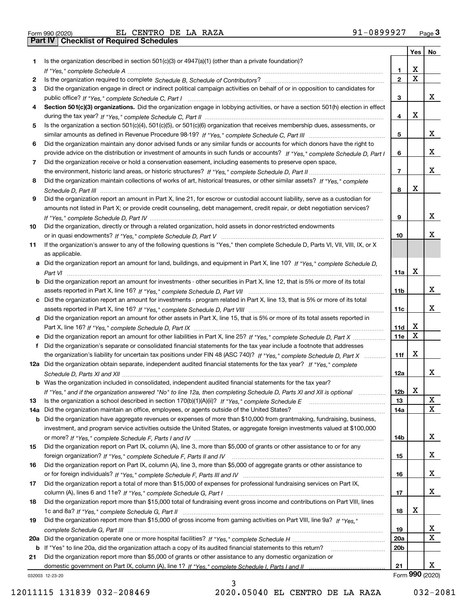|  | Form 990 (2020) |  |
|--|-----------------|--|

Form 990 (2020) EL CENTRO DE LA RAZA 91-0899927 <sub>Page</sub> 3<br>**Part IV | Checklist of Required Schedules** 

|     |                                                                                                                                       |                 | Yes | No              |
|-----|---------------------------------------------------------------------------------------------------------------------------------------|-----------------|-----|-----------------|
| 1   | Is the organization described in section $501(c)(3)$ or $4947(a)(1)$ (other than a private foundation)?                               |                 |     |                 |
|     |                                                                                                                                       | 1               | х   |                 |
| 2   |                                                                                                                                       | $\mathbf{2}$    | X   |                 |
| 3   | Did the organization engage in direct or indirect political campaign activities on behalf of or in opposition to candidates for       |                 |     |                 |
|     |                                                                                                                                       | 3               |     | x               |
| 4   | Section 501(c)(3) organizations. Did the organization engage in lobbying activities, or have a section 501(h) election in effect      |                 |     |                 |
|     |                                                                                                                                       | 4               | х   |                 |
| 5   | Is the organization a section 501(c)(4), 501(c)(5), or 501(c)(6) organization that receives membership dues, assessments, or          |                 |     |                 |
|     |                                                                                                                                       | 5               |     | х               |
| 6   | Did the organization maintain any donor advised funds or any similar funds or accounts for which donors have the right to             |                 |     |                 |
|     | provide advice on the distribution or investment of amounts in such funds or accounts? If "Yes," complete Schedule D, Part I          | 6               |     | х               |
| 7   | Did the organization receive or hold a conservation easement, including easements to preserve open space,                             |                 |     |                 |
|     |                                                                                                                                       | $\overline{7}$  |     | х               |
| 8   | Did the organization maintain collections of works of art, historical treasures, or other similar assets? If "Yes," complete          |                 |     |                 |
|     |                                                                                                                                       | 8               | х   |                 |
| 9   | Did the organization report an amount in Part X, line 21, for escrow or custodial account liability, serve as a custodian for         |                 |     |                 |
|     | amounts not listed in Part X; or provide credit counseling, debt management, credit repair, or debt negotiation services?             |                 |     |                 |
|     |                                                                                                                                       | 9               |     | х               |
|     | Did the organization, directly or through a related organization, hold assets in donor-restricted endowments                          |                 |     |                 |
| 10  |                                                                                                                                       | 10              |     | х               |
|     |                                                                                                                                       |                 |     |                 |
| 11  | If the organization's answer to any of the following questions is "Yes," then complete Schedule D, Parts VI, VII, VIII, IX, or X      |                 |     |                 |
|     | as applicable.                                                                                                                        |                 |     |                 |
|     | a Did the organization report an amount for land, buildings, and equipment in Part X, line 10? If "Yes," complete Schedule D,         |                 |     |                 |
|     |                                                                                                                                       | 11a             | Х   |                 |
|     | <b>b</b> Did the organization report an amount for investments - other securities in Part X, line 12, that is 5% or more of its total |                 |     |                 |
|     |                                                                                                                                       | 11 <sub>b</sub> |     | х               |
|     | c Did the organization report an amount for investments - program related in Part X, line 13, that is 5% or more of its total         |                 |     |                 |
|     |                                                                                                                                       | 11c             |     | х               |
|     | d Did the organization report an amount for other assets in Part X, line 15, that is 5% or more of its total assets reported in       |                 |     |                 |
|     |                                                                                                                                       | 11d             | x   |                 |
|     |                                                                                                                                       | 11e             | X   |                 |
|     | f Did the organization's separate or consolidated financial statements for the tax year include a footnote that addresses             |                 |     |                 |
|     | the organization's liability for uncertain tax positions under FIN 48 (ASC 740)? If "Yes," complete Schedule D, Part X                | 11f             | х   |                 |
|     | 12a Did the organization obtain separate, independent audited financial statements for the tax year? If "Yes," complete               |                 |     |                 |
|     |                                                                                                                                       | 12a             |     | х               |
|     | <b>b</b> Was the organization included in consolidated, independent audited financial statements for the tax year?                    |                 |     |                 |
|     | If "Yes," and if the organization answered "No" to line 12a, then completing Schedule D, Parts XI and XII is optional metalliming     | 12 <sub>b</sub> | x   |                 |
| 13  | Is the organization a school described in section $170(b)(1)(A)(ii)?$ If "Yes," complete Schedule E                                   | 13              |     | X               |
| 14a | Did the organization maintain an office, employees, or agents outside of the United States?                                           | 14a             |     | x               |
| b   | Did the organization have aggregate revenues or expenses of more than \$10,000 from grantmaking, fundraising, business,               |                 |     |                 |
|     | investment, and program service activities outside the United States, or aggregate foreign investments valued at \$100,000            |                 |     |                 |
|     |                                                                                                                                       | 14b             |     | X               |
| 15  | Did the organization report on Part IX, column (A), line 3, more than \$5,000 of grants or other assistance to or for any             |                 |     |                 |
|     |                                                                                                                                       | 15              |     | X               |
| 16  | Did the organization report on Part IX, column (A), line 3, more than \$5,000 of aggregate grants or other assistance to              |                 |     |                 |
|     |                                                                                                                                       | 16              |     | X               |
| 17  | Did the organization report a total of more than \$15,000 of expenses for professional fundraising services on Part IX,               |                 |     |                 |
|     |                                                                                                                                       | 17              |     | x               |
| 18  | Did the organization report more than \$15,000 total of fundraising event gross income and contributions on Part VIII, lines          |                 |     |                 |
|     |                                                                                                                                       | 18              | х   |                 |
| 19  | Did the organization report more than \$15,000 of gross income from gaming activities on Part VIII, line 9a? If "Yes."                |                 |     |                 |
|     |                                                                                                                                       | 19              |     | x               |
| 20a |                                                                                                                                       | 20a             |     | х               |
| b   | If "Yes" to line 20a, did the organization attach a copy of its audited financial statements to this return?                          | 20 <sub>b</sub> |     |                 |
| 21  | Did the organization report more than \$5,000 of grants or other assistance to any domestic organization or                           |                 |     |                 |
|     |                                                                                                                                       | 21              |     | x               |
|     | 032003 12-23-20                                                                                                                       |                 |     | Form 990 (2020) |

3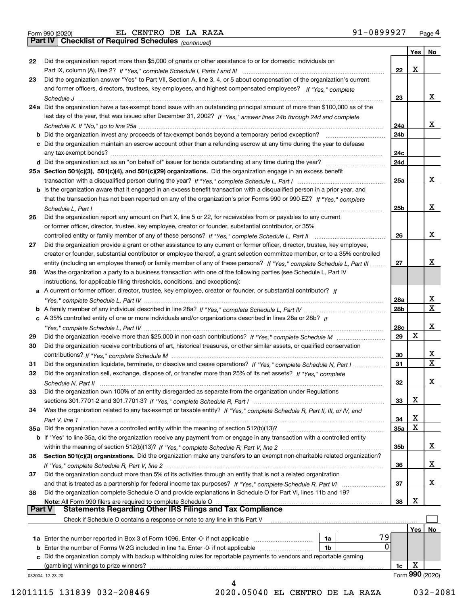|  | Form 990 (2020) |
|--|-----------------|

Form 990 (2020) EL CENTRO DE LA RAZA 91-0899927 <sub>Page</sub> 4<br>**Part IV | Checklist of Required Schedules** <sub>(continued)</sub>

*(continued)*

|               |                                                                                                                              |            | Yes | No.              |
|---------------|------------------------------------------------------------------------------------------------------------------------------|------------|-----|------------------|
| 22            | Did the organization report more than \$5,000 of grants or other assistance to or for domestic individuals on                |            |     |                  |
|               |                                                                                                                              | 22         | X   |                  |
| 23            | Did the organization answer "Yes" to Part VII, Section A, line 3, 4, or 5 about compensation of the organization's current   |            |     |                  |
|               | and former officers, directors, trustees, key employees, and highest compensated employees? If "Yes," complete               |            |     |                  |
|               |                                                                                                                              | 23         |     | х                |
|               | 24a Did the organization have a tax-exempt bond issue with an outstanding principal amount of more than \$100,000 as of the  |            |     |                  |
|               | last day of the year, that was issued after December 31, 2002? If "Yes," answer lines 24b through 24d and complete           |            |     |                  |
|               |                                                                                                                              | 24a        |     | х                |
|               | b Did the organization invest any proceeds of tax-exempt bonds beyond a temporary period exception?                          | 24b        |     |                  |
|               | c Did the organization maintain an escrow account other than a refunding escrow at any time during the year to defease       |            |     |                  |
|               | any tax-exempt bonds?                                                                                                        | 24c        |     |                  |
|               |                                                                                                                              | 24d        |     |                  |
|               | 25a Section 501(c)(3), 501(c)(4), and 501(c)(29) organizations. Did the organization engage in an excess benefit             |            |     |                  |
|               |                                                                                                                              | 25a        |     | x                |
|               | b Is the organization aware that it engaged in an excess benefit transaction with a disqualified person in a prior year, and |            |     |                  |
|               | that the transaction has not been reported on any of the organization's prior Forms 990 or 990-EZ? If "Yes." complete        |            |     |                  |
|               | Schedule L. Part I                                                                                                           | 25b        |     | х                |
| 26            | Did the organization report any amount on Part X, line 5 or 22, for receivables from or payables to any current              |            |     |                  |
|               | or former officer, director, trustee, key employee, creator or founder, substantial contributor, or 35%                      |            |     |                  |
|               |                                                                                                                              | 26         |     | х                |
| 27            | Did the organization provide a grant or other assistance to any current or former officer, director, trustee, key employee,  |            |     |                  |
|               | creator or founder, substantial contributor or employee thereof, a grant selection committee member, or to a 35% controlled  |            |     |                  |
|               | entity (including an employee thereof) or family member of any of these persons? If "Yes," complete Schedule L, Part III     | 27         |     | х                |
| 28            | Was the organization a party to a business transaction with one of the following parties (see Schedule L, Part IV            |            |     |                  |
|               | instructions, for applicable filing thresholds, conditions, and exceptions):                                                 |            |     |                  |
|               | a A current or former officer, director, trustee, key employee, creator or founder, or substantial contributor? If           |            |     |                  |
|               |                                                                                                                              | 28a        |     | х                |
|               |                                                                                                                              | 28b        |     | X                |
|               |                                                                                                                              |            |     |                  |
|               | c A 35% controlled entity of one or more individuals and/or organizations described in lines 28a or 28b? If                  |            |     | x                |
|               |                                                                                                                              | 28c        | х   |                  |
| 29            |                                                                                                                              | 29         |     |                  |
| 30            | Did the organization receive contributions of art, historical treasures, or other similar assets, or qualified conservation  |            |     |                  |
|               |                                                                                                                              | 30         |     | х<br>$\mathbf x$ |
| 31            | Did the organization liquidate, terminate, or dissolve and cease operations? If "Yes," complete Schedule N, Part I           | 31         |     |                  |
| 32            | Did the organization sell, exchange, dispose of, or transfer more than 25% of its net assets? If "Yes," complete             |            |     |                  |
|               |                                                                                                                              | 32         |     | х                |
| 33            | Did the organization own 100% of an entity disregarded as separate from the organization under Regulations                   |            |     |                  |
|               |                                                                                                                              | 33         | х   |                  |
| 34            | Was the organization related to any tax-exempt or taxable entity? If "Yes," complete Schedule R, Part II, III, or IV, and    |            |     |                  |
|               |                                                                                                                              | 34         | х   |                  |
|               | 35a Did the organization have a controlled entity within the meaning of section 512(b)(13)?                                  | <b>35a</b> | X   |                  |
|               | b If "Yes" to line 35a, did the organization receive any payment from or engage in any transaction with a controlled entity  |            |     |                  |
|               |                                                                                                                              | 35b        |     | х                |
| 36            | Section 501(c)(3) organizations. Did the organization make any transfers to an exempt non-charitable related organization?   |            |     |                  |
|               |                                                                                                                              | 36         |     | х                |
| 37            | Did the organization conduct more than 5% of its activities through an entity that is not a related organization             |            |     |                  |
|               | and that is treated as a partnership for federal income tax purposes? If "Yes," complete Schedule R, Part VI                 | 37         |     | х                |
| 38            | Did the organization complete Schedule O and provide explanations in Schedule O for Part VI, lines 11b and 19?               |            |     |                  |
|               | Note: All Form 990 filers are required to complete Schedule O                                                                | 38         | х   |                  |
| <b>Part V</b> | <b>Statements Regarding Other IRS Filings and Tax Compliance</b>                                                             |            |     |                  |
|               | Check if Schedule O contains a response or note to any line in this Part V                                                   |            |     |                  |
|               |                                                                                                                              |            | Yes | No               |
|               | 79<br><b>1a</b> Enter the number reported in Box 3 of Form 1096. Enter -0- if not applicable <i>manumumumum</i><br>1a        |            |     |                  |
|               | 0<br>1 <sub>b</sub><br><b>b</b> Enter the number of Forms W-2G included in line 1a. Enter -0- if not applicable              |            |     |                  |
|               | c Did the organization comply with backup withholding rules for reportable payments to vendors and reportable gaming         |            |     |                  |
|               | (gambling) winnings to prize winners?                                                                                        | 1c         | х   |                  |
|               | 032004 12-23-20                                                                                                              |            |     | Form 990 (2020)  |
|               | 4                                                                                                                            |            |     |                  |

 <sup>12011115 131839 032-208469 2020.05040</sup> EL CENTRO DE LA RAZA 032-2081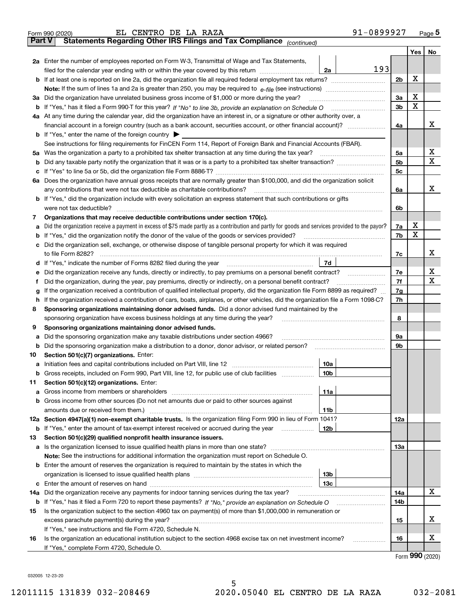|               | 91-0899927<br>EL CENTRO DE LA RAZA<br>Form 990 (2020)                                                                                                                                       |                |                   | $Page$ <sup>5</sup> |
|---------------|---------------------------------------------------------------------------------------------------------------------------------------------------------------------------------------------|----------------|-------------------|---------------------|
| <b>Part V</b> | Statements Regarding Other IRS Filings and Tax Compliance (continued)                                                                                                                       |                |                   |                     |
|               |                                                                                                                                                                                             |                |                   | Yes   No            |
|               | 2a Enter the number of employees reported on Form W-3, Transmittal of Wage and Tax Statements,                                                                                              |                |                   |                     |
|               | 193<br>filed for the calendar year ending with or within the year covered by this return [111] [11] filed for the calendar year ending with or within the year covered by this return<br>2a |                |                   |                     |
|               |                                                                                                                                                                                             | 2 <sub>b</sub> | х                 |                     |
|               |                                                                                                                                                                                             |                |                   |                     |
|               | 3a Did the organization have unrelated business gross income of \$1,000 or more during the year?                                                                                            | 3a             | х                 |                     |
|               |                                                                                                                                                                                             | 3 <sub>b</sub> | X                 |                     |
|               | 4a At any time during the calendar year, did the organization have an interest in, or a signature or other authority over, a                                                                |                |                   |                     |
|               |                                                                                                                                                                                             | 4a             |                   | x                   |
|               | <b>b</b> If "Yes," enter the name of the foreign country $\blacktriangleright$                                                                                                              |                |                   |                     |
|               | See instructions for filing requirements for FinCEN Form 114, Report of Foreign Bank and Financial Accounts (FBAR).                                                                         |                |                   |                     |
|               | 5a Was the organization a party to a prohibited tax shelter transaction at any time during the tax year?                                                                                    | 5a             |                   | х                   |
|               |                                                                                                                                                                                             | 5 <sub>b</sub> |                   | x                   |
|               |                                                                                                                                                                                             | 5 <sub>c</sub> |                   |                     |
|               | 6a Does the organization have annual gross receipts that are normally greater than \$100,000, and did the organization solicit                                                              |                |                   |                     |
|               | any contributions that were not tax deductible as charitable contributions?                                                                                                                 | 6a             |                   | x                   |
|               | <b>b</b> If "Yes," did the organization include with every solicitation an express statement that such contributions or gifts                                                               |                |                   |                     |
|               | were not tax deductible?                                                                                                                                                                    | 6b             |                   |                     |
| 7             | Organizations that may receive deductible contributions under section 170(c).                                                                                                               |                |                   |                     |
| а             | Did the organization receive a payment in excess of \$75 made partly as a contribution and partly for goods and services provided to the payor?                                             | 7a             | х                 |                     |
|               | <b>b</b> If "Yes," did the organization notify the donor of the value of the goods or services provided?                                                                                    | 7b             | X                 |                     |
|               | c Did the organization sell, exchange, or otherwise dispose of tangible personal property for which it was required                                                                         |                |                   |                     |
|               | to file Form 8282?                                                                                                                                                                          | 7c             |                   | х                   |
|               | 7d                                                                                                                                                                                          |                |                   |                     |
|               | e Did the organization receive any funds, directly or indirectly, to pay premiums on a personal benefit contract?                                                                           | 7e             |                   | х                   |
| Ť             | Did the organization, during the year, pay premiums, directly or indirectly, on a personal benefit contract?                                                                                | 7f             |                   | х                   |
| g             | If the organization received a contribution of qualified intellectual property, did the organization file Form 8899 as required?                                                            | 7g             |                   |                     |
|               | h If the organization received a contribution of cars, boats, airplanes, or other vehicles, did the organization file a Form 1098-C?                                                        | 7h             |                   |                     |
| 8             | Sponsoring organizations maintaining donor advised funds. Did a donor advised fund maintained by the                                                                                        |                |                   |                     |
|               | sponsoring organization have excess business holdings at any time during the year?                                                                                                          | 8              |                   |                     |
| 9             | Sponsoring organizations maintaining donor advised funds.                                                                                                                                   |                |                   |                     |
| а             | Did the sponsoring organization make any taxable distributions under section 4966?                                                                                                          | 9а             |                   |                     |
|               | <b>b</b> Did the sponsoring organization make a distribution to a donor, donor advisor, or related person?                                                                                  | 9b             |                   |                     |
| 10            | Section 501(c)(7) organizations. Enter:                                                                                                                                                     |                |                   |                     |
|               | 10a                                                                                                                                                                                         |                |                   |                     |
|               | <b>b</b> Gross receipts, included on Form 990, Part VIII, line 12, for public use of club facilities <i>mummmm</i><br>10b                                                                   |                |                   |                     |
| 11            | Section 501(c)(12) organizations. Enter:                                                                                                                                                    |                |                   |                     |
|               | 11a                                                                                                                                                                                         |                |                   |                     |
|               | <b>b</b> Gross income from other sources (Do not net amounts due or paid to other sources against                                                                                           |                |                   |                     |
|               | amounts due or received from them.)<br>11b                                                                                                                                                  |                |                   |                     |
|               | 12a Section 4947(a)(1) non-exempt charitable trusts. Is the organization filing Form 990 in lieu of Form 1041?                                                                              | 12a            |                   |                     |
|               | <b>b</b> If "Yes," enter the amount of tax-exempt interest received or accrued during the year<br>12b                                                                                       |                |                   |                     |
| 13            | Section 501(c)(29) qualified nonprofit health insurance issuers.                                                                                                                            |                |                   |                     |
|               | a Is the organization licensed to issue qualified health plans in more than one state?                                                                                                      | 13а            |                   |                     |
|               | Note: See the instructions for additional information the organization must report on Schedule O.                                                                                           |                |                   |                     |
|               | <b>b</b> Enter the amount of reserves the organization is required to maintain by the states in which the                                                                                   |                |                   |                     |
|               | 13 <sub>b</sub>                                                                                                                                                                             |                |                   |                     |
|               | 13с                                                                                                                                                                                         |                |                   |                     |
| 14a           | Did the organization receive any payments for indoor tanning services during the tax year?                                                                                                  | 14a            |                   | x                   |
|               |                                                                                                                                                                                             | 14b            |                   |                     |
| 15            | Is the organization subject to the section 4960 tax on payment(s) of more than \$1,000,000 in remuneration or                                                                               |                |                   |                     |
|               |                                                                                                                                                                                             | 15             |                   | х                   |
|               | If "Yes," see instructions and file Form 4720, Schedule N.                                                                                                                                  |                |                   |                     |
| 16            | Is the organization an educational institution subject to the section 4968 excise tax on net investment income?<br>.                                                                        | 16             |                   | х                   |
|               | If "Yes," complete Form 4720, Schedule O.                                                                                                                                                   |                |                   |                     |
|               |                                                                                                                                                                                             |                | $Earm$ 990 (2020) |                     |

5

Form (2020) **990**

032005 12-23-20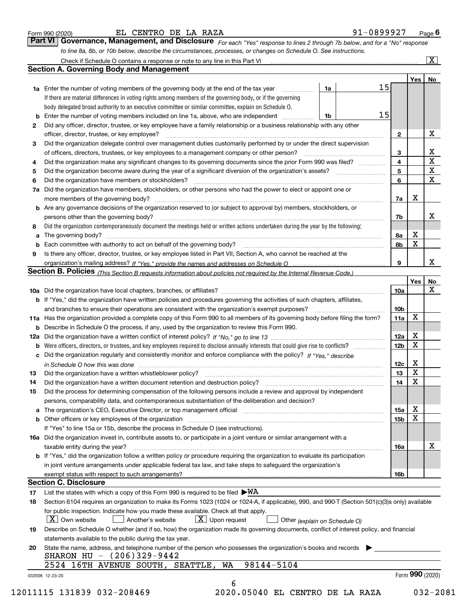|  | Form 990 (2020) |
|--|-----------------|
|  |                 |

| Form 990 (2020) | EL CENTRO DE LA RAZA                                                                                                          | 91-0899927 | $P$ age $6$             |
|-----------------|-------------------------------------------------------------------------------------------------------------------------------|------------|-------------------------|
|                 | Part VI   Governance, Management, and Disclosure For each "Yes" response to lines 2 through 7b below, and for a "No" response |            |                         |
|                 | to line 8a, 8b, or 10b below, describe the circumstances, processes, or changes on Schedule O. See instructions.              |            |                         |
|                 | Check if Schedule O contains a response or note to any line in this Part VI                                                   |            | $\overline{\mathbf{X}}$ |

|    |                                                                                                                                                                                                                               |                               |                 | Yes             | No                      |
|----|-------------------------------------------------------------------------------------------------------------------------------------------------------------------------------------------------------------------------------|-------------------------------|-----------------|-----------------|-------------------------|
|    | 1a Enter the number of voting members of the governing body at the end of the tax year                                                                                                                                        | 1a                            | 15              |                 |                         |
|    | If there are material differences in voting rights among members of the governing body, or if the governing                                                                                                                   |                               |                 |                 |                         |
|    | body delegated broad authority to an executive committee or similar committee, explain on Schedule O.                                                                                                                         |                               |                 |                 |                         |
|    |                                                                                                                                                                                                                               | 1b                            | 15              |                 |                         |
| 2  | Did any officer, director, trustee, or key employee have a family relationship or a business relationship with any other                                                                                                      |                               |                 |                 |                         |
|    | officer, director, trustee, or key employee?                                                                                                                                                                                  |                               | $\mathbf{2}$    |                 | X                       |
| 3  | Did the organization delegate control over management duties customarily performed by or under the direct supervision                                                                                                         |                               |                 |                 |                         |
|    |                                                                                                                                                                                                                               |                               | 3               |                 | X                       |
| 4  | Did the organization make any significant changes to its governing documents since the prior Form 990 was filed?                                                                                                              |                               | 4               |                 | $\overline{\textbf{x}}$ |
| 5  |                                                                                                                                                                                                                               |                               | 5               |                 | $\overline{\textbf{X}}$ |
| 6  | Did the organization have members or stockholders?                                                                                                                                                                            |                               | 6               |                 | $\mathbf{x}$            |
|    | 7a Did the organization have members, stockholders, or other persons who had the power to elect or appoint one or                                                                                                             |                               |                 |                 |                         |
|    |                                                                                                                                                                                                                               |                               | 7a              | Х               |                         |
|    | <b>b</b> Are any governance decisions of the organization reserved to (or subject to approval by) members, stockholders, or                                                                                                   |                               |                 |                 |                         |
|    | persons other than the governing body?                                                                                                                                                                                        |                               | 7b              |                 | х                       |
| 8  | Did the organization contemporaneously document the meetings held or written actions undertaken during the year by the following:                                                                                             |                               |                 |                 |                         |
| a  |                                                                                                                                                                                                                               |                               | 8a              | X               |                         |
|    |                                                                                                                                                                                                                               |                               | 8b              | X               |                         |
| 9  | Is there any officer, director, trustee, or key employee listed in Part VII, Section A, who cannot be reached at the                                                                                                          |                               |                 |                 |                         |
|    |                                                                                                                                                                                                                               |                               | 9               |                 | х                       |
|    | Section B. Policies (This Section B requests information about policies not required by the Internal Revenue Code.)                                                                                                           |                               |                 |                 |                         |
|    |                                                                                                                                                                                                                               |                               |                 | Yes∣            | No                      |
|    |                                                                                                                                                                                                                               |                               | 10a             |                 | X                       |
|    | <b>b</b> If "Yes," did the organization have written policies and procedures governing the activities of such chapters, affiliates,                                                                                           |                               |                 |                 |                         |
|    |                                                                                                                                                                                                                               |                               | 10 <sub>b</sub> |                 |                         |
|    | 11a Has the organization provided a complete copy of this Form 990 to all members of its governing body before filing the form?                                                                                               |                               | 11a             | X               |                         |
|    | <b>b</b> Describe in Schedule O the process, if any, used by the organization to review this Form 990.                                                                                                                        |                               |                 |                 |                         |
|    |                                                                                                                                                                                                                               |                               | 12a             | X               |                         |
| b  |                                                                                                                                                                                                                               |                               | 12b             | $\mathbf X$     |                         |
|    | c Did the organization regularly and consistently monitor and enforce compliance with the policy? If "Yes," describe                                                                                                          |                               |                 |                 |                         |
|    |                                                                                                                                                                                                                               |                               | 12c             | х               |                         |
| 13 |                                                                                                                                                                                                                               |                               | 13              | X               |                         |
| 14 | Did the organization have a written document retention and destruction policy? manufactured and the organization have a written document retention and destruction policy?                                                    |                               | 14              | X               |                         |
| 15 | Did the process for determining compensation of the following persons include a review and approval by independent                                                                                                            |                               |                 |                 |                         |
|    | persons, comparability data, and contemporaneous substantiation of the deliberation and decision?                                                                                                                             |                               |                 |                 |                         |
|    | The organization's CEO, Executive Director, or top management official [111] [11] manument content of the organization's CEO, Executive Director, or top management official [11] manument content of the organization of the |                               | 15a             | X               |                         |
|    | <b>b</b> Other officers or key employees of the organization                                                                                                                                                                  |                               | 15b             | X               |                         |
|    | If "Yes" to line 15a or 15b, describe the process in Schedule O (see instructions).                                                                                                                                           |                               |                 |                 |                         |
|    | 16a Did the organization invest in, contribute assets to, or participate in a joint venture or similar arrangement with a                                                                                                     |                               |                 |                 |                         |
|    | taxable entity during the year?                                                                                                                                                                                               |                               | 16a             |                 | х                       |
|    | <b>b</b> If "Yes," did the organization follow a written policy or procedure requiring the organization to evaluate its participation                                                                                         |                               |                 |                 |                         |
|    | in joint venture arrangements under applicable federal tax law, and take steps to safequard the organization's                                                                                                                |                               |                 |                 |                         |
|    | exempt status with respect to such arrangements?                                                                                                                                                                              |                               | 16b             |                 |                         |
|    | <b>Section C. Disclosure</b>                                                                                                                                                                                                  |                               |                 |                 |                         |
| 17 | List the states with which a copy of this Form 990 is required to be filed $\blacktriangleright\text{WA}$                                                                                                                     |                               |                 |                 |                         |
| 18 | Section 6104 requires an organization to make its Forms 1023 (1024 or 1024-A, if applicable), 990, and 990-T (Section 501(c)(3)s only) available                                                                              |                               |                 |                 |                         |
|    | for public inspection. Indicate how you made these available. Check all that apply.                                                                                                                                           |                               |                 |                 |                         |
|    | $X$ Upon request<br>$ X $ Own website<br>Another's website                                                                                                                                                                    | Other (explain on Schedule O) |                 |                 |                         |
| 19 | Describe on Schedule O whether (and if so, how) the organization made its governing documents, conflict of interest policy, and financial                                                                                     |                               |                 |                 |                         |
|    | statements available to the public during the tax year.                                                                                                                                                                       |                               |                 |                 |                         |
| 20 | State the name, address, and telephone number of the person who possesses the organization's books and records                                                                                                                |                               |                 |                 |                         |
|    | SHARON HU - (206)329-9442                                                                                                                                                                                                     |                               |                 |                 |                         |
|    |                                                                                                                                                                                                                               |                               |                 |                 |                         |
|    | 98144-5104<br>2524 16TH AVENUE SOUTH, SEATTLE, WA                                                                                                                                                                             |                               |                 | Form 990 (2020) |                         |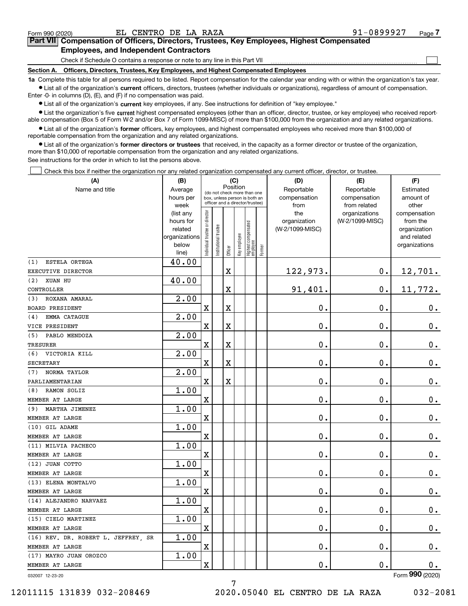|  | Form 990 (2020) |
|--|-----------------|
|  |                 |

 $\mathcal{L}^{\text{max}}$ 

| Form 990 (2020) |                                               | EL CENTRO DE LA RAZA |  | 91-0899927                                                                                 | Page $\prime$ |
|-----------------|-----------------------------------------------|----------------------|--|--------------------------------------------------------------------------------------------|---------------|
|                 |                                               |                      |  | Part VII Compensation of Officers, Directors, Trustees, Key Employees, Highest Compensated |               |
|                 | <b>Employees, and Independent Contractors</b> |                      |  |                                                                                            |               |

Check if Schedule O contains a response or note to any line in this Part VII

**Section A. Officers, Directors, Trustees, Key Employees, and Highest Compensated Employees**

**1a**  Complete this table for all persons required to be listed. Report compensation for the calendar year ending with or within the organization's tax year. **•** List all of the organization's current officers, directors, trustees (whether individuals or organizations), regardless of amount of compensation.

Enter -0- in columns (D), (E), and (F) if no compensation was paid.

 $\bullet$  List all of the organization's  $\,$ current key employees, if any. See instructions for definition of "key employee."

**•** List the organization's five current highest compensated employees (other than an officer, director, trustee, or key employee) who received reportable compensation (Box 5 of Form W-2 and/or Box 7 of Form 1099-MISC) of more than \$100,000 from the organization and any related organizations.

**•** List all of the organization's former officers, key employees, and highest compensated employees who received more than \$100,000 of reportable compensation from the organization and any related organizations.

**former directors or trustees**  ¥ List all of the organization's that received, in the capacity as a former director or trustee of the organization, more than \$10,000 of reportable compensation from the organization and any related organizations.

See instructions for the order in which to list the persons above.

Check this box if neither the organization nor any related organization compensated any current officer, director, or trustee.  $\mathcal{L}^{\text{max}}$ 

| (A)                                 | (B)                      |                               |                                 |          | (C)          |                                 |        | (D)                | (E)                | (F)                         |
|-------------------------------------|--------------------------|-------------------------------|---------------------------------|----------|--------------|---------------------------------|--------|--------------------|--------------------|-----------------------------|
| Name and title                      | Average                  |                               | (do not check more than one     | Position |              |                                 |        | Reportable         | Reportable         | Estimated                   |
|                                     | hours per                |                               | box, unless person is both an   |          |              |                                 |        | compensation       | compensation       | amount of                   |
|                                     | week                     |                               | officer and a director/trustee) |          |              |                                 |        | from               | from related       | other                       |
|                                     | (list any                |                               |                                 |          |              |                                 |        | the                | organizations      | compensation                |
|                                     | hours for                |                               |                                 |          |              |                                 |        | organization       | (W-2/1099-MISC)    | from the                    |
|                                     | related<br>organizations |                               |                                 |          |              |                                 |        | (W-2/1099-MISC)    |                    | organization<br>and related |
|                                     | below                    |                               |                                 |          |              |                                 |        |                    |                    | organizations               |
|                                     | line)                    | ndividual trustee or director | Institutional trustee           | Officer  | Key employee | Highest compensated<br>employee | Former |                    |                    |                             |
| ESTELA ORTEGA<br>(1)                | 40.00                    |                               |                                 |          |              |                                 |        |                    |                    |                             |
| EXECUTIVE DIRECTOR                  |                          |                               |                                 | X        |              |                                 |        | 122,973.           | $\mathbf 0$ .      | 12,701.                     |
| XUAN HU<br>(2)                      | 40.00                    |                               |                                 |          |              |                                 |        |                    |                    |                             |
| CONTROLLER                          |                          |                               |                                 | X        |              |                                 |        | 91,401.            | $\mathbf 0$ .      | 11,772.                     |
| ROXANA AMARAL<br>(3)                | 2.00                     |                               |                                 |          |              |                                 |        |                    |                    |                             |
| <b>BOARD PRESIDENT</b>              |                          | $\mathbf X$                   |                                 | X        |              |                                 |        | 0.                 | 0.                 | 0.                          |
| EMMA CATAGUE<br>(4)                 | 2.00                     |                               |                                 |          |              |                                 |        |                    |                    |                             |
| VICE PRESIDENT                      |                          | $\mathbf X$                   |                                 | X        |              |                                 |        | 0.                 | 0.                 | 0.                          |
| PABLO MENDOZA<br>(5)                | 2.00                     |                               |                                 |          |              |                                 |        |                    |                    |                             |
| <b>TRESURER</b>                     |                          | $\mathbf X$                   |                                 | X        |              |                                 |        | 0.                 | 0.                 | 0.                          |
| VICTORIA KILL<br>(6)                | 2.00                     |                               |                                 |          |              |                                 |        |                    |                    |                             |
| <b>SECRETARY</b>                    |                          | $\mathbf X$                   |                                 | X        |              |                                 |        | 0.                 | 0.                 | 0.                          |
| NORMA TAYLOR<br>(7)                 | 2.00                     |                               |                                 |          |              |                                 |        |                    |                    |                             |
| PARLIAMENTARIAN                     |                          | $\mathbf X$                   |                                 | X        |              |                                 |        | 0.                 | 0.                 | 0.                          |
| RAMON SOLIZ<br>(8)                  | 1.00                     |                               |                                 |          |              |                                 |        |                    |                    |                             |
| MEMBER AT LARGE                     |                          | $\mathbf X$                   |                                 |          |              |                                 |        | 0.                 | 0.                 | $0_{.}$                     |
| MARTHA JIMENEZ<br>(9)               | 1.00                     |                               |                                 |          |              |                                 |        |                    |                    |                             |
| MEMBER AT LARGE                     |                          | $\mathbf X$                   |                                 |          |              |                                 |        | 0.                 | 0.                 | 0.                          |
| (10) GIL ADAME                      | 1.00                     |                               |                                 |          |              |                                 |        |                    |                    |                             |
| MEMBER AT LARGE                     |                          | $\mathbf X$                   |                                 |          |              |                                 |        | 0.                 | 0.                 | $\mathbf 0$ .               |
| (11) MILVIA PACHECO                 | 1.00                     |                               |                                 |          |              |                                 |        |                    |                    |                             |
| MEMBER AT LARGE                     |                          | $\mathbf X$                   |                                 |          |              |                                 |        | 0.                 | 0.                 | 0.                          |
| (12) JUAN COTTO                     | 1.00                     |                               |                                 |          |              |                                 |        |                    |                    |                             |
| MEMBER AT LARGE                     |                          | $\mathbf X$                   |                                 |          |              |                                 |        | 0.                 | 0.                 | 0.                          |
| (13) ELENA MONTALVO                 | 1.00                     |                               |                                 |          |              |                                 |        |                    |                    |                             |
| MEMBER AT LARGE                     |                          | $\mathbf X$                   |                                 |          |              |                                 |        | 0.                 | 0.                 | $0$ .                       |
| (14) ALEJANDRO NARVAEZ              | 1.00                     |                               |                                 |          |              |                                 |        |                    |                    |                             |
| MEMBER AT LARGE                     |                          | X                             |                                 |          |              |                                 |        | 0.                 | 0.                 | 0.                          |
| (15) CIELO MARTINEZ                 | 1.00                     |                               |                                 |          |              |                                 |        |                    |                    |                             |
| MEMBER AT LARGE                     |                          | X                             |                                 |          |              |                                 |        | $\mathbf 0$ .      | $\boldsymbol{0}$ . | $0_{\cdot}$                 |
| (16) REV. DR. ROBERT L. JEFFREY, SR | 1.00                     |                               |                                 |          |              |                                 |        |                    |                    |                             |
| MEMBER AT LARGE                     |                          | X                             |                                 |          |              |                                 |        | $\boldsymbol{0}$ . | $\boldsymbol{0}$ . | $0_{.}$                     |
| (17) MAYRO JUAN OROZCO              | 1.00                     |                               |                                 |          |              |                                 |        |                    |                    |                             |
| MEMBER AT LARGE                     |                          | $\mathbf X$                   |                                 |          |              |                                 |        | $\mathbf 0$ .      | $\boldsymbol{0}$ . | $0$ .                       |
| 032007 12-23-20                     |                          |                               |                                 |          |              |                                 |        |                    |                    | Form 990 (2020)             |

7

032007 12-23-20

12011115 131839 032-208469 2020.05040 EL CENTRO DE LA RAZA 032-2081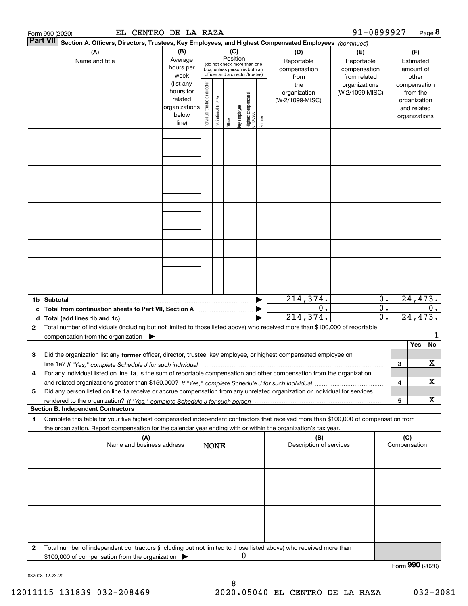|                 | EL CENTRO DE LA RAZA<br>Form 990 (2020)                                                                                                                                                                                                                                          |               |                                |                                                              |         |              |                                  |        |                         | 91-0899927      |                  |                 |               | Page 8 |
|-----------------|----------------------------------------------------------------------------------------------------------------------------------------------------------------------------------------------------------------------------------------------------------------------------------|---------------|--------------------------------|--------------------------------------------------------------|---------|--------------|----------------------------------|--------|-------------------------|-----------------|------------------|-----------------|---------------|--------|
| <b>Part VII</b> | Section A. Officers, Directors, Trustees, Key Employees, and Highest Compensated Employees (continued)                                                                                                                                                                           |               |                                |                                                              |         |              |                                  |        |                         |                 |                  |                 |               |        |
|                 | (A)                                                                                                                                                                                                                                                                              | (B)           |                                |                                                              | (C)     |              |                                  |        | (D)                     | (E)             |                  |                 | (F)           |        |
|                 | Name and title                                                                                                                                                                                                                                                                   | Average       |                                |                                                              |         | Position     |                                  |        | Reportable              | Reportable      |                  |                 | Estimated     |        |
|                 |                                                                                                                                                                                                                                                                                  | hours per     |                                | (do not check more than one<br>box, unless person is both an |         |              |                                  |        | compensation            | compensation    |                  |                 | amount of     |        |
|                 |                                                                                                                                                                                                                                                                                  | week          |                                | officer and a director/trustee)                              |         |              |                                  |        | from                    | from related    |                  |                 | other         |        |
|                 |                                                                                                                                                                                                                                                                                  | (list any     |                                |                                                              |         |              |                                  |        | the                     | organizations   |                  |                 | compensation  |        |
|                 |                                                                                                                                                                                                                                                                                  | hours for     | Individual trustee or director |                                                              |         |              |                                  |        | organization            | (W-2/1099-MISC) |                  |                 | from the      |        |
|                 |                                                                                                                                                                                                                                                                                  | related       |                                | Institutional trustee                                        |         |              |                                  |        | (W-2/1099-MISC)         |                 |                  |                 | organization  |        |
|                 |                                                                                                                                                                                                                                                                                  | organizations |                                |                                                              |         |              |                                  |        |                         |                 |                  |                 | and related   |        |
|                 |                                                                                                                                                                                                                                                                                  | below         |                                |                                                              |         | Key employee |                                  |        |                         |                 |                  |                 | organizations |        |
|                 |                                                                                                                                                                                                                                                                                  | line)         |                                |                                                              | Officer |              | Highest compensated<br> employee | Former |                         |                 |                  |                 |               |        |
|                 |                                                                                                                                                                                                                                                                                  |               |                                |                                                              |         |              |                                  |        |                         |                 |                  |                 |               |        |
|                 |                                                                                                                                                                                                                                                                                  |               |                                |                                                              |         |              |                                  |        |                         |                 |                  |                 |               |        |
|                 |                                                                                                                                                                                                                                                                                  |               |                                |                                                              |         |              |                                  |        |                         |                 |                  |                 |               |        |
|                 |                                                                                                                                                                                                                                                                                  |               |                                |                                                              |         |              |                                  |        |                         |                 |                  |                 |               |        |
|                 |                                                                                                                                                                                                                                                                                  |               |                                |                                                              |         |              |                                  |        |                         |                 |                  |                 |               |        |
|                 |                                                                                                                                                                                                                                                                                  |               |                                |                                                              |         |              |                                  |        |                         |                 |                  |                 |               |        |
|                 |                                                                                                                                                                                                                                                                                  |               |                                |                                                              |         |              |                                  |        |                         |                 |                  |                 |               |        |
|                 |                                                                                                                                                                                                                                                                                  |               |                                |                                                              |         |              |                                  |        |                         |                 |                  |                 |               |        |
|                 |                                                                                                                                                                                                                                                                                  |               |                                |                                                              |         |              |                                  |        |                         |                 |                  |                 |               |        |
|                 |                                                                                                                                                                                                                                                                                  |               |                                |                                                              |         |              |                                  |        |                         |                 |                  |                 |               |        |
|                 |                                                                                                                                                                                                                                                                                  |               |                                |                                                              |         |              |                                  |        |                         |                 |                  |                 |               |        |
|                 |                                                                                                                                                                                                                                                                                  |               |                                |                                                              |         |              |                                  |        |                         |                 |                  |                 |               |        |
|                 |                                                                                                                                                                                                                                                                                  |               |                                |                                                              |         |              |                                  |        |                         |                 |                  |                 |               |        |
|                 |                                                                                                                                                                                                                                                                                  |               |                                |                                                              |         |              |                                  |        |                         |                 |                  |                 |               |        |
|                 |                                                                                                                                                                                                                                                                                  |               |                                |                                                              |         |              |                                  |        |                         |                 |                  |                 |               |        |
|                 |                                                                                                                                                                                                                                                                                  |               |                                |                                                              |         |              |                                  |        |                         |                 |                  |                 |               |        |
|                 |                                                                                                                                                                                                                                                                                  |               |                                |                                                              |         |              |                                  |        |                         |                 |                  |                 |               |        |
|                 |                                                                                                                                                                                                                                                                                  |               |                                |                                                              |         |              |                                  |        |                         |                 |                  |                 |               |        |
|                 |                                                                                                                                                                                                                                                                                  |               |                                |                                                              |         |              |                                  |        |                         |                 |                  |                 |               |        |
|                 |                                                                                                                                                                                                                                                                                  |               |                                |                                                              |         |              |                                  |        | 214,374.                |                 | $0$ .            |                 | 24, 473.      |        |
|                 | c Total from continuation sheets to Part VII, Section A manufactured by                                                                                                                                                                                                          |               |                                |                                                              |         |              |                                  |        | 0.                      |                 | $\overline{0}$ . |                 |               | 0.     |
|                 |                                                                                                                                                                                                                                                                                  |               |                                |                                                              |         |              |                                  |        | 214, 374.               |                 | 0.               |                 | 24, 473.      |        |
| $\mathbf{2}$    | Total number of individuals (including but not limited to those listed above) who received more than \$100,000 of reportable                                                                                                                                                     |               |                                |                                                              |         |              |                                  |        |                         |                 |                  |                 |               |        |
|                 | compensation from the organization $\blacktriangleright$                                                                                                                                                                                                                         |               |                                |                                                              |         |              |                                  |        |                         |                 |                  |                 |               | 1      |
|                 |                                                                                                                                                                                                                                                                                  |               |                                |                                                              |         |              |                                  |        |                         |                 |                  |                 | Yes           | No     |
| 3               | Did the organization list any former officer, director, trustee, key employee, or highest compensated employee on                                                                                                                                                                |               |                                |                                                              |         |              |                                  |        |                         |                 |                  |                 |               |        |
|                 |                                                                                                                                                                                                                                                                                  |               |                                |                                                              |         |              |                                  |        |                         |                 |                  | 3               |               | X      |
|                 | line 1a? If "Yes," complete Schedule J for such individual manufactured contained and the line 1a? If "Yes," complete Schedule J for such individual<br>For any individual listed on line 1a, is the sum of reportable compensation and other compensation from the organization |               |                                |                                                              |         |              |                                  |        |                         |                 |                  |                 |               |        |
|                 |                                                                                                                                                                                                                                                                                  |               |                                |                                                              |         |              |                                  |        |                         |                 |                  |                 |               | х      |
|                 |                                                                                                                                                                                                                                                                                  |               |                                |                                                              |         |              |                                  |        |                         |                 |                  | 4               |               |        |
| 5               | Did any person listed on line 1a receive or accrue compensation from any unrelated organization or individual for services                                                                                                                                                       |               |                                |                                                              |         |              |                                  |        |                         |                 |                  |                 |               |        |
|                 |                                                                                                                                                                                                                                                                                  |               |                                |                                                              |         |              |                                  |        |                         |                 |                  | 5               |               | х      |
|                 | <b>Section B. Independent Contractors</b>                                                                                                                                                                                                                                        |               |                                |                                                              |         |              |                                  |        |                         |                 |                  |                 |               |        |
| 1               | Complete this table for your five highest compensated independent contractors that received more than \$100,000 of compensation from                                                                                                                                             |               |                                |                                                              |         |              |                                  |        |                         |                 |                  |                 |               |        |
|                 | the organization. Report compensation for the calendar year ending with or within the organization's tax year.                                                                                                                                                                   |               |                                |                                                              |         |              |                                  |        |                         |                 |                  |                 |               |        |
|                 | (A)                                                                                                                                                                                                                                                                              |               |                                |                                                              |         |              |                                  |        | (B)                     |                 |                  | (C)             |               |        |
|                 | Name and business address                                                                                                                                                                                                                                                        |               |                                | <b>NONE</b>                                                  |         |              |                                  |        | Description of services |                 |                  | Compensation    |               |        |
|                 |                                                                                                                                                                                                                                                                                  |               |                                |                                                              |         |              |                                  |        |                         |                 |                  |                 |               |        |
|                 |                                                                                                                                                                                                                                                                                  |               |                                |                                                              |         |              |                                  |        |                         |                 |                  |                 |               |        |
|                 |                                                                                                                                                                                                                                                                                  |               |                                |                                                              |         |              |                                  |        |                         |                 |                  |                 |               |        |
|                 |                                                                                                                                                                                                                                                                                  |               |                                |                                                              |         |              |                                  |        |                         |                 |                  |                 |               |        |
|                 |                                                                                                                                                                                                                                                                                  |               |                                |                                                              |         |              |                                  |        |                         |                 |                  |                 |               |        |
|                 |                                                                                                                                                                                                                                                                                  |               |                                |                                                              |         |              |                                  |        |                         |                 |                  |                 |               |        |
|                 |                                                                                                                                                                                                                                                                                  |               |                                |                                                              |         |              |                                  |        |                         |                 |                  |                 |               |        |
|                 |                                                                                                                                                                                                                                                                                  |               |                                |                                                              |         |              |                                  |        |                         |                 |                  |                 |               |        |
|                 |                                                                                                                                                                                                                                                                                  |               |                                |                                                              |         |              |                                  |        |                         |                 |                  |                 |               |        |
|                 |                                                                                                                                                                                                                                                                                  |               |                                |                                                              |         |              |                                  |        |                         |                 |                  |                 |               |        |
| 2               | Total number of independent contractors (including but not limited to those listed above) who received more than                                                                                                                                                                 |               |                                |                                                              |         |              |                                  |        |                         |                 |                  |                 |               |        |
|                 | \$100,000 of compensation from the organization                                                                                                                                                                                                                                  |               |                                |                                                              |         | 0            |                                  |        |                         |                 |                  |                 |               |        |
|                 |                                                                                                                                                                                                                                                                                  |               |                                |                                                              |         |              |                                  |        |                         |                 |                  | Form 990 (2020) |               |        |
|                 |                                                                                                                                                                                                                                                                                  |               |                                |                                                              |         |              |                                  |        |                         |                 |                  |                 |               |        |

032008 12-23-20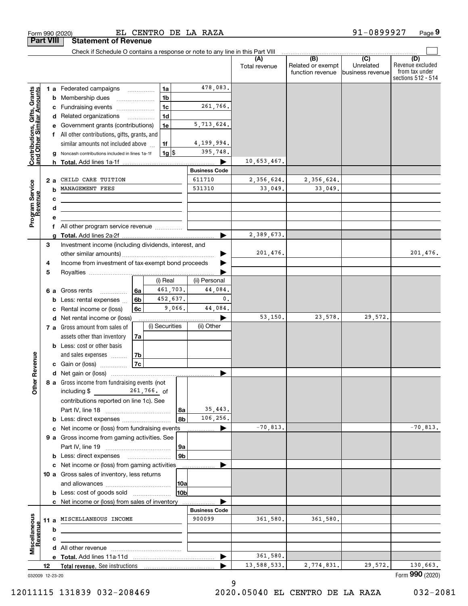|                                                           |                 | Check if Schedule O contains a response or note to any line in this Part VIII             |    |                |                      |                      |               |                                              |                                      |                                                                 |
|-----------------------------------------------------------|-----------------|-------------------------------------------------------------------------------------------|----|----------------|----------------------|----------------------|---------------|----------------------------------------------|--------------------------------------|-----------------------------------------------------------------|
|                                                           |                 |                                                                                           |    |                |                      |                      | Total revenue | (B)<br>Related or exempt<br>function revenue | (C)<br>Unrelated<br>business revenue | (D)<br>Revenue excluded<br>from tax under<br>sections 512 - 514 |
|                                                           |                 | 1 a Federated campaigns                                                                   |    | 1a             |                      | 478,083.             |               |                                              |                                      |                                                                 |
| Contributions, Gifts, Grants<br>and Other Similar Amounts |                 | <b>b</b> Membership dues                                                                  |    | 1 <sub>b</sub> |                      |                      |               |                                              |                                      |                                                                 |
|                                                           |                 | c Fundraising events                                                                      |    | 1c             |                      | 261,766.             |               |                                              |                                      |                                                                 |
|                                                           |                 | d Related organizations                                                                   |    | 1 <sub>d</sub> |                      |                      |               |                                              |                                      |                                                                 |
|                                                           |                 | e Government grants (contributions)                                                       |    | 1e             |                      | 5,713,624.           |               |                                              |                                      |                                                                 |
|                                                           |                 | f All other contributions, gifts, grants, and                                             |    |                |                      |                      |               |                                              |                                      |                                                                 |
|                                                           |                 | similar amounts not included above                                                        |    | 1f             |                      | 4,199,994.           |               |                                              |                                      |                                                                 |
|                                                           |                 | <b>g</b> Noncash contributions included in lines 1a-1f                                    |    | $1g$ \$        |                      | 395,748.             |               |                                              |                                      |                                                                 |
|                                                           |                 |                                                                                           |    |                |                      |                      | 10,653,467.   |                                              |                                      |                                                                 |
|                                                           |                 |                                                                                           |    |                |                      | <b>Business Code</b> |               |                                              |                                      |                                                                 |
|                                                           | 2а              | CHILD CARE TUITION                                                                        |    |                |                      | 611710               | 2,356,624.    | 2,356,624.                                   |                                      |                                                                 |
|                                                           | b               | MANAGEMENT FEES                                                                           |    |                |                      | 531310               | 33,049.       | 33,049.                                      |                                      |                                                                 |
| Program Service<br>Revenue                                | c               |                                                                                           |    |                |                      |                      |               |                                              |                                      |                                                                 |
|                                                           | d               | the control of the control of the control of the control of the control of the control of |    |                |                      |                      |               |                                              |                                      |                                                                 |
|                                                           | е               |                                                                                           |    |                |                      |                      |               |                                              |                                      |                                                                 |
|                                                           |                 | f All other program service revenue                                                       |    |                |                      |                      |               |                                              |                                      |                                                                 |
|                                                           |                 |                                                                                           |    |                |                      |                      | 2,389,673.    |                                              |                                      |                                                                 |
|                                                           | 3               | Investment income (including dividends, interest, and                                     |    |                |                      |                      |               |                                              |                                      |                                                                 |
|                                                           |                 |                                                                                           |    |                |                      |                      | 201,476.      |                                              |                                      | 201, 476.                                                       |
|                                                           | 4               | Income from investment of tax-exempt bond proceeds                                        |    |                |                      |                      |               |                                              |                                      |                                                                 |
|                                                           | 5               |                                                                                           |    |                |                      |                      |               |                                              |                                      |                                                                 |
|                                                           |                 |                                                                                           |    | (i) Real       |                      | (ii) Personal        |               |                                              |                                      |                                                                 |
|                                                           |                 | 6 a Gross rents                                                                           | 6а | 461,703.       |                      | 44,084.              |               |                                              |                                      |                                                                 |
|                                                           |                 | <b>b</b> Less: rental expenses                                                            | 6b | 452,637.       |                      | 0.                   |               |                                              |                                      |                                                                 |
|                                                           |                 | c Rental income or (loss)                                                                 | 6с |                | 9,066.               | 44,084.              |               |                                              |                                      |                                                                 |
|                                                           |                 | d Net rental income or (loss)                                                             |    |                |                      |                      | 53,150.       | 23,578.                                      | 29,572.                              |                                                                 |
|                                                           |                 | 7 a Gross amount from sales of                                                            |    | (i) Securities |                      | (ii) Other           |               |                                              |                                      |                                                                 |
|                                                           |                 | assets other than inventory                                                               | 7a |                |                      |                      |               |                                              |                                      |                                                                 |
|                                                           |                 | <b>b</b> Less: cost or other basis                                                        |    |                |                      |                      |               |                                              |                                      |                                                                 |
|                                                           |                 | and sales expenses                                                                        | 7b |                |                      |                      |               |                                              |                                      |                                                                 |
|                                                           |                 |                                                                                           | 7c |                |                      |                      |               |                                              |                                      |                                                                 |
|                                                           |                 | <b>c</b> Gain or (loss) $\ldots$                                                          |    |                |                      |                      |               |                                              |                                      |                                                                 |
| <b>ther Revenue</b>                                       |                 | 8 a Gross income from fundraising events (not                                             |    |                |                      |                      |               |                                              |                                      |                                                                 |
|                                                           |                 | including $$$ 261,766. of                                                                 |    |                |                      |                      |               |                                              |                                      |                                                                 |
|                                                           |                 |                                                                                           |    |                |                      |                      |               |                                              |                                      |                                                                 |
|                                                           |                 | contributions reported on line 1c). See                                                   |    |                |                      | 35,443.              |               |                                              |                                      |                                                                 |
|                                                           |                 |                                                                                           |    |                | 8a<br>8b             | 106,256.             |               |                                              |                                      |                                                                 |
|                                                           |                 |                                                                                           |    |                |                      |                      | $-70,813.$    |                                              |                                      | $-70,813.$                                                      |
|                                                           |                 | c Net income or (loss) from fundraising events                                            |    |                |                      | .                    |               |                                              |                                      |                                                                 |
|                                                           |                 | 9 a Gross income from gaming activities. See                                              |    |                |                      |                      |               |                                              |                                      |                                                                 |
|                                                           |                 |                                                                                           |    |                | 9a<br>9 <sub>b</sub> |                      |               |                                              |                                      |                                                                 |
|                                                           |                 | <b>b</b> Less: direct expenses <b>manually</b>                                            |    |                |                      |                      |               |                                              |                                      |                                                                 |
|                                                           |                 | c Net income or (loss) from gaming activities                                             |    |                |                      | .                    |               |                                              |                                      |                                                                 |
|                                                           |                 | 10 a Gross sales of inventory, less returns                                               |    |                |                      |                      |               |                                              |                                      |                                                                 |
|                                                           |                 |                                                                                           |    |                | 10a                  |                      |               |                                              |                                      |                                                                 |
|                                                           |                 | <b>b</b> Less: cost of goods sold                                                         |    |                | 10b                  |                      |               |                                              |                                      |                                                                 |
|                                                           |                 | c Net income or (loss) from sales of inventory                                            |    |                |                      |                      |               |                                              |                                      |                                                                 |
|                                                           |                 |                                                                                           |    |                |                      | <b>Business Code</b> |               |                                              |                                      |                                                                 |
|                                                           |                 | 11 a MISCELLANEOUS INCOME                                                                 |    |                |                      | 900099               | 361,580.      | 361,580.                                     |                                      |                                                                 |
|                                                           | b               |                                                                                           |    |                |                      |                      |               |                                              |                                      |                                                                 |
| Miscellaneous<br>Revenue                                  | c               |                                                                                           |    |                |                      |                      |               |                                              |                                      |                                                                 |
|                                                           |                 |                                                                                           |    |                |                      |                      |               |                                              |                                      |                                                                 |
|                                                           |                 |                                                                                           |    |                |                      |                      | 361,580.      |                                              |                                      |                                                                 |
|                                                           | 12              | <b>Total revenue.</b> See instructions                                                    |    |                |                      |                      | 13,588,533.   | 2,774,831.                                   | 29,572.                              | 130,663.                                                        |
|                                                           | 032009 12-23-20 |                                                                                           |    |                |                      |                      |               |                                              |                                      | Form 990 (2020)                                                 |

9

12011115 131839 032-208469 2020.05040 EL CENTRO DE LA RAZA 032-2081

**Part VIII Statement of Revenue**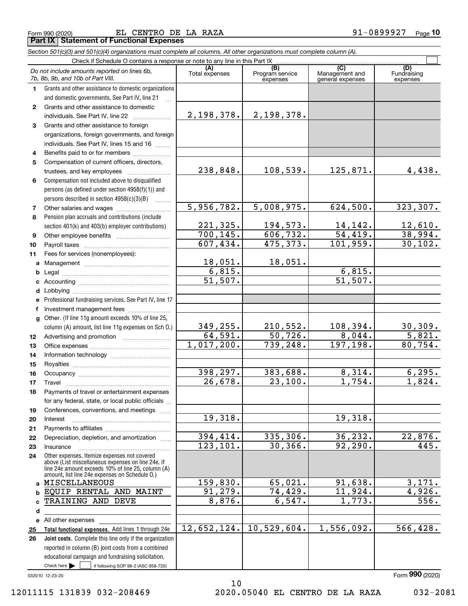|  | Form 990 (2020) |  |
|--|-----------------|--|
|  |                 |  |

Form 990 (2020) EL CENTRO DE LA RAZA 91−0899927 <sub>Page</sub> **Part IX Statement of Functional Expenses**

|              | Section 501(c)(3) and 501(c)(4) organizations must complete all columns. All other organizations must complete column (A). |                       |                                    |                                           |                                |
|--------------|----------------------------------------------------------------------------------------------------------------------------|-----------------------|------------------------------------|-------------------------------------------|--------------------------------|
|              | Check if Schedule O contains a response or note to any line in this Part IX                                                |                       |                                    |                                           |                                |
|              | Do not include amounts reported on lines 6b,<br>7b, 8b, 9b, and 10b of Part VIII.                                          | (A)<br>Total expenses | (B)<br>Program service<br>expenses | (C)<br>Management and<br>general expenses | (D)<br>Fundraising<br>expenses |
| 1.           | Grants and other assistance to domestic organizations                                                                      |                       |                                    |                                           |                                |
|              | and domestic governments. See Part IV, line 21                                                                             |                       |                                    |                                           |                                |
| $\mathbf{2}$ | Grants and other assistance to domestic                                                                                    |                       |                                    |                                           |                                |
|              | individuals. See Part IV, line 22                                                                                          | 2,198,378.            | <u>2,198,378.</u>                  |                                           |                                |
| 3            | Grants and other assistance to foreign                                                                                     |                       |                                    |                                           |                                |
|              | organizations, foreign governments, and foreign                                                                            |                       |                                    |                                           |                                |
|              | individuals. See Part IV, lines 15 and 16                                                                                  |                       |                                    |                                           |                                |
| 4            | Benefits paid to or for members                                                                                            |                       |                                    |                                           |                                |
| 5            | Compensation of current officers, directors,                                                                               |                       |                                    |                                           |                                |
|              | trustees, and key employees                                                                                                | 238,848.              | 108,539.                           | 125,871.                                  | 4,438.                         |
| 6            | Compensation not included above to disqualified                                                                            |                       |                                    |                                           |                                |
|              | persons (as defined under section 4958(f)(1)) and                                                                          |                       |                                    |                                           |                                |
|              | persons described in section 4958(c)(3)(B)<br>1.1.1.1.1.1.1                                                                |                       |                                    |                                           |                                |
| 7            |                                                                                                                            | 5,956,782.            | 5,008,975.                         | 624,500.                                  | 323, 307.                      |
| 8            | Pension plan accruals and contributions (include                                                                           |                       |                                    |                                           |                                |
|              | section 401(k) and 403(b) employer contributions)                                                                          | 221,325.<br>700, 145. | 194,573.<br>606, 732.              | $\frac{14,142.}{54,419.}$                 | $\frac{12,610}{38,994}$        |
| 9            |                                                                                                                            | 607,434.              | 475,373.                           | 101,959.                                  | 30, 102.                       |
| 10           |                                                                                                                            |                       |                                    |                                           |                                |
| 11           | Fees for services (nonemployees):                                                                                          |                       |                                    |                                           |                                |
| a            |                                                                                                                            | 18,051.<br>6,815.     | 18,051.                            | 6,815.                                    |                                |
| b            |                                                                                                                            | 51,507.               |                                    | $\overline{51,507}$ .                     |                                |
| c            |                                                                                                                            |                       |                                    |                                           |                                |
| d            |                                                                                                                            |                       |                                    |                                           |                                |
| е            | Professional fundraising services. See Part IV, line 17                                                                    |                       |                                    |                                           |                                |
| f            | Investment management fees<br>Other. (If line 11g amount exceeds 10% of line 25,                                           |                       |                                    |                                           |                                |
| $\mathbf{q}$ | column (A) amount, list line 11g expenses on Sch O.)                                                                       | 349, 255.             | 210,552.                           | 108, 394.                                 |                                |
| 12           |                                                                                                                            | 64,591.               | 50,726.                            | 8,044.                                    | $\frac{30,309.}{5,821.}$       |
| 13           |                                                                                                                            | 1,017,200.            | 739,248.                           | 197,198.                                  | 80,754.                        |
| 14           |                                                                                                                            |                       |                                    |                                           |                                |
| 15           |                                                                                                                            |                       |                                    |                                           |                                |
| 16           |                                                                                                                            | 398,297.              | 383,688.                           | 8,314.                                    | 6, 295.                        |
| 17           |                                                                                                                            | 26,678.               | 23,100.                            | 1,754.                                    | 1,824.                         |
| 18           | Payments of travel or entertainment expenses                                                                               |                       |                                    |                                           |                                |
|              | for any federal, state, or local public officials                                                                          |                       |                                    |                                           |                                |
| 19           | Conferences, conventions, and meetings                                                                                     |                       |                                    |                                           |                                |
| 20           | Interest                                                                                                                   | 19,318.               |                                    | 19,318.                                   |                                |
| 21           |                                                                                                                            |                       |                                    |                                           |                                |
| 22           | Depreciation, depletion, and amortization                                                                                  | 394,414.              | 335,306.                           | 36,232.                                   | <u>22,876.</u>                 |
| 23           | Insurance                                                                                                                  | 123, 101.             | 30, 366.                           | 92, 290.                                  | 445.                           |
| 24           | Other expenses. Itemize expenses not covered                                                                               |                       |                                    |                                           |                                |
|              | above (List miscellaneous expenses on line 24e. If<br>line 24e amount exceeds 10% of line 25, column (A)                   |                       |                                    |                                           |                                |
|              | amount, list line 24e expenses on Schedule O.)                                                                             |                       |                                    |                                           |                                |
| a            | MISCELLANEOUS                                                                                                              | 159,830.              | 65,021.                            | 91,638.                                   | 3,171.                         |
| b            | EQUIP RENTAL AND MAINT                                                                                                     | 91,279.               | 74,429.                            | 11,924.                                   | 4,926.                         |
| c            | TRAINING AND DEVE                                                                                                          | 8,876.                | 6,547.                             | 1,773.                                    | $\overline{556}$ .             |
| d            |                                                                                                                            |                       |                                    |                                           |                                |
|              | e All other expenses                                                                                                       |                       |                                    |                                           |                                |
| 25           | Total functional expenses. Add lines 1 through 24e                                                                         | 12,652,124.           | 10,529,604.                        | 1,556,092.                                | 566,428.                       |
| 26           | Joint costs. Complete this line only if the organization                                                                   |                       |                                    |                                           |                                |
|              | reported in column (B) joint costs from a combined                                                                         |                       |                                    |                                           |                                |

032010 12-23-20

Check here  $\blacktriangleright$ 

Check here  $\bullet$  if following SOP 98-2 (ASC 958-720)

educational campaign and fundraising solicitation.

10

12011115 131839 032-208469 2020.05040 EL CENTRO DE LA RAZA 032-2081

Form (2020) **990**

 $\frac{1}{1}$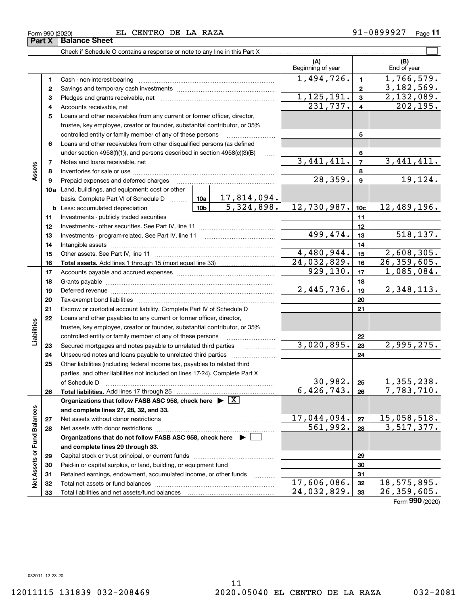**Part X Balance Sheet**

| Form 990 (2020) | DE<br>RAZA<br><b>CENTRO</b><br>LA.<br>EГ | Paɑe<br>z |
|-----------------|------------------------------------------|-----------|
|-----------------|------------------------------------------|-----------|

|                             |          | Check if Schedule O contains a response or note to any line in this Part X                                                                                                                                                    |            |                                                                              |                          |                  |                    |
|-----------------------------|----------|-------------------------------------------------------------------------------------------------------------------------------------------------------------------------------------------------------------------------------|------------|------------------------------------------------------------------------------|--------------------------|------------------|--------------------|
|                             |          |                                                                                                                                                                                                                               |            |                                                                              | (A)<br>Beginning of year |                  | (B)<br>End of year |
|                             | 1        |                                                                                                                                                                                                                               |            |                                                                              | 1,494,726.               | $\mathbf{1}$     | 1,766,579.         |
|                             | 2        |                                                                                                                                                                                                                               |            |                                                                              |                          | $\mathbf{2}$     | 3, 182, 569.       |
|                             | 3        |                                                                                                                                                                                                                               |            |                                                                              | 1, 125, 191.             | $\mathbf{3}$     | 2,132,089.         |
|                             | 4        |                                                                                                                                                                                                                               |            | 231,737.                                                                     | $\overline{4}$           | 202, 195.        |                    |
|                             | 5        | Loans and other receivables from any current or former officer, director,                                                                                                                                                     |            |                                                                              |                          |                  |                    |
|                             |          | trustee, key employee, creator or founder, substantial contributor, or 35%                                                                                                                                                    |            |                                                                              |                          |                  |                    |
|                             |          | controlled entity or family member of any of these persons                                                                                                                                                                    |            |                                                                              |                          | 5                |                    |
|                             | 6        | Loans and other receivables from other disqualified persons (as defined                                                                                                                                                       |            |                                                                              |                          |                  |                    |
|                             |          | under section $4958(f)(1)$ , and persons described in section $4958(c)(3)(B)$                                                                                                                                                 |            | $\ldots$                                                                     |                          | 6                |                    |
|                             | 7        |                                                                                                                                                                                                                               |            |                                                                              | 3,441,411.               | $\overline{7}$   | 3,441,411.         |
| Assets                      | 8        |                                                                                                                                                                                                                               |            |                                                                              |                          | 8                |                    |
|                             | 9        | Prepaid expenses and deferred charges                                                                                                                                                                                         |            |                                                                              | 28, 359.                 | $\boldsymbol{9}$ | 19, 124.           |
|                             |          | 10a Land, buildings, and equipment: cost or other                                                                                                                                                                             |            |                                                                              |                          |                  |                    |
|                             |          | basis. Complete Part VI of Schedule D                                                                                                                                                                                         |            | $\begin{array}{ c c c c c }\n\hline\n10a & 17,814,094.\n\hline\n\end{array}$ |                          |                  |                    |
|                             |          | 10 <sub>b</sub><br><b>b</b> Less: accumulated depreciation<br>. 1                                                                                                                                                             | 5,324,898. | 12,730,987.                                                                  | 10 <sub>c</sub>          | 12,489,196.      |                    |
|                             | 11       |                                                                                                                                                                                                                               |            |                                                                              |                          | 11               |                    |
|                             | 12       |                                                                                                                                                                                                                               |            |                                                                              |                          | 12               |                    |
|                             | 13       |                                                                                                                                                                                                                               |            |                                                                              | 499,474.                 | 13               | 518, 137.          |
|                             | 14       |                                                                                                                                                                                                                               |            |                                                                              |                          | 14               |                    |
|                             | 15       |                                                                                                                                                                                                                               |            |                                                                              | 4,480,944.               | 15               | 2,608,305.         |
|                             | 16       |                                                                                                                                                                                                                               |            |                                                                              | 24,032,829.              | 16               | 26, 359, 605.      |
|                             | 17       |                                                                                                                                                                                                                               |            | 929, 130.                                                                    | 17                       | 1,085,084.       |                    |
|                             | 18       |                                                                                                                                                                                                                               |            |                                                                              |                          | 18               |                    |
|                             | 19       | Deferred revenue material contracts and contracts are contracted and contract and contract are contracted and contract are contracted and contract are contracted and contract are contracted and contract are contracted and |            |                                                                              | 2,445,736.               | 19               | 2,348,113.         |
|                             | 20       |                                                                                                                                                                                                                               |            |                                                                              |                          | 20               |                    |
|                             | 21       | Escrow or custodial account liability. Complete Part IV of Schedule D                                                                                                                                                         |            |                                                                              |                          | 21               |                    |
|                             | 22       | Loans and other payables to any current or former officer, director,                                                                                                                                                          |            |                                                                              |                          |                  |                    |
| Liabilities                 |          | trustee, key employee, creator or founder, substantial contributor, or 35%                                                                                                                                                    |            |                                                                              |                          |                  |                    |
|                             |          | controlled entity or family member of any of these persons                                                                                                                                                                    |            |                                                                              |                          | 22               |                    |
|                             | 23       | Secured mortgages and notes payable to unrelated third parties                                                                                                                                                                |            |                                                                              | 3,020,895.               | 23               | 2,995,275.         |
|                             | 24       |                                                                                                                                                                                                                               |            |                                                                              |                          | 24               |                    |
|                             | 25       | Other liabilities (including federal income tax, payables to related third                                                                                                                                                    |            |                                                                              |                          |                  |                    |
|                             |          | parties, and other liabilities not included on lines 17-24). Complete Part X                                                                                                                                                  |            |                                                                              |                          |                  |                    |
|                             |          | of Schedule D                                                                                                                                                                                                                 |            | 30,982.                                                                      | 25                       | 1,355,238.       |                    |
|                             | 26       |                                                                                                                                                                                                                               |            |                                                                              | 6,426,743.               | 26               | 7,783,710.         |
|                             |          | Organizations that follow FASB ASC 958, check here $\blacktriangleright \lfloor X \rfloor$                                                                                                                                    |            |                                                                              |                          |                  |                    |
|                             |          | and complete lines 27, 28, 32, and 33.                                                                                                                                                                                        |            |                                                                              |                          |                  |                    |
|                             | 27       |                                                                                                                                                                                                                               |            |                                                                              | 17,044,094.<br>561,992.  | 27               | 15,058,518.        |
|                             | 28       |                                                                                                                                                                                                                               |            |                                                                              |                          | 28               | 3,517,377.         |
|                             |          | Organizations that do not follow FASB ASC 958, check here $\blacktriangleright$                                                                                                                                               |            |                                                                              |                          |                  |                    |
|                             |          | and complete lines 29 through 33.                                                                                                                                                                                             |            |                                                                              |                          |                  |                    |
|                             | 29       |                                                                                                                                                                                                                               |            |                                                                              |                          | 29               |                    |
| Net Assets or Fund Balances | 30       | Paid-in or capital surplus, or land, building, or equipment fund                                                                                                                                                              |            |                                                                              |                          | 30               |                    |
|                             | 31       | Retained earnings, endowment, accumulated income, or other funds                                                                                                                                                              |            |                                                                              | 17,606,086.              | 31<br>32         | 18,575,895.        |
|                             | 32<br>33 |                                                                                                                                                                                                                               |            |                                                                              | 24,032,829.              | 33               | 26, 359, 605.      |
|                             |          |                                                                                                                                                                                                                               |            |                                                                              |                          |                  |                    |

Form (2020) **990**

032011 12-23-20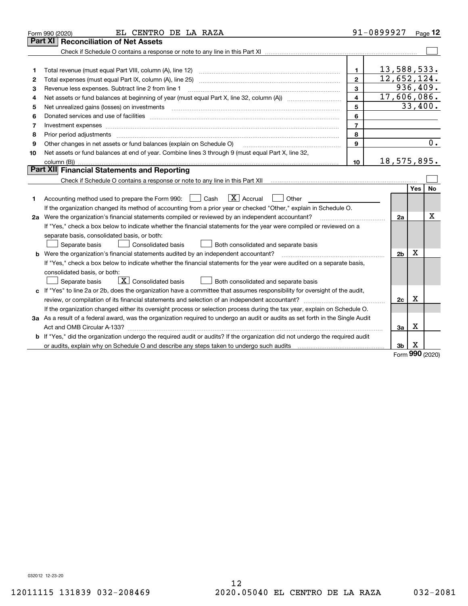|              | EL CENTRO DE LA RAZA<br>Form 990 (2020)                                                                                                                                                                                                                                                                                                                                                                                                                                    |                         | 91-0899927                  |            | Page $12$ |  |  |
|--------------|----------------------------------------------------------------------------------------------------------------------------------------------------------------------------------------------------------------------------------------------------------------------------------------------------------------------------------------------------------------------------------------------------------------------------------------------------------------------------|-------------------------|-----------------------------|------------|-----------|--|--|
|              | <b>Reconciliation of Net Assets</b><br>Part XI                                                                                                                                                                                                                                                                                                                                                                                                                             |                         |                             |            |           |  |  |
|              |                                                                                                                                                                                                                                                                                                                                                                                                                                                                            |                         |                             |            |           |  |  |
|              |                                                                                                                                                                                                                                                                                                                                                                                                                                                                            |                         |                             |            |           |  |  |
| 1            | Total revenue (must equal Part VIII, column (A), line 12)                                                                                                                                                                                                                                                                                                                                                                                                                  | 1.                      | 13,588,533.                 |            |           |  |  |
| $\mathbf{2}$ |                                                                                                                                                                                                                                                                                                                                                                                                                                                                            | $\mathbf{2}$            | 12,652,124.                 |            |           |  |  |
| З            | Revenue less expenses. Subtract line 2 from line 1                                                                                                                                                                                                                                                                                                                                                                                                                         | 3                       |                             |            | 936, 409. |  |  |
| 4            |                                                                                                                                                                                                                                                                                                                                                                                                                                                                            | $\overline{\mathbf{4}}$ | $\overline{17}$ , 606, 086. |            |           |  |  |
| 5            | Net unrealized gains (losses) on investments<br>$\overline{a_1, \ldots, a_n, \ldots, a_n, \ldots, a_n, \ldots, a_n, \ldots, a_n, \ldots, a_n, \ldots, a_n, \ldots, a_n, \ldots, a_n, \ldots, a_n, \ldots, a_n, \ldots, a_n, \ldots, a_n, \ldots, a_n, \ldots, a_n, \ldots, a_n, \ldots, a_n, \ldots, a_n, \ldots, a_n, \ldots, a_n, \ldots, a_n, \ldots, a_n, \ldots, a_n, \ldots, a_n, \ldots, a_n, \ldots, a_n, \ldots, a_n, \ldots, a_n, \ldots, a_n, \ldots, a_n, \ld$ | 5                       |                             |            | 33,400.   |  |  |
| 6            | Donated services and use of facilities [111] Donated and the service of facilities [11] Donated services and use of facilities [11] Donated and the service of the service of the service of the service of the service of the                                                                                                                                                                                                                                             | 6                       |                             |            |           |  |  |
| 7            |                                                                                                                                                                                                                                                                                                                                                                                                                                                                            | $\overline{7}$          |                             |            |           |  |  |
| 8            | Prior period adjustments material contents and content of the content of the content of the content of the content of the content of the content of the content of the content of the content of the content of the content of                                                                                                                                                                                                                                             | 8                       |                             |            |           |  |  |
| 9            | Other changes in net assets or fund balances (explain on Schedule O)                                                                                                                                                                                                                                                                                                                                                                                                       | 9                       |                             |            | 0.        |  |  |
| 10           | Net assets or fund balances at end of year. Combine lines 3 through 9 (must equal Part X, line 32,                                                                                                                                                                                                                                                                                                                                                                         |                         |                             |            |           |  |  |
|              |                                                                                                                                                                                                                                                                                                                                                                                                                                                                            | 10                      | 18,575,895.                 |            |           |  |  |
|              | Part XII Financial Statements and Reporting                                                                                                                                                                                                                                                                                                                                                                                                                                |                         |                             |            |           |  |  |
|              |                                                                                                                                                                                                                                                                                                                                                                                                                                                                            |                         |                             |            |           |  |  |
|              |                                                                                                                                                                                                                                                                                                                                                                                                                                                                            |                         |                             | <b>Yes</b> | No        |  |  |
| 1            | $\boxed{\mathbf{X}}$ Accrual<br>Accounting method used to prepare the Form 990: <u>June</u> Cash<br>Other                                                                                                                                                                                                                                                                                                                                                                  |                         |                             |            |           |  |  |
|              | If the organization changed its method of accounting from a prior year or checked "Other," explain in Schedule O.                                                                                                                                                                                                                                                                                                                                                          |                         |                             |            |           |  |  |
|              | 2a Were the organization's financial statements compiled or reviewed by an independent accountant?                                                                                                                                                                                                                                                                                                                                                                         |                         | 2a                          |            | х         |  |  |
|              | If "Yes," check a box below to indicate whether the financial statements for the year were compiled or reviewed on a                                                                                                                                                                                                                                                                                                                                                       |                         |                             |            |           |  |  |
|              | separate basis, consolidated basis, or both:                                                                                                                                                                                                                                                                                                                                                                                                                               |                         |                             |            |           |  |  |
|              | Separate basis<br><b>Consolidated basis</b><br>Both consolidated and separate basis                                                                                                                                                                                                                                                                                                                                                                                        |                         |                             |            |           |  |  |
|              | <b>b</b> Were the organization's financial statements audited by an independent accountant?                                                                                                                                                                                                                                                                                                                                                                                |                         | 2 <sub>b</sub>              | Χ          |           |  |  |
|              | If "Yes," check a box below to indicate whether the financial statements for the year were audited on a separate basis,                                                                                                                                                                                                                                                                                                                                                    |                         |                             |            |           |  |  |
|              | consolidated basis, or both:                                                                                                                                                                                                                                                                                                                                                                                                                                               |                         |                             |            |           |  |  |
|              | $\boxed{\textbf{X}}$ Consolidated basis<br>Separate basis<br>Both consolidated and separate basis                                                                                                                                                                                                                                                                                                                                                                          |                         |                             |            |           |  |  |
|              | c If "Yes" to line 2a or 2b, does the organization have a committee that assumes responsibility for oversight of the audit,                                                                                                                                                                                                                                                                                                                                                |                         |                             |            |           |  |  |
|              |                                                                                                                                                                                                                                                                                                                                                                                                                                                                            |                         | 2c                          | x          |           |  |  |
|              | If the organization changed either its oversight process or selection process during the tax year, explain on Schedule O.                                                                                                                                                                                                                                                                                                                                                  |                         |                             |            |           |  |  |
|              | 3a As a result of a federal award, was the organization required to undergo an audit or audits as set forth in the Single Audit                                                                                                                                                                                                                                                                                                                                            |                         |                             |            |           |  |  |
|              |                                                                                                                                                                                                                                                                                                                                                                                                                                                                            |                         | За                          | X          |           |  |  |
| b            | If "Yes," did the organization undergo the required audit or audits? If the organization did not undergo the required audit                                                                                                                                                                                                                                                                                                                                                |                         |                             |            |           |  |  |
|              |                                                                                                                                                                                                                                                                                                                                                                                                                                                                            |                         | 3b                          | х<br>m     |           |  |  |

Form (2020) **990**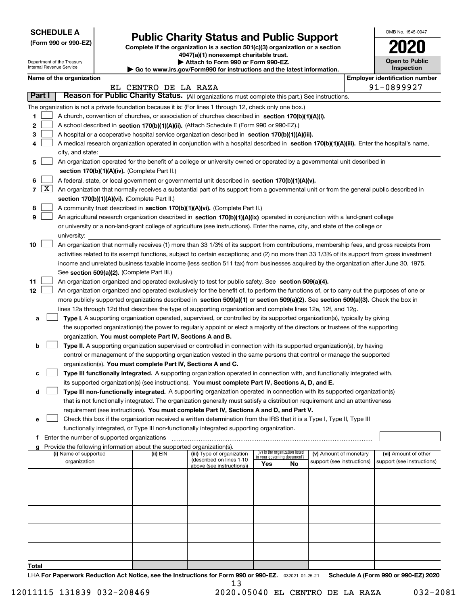| <b>SCHEDULE A</b> |
|-------------------|
|-------------------|

Department of the Treasury Internal Revenue Service

| (Form 990 or 990-EZ) |  |  |  |  |
|----------------------|--|--|--|--|
|----------------------|--|--|--|--|

# **Public Charity Status and Public Support**

**Complete if the organization is a section 501(c)(3) organization or a section 4947(a)(1) nonexempt charitable trust. | Attach to Form 990 or Form 990-EZ.** 

| $\blacksquare$                                                        |  |
|-----------------------------------------------------------------------|--|
| Go to www.irs.gov/Form990 for instructions and the latest information |  |

| s.gov/Form990 for instructions and the latest information. |  |
|------------------------------------------------------------|--|
|------------------------------------------------------------|--|

| OMB No. 1545-0047                     |
|---------------------------------------|
| 2020                                  |
| <b>Open to Public</b><br>Inspection   |
| <b>Employer identification number</b> |

|         |                                                                                                                                                                                                                      | EL CENTRO DE LA RAZA                                                         |                                                       |                                                                |    |                            |  | 91-0899927                 |  |  |  |
|---------|----------------------------------------------------------------------------------------------------------------------------------------------------------------------------------------------------------------------|------------------------------------------------------------------------------|-------------------------------------------------------|----------------------------------------------------------------|----|----------------------------|--|----------------------------|--|--|--|
| Part I  | Reason for Public Charity Status. (All organizations must complete this part.) See instructions.                                                                                                                     |                                                                              |                                                       |                                                                |    |                            |  |                            |  |  |  |
|         | The organization is not a private foundation because it is: (For lines 1 through 12, check only one box.)                                                                                                            |                                                                              |                                                       |                                                                |    |                            |  |                            |  |  |  |
| 1.      | A church, convention of churches, or association of churches described in section 170(b)(1)(A)(i).                                                                                                                   |                                                                              |                                                       |                                                                |    |                            |  |                            |  |  |  |
| 2       | A school described in section 170(b)(1)(A)(ii). (Attach Schedule E (Form 990 or 990-EZ).)                                                                                                                            |                                                                              |                                                       |                                                                |    |                            |  |                            |  |  |  |
| з       | A hospital or a cooperative hospital service organization described in section 170(b)(1)(A)(iii).                                                                                                                    |                                                                              |                                                       |                                                                |    |                            |  |                            |  |  |  |
| 4       | A medical research organization operated in conjunction with a hospital described in section 170(b)(1)(A)(iii). Enter the hospital's name,                                                                           |                                                                              |                                                       |                                                                |    |                            |  |                            |  |  |  |
|         | city, and state:                                                                                                                                                                                                     |                                                                              |                                                       |                                                                |    |                            |  |                            |  |  |  |
| 5       | An organization operated for the benefit of a college or university owned or operated by a governmental unit described in                                                                                            |                                                                              |                                                       |                                                                |    |                            |  |                            |  |  |  |
|         | section 170(b)(1)(A)(iv). (Complete Part II.)                                                                                                                                                                        |                                                                              |                                                       |                                                                |    |                            |  |                            |  |  |  |
| 6       | A federal, state, or local government or governmental unit described in section 170(b)(1)(A)(v).                                                                                                                     |                                                                              |                                                       |                                                                |    |                            |  |                            |  |  |  |
| X <br>7 | An organization that normally receives a substantial part of its support from a governmental unit or from the general public described in                                                                            |                                                                              |                                                       |                                                                |    |                            |  |                            |  |  |  |
|         | section 170(b)(1)(A)(vi). (Complete Part II.)                                                                                                                                                                        |                                                                              |                                                       |                                                                |    |                            |  |                            |  |  |  |
| 8       |                                                                                                                                                                                                                      | A community trust described in section 170(b)(1)(A)(vi). (Complete Part II.) |                                                       |                                                                |    |                            |  |                            |  |  |  |
| 9       | An agricultural research organization described in section 170(b)(1)(A)(ix) operated in conjunction with a land-grant college                                                                                        |                                                                              |                                                       |                                                                |    |                            |  |                            |  |  |  |
|         | or university or a non-land-grant college of agriculture (see instructions). Enter the name, city, and state of the college or                                                                                       |                                                                              |                                                       |                                                                |    |                            |  |                            |  |  |  |
|         | university:                                                                                                                                                                                                          |                                                                              |                                                       |                                                                |    |                            |  |                            |  |  |  |
| 10      | An organization that normally receives (1) more than 33 1/3% of its support from contributions, membership fees, and gross receipts from                                                                             |                                                                              |                                                       |                                                                |    |                            |  |                            |  |  |  |
|         | activities related to its exempt functions, subject to certain exceptions; and (2) no more than 33 1/3% of its support from gross investment                                                                         |                                                                              |                                                       |                                                                |    |                            |  |                            |  |  |  |
|         | income and unrelated business taxable income (less section 511 tax) from businesses acquired by the organization after June 30, 1975.                                                                                |                                                                              |                                                       |                                                                |    |                            |  |                            |  |  |  |
|         | See section 509(a)(2). (Complete Part III.)                                                                                                                                                                          |                                                                              |                                                       |                                                                |    |                            |  |                            |  |  |  |
| 11      | An organization organized and operated exclusively to test for public safety. See section 509(a)(4).                                                                                                                 |                                                                              |                                                       |                                                                |    |                            |  |                            |  |  |  |
| 12      | An organization organized and operated exclusively for the benefit of, to perform the functions of, or to carry out the purposes of one or                                                                           |                                                                              |                                                       |                                                                |    |                            |  |                            |  |  |  |
|         | more publicly supported organizations described in section 509(a)(1) or section 509(a)(2). See section 509(a)(3). Check the box in                                                                                   |                                                                              |                                                       |                                                                |    |                            |  |                            |  |  |  |
|         | lines 12a through 12d that describes the type of supporting organization and complete lines 12e, 12f, and 12g.                                                                                                       |                                                                              |                                                       |                                                                |    |                            |  |                            |  |  |  |
| а       | Type I. A supporting organization operated, supervised, or controlled by its supported organization(s), typically by giving                                                                                          |                                                                              |                                                       |                                                                |    |                            |  |                            |  |  |  |
|         | the supported organization(s) the power to regularly appoint or elect a majority of the directors or trustees of the supporting                                                                                      |                                                                              |                                                       |                                                                |    |                            |  |                            |  |  |  |
|         | organization. You must complete Part IV, Sections A and B.                                                                                                                                                           |                                                                              |                                                       |                                                                |    |                            |  |                            |  |  |  |
| b       | Type II. A supporting organization supervised or controlled in connection with its supported organization(s), by having                                                                                              |                                                                              |                                                       |                                                                |    |                            |  |                            |  |  |  |
|         | control or management of the supporting organization vested in the same persons that control or manage the supported                                                                                                 |                                                                              |                                                       |                                                                |    |                            |  |                            |  |  |  |
|         | organization(s). You must complete Part IV, Sections A and C.                                                                                                                                                        |                                                                              |                                                       |                                                                |    |                            |  |                            |  |  |  |
| c       | Type III functionally integrated. A supporting organization operated in connection with, and functionally integrated with,                                                                                           |                                                                              |                                                       |                                                                |    |                            |  |                            |  |  |  |
|         | its supported organization(s) (see instructions). You must complete Part IV, Sections A, D, and E.                                                                                                                   |                                                                              |                                                       |                                                                |    |                            |  |                            |  |  |  |
| d       | Type III non-functionally integrated. A supporting organization operated in connection with its supported organization(s)                                                                                            |                                                                              |                                                       |                                                                |    |                            |  |                            |  |  |  |
|         | that is not functionally integrated. The organization generally must satisfy a distribution requirement and an attentiveness                                                                                         |                                                                              |                                                       |                                                                |    |                            |  |                            |  |  |  |
|         | requirement (see instructions). You must complete Part IV, Sections A and D, and Part V.                                                                                                                             |                                                                              |                                                       |                                                                |    |                            |  |                            |  |  |  |
| е       | Check this box if the organization received a written determination from the IRS that it is a Type I, Type II, Type III<br>functionally integrated, or Type III non-functionally integrated supporting organization. |                                                                              |                                                       |                                                                |    |                            |  |                            |  |  |  |
|         | Enter the number of supported organizations                                                                                                                                                                          |                                                                              |                                                       |                                                                |    |                            |  |                            |  |  |  |
| a       | Provide the following information about the supported organization(s).                                                                                                                                               |                                                                              |                                                       |                                                                |    |                            |  |                            |  |  |  |
|         | (i) Name of supported                                                                                                                                                                                                | (ii) EIN                                                                     | (iii) Type of organization                            | (iv) Is the organization listed<br>in your governing document? |    | (v) Amount of monetary     |  | (vi) Amount of other       |  |  |  |
|         | organization                                                                                                                                                                                                         |                                                                              | (described on lines 1-10<br>above (see instructions)) | Yes                                                            | No | support (see instructions) |  | support (see instructions) |  |  |  |
|         |                                                                                                                                                                                                                      |                                                                              |                                                       |                                                                |    |                            |  |                            |  |  |  |
|         |                                                                                                                                                                                                                      |                                                                              |                                                       |                                                                |    |                            |  |                            |  |  |  |
|         |                                                                                                                                                                                                                      |                                                                              |                                                       |                                                                |    |                            |  |                            |  |  |  |
|         |                                                                                                                                                                                                                      |                                                                              |                                                       |                                                                |    |                            |  |                            |  |  |  |
|         |                                                                                                                                                                                                                      |                                                                              |                                                       |                                                                |    |                            |  |                            |  |  |  |
|         |                                                                                                                                                                                                                      |                                                                              |                                                       |                                                                |    |                            |  |                            |  |  |  |
|         |                                                                                                                                                                                                                      |                                                                              |                                                       |                                                                |    |                            |  |                            |  |  |  |
|         |                                                                                                                                                                                                                      |                                                                              |                                                       |                                                                |    |                            |  |                            |  |  |  |
|         |                                                                                                                                                                                                                      |                                                                              |                                                       |                                                                |    |                            |  |                            |  |  |  |
|         |                                                                                                                                                                                                                      |                                                                              |                                                       |                                                                |    |                            |  |                            |  |  |  |
| Total   |                                                                                                                                                                                                                      |                                                                              |                                                       |                                                                |    |                            |  |                            |  |  |  |

LHA For Paperwork Reduction Act Notice, see the Instructions for Form 990 or 990-EZ. <sub>032021</sub> o1-25-21 Schedule A (Form 990 or 990-EZ) 2020 13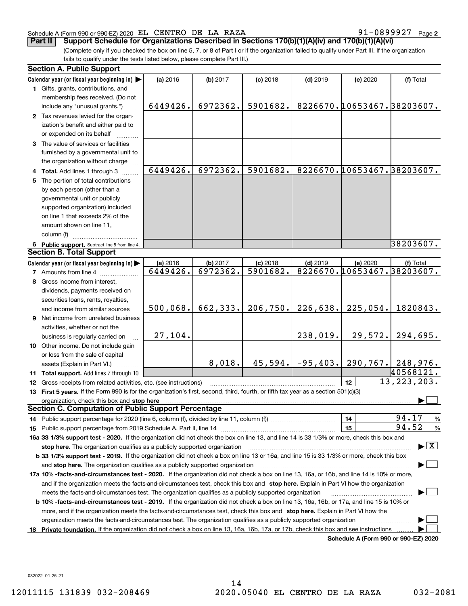### Schedule A (Form 990 or 990-EZ) 2020 Page EL CENTRO DE LA RAZA 91-0899927

**2**

(Complete only if you checked the box on line 5, 7, or 8 of Part I or if the organization failed to qualify under Part III. If the organization fails to qualify under the tests listed below, please complete Part III.) **Part II Support Schedule for Organizations Described in Sections 170(b)(1)(A)(iv) and 170(b)(1)(A)(vi)**

|    | <b>Section A. Public Support</b>                                                                                                                                                                                               |                      |                      |                        |                     |          |                                          |
|----|--------------------------------------------------------------------------------------------------------------------------------------------------------------------------------------------------------------------------------|----------------------|----------------------|------------------------|---------------------|----------|------------------------------------------|
|    | Calendar year (or fiscal year beginning in)                                                                                                                                                                                    | (a) 2016             | (b) 2017             | $(c)$ 2018             | $(d)$ 2019          | (e) 2020 | (f) Total                                |
|    | 1 Gifts, grants, contributions, and                                                                                                                                                                                            |                      |                      |                        |                     |          |                                          |
|    | membership fees received. (Do not                                                                                                                                                                                              |                      |                      |                        |                     |          |                                          |
|    | include any "unusual grants.")                                                                                                                                                                                                 | 6449426.             | 6972362.             | 5901682.               |                     |          | 8226670.10653467.38203607.               |
|    | 2 Tax revenues levied for the organ-                                                                                                                                                                                           |                      |                      |                        |                     |          |                                          |
|    | ization's benefit and either paid to                                                                                                                                                                                           |                      |                      |                        |                     |          |                                          |
|    | or expended on its behalf                                                                                                                                                                                                      |                      |                      |                        |                     |          |                                          |
|    | 3 The value of services or facilities                                                                                                                                                                                          |                      |                      |                        |                     |          |                                          |
|    | furnished by a governmental unit to                                                                                                                                                                                            |                      |                      |                        |                     |          |                                          |
|    | the organization without charge                                                                                                                                                                                                |                      |                      |                        |                     |          |                                          |
|    | 4 Total. Add lines 1 through 3                                                                                                                                                                                                 | 6449426.             | 6972362.             | 5901682.               |                     |          | 8226670.10653467.38203607.               |
|    | 5 The portion of total contributions                                                                                                                                                                                           |                      |                      |                        |                     |          |                                          |
|    | by each person (other than a                                                                                                                                                                                                   |                      |                      |                        |                     |          |                                          |
|    | governmental unit or publicly                                                                                                                                                                                                  |                      |                      |                        |                     |          |                                          |
|    | supported organization) included                                                                                                                                                                                               |                      |                      |                        |                     |          |                                          |
|    | on line 1 that exceeds 2% of the                                                                                                                                                                                               |                      |                      |                        |                     |          |                                          |
|    | amount shown on line 11,                                                                                                                                                                                                       |                      |                      |                        |                     |          |                                          |
|    | column (f)                                                                                                                                                                                                                     |                      |                      |                        |                     |          | 38203607.                                |
|    | 6 Public support. Subtract line 5 from line 4.<br><b>Section B. Total Support</b>                                                                                                                                              |                      |                      |                        |                     |          |                                          |
|    |                                                                                                                                                                                                                                |                      |                      |                        |                     |          |                                          |
|    | Calendar year (or fiscal year beginning in)                                                                                                                                                                                    | (a) 2016<br>6449426. | (b) 2017<br>6972362. | $(c)$ 2018<br>5901682. | $(d)$ 2019          | (e) 2020 | (f) Total<br>8226670.10653467.38203607.  |
|    | <b>7</b> Amounts from line 4                                                                                                                                                                                                   |                      |                      |                        |                     |          |                                          |
|    | 8 Gross income from interest,                                                                                                                                                                                                  |                      |                      |                        |                     |          |                                          |
|    | dividends, payments received on                                                                                                                                                                                                |                      |                      |                        |                     |          |                                          |
|    | securities loans, rents, royalties,                                                                                                                                                                                            | 500,068.             | 662, 333.            | 206,750.               | 226,638.            | 225,054. | 1820843.                                 |
|    | and income from similar sources                                                                                                                                                                                                |                      |                      |                        |                     |          |                                          |
|    | 9 Net income from unrelated business                                                                                                                                                                                           |                      |                      |                        |                     |          |                                          |
|    | activities, whether or not the                                                                                                                                                                                                 | 27,104.              |                      |                        | 238,019.            | 29,572.  | 294,695.                                 |
|    | business is regularly carried on<br>10 Other income. Do not include gain                                                                                                                                                       |                      |                      |                        |                     |          |                                          |
|    | or loss from the sale of capital                                                                                                                                                                                               |                      |                      |                        |                     |          |                                          |
|    |                                                                                                                                                                                                                                |                      | 8,018.               |                        | $45,594. -95,403. $ |          | $290, 767.$ 248, 976.                    |
|    | assets (Explain in Part VI.)<br>11 Total support. Add lines 7 through 10                                                                                                                                                       |                      |                      |                        |                     |          | 40568121.                                |
|    | 12 Gross receipts from related activities, etc. (see instructions)                                                                                                                                                             |                      |                      |                        |                     | 12       | 13, 223, 203.                            |
|    | 13 First 5 years. If the Form 990 is for the organization's first, second, third, fourth, or fifth tax year as a section 501(c)(3)                                                                                             |                      |                      |                        |                     |          |                                          |
|    | organization, check this box and stop here manufactured and according to the state of the state of the state of the state of the state of the state of the state of the state of the state of the state of the state of the st |                      |                      |                        |                     |          |                                          |
|    | <b>Section C. Computation of Public Support Percentage</b>                                                                                                                                                                     |                      |                      |                        |                     |          |                                          |
|    |                                                                                                                                                                                                                                |                      |                      |                        |                     | 14       | 94.17<br>%                               |
|    |                                                                                                                                                                                                                                |                      |                      |                        |                     | 15       | 94.52<br>$\%$                            |
|    | 16a 33 1/3% support test - 2020. If the organization did not check the box on line 13, and line 14 is 33 1/3% or more, check this box and                                                                                      |                      |                      |                        |                     |          |                                          |
|    | stop here. The organization qualifies as a publicly supported organization                                                                                                                                                     |                      |                      |                        |                     |          | $\blacktriangleright$ $\boxed{\text{X}}$ |
|    | b 33 1/3% support test - 2019. If the organization did not check a box on line 13 or 16a, and line 15 is 33 1/3% or more, check this box                                                                                       |                      |                      |                        |                     |          |                                          |
|    | and stop here. The organization qualifies as a publicly supported organization                                                                                                                                                 |                      |                      |                        |                     |          |                                          |
|    | 17a 10% -facts-and-circumstances test - 2020. If the organization did not check a box on line 13, 16a, or 16b, and line 14 is 10% or more,                                                                                     |                      |                      |                        |                     |          |                                          |
|    | and if the organization meets the facts-and-circumstances test, check this box and stop here. Explain in Part VI how the organization                                                                                          |                      |                      |                        |                     |          |                                          |
|    | meets the facts-and-circumstances test. The organization qualifies as a publicly supported organization                                                                                                                        |                      |                      |                        |                     |          |                                          |
|    | <b>b 10% -facts-and-circumstances test - 2019.</b> If the organization did not check a box on line 13, 16a, 16b, or 17a, and line 15 is 10% or                                                                                 |                      |                      |                        |                     |          |                                          |
|    | more, and if the organization meets the facts-and-circumstances test, check this box and stop here. Explain in Part VI how the                                                                                                 |                      |                      |                        |                     |          |                                          |
|    | organization meets the facts-and-circumstances test. The organization qualifies as a publicly supported organization                                                                                                           |                      |                      |                        |                     |          |                                          |
| 18 | Private foundation. If the organization did not check a box on line 13, 16a, 16b, 17a, or 17b, check this box and see instructions                                                                                             |                      |                      |                        |                     |          |                                          |
|    |                                                                                                                                                                                                                                |                      |                      |                        |                     |          | Schedule A (Form 990 or 990-EZ) 2020     |

**Schedule A (Form 990 or 990-EZ) 2020**

032022 01-25-21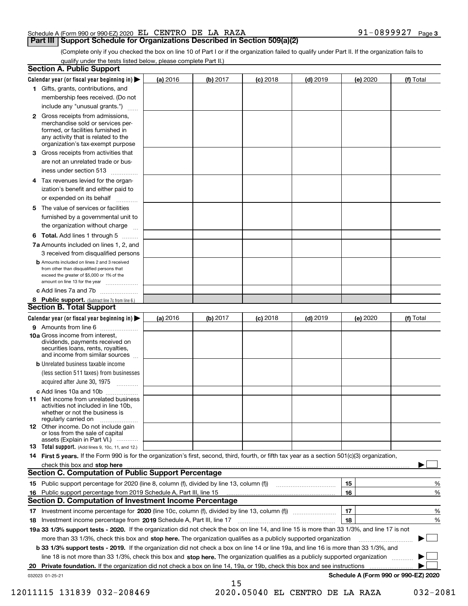| Schedule A (Form 990 or 990-EZ) 2020 $\,$ EL $\,$ CENTRO $\,$ DE $\,$ LA $\,$ RAZA |  |  |  | -0899927 | Page 3 |
|------------------------------------------------------------------------------------|--|--|--|----------|--------|
|                                                                                    |  |  |  |          |        |

# **Part III Support Schedule for Organizations Described in Section 509(a)(2)**

(Complete only if you checked the box on line 10 of Part I or if the organization failed to qualify under Part II. If the organization fails to qualify under the tests listed below, please complete Part II.)

|     | <b>Section A. Public Support</b>                                                                                                                                                                                               |          |          |            |            |          |                                      |
|-----|--------------------------------------------------------------------------------------------------------------------------------------------------------------------------------------------------------------------------------|----------|----------|------------|------------|----------|--------------------------------------|
|     | Calendar year (or fiscal year beginning in) $\blacktriangleright$                                                                                                                                                              | (a) 2016 | (b) 2017 | $(c)$ 2018 | $(d)$ 2019 | (e) 2020 | (f) Total                            |
|     | 1 Gifts, grants, contributions, and                                                                                                                                                                                            |          |          |            |            |          |                                      |
|     | membership fees received. (Do not                                                                                                                                                                                              |          |          |            |            |          |                                      |
|     | include any "unusual grants.")                                                                                                                                                                                                 |          |          |            |            |          |                                      |
|     | <b>2</b> Gross receipts from admissions,<br>merchandise sold or services per-<br>formed, or facilities furnished in<br>any activity that is related to the<br>organization's tax-exempt purpose                                |          |          |            |            |          |                                      |
|     | 3 Gross receipts from activities that<br>are not an unrelated trade or bus-                                                                                                                                                    |          |          |            |            |          |                                      |
|     | iness under section 513                                                                                                                                                                                                        |          |          |            |            |          |                                      |
|     | 4 Tax revenues levied for the organ-<br>ization's benefit and either paid to<br>or expended on its behalf                                                                                                                      |          |          |            |            |          |                                      |
|     | 5 The value of services or facilities<br>furnished by a governmental unit to                                                                                                                                                   |          |          |            |            |          |                                      |
|     | the organization without charge                                                                                                                                                                                                |          |          |            |            |          |                                      |
|     | <b>6 Total.</b> Add lines 1 through 5                                                                                                                                                                                          |          |          |            |            |          |                                      |
|     | 7a Amounts included on lines 1, 2, and<br>3 received from disqualified persons                                                                                                                                                 |          |          |            |            |          |                                      |
|     | <b>b</b> Amounts included on lines 2 and 3 received<br>from other than disqualified persons that<br>exceed the greater of \$5,000 or 1% of the<br>amount on line 13 for the year                                               |          |          |            |            |          |                                      |
|     | c Add lines 7a and 7b                                                                                                                                                                                                          |          |          |            |            |          |                                      |
|     | 8 Public support. (Subtract line 7c from line 6.)                                                                                                                                                                              |          |          |            |            |          |                                      |
|     | <b>Section B. Total Support</b>                                                                                                                                                                                                |          |          |            |            |          |                                      |
|     | Calendar year (or fiscal year beginning in)                                                                                                                                                                                    | (a) 2016 | (b) 2017 | $(c)$ 2018 | $(d)$ 2019 | (e) 2020 | (f) Total                            |
|     | 9 Amounts from line 6                                                                                                                                                                                                          |          |          |            |            |          |                                      |
|     | <b>10a</b> Gross income from interest,<br>dividends, payments received on<br>securities loans, rents, royalties,<br>and income from similar sources                                                                            |          |          |            |            |          |                                      |
|     | <b>b</b> Unrelated business taxable income<br>(less section 511 taxes) from businesses<br>acquired after June 30, 1975                                                                                                         |          |          |            |            |          |                                      |
|     |                                                                                                                                                                                                                                |          |          |            |            |          |                                      |
|     | c Add lines 10a and 10b<br>11 Net income from unrelated business<br>activities not included in line 10b,<br>whether or not the business is<br>regularly carried on                                                             |          |          |            |            |          |                                      |
|     | 12 Other income. Do not include gain<br>or loss from the sale of capital<br>assets (Explain in Part VI.)                                                                                                                       |          |          |            |            |          |                                      |
|     | 13 Total support. (Add lines 9, 10c, 11, and 12.)                                                                                                                                                                              |          |          |            |            |          |                                      |
|     | 14 First 5 years. If the Form 990 is for the organization's first, second, third, fourth, or fifth tax year as a section 501(c)(3) organization,                                                                               |          |          |            |            |          |                                      |
|     | check this box and stop here measurements and stop here according to the control of the control of the control of the control of the control of the control of the control of the control of the control of the control of the |          |          |            |            |          |                                      |
|     | <b>Section C. Computation of Public Support Percentage</b>                                                                                                                                                                     |          |          |            |            |          |                                      |
|     |                                                                                                                                                                                                                                |          |          |            |            | 15       | %                                    |
| 16. | Public support percentage from 2019 Schedule A, Part III, line 15                                                                                                                                                              |          |          |            |            | 16       | %                                    |
|     | <b>Section D. Computation of Investment Income Percentage</b>                                                                                                                                                                  |          |          |            |            |          |                                      |
|     | 17 Investment income percentage for 2020 (line 10c, column (f), divided by line 13, column (f))                                                                                                                                |          |          |            |            | 17       | %                                    |
|     | 18 Investment income percentage from 2019 Schedule A, Part III, line 17                                                                                                                                                        |          |          |            |            | 18       | %                                    |
|     | 19a 33 1/3% support tests - 2020. If the organization did not check the box on line 14, and line 15 is more than 33 1/3%, and line 17 is not                                                                                   |          |          |            |            |          |                                      |
|     | more than 33 1/3%, check this box and stop here. The organization qualifies as a publicly supported organization                                                                                                               |          |          |            |            |          |                                      |
|     | b 33 1/3% support tests - 2019. If the organization did not check a box on line 14 or line 19a, and line 16 is more than 33 1/3%, and                                                                                          |          |          |            |            |          |                                      |
|     | line 18 is not more than 33 1/3%, check this box and stop here. The organization qualifies as a publicly supported organization                                                                                                |          |          |            |            |          |                                      |
| 20  | Private foundation. If the organization did not check a box on line 14, 19a, or 19b, check this box and see instructions                                                                                                       |          |          |            |            |          | .                                    |
|     | 032023 01-25-21                                                                                                                                                                                                                |          | 15       |            |            |          | Schedule A (Form 990 or 990-EZ) 2020 |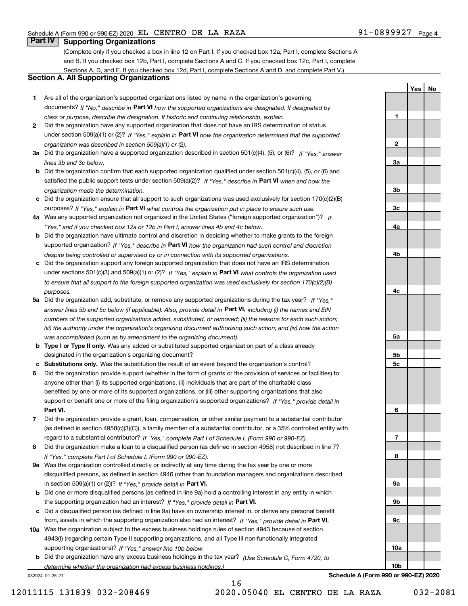**1**

**2**

**3a**

**3b**

**3c**

**4a**

**4b**

**4c**

**5a**

**5b5c**

**6**

**7**

**8**

**9a**

**9b**

**9c**

**10a**

**10b**

**YesNo**

# **Part IV Supporting Organizations**

(Complete only if you checked a box in line 12 on Part I. If you checked box 12a, Part I, complete Sections A and B. If you checked box 12b, Part I, complete Sections A and C. If you checked box 12c, Part I, complete Sections A, D, and E. If you checked box 12d, Part I, complete Sections A and D, and complete Part V.)

## **Section A. All Supporting Organizations**

- **1** Are all of the organization's supported organizations listed by name in the organization's governing documents? If "No," describe in **Part VI** how the supported organizations are designated. If designated by *class or purpose, describe the designation. If historic and continuing relationship, explain.*
- **2** Did the organization have any supported organization that does not have an IRS determination of status under section 509(a)(1) or (2)? If "Yes," explain in Part VI how the organization determined that the supported *organization was described in section 509(a)(1) or (2).*
- **3a** Did the organization have a supported organization described in section 501(c)(4), (5), or (6)? If "Yes," answer *lines 3b and 3c below.*
- **b** Did the organization confirm that each supported organization qualified under section 501(c)(4), (5), or (6) and satisfied the public support tests under section 509(a)(2)? If "Yes," describe in **Part VI** when and how the *organization made the determination.*
- **c**Did the organization ensure that all support to such organizations was used exclusively for section 170(c)(2)(B) purposes? If "Yes," explain in **Part VI** what controls the organization put in place to ensure such use.
- **4a***If* Was any supported organization not organized in the United States ("foreign supported organization")? *"Yes," and if you checked box 12a or 12b in Part I, answer lines 4b and 4c below.*
- **b** Did the organization have ultimate control and discretion in deciding whether to make grants to the foreign supported organization? If "Yes," describe in **Part VI** how the organization had such control and discretion *despite being controlled or supervised by or in connection with its supported organizations.*
- **c** Did the organization support any foreign supported organization that does not have an IRS determination under sections 501(c)(3) and 509(a)(1) or (2)? If "Yes," explain in **Part VI** what controls the organization used *to ensure that all support to the foreign supported organization was used exclusively for section 170(c)(2)(B) purposes.*
- **5a** Did the organization add, substitute, or remove any supported organizations during the tax year? If "Yes," answer lines 5b and 5c below (if applicable). Also, provide detail in **Part VI,** including (i) the names and EIN *numbers of the supported organizations added, substituted, or removed; (ii) the reasons for each such action; (iii) the authority under the organization's organizing document authorizing such action; and (iv) how the action was accomplished (such as by amendment to the organizing document).*
- **b** Type I or Type II only. Was any added or substituted supported organization part of a class already designated in the organization's organizing document?
- **cSubstitutions only.**  Was the substitution the result of an event beyond the organization's control?
- **6** Did the organization provide support (whether in the form of grants or the provision of services or facilities) to **Part VI.** *If "Yes," provide detail in* support or benefit one or more of the filing organization's supported organizations? anyone other than (i) its supported organizations, (ii) individuals that are part of the charitable class benefited by one or more of its supported organizations, or (iii) other supporting organizations that also
- **7**Did the organization provide a grant, loan, compensation, or other similar payment to a substantial contributor *If "Yes," complete Part I of Schedule L (Form 990 or 990-EZ).* regard to a substantial contributor? (as defined in section 4958(c)(3)(C)), a family member of a substantial contributor, or a 35% controlled entity with
- **8** Did the organization make a loan to a disqualified person (as defined in section 4958) not described in line 7? *If "Yes," complete Part I of Schedule L (Form 990 or 990-EZ).*
- **9a** Was the organization controlled directly or indirectly at any time during the tax year by one or more in section 509(a)(1) or (2))? If "Yes," *provide detail in* <code>Part VI.</code> disqualified persons, as defined in section 4946 (other than foundation managers and organizations described
- **b** Did one or more disqualified persons (as defined in line 9a) hold a controlling interest in any entity in which the supporting organization had an interest? If "Yes," provide detail in P**art VI**.
- **c**Did a disqualified person (as defined in line 9a) have an ownership interest in, or derive any personal benefit from, assets in which the supporting organization also had an interest? If "Yes," provide detail in P**art VI.**
- **10a** Was the organization subject to the excess business holdings rules of section 4943 because of section supporting organizations)? If "Yes," answer line 10b below. 4943(f) (regarding certain Type II supporting organizations, and all Type III non-functionally integrated
- **b** Did the organization have any excess business holdings in the tax year? (Use Schedule C, Form 4720, to *determine whether the organization had excess business holdings.)*

032024 01-25-21

**Schedule A (Form 990 or 990-EZ) 2020**

12011115 131839 032-208469 2020.05040 EL CENTRO DE LA RAZA 032-2081

16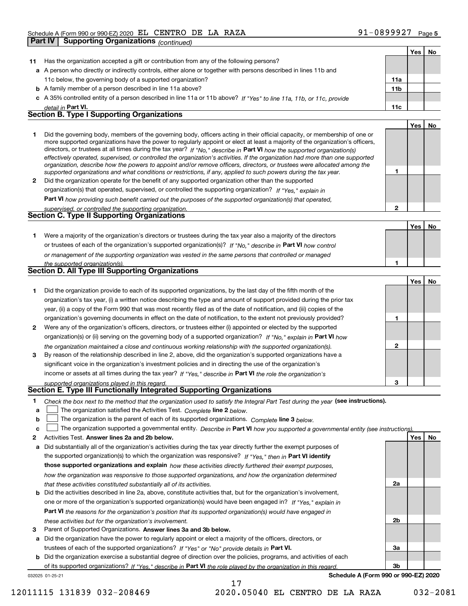|    | <b>Part IV</b><br><b>Supporting Organizations (continued)</b>                                                                                                                                                                                             |                 |     |    |
|----|-----------------------------------------------------------------------------------------------------------------------------------------------------------------------------------------------------------------------------------------------------------|-----------------|-----|----|
|    |                                                                                                                                                                                                                                                           |                 | Yes | No |
| 11 | Has the organization accepted a gift or contribution from any of the following persons?                                                                                                                                                                   |                 |     |    |
|    | a A person who directly or indirectly controls, either alone or together with persons described in lines 11b and                                                                                                                                          |                 |     |    |
|    | 11c below, the governing body of a supported organization?                                                                                                                                                                                                | 11a             |     |    |
|    | <b>b</b> A family member of a person described in line 11a above?                                                                                                                                                                                         | 11 <sub>b</sub> |     |    |
|    | c A 35% controlled entity of a person described in line 11a or 11b above? If "Yes" to line 11a, 11b, or 11c, provide                                                                                                                                      |                 |     |    |
|    | detail in Part VI.                                                                                                                                                                                                                                        | 11c             |     |    |
|    | <b>Section B. Type I Supporting Organizations</b>                                                                                                                                                                                                         |                 |     |    |
|    |                                                                                                                                                                                                                                                           |                 | Yes | No |
| 1  | Did the governing body, members of the governing body, officers acting in their official capacity, or membership of one or                                                                                                                                |                 |     |    |
|    | more supported organizations have the power to regularly appoint or elect at least a majority of the organization's officers,                                                                                                                             |                 |     |    |
|    | directors, or trustees at all times during the tax year? If "No," describe in Part VI how the supported organization(s)<br>effectively operated, supervised, or controlled the organization's activities. If the organization had more than one supported |                 |     |    |
|    | organization, describe how the powers to appoint and/or remove officers, directors, or trustees were allocated among the                                                                                                                                  |                 |     |    |
|    | supported organizations and what conditions or restrictions, if any, applied to such powers during the tax year.                                                                                                                                          | 1               |     |    |
| 2  | Did the organization operate for the benefit of any supported organization other than the supported                                                                                                                                                       |                 |     |    |
|    | organization(s) that operated, supervised, or controlled the supporting organization? If "Yes," explain in                                                                                                                                                |                 |     |    |
|    | Part VI how providing such benefit carried out the purposes of the supported organization(s) that operated,                                                                                                                                               |                 |     |    |
|    | supervised, or controlled the supporting organization.                                                                                                                                                                                                    | $\mathbf{2}$    |     |    |
|    | Section C. Type II Supporting Organizations                                                                                                                                                                                                               |                 |     |    |
|    |                                                                                                                                                                                                                                                           |                 | Yes | No |
| 1. | Were a majority of the organization's directors or trustees during the tax year also a majority of the directors                                                                                                                                          |                 |     |    |
|    | or trustees of each of the organization's supported organization(s)? If "No," describe in Part VI how control                                                                                                                                             |                 |     |    |
|    | or management of the supporting organization was vested in the same persons that controlled or managed                                                                                                                                                    |                 |     |    |
|    | the supported organization(s).<br>Section D. All Type III Supporting Organizations                                                                                                                                                                        | 1               |     |    |
|    |                                                                                                                                                                                                                                                           |                 |     |    |
|    |                                                                                                                                                                                                                                                           |                 | Yes | No |
| 1. | Did the organization provide to each of its supported organizations, by the last day of the fifth month of the                                                                                                                                            |                 |     |    |
|    | organization's tax year, (i) a written notice describing the type and amount of support provided during the prior tax                                                                                                                                     |                 |     |    |
|    | year, (ii) a copy of the Form 990 that was most recently filed as of the date of notification, and (iii) copies of the                                                                                                                                    | 1               |     |    |
|    | organization's governing documents in effect on the date of notification, to the extent not previously provided?                                                                                                                                          |                 |     |    |
| 2  | Were any of the organization's officers, directors, or trustees either (i) appointed or elected by the supported                                                                                                                                          |                 |     |    |
|    | organization(s) or (ii) serving on the governing body of a supported organization? If "No," explain in Part VI how                                                                                                                                        | $\mathbf{2}$    |     |    |
| 3  | the organization maintained a close and continuous working relationship with the supported organization(s).<br>By reason of the relationship described in line 2, above, did the organization's supported organizations have a                            |                 |     |    |
|    | significant voice in the organization's investment policies and in directing the use of the organization's                                                                                                                                                |                 |     |    |
|    | income or assets at all times during the tax year? If "Yes," describe in Part VI the role the organization's                                                                                                                                              |                 |     |    |
|    |                                                                                                                                                                                                                                                           | 3               |     |    |
|    | supported organizations played in this regard.<br>Section E. Type III Functionally Integrated Supporting Organizations                                                                                                                                    |                 |     |    |
| 1  | Check the box next to the method that the organization used to satisfy the Integral Part Test during the year (see instructions).                                                                                                                         |                 |     |    |
| a  | The organization satisfied the Activities Test. Complete line 2 below.                                                                                                                                                                                    |                 |     |    |
| b  | The organization is the parent of each of its supported organizations. Complete line 3 below.                                                                                                                                                             |                 |     |    |
| c  | The organization supported a governmental entity. Describe in Part VI how you supported a governmental entity (see instructions).                                                                                                                         |                 |     |    |
| 2  | Activities Test. Answer lines 2a and 2b below.                                                                                                                                                                                                            |                 | Yes | No |
| а  | Did substantially all of the organization's activities during the tax year directly further the exempt purposes of                                                                                                                                        |                 |     |    |
|    | the supported organization(s) to which the organization was responsive? If "Yes." then in Part VI identify                                                                                                                                                |                 |     |    |
|    | those supported organizations and explain how these activities directly furthered their exempt purposes,                                                                                                                                                  |                 |     |    |
|    |                                                                                                                                                                                                                                                           |                 |     |    |

**b** Did the activities described in line 2a, above, constitute activities that, but for the organization's involvement, **Part VI**  *the reasons for the organization's position that its supported organization(s) would have engaged in how the organization was responsive to those supported organizations, and how the organization determined that these activities constituted substantially all of its activities.* one or more of the organization's supported organization(s) would have been engaged in? If "Yes," e*xplain in* 

**b** Did the organization exercise a substantial degree of direction over the policies, programs, and activities of each

of its supported organizations? If "Yes," describe in Part VI the role played by the organization in this regard.

17

**a** Did the organization have the power to regularly appoint or elect a majority of the officers, directors, or

trustees of each of the supported organizations? If "Yes" or "No" provide details in **Part VI.** 



032025 01-25-21

**Schedule A (Form 990 or 990-EZ) 2020**

**3** Parent of Supported Organizations. Answer lines 3a and 3b below.

*these activities but for the organization's involvement.*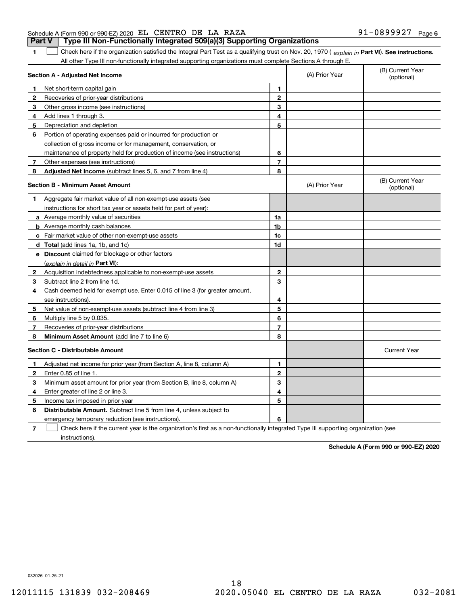| Schedule A (Form 990 or 990-EZ) 2020 EL CENTRO DE LA RAZA |  |  |                                                                                       | 91-0899927 <sub>Page 6</sub> |  |
|-----------------------------------------------------------|--|--|---------------------------------------------------------------------------------------|------------------------------|--|
|                                                           |  |  | <b>Part V</b> Type III Non-Functionally Integrated 509(a)(3) Supporting Organizations |                              |  |

**1**

1 Check here if the organization satisfied the Integral Part Test as a qualifying trust on Nov. 20, 1970 (explain in Part VI). See instructions. All other Type III non-functionally integrated supporting organizations must complete Sections A through E.

|              | Section A - Adjusted Net Income                                                                                                   |                | (A) Prior Year | (B) Current Year<br>(optional) |
|--------------|-----------------------------------------------------------------------------------------------------------------------------------|----------------|----------------|--------------------------------|
| 1            | Net short-term capital gain                                                                                                       | 1              |                |                                |
| 2            | Recoveries of prior-year distributions                                                                                            | $\overline{2}$ |                |                                |
| З            | Other gross income (see instructions)                                                                                             | 3              |                |                                |
| 4            | Add lines 1 through 3.                                                                                                            | 4              |                |                                |
| 5            | Depreciation and depletion                                                                                                        | 5              |                |                                |
| 6            | Portion of operating expenses paid or incurred for production or                                                                  |                |                |                                |
|              | collection of gross income or for management, conservation, or                                                                    |                |                |                                |
|              | maintenance of property held for production of income (see instructions)                                                          | 6              |                |                                |
| 7            | Other expenses (see instructions)                                                                                                 | $\overline{7}$ |                |                                |
| 8            | Adjusted Net Income (subtract lines 5, 6, and 7 from line 4)                                                                      | 8              |                |                                |
|              | <b>Section B - Minimum Asset Amount</b>                                                                                           |                | (A) Prior Year | (B) Current Year<br>(optional) |
| 1            | Aggregate fair market value of all non-exempt-use assets (see                                                                     |                |                |                                |
|              | instructions for short tax year or assets held for part of year):                                                                 |                |                |                                |
|              | a Average monthly value of securities                                                                                             | 1a             |                |                                |
|              | <b>b</b> Average monthly cash balances                                                                                            | 1b             |                |                                |
|              | c Fair market value of other non-exempt-use assets                                                                                | 1c             |                |                                |
|              | d Total (add lines 1a, 1b, and 1c)                                                                                                | 1d             |                |                                |
|              | e Discount claimed for blockage or other factors                                                                                  |                |                |                                |
|              | (explain in detail in Part VI):                                                                                                   |                |                |                                |
| $\mathbf{2}$ | Acquisition indebtedness applicable to non-exempt-use assets                                                                      | $\mathbf{2}$   |                |                                |
| 3            | Subtract line 2 from line 1d.                                                                                                     | 3              |                |                                |
| 4            | Cash deemed held for exempt use. Enter 0.015 of line 3 (for greater amount,                                                       |                |                |                                |
|              | see instructions).                                                                                                                | 4              |                |                                |
| 5            | Net value of non-exempt-use assets (subtract line 4 from line 3)                                                                  | 5              |                |                                |
| 6            | Multiply line 5 by 0.035.                                                                                                         | 6              |                |                                |
| 7            | Recoveries of prior-year distributions                                                                                            | $\overline{7}$ |                |                                |
| 8            | Minimum Asset Amount (add line 7 to line 6)                                                                                       | 8              |                |                                |
|              | <b>Section C - Distributable Amount</b>                                                                                           |                |                | <b>Current Year</b>            |
| 1            | Adjusted net income for prior year (from Section A, line 8, column A)                                                             | 1              |                |                                |
| 2            | Enter 0.85 of line 1.                                                                                                             | $\overline{2}$ |                |                                |
| з            | Minimum asset amount for prior year (from Section B, line 8, column A)                                                            | 3              |                |                                |
| 4            | Enter greater of line 2 or line 3.                                                                                                | 4              |                |                                |
| 5            | Income tax imposed in prior year                                                                                                  | 5              |                |                                |
| 6            | <b>Distributable Amount.</b> Subtract line 5 from line 4, unless subject to                                                       |                |                |                                |
|              | emergency temporary reduction (see instructions).                                                                                 | 6              |                |                                |
| 7            | Check here if the current year is the organization's first as a non-functionally integrated Type III supporting organization (see |                |                |                                |

**7**instructions).

**Schedule A (Form 990 or 990-EZ) 2020**

032026 01-25-21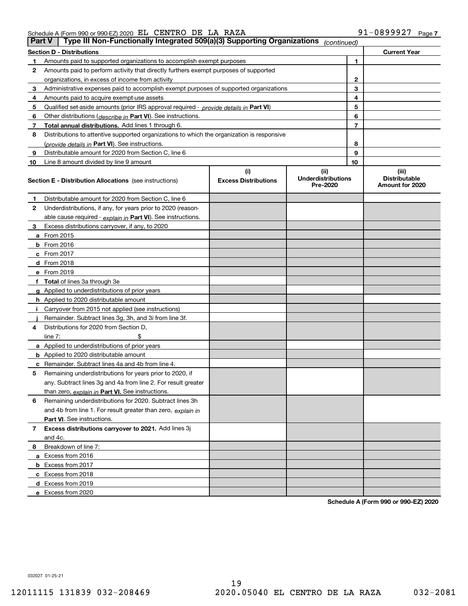### Schedule A (Form 990 or 990-EZ) 2020 Page EL CENTRO DE LA RAZA 91-0899927

| <b>Part V</b> | Type III Non-Functionally Integrated 509(a)(3) Supporting Organizations                    |                                    | (continued)                                   |    |                                                  |
|---------------|--------------------------------------------------------------------------------------------|------------------------------------|-----------------------------------------------|----|--------------------------------------------------|
|               | <b>Section D - Distributions</b>                                                           |                                    |                                               |    | <b>Current Year</b>                              |
| 1             | Amounts paid to supported organizations to accomplish exempt purposes                      |                                    | 1                                             |    |                                                  |
| 2             | Amounts paid to perform activity that directly furthers exempt purposes of supported       |                                    |                                               |    |                                                  |
|               | organizations, in excess of income from activity                                           |                                    | 2                                             |    |                                                  |
| 3             | Administrative expenses paid to accomplish exempt purposes of supported organizations      |                                    | 3                                             |    |                                                  |
| 4             | Amounts paid to acquire exempt-use assets                                                  |                                    |                                               | 4  |                                                  |
| 5             | Qualified set-aside amounts (prior IRS approval required - provide details in Part VI)     |                                    |                                               | 5  |                                                  |
| 6             | Other distributions (describe in Part VI). See instructions.                               |                                    |                                               | 6  |                                                  |
| 7             | Total annual distributions. Add lines 1 through 6.                                         |                                    |                                               | 7  |                                                  |
| 8             | Distributions to attentive supported organizations to which the organization is responsive |                                    |                                               |    |                                                  |
|               | (provide details in Part VI). See instructions.                                            |                                    |                                               | 8  |                                                  |
| 9             | Distributable amount for 2020 from Section C, line 6                                       |                                    |                                               | 9  |                                                  |
| 10            | Line 8 amount divided by line 9 amount                                                     |                                    |                                               | 10 |                                                  |
|               | <b>Section E - Distribution Allocations</b> (see instructions)                             | (i)<br><b>Excess Distributions</b> | (ii)<br><b>Underdistributions</b><br>Pre-2020 |    | (iii)<br><b>Distributable</b><br>Amount for 2020 |
| 1             | Distributable amount for 2020 from Section C, line 6                                       |                                    |                                               |    |                                                  |
| 2             | Underdistributions, if any, for years prior to 2020 (reason-                               |                                    |                                               |    |                                                  |
|               | able cause required - explain in Part VI). See instructions.                               |                                    |                                               |    |                                                  |
| 3             | Excess distributions carryover, if any, to 2020                                            |                                    |                                               |    |                                                  |
|               | <b>a</b> From 2015                                                                         |                                    |                                               |    |                                                  |
|               | <b>b</b> From 2016                                                                         |                                    |                                               |    |                                                  |
|               | c From 2017                                                                                |                                    |                                               |    |                                                  |
|               | <b>d</b> From 2018                                                                         |                                    |                                               |    |                                                  |
|               | e From 2019                                                                                |                                    |                                               |    |                                                  |
|               | f Total of lines 3a through 3e                                                             |                                    |                                               |    |                                                  |
|               | g Applied to underdistributions of prior years                                             |                                    |                                               |    |                                                  |
|               | <b>h</b> Applied to 2020 distributable amount                                              |                                    |                                               |    |                                                  |
|               | Carryover from 2015 not applied (see instructions)                                         |                                    |                                               |    |                                                  |
|               | Remainder. Subtract lines 3g, 3h, and 3i from line 3f.                                     |                                    |                                               |    |                                                  |
| 4             | Distributions for 2020 from Section D,                                                     |                                    |                                               |    |                                                  |
|               | line $7:$                                                                                  |                                    |                                               |    |                                                  |
|               | a Applied to underdistributions of prior years                                             |                                    |                                               |    |                                                  |
|               | <b>b</b> Applied to 2020 distributable amount                                              |                                    |                                               |    |                                                  |
|               | c Remainder. Subtract lines 4a and 4b from line 4.                                         |                                    |                                               |    |                                                  |
| 5             | Remaining underdistributions for years prior to 2020, if                                   |                                    |                                               |    |                                                  |
|               | any. Subtract lines 3g and 4a from line 2. For result greater                              |                                    |                                               |    |                                                  |
|               | than zero, explain in Part VI. See instructions.                                           |                                    |                                               |    |                                                  |
| 6             | Remaining underdistributions for 2020. Subtract lines 3h                                   |                                    |                                               |    |                                                  |
|               | and 4b from line 1. For result greater than zero, explain in                               |                                    |                                               |    |                                                  |
|               | Part VI. See instructions.                                                                 |                                    |                                               |    |                                                  |
| 7             | Excess distributions carryover to 2021. Add lines 3j                                       |                                    |                                               |    |                                                  |
|               | and 4c.                                                                                    |                                    |                                               |    |                                                  |
| 8             | Breakdown of line 7:                                                                       |                                    |                                               |    |                                                  |
|               | a Excess from 2016                                                                         |                                    |                                               |    |                                                  |
|               | <b>b</b> Excess from 2017                                                                  |                                    |                                               |    |                                                  |
|               | c Excess from 2018                                                                         |                                    |                                               |    |                                                  |
|               | d Excess from 2019                                                                         |                                    |                                               |    |                                                  |
|               | e Excess from 2020                                                                         |                                    |                                               |    |                                                  |

**Schedule A (Form 990 or 990-EZ) 2020**

032027 01-25-21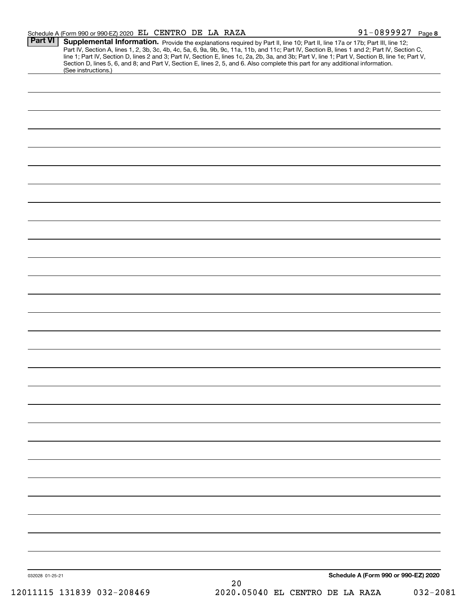| <b>Part VI</b>  | (See instructions.)        | Supplemental Information. Provide the explanations required by Part II, line 10; Part II, line 17a or 17b; Part III, line 12;<br>Part IV, Section A, lines 1, 2, 3b, 3c, 4b, 4c, 5a, 6, 9a, 9b, 9c, 11a, 11b, and 11c; Part IV, Section B, lines 1 and 2; Part IV, Section C,<br>line 1; Part IV, Section D, lines 2 and 3; Part IV, Section E, lines 1c, 2a, 2b, 3a, and 3b; Part V, line 1; Part V, Section B, line 1e; Part V,<br>Section D, lines 5, 6, and 8; and Part V, Section E, lines 2, 5, and 6. Also complete this part for any additional information. |
|-----------------|----------------------------|----------------------------------------------------------------------------------------------------------------------------------------------------------------------------------------------------------------------------------------------------------------------------------------------------------------------------------------------------------------------------------------------------------------------------------------------------------------------------------------------------------------------------------------------------------------------|
|                 |                            |                                                                                                                                                                                                                                                                                                                                                                                                                                                                                                                                                                      |
|                 |                            |                                                                                                                                                                                                                                                                                                                                                                                                                                                                                                                                                                      |
|                 |                            |                                                                                                                                                                                                                                                                                                                                                                                                                                                                                                                                                                      |
|                 |                            |                                                                                                                                                                                                                                                                                                                                                                                                                                                                                                                                                                      |
|                 |                            |                                                                                                                                                                                                                                                                                                                                                                                                                                                                                                                                                                      |
|                 |                            |                                                                                                                                                                                                                                                                                                                                                                                                                                                                                                                                                                      |
|                 |                            |                                                                                                                                                                                                                                                                                                                                                                                                                                                                                                                                                                      |
|                 |                            |                                                                                                                                                                                                                                                                                                                                                                                                                                                                                                                                                                      |
|                 |                            |                                                                                                                                                                                                                                                                                                                                                                                                                                                                                                                                                                      |
|                 |                            |                                                                                                                                                                                                                                                                                                                                                                                                                                                                                                                                                                      |
|                 |                            |                                                                                                                                                                                                                                                                                                                                                                                                                                                                                                                                                                      |
|                 |                            |                                                                                                                                                                                                                                                                                                                                                                                                                                                                                                                                                                      |
|                 |                            |                                                                                                                                                                                                                                                                                                                                                                                                                                                                                                                                                                      |
|                 |                            |                                                                                                                                                                                                                                                                                                                                                                                                                                                                                                                                                                      |
|                 |                            |                                                                                                                                                                                                                                                                                                                                                                                                                                                                                                                                                                      |
|                 |                            |                                                                                                                                                                                                                                                                                                                                                                                                                                                                                                                                                                      |
|                 |                            |                                                                                                                                                                                                                                                                                                                                                                                                                                                                                                                                                                      |
|                 |                            |                                                                                                                                                                                                                                                                                                                                                                                                                                                                                                                                                                      |
|                 |                            |                                                                                                                                                                                                                                                                                                                                                                                                                                                                                                                                                                      |
|                 |                            |                                                                                                                                                                                                                                                                                                                                                                                                                                                                                                                                                                      |
|                 |                            |                                                                                                                                                                                                                                                                                                                                                                                                                                                                                                                                                                      |
|                 |                            |                                                                                                                                                                                                                                                                                                                                                                                                                                                                                                                                                                      |
|                 |                            |                                                                                                                                                                                                                                                                                                                                                                                                                                                                                                                                                                      |
|                 |                            |                                                                                                                                                                                                                                                                                                                                                                                                                                                                                                                                                                      |
|                 |                            |                                                                                                                                                                                                                                                                                                                                                                                                                                                                                                                                                                      |
|                 |                            |                                                                                                                                                                                                                                                                                                                                                                                                                                                                                                                                                                      |
|                 |                            |                                                                                                                                                                                                                                                                                                                                                                                                                                                                                                                                                                      |
|                 |                            |                                                                                                                                                                                                                                                                                                                                                                                                                                                                                                                                                                      |
|                 |                            |                                                                                                                                                                                                                                                                                                                                                                                                                                                                                                                                                                      |
|                 |                            |                                                                                                                                                                                                                                                                                                                                                                                                                                                                                                                                                                      |
|                 |                            |                                                                                                                                                                                                                                                                                                                                                                                                                                                                                                                                                                      |
|                 |                            |                                                                                                                                                                                                                                                                                                                                                                                                                                                                                                                                                                      |
|                 |                            |                                                                                                                                                                                                                                                                                                                                                                                                                                                                                                                                                                      |
|                 |                            |                                                                                                                                                                                                                                                                                                                                                                                                                                                                                                                                                                      |
|                 |                            |                                                                                                                                                                                                                                                                                                                                                                                                                                                                                                                                                                      |
|                 |                            |                                                                                                                                                                                                                                                                                                                                                                                                                                                                                                                                                                      |
|                 |                            |                                                                                                                                                                                                                                                                                                                                                                                                                                                                                                                                                                      |
|                 |                            |                                                                                                                                                                                                                                                                                                                                                                                                                                                                                                                                                                      |
|                 |                            |                                                                                                                                                                                                                                                                                                                                                                                                                                                                                                                                                                      |
|                 |                            |                                                                                                                                                                                                                                                                                                                                                                                                                                                                                                                                                                      |
|                 |                            |                                                                                                                                                                                                                                                                                                                                                                                                                                                                                                                                                                      |
|                 |                            |                                                                                                                                                                                                                                                                                                                                                                                                                                                                                                                                                                      |
|                 |                            |                                                                                                                                                                                                                                                                                                                                                                                                                                                                                                                                                                      |
|                 |                            |                                                                                                                                                                                                                                                                                                                                                                                                                                                                                                                                                                      |
| 032028 01-25-21 |                            | Schedule A (Form 990 or 990-EZ) 2020                                                                                                                                                                                                                                                                                                                                                                                                                                                                                                                                 |
|                 | 12011115 131839 032-208469 | 20<br>2020.05040 EL CENTRO DE LA RAZA<br>$032 - 2081$                                                                                                                                                                                                                                                                                                                                                                                                                                                                                                                |
|                 |                            |                                                                                                                                                                                                                                                                                                                                                                                                                                                                                                                                                                      |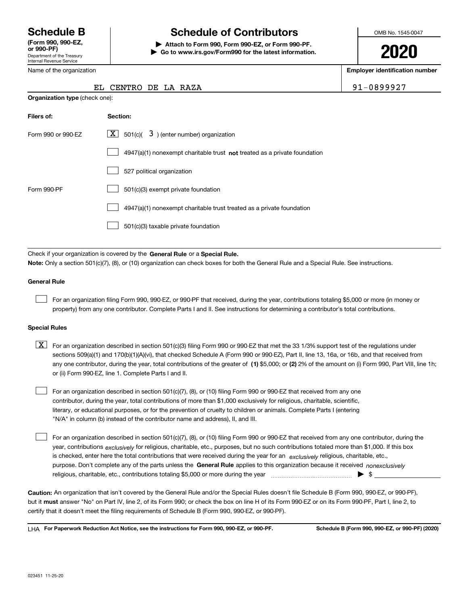Department of the Treasury Internal Revenue Service **(Form 990, 990-EZ, or 990-PF)**

Name of the organization

**Organization type** (check one):

# **Schedule B Schedule of Contributors**

**| Attach to Form 990, Form 990-EZ, or Form 990-PF. | Go to www.irs.gov/Form990 for the latest information.** OMB No. 1545-0047

**2020**

**Employer identification number**

91-0899927

|  | EL CENTRO DE LA RAZA |  |  |  |  |
|--|----------------------|--|--|--|--|
|--|----------------------|--|--|--|--|

| Filers of:         | Section:                                                                           |
|--------------------|------------------------------------------------------------------------------------|
| Form 990 or 990-EZ | $\lfloor x \rfloor$ 501(c)( 3) (enter number) organization                         |
|                    | $4947(a)(1)$ nonexempt charitable trust <b>not</b> treated as a private foundation |
|                    | 527 political organization                                                         |
| Form 990-PF        | 501(c)(3) exempt private foundation                                                |
|                    | 4947(a)(1) nonexempt charitable trust treated as a private foundation              |
|                    | 501(c)(3) taxable private foundation                                               |

Check if your organization is covered by the **General Rule** or a **Special Rule. Note:**  Only a section 501(c)(7), (8), or (10) organization can check boxes for both the General Rule and a Special Rule. See instructions.

### **General Rule**

 $\mathcal{L}^{\text{max}}$ 

For an organization filing Form 990, 990-EZ, or 990-PF that received, during the year, contributions totaling \$5,000 or more (in money or property) from any one contributor. Complete Parts I and II. See instructions for determining a contributor's total contributions.

### **Special Rules**

any one contributor, during the year, total contributions of the greater of  $\,$  (1) \$5,000; or **(2)** 2% of the amount on (i) Form 990, Part VIII, line 1h;  $\boxed{\textbf{X}}$  For an organization described in section 501(c)(3) filing Form 990 or 990-EZ that met the 33 1/3% support test of the regulations under sections 509(a)(1) and 170(b)(1)(A)(vi), that checked Schedule A (Form 990 or 990-EZ), Part II, line 13, 16a, or 16b, and that received from or (ii) Form 990-EZ, line 1. Complete Parts I and II.

For an organization described in section 501(c)(7), (8), or (10) filing Form 990 or 990-EZ that received from any one contributor, during the year, total contributions of more than \$1,000 exclusively for religious, charitable, scientific, literary, or educational purposes, or for the prevention of cruelty to children or animals. Complete Parts I (entering "N/A" in column (b) instead of the contributor name and address), II, and III.  $\mathcal{L}^{\text{max}}$ 

purpose. Don't complete any of the parts unless the **General Rule** applies to this organization because it received *nonexclusively* year, contributions <sub>exclusively</sub> for religious, charitable, etc., purposes, but no such contributions totaled more than \$1,000. If this box is checked, enter here the total contributions that were received during the year for an  $\;$ exclusively religious, charitable, etc., For an organization described in section 501(c)(7), (8), or (10) filing Form 990 or 990-EZ that received from any one contributor, during the religious, charitable, etc., contributions totaling \$5,000 or more during the year  $\Box$ — $\Box$   $\Box$   $\Box$  $\mathcal{L}^{\text{max}}$ 

**Caution:**  An organization that isn't covered by the General Rule and/or the Special Rules doesn't file Schedule B (Form 990, 990-EZ, or 990-PF),  **must** but it answer "No" on Part IV, line 2, of its Form 990; or check the box on line H of its Form 990-EZ or on its Form 990-PF, Part I, line 2, to certify that it doesn't meet the filing requirements of Schedule B (Form 990, 990-EZ, or 990-PF).

**For Paperwork Reduction Act Notice, see the instructions for Form 990, 990-EZ, or 990-PF. Schedule B (Form 990, 990-EZ, or 990-PF) (2020)** LHA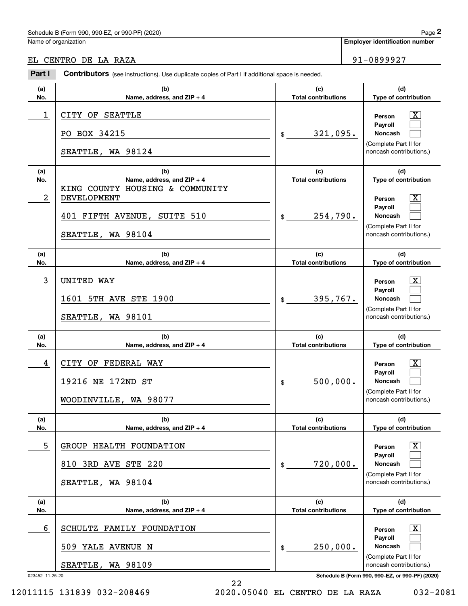# Schedule B (Form 990, 990-EZ, or 990-PF) (2020) Page 2

## EL CENTRO DE LA RAZA 91-0899927

|                 | Schedule B (Form 990, 990-EZ, or 990-PF) (2020)                                                           |                                              | Page 2                                                                                                                   |
|-----------------|-----------------------------------------------------------------------------------------------------------|----------------------------------------------|--------------------------------------------------------------------------------------------------------------------------|
|                 | Name of organization                                                                                      |                                              | <b>Employer identification number</b>                                                                                    |
|                 | EL CENTRO DE LA RAZA                                                                                      |                                              | 91-0899927                                                                                                               |
| Part I          | Contributors (see instructions). Use duplicate copies of Part I if additional space is needed.            |                                              |                                                                                                                          |
| (a)<br>No.      | (b)<br>Name, address, and ZIP + 4                                                                         | (c)<br><b>Total contributions</b>            | (d)<br>Type of contribution                                                                                              |
| 1               | CITY OF SEATTLE<br>PO BOX 34215<br>SEATTLE, WA 98124                                                      | 321,095.<br>\$                               | $\mathbf{X}$<br>Person<br>Payroll<br>Noncash<br>(Complete Part II for<br>noncash contributions.)                         |
| (a)<br>No.      | (b)<br>Name, address, and ZIP + 4                                                                         | (c)<br><b>Total contributions</b>            | (d)<br>Type of contribution                                                                                              |
| 2               | KING COUNTY HOUSING & COMMUNITY<br><b>DEVELOPMENT</b><br>401 FIFTH AVENUE, SUITE 510<br>SEATTLE, WA 98104 | 254,790.<br>\$                               | $\mathbf{X}$<br>Person<br>Payroll<br>Noncash<br>(Complete Part II for<br>noncash contributions.)                         |
| (a)<br>No.      | (b)<br>Name, address, and ZIP + 4                                                                         | (c)<br><b>Total contributions</b>            | (d)<br>Type of contribution                                                                                              |
| 3               | <b>UNITED WAY</b><br>1601 5TH AVE STE 1900<br>SEATTLE, WA 98101                                           | 395,767.<br>\$                               | $\mathbf{X}$<br>Person<br>Payroll<br>Noncash<br>(Complete Part II for<br>noncash contributions.)                         |
| (a)             | (b)                                                                                                       | (c)                                          | (d)                                                                                                                      |
| No.<br>4        | Name, address, and ZIP + 4<br>CITY OF FEDERAL WAY<br>19216 NE 172ND ST<br>WOODINVILLE, WA 98077           | <b>Total contributions</b><br>500,000.<br>\$ | Type of contribution<br>$\mathbf{X}$<br>Person<br>Payroll<br>Noncash<br>(Complete Part II for<br>noncash contributions.) |
| (a)<br>No.      | (b)<br>Name, address, and ZIP + 4                                                                         | (c)<br><b>Total contributions</b>            | (d)<br>Type of contribution                                                                                              |
| 5               | GROUP HEALTH FOUNDATION<br>810 3RD AVE STE 220<br>SEATTLE, WA 98104                                       | 720,000.<br>\$                               | $\overline{\mathbf{X}}$<br>Person<br>Payroll<br>Noncash<br>(Complete Part II for<br>noncash contributions.)              |
| (a)<br>No.      | (b)<br>Name, address, and ZIP + 4                                                                         | (c)<br><b>Total contributions</b>            | (d)<br>Type of contribution                                                                                              |
| 6               | SCHULTZ FAMILY FOUNDATION<br>509 YALE AVENUE N<br>SEATTLE, WA 98109                                       | 250,000.<br>\$                               | $\overline{\mathbf{X}}$<br>Person<br>Payroll<br>Noncash<br>(Complete Part II for<br>noncash contributions.)              |
| 023452 11-25-20 |                                                                                                           |                                              | Schedule B (Form 990, 990-EZ, or 990-PF) (2020)                                                                          |

12011115 131839 032-208469 2020.05040 EL CENTRO DE LA RAZA 032-2081

22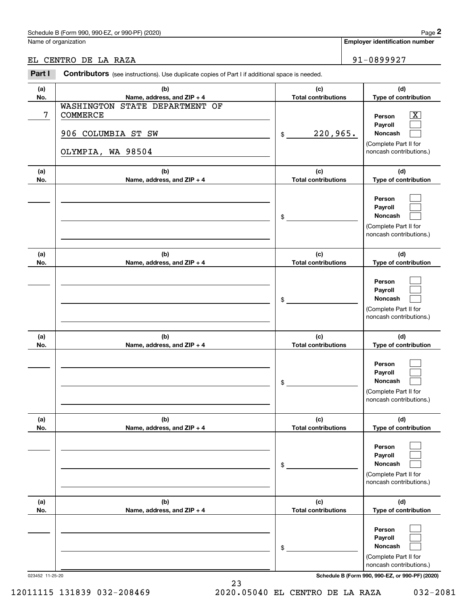# Schedule B (Form 990, 990-EZ, or 990-PF) (2020) **Page 2** Page 2

# EL CENTRO DE LA RAZA  $\vert$  91-0899927

|            | Schedule B (Form 990, 990-EZ, or 990-PF) (2020)                                                 |                                   | Page 2                                                                                                    |
|------------|-------------------------------------------------------------------------------------------------|-----------------------------------|-----------------------------------------------------------------------------------------------------------|
|            | Name of organization                                                                            |                                   | <b>Employer identification number</b>                                                                     |
|            | EL CENTRO DE LA RAZA                                                                            |                                   | 91-0899927                                                                                                |
| Part I     | Contributors (see instructions). Use duplicate copies of Part I if additional space is needed.  |                                   |                                                                                                           |
| (a)<br>No. | (b)<br>Name, address, and ZIP + 4                                                               | (c)<br><b>Total contributions</b> | (d)<br>Type of contribution                                                                               |
| 7          | <b>WASHINGTON</b><br>STATE DEPARTMENT OF<br>COMMERCE<br>906 COLUMBIA ST SW<br>OLYMPIA, WA 98504 | 220,965.<br>\$                    | $\overline{\text{X}}$<br>Person<br>Payroll<br>Noncash<br>(Complete Part II for<br>noncash contributions.) |
| (a)<br>No. | (b)<br>Name, address, and ZIP + 4                                                               | (c)<br><b>Total contributions</b> | (d)<br>Type of contribution                                                                               |
|            |                                                                                                 | \$                                | Person<br>Payroll<br>Noncash<br>(Complete Part II for<br>noncash contributions.)                          |
| (a)<br>No. | (b)<br>Name, address, and ZIP + 4                                                               | (c)<br><b>Total contributions</b> | (d)<br>Type of contribution                                                                               |
|            |                                                                                                 | \$                                | Person<br>Payroll<br>Noncash<br>(Complete Part II for<br>noncash contributions.)                          |
| (a)<br>No. | (b)<br>Name, address, and ZIP + 4                                                               | (c)<br><b>Total contributions</b> | (d)<br>Type of contribution                                                                               |
|            |                                                                                                 | \$                                | Person<br>Payroll<br>Noncash<br>(Complete Part II for<br>noncash contributions.)                          |
| (a)<br>No. | (b)<br>Name, address, and ZIP + 4                                                               | (c)<br><b>Total contributions</b> | (d)<br>Type of contribution                                                                               |
|            |                                                                                                 | \$                                | Person<br>Payroll<br>Noncash<br>(Complete Part II for<br>noncash contributions.)                          |
| (a)<br>No. | (b)<br>Name, address, and ZIP + 4                                                               | (c)<br><b>Total contributions</b> | (d)<br>Type of contribution                                                                               |
|            |                                                                                                 | \$                                | Person<br>Payroll<br>Noncash<br>(Complete Part II for<br>noncash contributions.)                          |

023452 11-25-20 **Schedule B (Form 990, 990-EZ, or 990-PF) (2020)**

23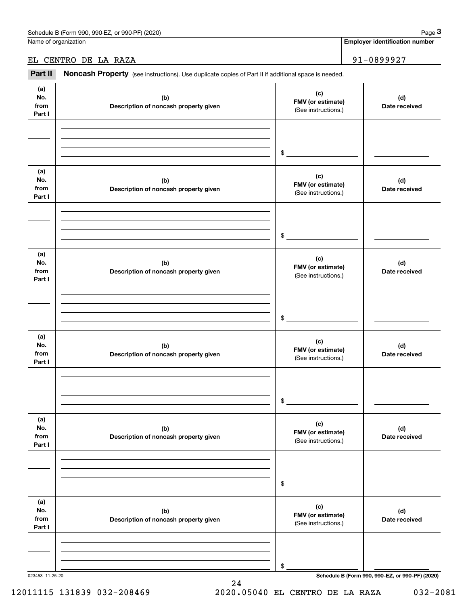Name of organization

**Employer identification number**

## EL CENTRO DE LA RAZA 91-0899927

Fage 3 Employer identification pumber<br>
Iame of organization<br> **3Part II** CENTRO DE LA RAZA<br> **Part II Noncash Property** (see instructions). Use duplicate copies of Part II if additional space is needed.

| (a)<br>No.<br>from<br>Part I | (b)<br>Description of noncash property given | (c)<br>FMV (or estimate)<br>(See instructions.) | (d)<br>Date received                            |
|------------------------------|----------------------------------------------|-------------------------------------------------|-------------------------------------------------|
|                              |                                              | $\mathfrak s$                                   |                                                 |
| (a)<br>No.<br>from<br>Part I | (b)<br>Description of noncash property given | (c)<br>FMV (or estimate)<br>(See instructions.) | (d)<br>Date received                            |
|                              |                                              | $\frac{1}{2}$                                   |                                                 |
| (a)<br>No.<br>from<br>Part I | (b)<br>Description of noncash property given | (c)<br>FMV (or estimate)<br>(See instructions.) | (d)<br>Date received                            |
|                              |                                              | $\frac{1}{2}$                                   |                                                 |
| (a)<br>No.<br>from<br>Part I | (b)<br>Description of noncash property given | (c)<br>FMV (or estimate)<br>(See instructions.) | (d)<br>Date received                            |
|                              |                                              | $\frac{1}{2}$                                   |                                                 |
| (a)<br>No.<br>from<br>Part I | (b)<br>Description of noncash property given | (c)<br>FMV (or estimate)<br>(See instructions.) | (d)<br>Date received                            |
|                              |                                              | \$                                              |                                                 |
| (a)<br>No.<br>from<br>Part I | (b)<br>Description of noncash property given | (c)<br>FMV (or estimate)<br>(See instructions.) | (d)<br>Date received                            |
| 023453 11-25-20              |                                              | \$                                              | Schedule B (Form 990, 990-EZ, or 990-PF) (2020) |

24

# 12011115 131839 032-208469 2020.05040 EL CENTRO DE LA RAZA 032-2081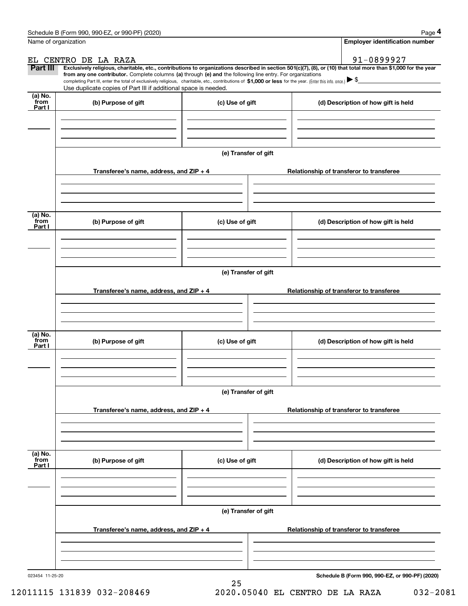|                           | Schedule B (Form 990, 990-EZ, or 990-PF) (2020)                                                                                                                                   |                      | Page 4                                                                                                                                                         |  |  |  |  |  |
|---------------------------|-----------------------------------------------------------------------------------------------------------------------------------------------------------------------------------|----------------------|----------------------------------------------------------------------------------------------------------------------------------------------------------------|--|--|--|--|--|
|                           | Name of organization                                                                                                                                                              |                      | <b>Employer identification number</b>                                                                                                                          |  |  |  |  |  |
|                           | EL CENTRO DE LA RAZA                                                                                                                                                              |                      | 91-0899927                                                                                                                                                     |  |  |  |  |  |
| Part III                  | from any one contributor. Complete columns (a) through (e) and the following line entry. For organizations                                                                        |                      | Exclusively religious, charitable, etc., contributions to organizations described in section 501(c)(7), (8), or (10) that total more than \$1,000 for the year |  |  |  |  |  |
|                           | completing Part III, enter the total of exclusively religious, charitable, etc., contributions of \$1,000 or less for the year. (Enter this info. once.) $\blacktriangleright$ \$ |                      |                                                                                                                                                                |  |  |  |  |  |
|                           | Use duplicate copies of Part III if additional space is needed.                                                                                                                   |                      |                                                                                                                                                                |  |  |  |  |  |
| (a) No.<br>from<br>Part I | (b) Purpose of gift                                                                                                                                                               | (c) Use of gift      | (d) Description of how gift is held                                                                                                                            |  |  |  |  |  |
|                           |                                                                                                                                                                                   |                      |                                                                                                                                                                |  |  |  |  |  |
|                           |                                                                                                                                                                                   | (e) Transfer of gift |                                                                                                                                                                |  |  |  |  |  |
|                           | Transferee's name, address, and ZIP + 4                                                                                                                                           |                      | Relationship of transferor to transferee                                                                                                                       |  |  |  |  |  |
|                           |                                                                                                                                                                                   |                      |                                                                                                                                                                |  |  |  |  |  |
| (a) No.                   |                                                                                                                                                                                   |                      |                                                                                                                                                                |  |  |  |  |  |
| from<br>Part I            | (b) Purpose of gift                                                                                                                                                               | (c) Use of gift      | (d) Description of how gift is held                                                                                                                            |  |  |  |  |  |
|                           |                                                                                                                                                                                   |                      |                                                                                                                                                                |  |  |  |  |  |
|                           | (e) Transfer of gift                                                                                                                                                              |                      |                                                                                                                                                                |  |  |  |  |  |
|                           | Transferee's name, address, and ZIP + 4                                                                                                                                           |                      | Relationship of transferor to transferee                                                                                                                       |  |  |  |  |  |
|                           |                                                                                                                                                                                   |                      |                                                                                                                                                                |  |  |  |  |  |
| (a) No.                   |                                                                                                                                                                                   |                      |                                                                                                                                                                |  |  |  |  |  |
| from<br>Part I            | (b) Purpose of gift                                                                                                                                                               | (c) Use of gift      | (d) Description of how gift is held                                                                                                                            |  |  |  |  |  |
|                           |                                                                                                                                                                                   |                      |                                                                                                                                                                |  |  |  |  |  |
|                           |                                                                                                                                                                                   | (e) Transfer of gift |                                                                                                                                                                |  |  |  |  |  |
|                           | Transferee's name, address, and $ZIP + 4$                                                                                                                                         |                      | Relationship of transferor to transferee                                                                                                                       |  |  |  |  |  |
|                           |                                                                                                                                                                                   |                      |                                                                                                                                                                |  |  |  |  |  |
|                           |                                                                                                                                                                                   |                      |                                                                                                                                                                |  |  |  |  |  |
| (a) No.<br>from<br>Part I | (b) Purpose of gift                                                                                                                                                               | (c) Use of gift      | (d) Description of how gift is held                                                                                                                            |  |  |  |  |  |
|                           |                                                                                                                                                                                   |                      |                                                                                                                                                                |  |  |  |  |  |
|                           |                                                                                                                                                                                   | (e) Transfer of gift |                                                                                                                                                                |  |  |  |  |  |
|                           |                                                                                                                                                                                   |                      |                                                                                                                                                                |  |  |  |  |  |
|                           | Transferee's name, address, and $ZIP + 4$                                                                                                                                         |                      | Relationship of transferor to transferee                                                                                                                       |  |  |  |  |  |
|                           |                                                                                                                                                                                   |                      |                                                                                                                                                                |  |  |  |  |  |
| 023454 11-25-20           |                                                                                                                                                                                   |                      | Schedule B (Form 990, 990-EZ, or 990-PF) (2020)                                                                                                                |  |  |  |  |  |

25

12011115 131839 032-208469 2020.05040 EL CENTRO DE LA RAZA 032-2081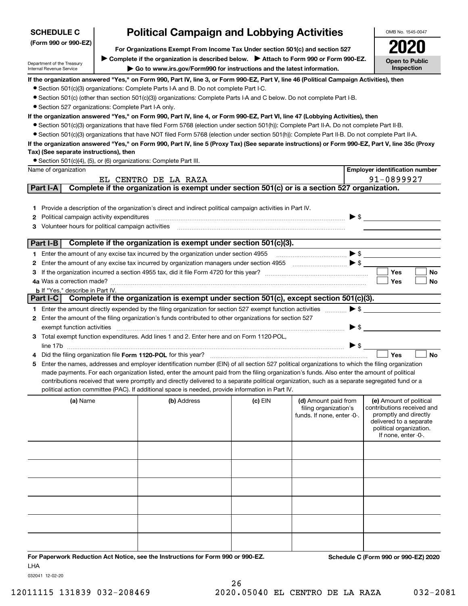| <b>SCHEDULE C</b>                                                                                                        | <b>Political Campaign and Lobbying Activities</b>    |                                                                                                                                                                                                                                                                                                     |           |                                               | OMB No. 1545-0047                                     |  |  |  |  |
|--------------------------------------------------------------------------------------------------------------------------|------------------------------------------------------|-----------------------------------------------------------------------------------------------------------------------------------------------------------------------------------------------------------------------------------------------------------------------------------------------------|-----------|-----------------------------------------------|-------------------------------------------------------|--|--|--|--|
| (Form 990 or 990-EZ)                                                                                                     |                                                      | For Organizations Exempt From Income Tax Under section 501(c) and section 527                                                                                                                                                                                                                       |           |                                               |                                                       |  |  |  |  |
|                                                                                                                          |                                                      | Complete if the organization is described below. > Attach to Form 990 or Form 990-EZ.                                                                                                                                                                                                               |           |                                               |                                                       |  |  |  |  |
| Department of the Treasury<br>Internal Revenue Service                                                                   |                                                      | Go to www.irs.gov/Form990 for instructions and the latest information.                                                                                                                                                                                                                              |           |                                               | <b>Open to Public</b><br>Inspection                   |  |  |  |  |
|                                                                                                                          |                                                      | If the organization answered "Yes," on Form 990, Part IV, line 3, or Form 990-EZ, Part V, line 46 (Political Campaign Activities), then                                                                                                                                                             |           |                                               |                                                       |  |  |  |  |
|                                                                                                                          |                                                      | • Section 501(c)(3) organizations: Complete Parts I-A and B. Do not complete Part I-C.                                                                                                                                                                                                              |           |                                               |                                                       |  |  |  |  |
| • Section 501(c) (other than section 501(c)(3)) organizations: Complete Parts I-A and C below. Do not complete Part I-B. |                                                      |                                                                                                                                                                                                                                                                                                     |           |                                               |                                                       |  |  |  |  |
|                                                                                                                          | • Section 527 organizations: Complete Part I-A only. |                                                                                                                                                                                                                                                                                                     |           |                                               |                                                       |  |  |  |  |
|                                                                                                                          |                                                      | If the organization answered "Yes," on Form 990, Part IV, line 4, or Form 990-EZ, Part VI, line 47 (Lobbying Activities), then                                                                                                                                                                      |           |                                               |                                                       |  |  |  |  |
|                                                                                                                          |                                                      | • Section 501(c)(3) organizations that have filed Form 5768 (election under section 501(h)): Complete Part II-A. Do not complete Part II-B.                                                                                                                                                         |           |                                               |                                                       |  |  |  |  |
|                                                                                                                          |                                                      | • Section 501(c)(3) organizations that have NOT filed Form 5768 (election under section 501(h)): Complete Part II-B. Do not complete Part II-A.<br>If the organization answered "Yes," on Form 990, Part IV, line 5 (Proxy Tax) (See separate instructions) or Form 990-EZ, Part V, line 35c (Proxy |           |                                               |                                                       |  |  |  |  |
| Tax) (See separate instructions), then                                                                                   |                                                      |                                                                                                                                                                                                                                                                                                     |           |                                               |                                                       |  |  |  |  |
|                                                                                                                          |                                                      | • Section 501(c)(4), (5), or (6) organizations: Complete Part III.                                                                                                                                                                                                                                  |           |                                               |                                                       |  |  |  |  |
| Name of organization                                                                                                     |                                                      |                                                                                                                                                                                                                                                                                                     |           |                                               | <b>Employer identification number</b>                 |  |  |  |  |
|                                                                                                                          |                                                      | EL CENTRO DE LA RAZA                                                                                                                                                                                                                                                                                |           |                                               | 91-0899927                                            |  |  |  |  |
| Part I-A                                                                                                                 |                                                      | Complete if the organization is exempt under section 501(c) or is a section 527 organization.                                                                                                                                                                                                       |           |                                               |                                                       |  |  |  |  |
|                                                                                                                          |                                                      |                                                                                                                                                                                                                                                                                                     |           |                                               |                                                       |  |  |  |  |
| 1.                                                                                                                       |                                                      | Provide a description of the organization's direct and indirect political campaign activities in Part IV.                                                                                                                                                                                           |           |                                               |                                                       |  |  |  |  |
| Political campaign activity expenditures<br>2                                                                            |                                                      |                                                                                                                                                                                                                                                                                                     |           |                                               | $\blacktriangleright$ \$                              |  |  |  |  |
| Volunteer hours for political campaign activities<br>3                                                                   |                                                      |                                                                                                                                                                                                                                                                                                     |           |                                               |                                                       |  |  |  |  |
| Part I-B                                                                                                                 |                                                      | Complete if the organization is exempt under section 501(c)(3).                                                                                                                                                                                                                                     |           |                                               |                                                       |  |  |  |  |
|                                                                                                                          |                                                      | 1 Enter the amount of any excise tax incurred by the organization under section 4955                                                                                                                                                                                                                |           |                                               |                                                       |  |  |  |  |
| 2                                                                                                                        |                                                      |                                                                                                                                                                                                                                                                                                     |           |                                               |                                                       |  |  |  |  |
| 3                                                                                                                        |                                                      |                                                                                                                                                                                                                                                                                                     |           |                                               | Yes<br>No                                             |  |  |  |  |
| 4a Was a correction made?                                                                                                |                                                      |                                                                                                                                                                                                                                                                                                     |           |                                               | Yes<br>No                                             |  |  |  |  |
| <b>b</b> If "Yes," describe in Part IV.                                                                                  |                                                      |                                                                                                                                                                                                                                                                                                     |           |                                               |                                                       |  |  |  |  |
| Part I-C $\vert$                                                                                                         |                                                      | Complete if the organization is exempt under section 501(c), except section 501(c)(3).                                                                                                                                                                                                              |           |                                               |                                                       |  |  |  |  |
|                                                                                                                          |                                                      | 1 Enter the amount directly expended by the filing organization for section 527 exempt function activities<br>2 Enter the amount of the filing organization's funds contributed to other organizations for section 527                                                                              |           | $\blacktriangleright$ \$                      |                                                       |  |  |  |  |
| exempt function activities                                                                                               |                                                      |                                                                                                                                                                                                                                                                                                     |           | ▶ \$                                          |                                                       |  |  |  |  |
|                                                                                                                          |                                                      | Total exempt function expenditures. Add lines 1 and 2. Enter here and on Form 1120-POL,                                                                                                                                                                                                             |           |                                               |                                                       |  |  |  |  |
|                                                                                                                          |                                                      |                                                                                                                                                                                                                                                                                                     |           | $\blacktriangleright$ \$                      |                                                       |  |  |  |  |
|                                                                                                                          |                                                      | Did the filing organization file Form 1120-POL for this year?                                                                                                                                                                                                                                       |           |                                               | Yes<br><b>No</b>                                      |  |  |  |  |
| 5                                                                                                                        |                                                      | Enter the names, addresses and employer identification number (EIN) of all section 527 political organizations to which the filing organization                                                                                                                                                     |           |                                               |                                                       |  |  |  |  |
|                                                                                                                          |                                                      | made payments. For each organization listed, enter the amount paid from the filing organization's funds. Also enter the amount of political                                                                                                                                                         |           |                                               |                                                       |  |  |  |  |
|                                                                                                                          |                                                      | contributions received that were promptly and directly delivered to a separate political organization, such as a separate segregated fund or a<br>political action committee (PAC). If additional space is needed, provide information in Part IV.                                                  |           |                                               |                                                       |  |  |  |  |
|                                                                                                                          |                                                      |                                                                                                                                                                                                                                                                                                     |           |                                               |                                                       |  |  |  |  |
| (a) Name                                                                                                                 |                                                      | (b) Address                                                                                                                                                                                                                                                                                         | $(c)$ EIN | (d) Amount paid from<br>filing organization's | (e) Amount of political<br>contributions received and |  |  |  |  |
|                                                                                                                          |                                                      |                                                                                                                                                                                                                                                                                                     |           | funds. If none, enter -0-.                    | promptly and directly                                 |  |  |  |  |
|                                                                                                                          |                                                      |                                                                                                                                                                                                                                                                                                     |           |                                               | delivered to a separate<br>political organization.    |  |  |  |  |
|                                                                                                                          |                                                      |                                                                                                                                                                                                                                                                                                     |           |                                               | If none, enter -0-.                                   |  |  |  |  |
|                                                                                                                          |                                                      |                                                                                                                                                                                                                                                                                                     |           |                                               |                                                       |  |  |  |  |
|                                                                                                                          |                                                      |                                                                                                                                                                                                                                                                                                     |           |                                               |                                                       |  |  |  |  |
|                                                                                                                          |                                                      |                                                                                                                                                                                                                                                                                                     |           |                                               |                                                       |  |  |  |  |
|                                                                                                                          |                                                      |                                                                                                                                                                                                                                                                                                     |           |                                               |                                                       |  |  |  |  |
|                                                                                                                          |                                                      |                                                                                                                                                                                                                                                                                                     |           |                                               |                                                       |  |  |  |  |
|                                                                                                                          |                                                      |                                                                                                                                                                                                                                                                                                     |           |                                               |                                                       |  |  |  |  |
|                                                                                                                          |                                                      |                                                                                                                                                                                                                                                                                                     |           |                                               |                                                       |  |  |  |  |
|                                                                                                                          |                                                      |                                                                                                                                                                                                                                                                                                     |           |                                               |                                                       |  |  |  |  |
|                                                                                                                          |                                                      |                                                                                                                                                                                                                                                                                                     |           |                                               |                                                       |  |  |  |  |
|                                                                                                                          |                                                      |                                                                                                                                                                                                                                                                                                     |           |                                               |                                                       |  |  |  |  |
|                                                                                                                          |                                                      |                                                                                                                                                                                                                                                                                                     |           |                                               |                                                       |  |  |  |  |
|                                                                                                                          |                                                      | For Paperwork Reduction Act Notice, see the Instructions for Form 990 or 990-EZ.                                                                                                                                                                                                                    |           |                                               | Schedule C (Form 990 or 990-EZ) 2020                  |  |  |  |  |
| <b>LHA</b>                                                                                                               |                                                      |                                                                                                                                                                                                                                                                                                     |           |                                               |                                                       |  |  |  |  |

032041 12-02-20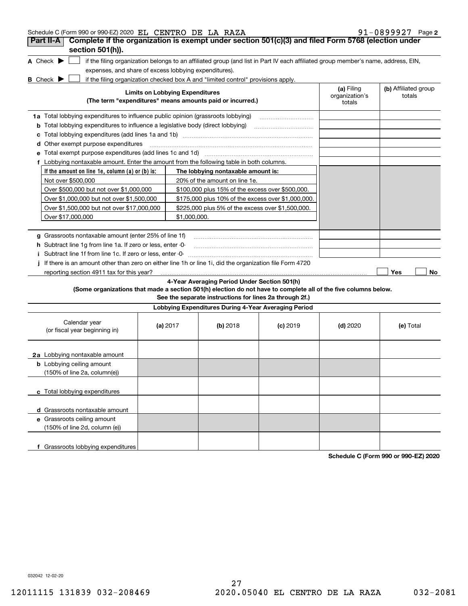| Schedule C (Form 990 or 990-EZ) 2020 EL CENTRO DE LA RAZA                                                       |            |                                                   |                                                                                  |                                                                                                                                   |                                        | 91-0899927 Page 2              |
|-----------------------------------------------------------------------------------------------------------------|------------|---------------------------------------------------|----------------------------------------------------------------------------------|-----------------------------------------------------------------------------------------------------------------------------------|----------------------------------------|--------------------------------|
| Complete if the organization is exempt under section 501(c)(3) and filed Form 5768 (election under<br>Part II-A |            |                                                   |                                                                                  |                                                                                                                                   |                                        |                                |
| section 501(h)).                                                                                                |            |                                                   |                                                                                  |                                                                                                                                   |                                        |                                |
| A Check $\blacktriangleright$                                                                                   |            |                                                   |                                                                                  | if the filing organization belongs to an affiliated group (and list in Part IV each affiliated group member's name, address, EIN, |                                        |                                |
| expenses, and share of excess lobbying expenditures).                                                           |            |                                                   |                                                                                  |                                                                                                                                   |                                        |                                |
| <b>B</b> Check $\blacktriangleright$                                                                            |            |                                                   | if the filing organization checked box A and "limited control" provisions apply. |                                                                                                                                   |                                        |                                |
|                                                                                                                 |            | <b>Limits on Lobbying Expenditures</b>            | (The term "expenditures" means amounts paid or incurred.)                        |                                                                                                                                   | (a) Filing<br>organization's<br>totals | (b) Affiliated group<br>totals |
| 1a Total lobbying expenditures to influence public opinion (grassroots lobbying)                                |            |                                                   |                                                                                  |                                                                                                                                   |                                        |                                |
| <b>b</b> Total lobbying expenditures to influence a legislative body (direct lobbying)                          |            |                                                   |                                                                                  |                                                                                                                                   |                                        |                                |
|                                                                                                                 |            |                                                   |                                                                                  |                                                                                                                                   |                                        |                                |
| <b>d</b> Other exempt purpose expenditures                                                                      |            |                                                   |                                                                                  |                                                                                                                                   |                                        |                                |
| e Total exempt purpose expenditures (add lines 1c and 1d) [11] [12] [13] [13] [14] [15] [15] [16] [15] [16] [1  |            |                                                   |                                                                                  |                                                                                                                                   |                                        |                                |
| f Lobbying nontaxable amount. Enter the amount from the following table in both columns.                        |            |                                                   |                                                                                  |                                                                                                                                   |                                        |                                |
| If the amount on line 1e, column $(a)$ or $(b)$ is:                                                             |            |                                                   | The lobbying nontaxable amount is:                                               |                                                                                                                                   |                                        |                                |
| Not over \$500,000                                                                                              |            |                                                   | 20% of the amount on line 1e.                                                    |                                                                                                                                   |                                        |                                |
| Over \$500,000 but not over \$1,000,000                                                                         |            |                                                   | \$100,000 plus 15% of the excess over \$500,000.                                 |                                                                                                                                   |                                        |                                |
| Over \$1,000,000 but not over \$1,500,000                                                                       |            |                                                   | \$175,000 plus 10% of the excess over \$1,000,000.                               |                                                                                                                                   |                                        |                                |
| Over \$1,500,000 but not over \$17,000,000                                                                      |            | \$225,000 plus 5% of the excess over \$1,500,000. |                                                                                  |                                                                                                                                   |                                        |                                |
| Over \$17,000,000                                                                                               |            | \$1,000,000.                                      |                                                                                  |                                                                                                                                   |                                        |                                |
|                                                                                                                 |            |                                                   |                                                                                  |                                                                                                                                   |                                        |                                |
| g Grassroots nontaxable amount (enter 25% of line 1f)                                                           |            |                                                   |                                                                                  |                                                                                                                                   |                                        |                                |
| h Subtract line 1g from line 1a. If zero or less, enter -0-                                                     |            |                                                   |                                                                                  |                                                                                                                                   |                                        |                                |
| i Subtract line 1f from line 1c. If zero or less, enter -0-                                                     |            |                                                   |                                                                                  |                                                                                                                                   |                                        |                                |
| j If there is an amount other than zero on either line 1h or line 1i, did the organization file Form 4720       |            |                                                   |                                                                                  |                                                                                                                                   |                                        |                                |
| reporting section 4911 tax for this year?                                                                       |            |                                                   |                                                                                  |                                                                                                                                   |                                        | Yes<br>No.                     |
|                                                                                                                 |            |                                                   | 4-Year Averaging Period Under Section 501(h)                                     |                                                                                                                                   |                                        |                                |
| (Some organizations that made a section 501(h) election do not have to complete all of the five columns below.  |            |                                                   |                                                                                  |                                                                                                                                   |                                        |                                |
|                                                                                                                 |            |                                                   | See the separate instructions for lines 2a through 2f.)                          |                                                                                                                                   |                                        |                                |
|                                                                                                                 |            |                                                   | Lobbying Expenditures During 4-Year Averaging Period                             |                                                                                                                                   |                                        |                                |
| Calendar year<br>(or fiscal year beginning in)                                                                  | (a) $2017$ |                                                   | (b) $2018$                                                                       | $(c)$ 2019                                                                                                                        | $(d)$ 2020                             | (e) Total                      |
| 2a Lobbying nontaxable amount                                                                                   |            |                                                   |                                                                                  |                                                                                                                                   |                                        |                                |
| <b>b</b> Lobbying ceiling amount<br>$(150\% \text{ of line } 2a, \text{ column}(e))$                            |            |                                                   |                                                                                  |                                                                                                                                   |                                        |                                |
| c Total lobbying expenditures                                                                                   |            |                                                   |                                                                                  |                                                                                                                                   |                                        |                                |
| d Grassroots nontaxable amount                                                                                  |            |                                                   |                                                                                  |                                                                                                                                   |                                        |                                |
| e Grassroots ceiling amount<br>(150% of line 2d, column (e))                                                    |            |                                                   |                                                                                  |                                                                                                                                   |                                        |                                |
| f Grassroots lobbying expenditures                                                                              |            |                                                   |                                                                                  |                                                                                                                                   |                                        |                                |

**Schedule C (Form 990 or 990-EZ) 2020**

032042 12-02-20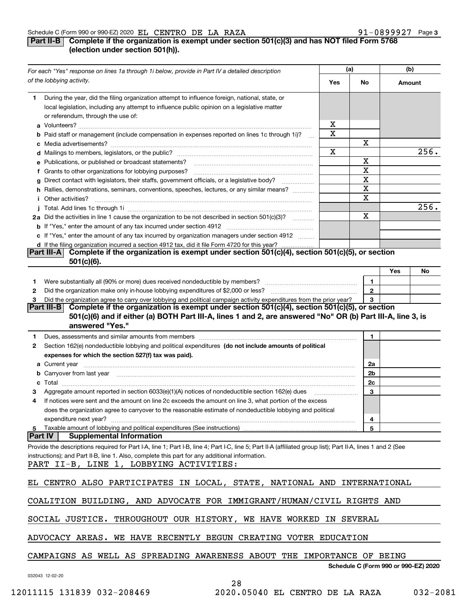### Schedule C (Form 990 or 990-EZ) 2020 Page EL CENTRO DE LA RAZA 91-0899927

## **3**

## **Part II-B Complete if the organization is exempt under section 501(c)(3) and has NOT filed Form 5768 (election under section 501(h)).**

|    | For each "Yes" response on lines 1a through 1i below, provide in Part IV a detailed description                                                                                                                                     |     | (a)          |        | (b)                                  |
|----|-------------------------------------------------------------------------------------------------------------------------------------------------------------------------------------------------------------------------------------|-----|--------------|--------|--------------------------------------|
|    | of the lobbying activity.                                                                                                                                                                                                           | Yes | No           | Amount |                                      |
| 1. | During the year, did the filing organization attempt to influence foreign, national, state, or<br>local legislation, including any attempt to influence public opinion on a legislative matter                                      |     |              |        |                                      |
|    | or referendum, through the use of:                                                                                                                                                                                                  | X   |              |        |                                      |
|    |                                                                                                                                                                                                                                     |     |              |        |                                      |
|    | <b>b</b> Paid staff or management (include compensation in expenses reported on lines 1c through 1i)?<br>$\mathbf{r}$                                                                                                               | Χ   | x            |        |                                      |
|    |                                                                                                                                                                                                                                     |     |              | 256.   |                                      |
|    | e Publications, or published or broadcast statements?                                                                                                                                                                               | х   | x            |        |                                      |
|    | f Grants to other organizations for lobbying purposes?                                                                                                                                                                              |     | X            |        |                                      |
|    | g Direct contact with legislators, their staffs, government officials, or a legislative body?                                                                                                                                       |     | х            |        |                                      |
|    | h Rallies, demonstrations, seminars, conventions, speeches, lectures, or any similar means?                                                                                                                                         |     | X            |        |                                      |
|    | <i>i</i> Other activities?                                                                                                                                                                                                          |     | X            |        |                                      |
|    |                                                                                                                                                                                                                                     |     |              |        | 256.                                 |
|    | 2a Did the activities in line 1 cause the organization to be not described in section 501(c)(3)?                                                                                                                                    |     | х            |        |                                      |
|    |                                                                                                                                                                                                                                     |     |              |        |                                      |
|    | c If "Yes," enter the amount of any tax incurred by organization managers under section 4912                                                                                                                                        |     |              |        |                                      |
|    | d If the filing organization incurred a section 4912 tax, did it file Form 4720 for this year?                                                                                                                                      |     |              |        |                                      |
|    | Complete if the organization is exempt under section 501(c)(4), section 501(c)(5), or section<br><b>Part III-AI</b><br>$501(c)(6)$ .                                                                                                |     |              |        |                                      |
|    |                                                                                                                                                                                                                                     |     |              | Yes    | No                                   |
| 1. |                                                                                                                                                                                                                                     |     | 1.           |        |                                      |
| 2  |                                                                                                                                                                                                                                     |     | $\mathbf{2}$ |        |                                      |
| з  | Did the organization agree to carry over lobbying and political campaign activity expenditures from the prior year?                                                                                                                 |     | 3            |        |                                      |
|    | Part III-B Complete if the organization is exempt under section $501(c)(4)$ , section $501(c)(5)$ , or section                                                                                                                      |     |              |        |                                      |
|    | 501(c)(6) and if either (a) BOTH Part III-A, lines 1 and 2, are answered "No" OR (b) Part III-A, line 3, is                                                                                                                         |     |              |        |                                      |
|    | answered "Yes."                                                                                                                                                                                                                     |     |              |        |                                      |
| 1. | Dues, assessments and similar amounts from members [11] matter contracts and similar amounts from members [11] matter and similar amounts from members [11] matter and similar amounts from members [11] matter and similar am      |     | 1            |        |                                      |
| 2  | Section 162(e) nondeductible lobbying and political expenditures (do not include amounts of political                                                                                                                               |     |              |        |                                      |
|    | expenses for which the section 527(f) tax was paid).                                                                                                                                                                                |     |              |        |                                      |
|    |                                                                                                                                                                                                                                     |     | 2a           |        |                                      |
|    | <b>b</b> Carryover from last year manufactured and content to content the content of the content of the content of the content of the content of the content of the content of the content of the content of the content of the con |     | 2b           |        |                                      |
|    |                                                                                                                                                                                                                                     |     | 2c           |        |                                      |
| З  | Aggregate amount reported in section 6033(e)(1)(A) notices of nondeductible section 162(e) dues                                                                                                                                     |     | 3            |        |                                      |
| 4  | If notices were sent and the amount on line 2c exceeds the amount on line 3, what portion of the excess<br>does the organization agree to carryover to the reasonable estimate of nondeductible lobbying and political              |     |              |        |                                      |
|    | expenditure next year?                                                                                                                                                                                                              |     | 4            |        |                                      |
| 5. | Taxable amount of lobbying and political expenditures (See instructions)                                                                                                                                                            |     | 5            |        |                                      |
|    | Part IV <br><b>Supplemental Information</b>                                                                                                                                                                                         |     |              |        |                                      |
|    | Provide the descriptions required for Part I-A, line 1; Part I-B, line 4; Part I-C, line 5; Part II-A (affiliated group list); Part II-A, lines 1 and 2 (See                                                                        |     |              |        |                                      |
|    | instructions); and Part II-B, line 1. Also, complete this part for any additional information.                                                                                                                                      |     |              |        |                                      |
|    | PART II-B, LINE 1, LOBBYING ACTIVITIES:                                                                                                                                                                                             |     |              |        |                                      |
|    |                                                                                                                                                                                                                                     |     |              |        |                                      |
|    | EL CENTRO ALSO PARTICIPATES IN LOCAL, STATE, NATIONAL AND INTERNATIONAL                                                                                                                                                             |     |              |        |                                      |
|    |                                                                                                                                                                                                                                     |     |              |        |                                      |
|    | COALITION BUILDING, AND ADVOCATE FOR IMMIGRANT/HUMAN/CIVIL RIGHTS AND                                                                                                                                                               |     |              |        |                                      |
|    |                                                                                                                                                                                                                                     |     |              |        |                                      |
|    | SOCIAL JUSTICE. THROUGHOUT OUR HISTORY, WE HAVE WORKED                                                                                                                                                                              |     | IN SEVERAL   |        |                                      |
|    |                                                                                                                                                                                                                                     |     |              |        |                                      |
|    | ADVOCACY AREAS. WE HAVE RECENTLY BEGUN CREATING VOTER EDUCATION                                                                                                                                                                     |     |              |        |                                      |
|    |                                                                                                                                                                                                                                     |     |              |        |                                      |
|    | CAMPAIGNS AS WELL AS SPREADING AWARENESS ABOUT THE IMPORTANCE OF BEING                                                                                                                                                              |     |              |        |                                      |
|    | 032043 12-02-20                                                                                                                                                                                                                     |     |              |        | Schedule C (Form 990 or 990-EZ) 2020 |

28

12011115 131839 032-208469 2020.05040 EL CENTRO DE LA RAZA 032-2081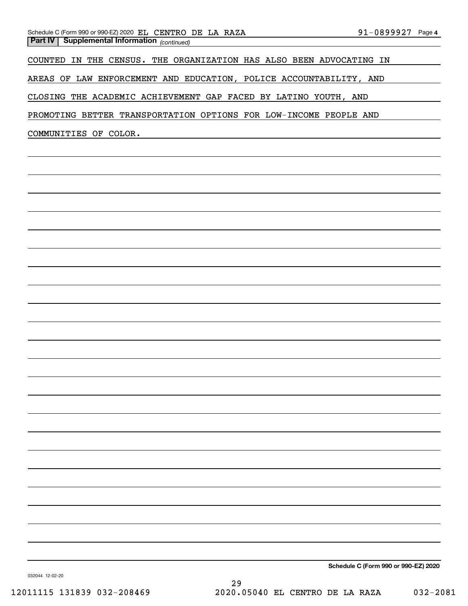COUNTED IN THE CENSUS. THE ORGANIZATION HAS ALSO BEEN ADVOCATING IN

AREAS OF LAW ENFORCEMENT AND EDUCATION, POLICE ACCOUNTABILITY, AND

CLOSING THE ACADEMIC ACHIEVEMENT GAP FACED BY LATINO YOUTH, AND

PROMOTING BETTER TRANSPORTATION OPTIONS FOR LOW-INCOME PEOPLE AND

COMMUNITIES OF COLOR.

**Schedule C (Form 990 or 990-EZ) 2020**

032044 12-02-20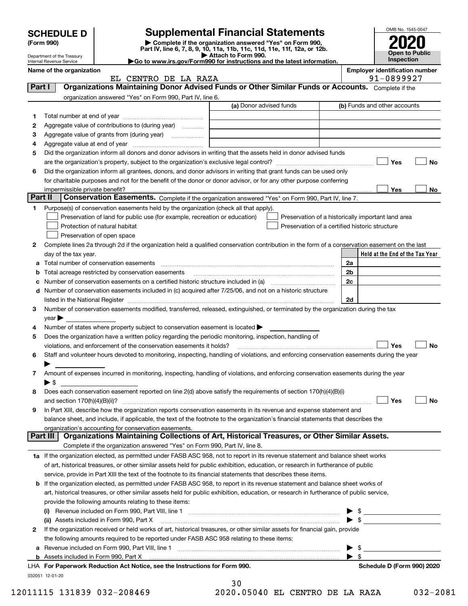|         | <b>SCHEDULE D</b>          |                                                                                                        | <b>Supplemental Financial Statements</b>                                                                                                                                                                                                |               | OMB No. 1545-0047                                   |
|---------|----------------------------|--------------------------------------------------------------------------------------------------------|-----------------------------------------------------------------------------------------------------------------------------------------------------------------------------------------------------------------------------------------|---------------|-----------------------------------------------------|
|         | (Form 990)                 |                                                                                                        | Complete if the organization answered "Yes" on Form 990,                                                                                                                                                                                |               |                                                     |
|         | Department of the Treasury |                                                                                                        | Part IV, line 6, 7, 8, 9, 10, 11a, 11b, 11c, 11d, 11e, 11f, 12a, or 12b.<br>Attach to Form 990.                                                                                                                                         |               | <b>Open to Public</b>                               |
|         | Internal Revenue Service   |                                                                                                        | Go to www.irs.gov/Form990 for instructions and the latest information.                                                                                                                                                                  |               | <b>Inspection</b>                                   |
|         | Name of the organization   | EL CENTRO DE LA RAZA                                                                                   |                                                                                                                                                                                                                                         |               | <b>Employer identification number</b><br>91-0899927 |
| Part I  |                            |                                                                                                        | Organizations Maintaining Donor Advised Funds or Other Similar Funds or Accounts. Complete if the                                                                                                                                       |               |                                                     |
|         |                            | organization answered "Yes" on Form 990, Part IV, line 6.                                              |                                                                                                                                                                                                                                         |               |                                                     |
|         |                            |                                                                                                        | (a) Donor advised funds                                                                                                                                                                                                                 |               | (b) Funds and other accounts                        |
| 1       |                            |                                                                                                        |                                                                                                                                                                                                                                         |               |                                                     |
| 2       |                            | Aggregate value of contributions to (during year)                                                      |                                                                                                                                                                                                                                         |               |                                                     |
| з       |                            |                                                                                                        |                                                                                                                                                                                                                                         |               |                                                     |
| 4       |                            |                                                                                                        |                                                                                                                                                                                                                                         |               |                                                     |
| 5       |                            |                                                                                                        | Did the organization inform all donors and donor advisors in writing that the assets held in donor advised funds                                                                                                                        |               |                                                     |
|         |                            |                                                                                                        |                                                                                                                                                                                                                                         |               | Yes<br><b>No</b>                                    |
| 6       |                            |                                                                                                        | Did the organization inform all grantees, donors, and donor advisors in writing that grant funds can be used only<br>for charitable purposes and not for the benefit of the donor or donor advisor, or for any other purpose conferring |               |                                                     |
|         |                            |                                                                                                        |                                                                                                                                                                                                                                         |               | Yes<br>No                                           |
| Part II |                            |                                                                                                        | Conservation Easements. Complete if the organization answered "Yes" on Form 990, Part IV, line 7.                                                                                                                                       |               |                                                     |
| 1       |                            | Purpose(s) of conservation easements held by the organization (check all that apply).                  |                                                                                                                                                                                                                                         |               |                                                     |
|         |                            | Preservation of land for public use (for example, recreation or education)                             | Preservation of a historically important land area                                                                                                                                                                                      |               |                                                     |
|         |                            | Protection of natural habitat                                                                          | Preservation of a certified historic structure                                                                                                                                                                                          |               |                                                     |
|         |                            | Preservation of open space                                                                             |                                                                                                                                                                                                                                         |               |                                                     |
| 2       |                            |                                                                                                        | Complete lines 2a through 2d if the organization held a qualified conservation contribution in the form of a conservation easement on the last                                                                                          |               |                                                     |
|         | day of the tax year.       |                                                                                                        |                                                                                                                                                                                                                                         |               | Held at the End of the Tax Year                     |
| a       |                            |                                                                                                        |                                                                                                                                                                                                                                         | 2a            |                                                     |
| b       |                            |                                                                                                        |                                                                                                                                                                                                                                         | 2b            |                                                     |
| с       |                            |                                                                                                        | Number of conservation easements on a certified historic structure included in (a) manufacture included in (a)                                                                                                                          | 2c            |                                                     |
| d       |                            |                                                                                                        | Number of conservation easements included in (c) acquired after 7/25/06, and not on a historic structure                                                                                                                                |               |                                                     |
|         |                            |                                                                                                        |                                                                                                                                                                                                                                         | 2d            |                                                     |
| 3       | $year \blacktriangleright$ |                                                                                                        | Number of conservation easements modified, transferred, released, extinguished, or terminated by the organization during the tax                                                                                                        |               |                                                     |
| 4       |                            | Number of states where property subject to conservation easement is located $\blacktriangleright$      |                                                                                                                                                                                                                                         |               |                                                     |
| 5       |                            | Does the organization have a written policy regarding the periodic monitoring, inspection, handling of |                                                                                                                                                                                                                                         |               |                                                     |
|         |                            | violations, and enforcement of the conservation easements it holds?                                    |                                                                                                                                                                                                                                         |               | Yes<br><b>No</b>                                    |
| 6       |                            |                                                                                                        | Staff and volunteer hours devoted to monitoring, inspecting, handling of violations, and enforcing conservation easements during the year                                                                                               |               |                                                     |
|         | ▶                          |                                                                                                        |                                                                                                                                                                                                                                         |               |                                                     |
| 7       |                            |                                                                                                        | Amount of expenses incurred in monitoring, inspecting, handling of violations, and enforcing conservation easements during the year                                                                                                     |               |                                                     |
|         | $\blacktriangleright$ \$   |                                                                                                        |                                                                                                                                                                                                                                         |               |                                                     |
| 8       |                            |                                                                                                        | Does each conservation easement reported on line 2(d) above satisfy the requirements of section 170(h)(4)(B)(i)                                                                                                                         |               |                                                     |
|         |                            |                                                                                                        |                                                                                                                                                                                                                                         |               | Yes<br>No                                           |
| 9       |                            |                                                                                                        | In Part XIII, describe how the organization reports conservation easements in its revenue and expense statement and                                                                                                                     |               |                                                     |
|         |                            | organization's accounting for conservation easements.                                                  | balance sheet, and include, if applicable, the text of the footnote to the organization's financial statements that describes the                                                                                                       |               |                                                     |
|         | Part III                   |                                                                                                        | Organizations Maintaining Collections of Art, Historical Treasures, or Other Similar Assets.                                                                                                                                            |               |                                                     |
|         |                            | Complete if the organization answered "Yes" on Form 990, Part IV, line 8.                              |                                                                                                                                                                                                                                         |               |                                                     |
|         |                            |                                                                                                        | 1a If the organization elected, as permitted under FASB ASC 958, not to report in its revenue statement and balance sheet works                                                                                                         |               |                                                     |
|         |                            |                                                                                                        | of art, historical treasures, or other similar assets held for public exhibition, education, or research in furtherance of public                                                                                                       |               |                                                     |
|         |                            |                                                                                                        | service, provide in Part XIII the text of the footnote to its financial statements that describes these items.                                                                                                                          |               |                                                     |
|         |                            |                                                                                                        | <b>b</b> If the organization elected, as permitted under FASB ASC 958, to report in its revenue statement and balance sheet works of                                                                                                    |               |                                                     |
|         |                            |                                                                                                        | art, historical treasures, or other similar assets held for public exhibition, education, or research in furtherance of public service,                                                                                                 |               |                                                     |
|         |                            | provide the following amounts relating to these items:                                                 |                                                                                                                                                                                                                                         |               |                                                     |
|         |                            |                                                                                                        |                                                                                                                                                                                                                                         |               | $\triangleright$ \$                                 |
|         |                            | (ii) Assets included in Form 990, Part X                                                               |                                                                                                                                                                                                                                         |               | $\bullet$ \$                                        |
| 2       |                            |                                                                                                        | If the organization received or held works of art, historical treasures, or other similar assets for financial gain, provide                                                                                                            |               |                                                     |
|         |                            | the following amounts required to be reported under FASB ASC 958 relating to these items:              |                                                                                                                                                                                                                                         |               |                                                     |
|         |                            |                                                                                                        |                                                                                                                                                                                                                                         | \$<br>\$<br>▶ |                                                     |
|         |                            | LHA For Paperwork Reduction Act Notice, see the Instructions for Form 990.                             |                                                                                                                                                                                                                                         |               | Schedule D (Form 990) 2020                          |
|         | 032051 12-01-20            |                                                                                                        |                                                                                                                                                                                                                                         |               |                                                     |

12011115 131839 032-208469 2020.05040 EL CENTRO DE LA RAZA 032-2081

| 30    |    |  |
|-------|----|--|
| ヿヿ゚゚゚ | ∩⊏ |  |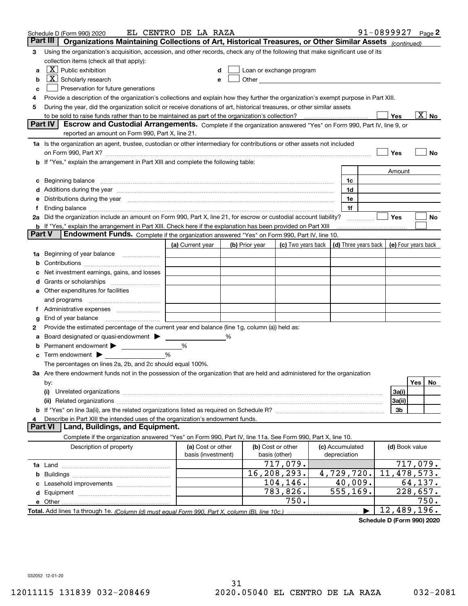| Part III<br>Organizations Maintaining Collections of Art, Historical Treasures, or Other Similar Assets (continued)<br>Using the organization's acquisition, accession, and other records, check any of the following that make significant use of its<br>3<br>collection items (check all that apply):<br>$X$ Public exhibition<br>Loan or exchange program<br>a<br>$\boxed{\textbf{X}}$ Scholarly research<br>Other and the contract of the contract of the contract of the contract of the contract of the contract of the contract of the contract of the contract of the contract of the contract of the contract of the contract of the<br>b<br>Preservation for future generations<br>с<br>Provide a description of the organization's collections and explain how they further the organization's exempt purpose in Part XIII.<br>4<br>During the year, did the organization solicit or receive donations of art, historical treasures, or other similar assets<br>5<br>$\overline{\mathrm{X}}$ No<br>to be sold to raise funds rather than to be maintained as part of the organization's collection?<br>Yes<br>Escrow and Custodial Arrangements. Complete if the organization answered "Yes" on Form 990, Part IV, line 9, or<br><b>Part IV</b><br>reported an amount on Form 990, Part X, line 21.<br>1a Is the organization an agent, trustee, custodian or other intermediary for contributions or other assets not included<br>Yes<br>No<br>on Form 990, Part X? [11] matter contracts and contracts and contracts are contracted as a form 990, Part X?<br><b>b</b> If "Yes," explain the arrangement in Part XIII and complete the following table:<br>Amount<br>Beginning balance <u>manual membershare communication</u> and the set of the set of the set of the set of the set of the set of the set of the set of the set of the set of the set of the set of the set of the set of the set of<br>1c<br>c<br>d Additions during the year manufactured and an account of a state of the year manufactured and a state of the<br>1d<br>Distributions during the year manufactured and an account of the year manufactured and the year manufactured and the year manufactured and the year manufactured and the year manufactured and the year manufactured and the y<br>1e<br>е<br>1f<br>2a Did the organization include an amount on Form 990, Part X, line 21, for escrow or custodial account liability?<br>Yes<br>No<br>.<br><b>b</b> If "Yes," explain the arrangement in Part XIII. Check here if the explanation has been provided on Part XIII<br>Part V<br>Endowment Funds. Complete if the organization answered "Yes" on Form 990, Part IV, line 10.<br>(c) Two years back $\vert$ (d) Three years back $\vert$<br>(a) Current year<br>(b) Prior year<br>(e) Four years back<br>1a Beginning of year balance<br>b<br>Net investment earnings, gains, and losses<br>e Other expenditures for facilities<br>f Administrative expenses<br>End of year balance <i>manually contained</i><br>g<br>Provide the estimated percentage of the current year end balance (line 1g, column (a)) held as:<br>2<br>Board designated or quasi-endowment ><br>%<br>а<br>Permanent endowment ><br>%<br>b<br>Term endowment $\blacktriangleright$<br>%<br>c<br>The percentages on lines 2a, 2b, and 2c should equal 100%.<br>3a Are there endowment funds not in the possession of the organization that are held and administered for the organization<br>Yes<br>No<br>by:<br>3a(i)<br>(i)<br>3a(ii)<br>3b<br>Describe in Part XIII the intended uses of the organization's endowment funds.<br>Part VI<br>Land, Buildings, and Equipment.<br>Complete if the organization answered "Yes" on Form 990, Part IV, line 11a. See Form 990, Part X, line 10.<br>Description of property<br>(a) Cost or other<br>(b) Cost or other<br>(c) Accumulated<br>(d) Book value<br>basis (investment)<br>basis (other)<br>depreciation<br>717,079.<br>717,079.<br>4,729,720.<br>11,478,573.<br>16,208,293.<br>b<br>104,146.<br>40,009.<br>64,137.<br>783,826.<br>555,169.<br>228,657.<br>750.<br>750.<br>12,489,196. | Schedule D (Form 990) 2020 | EL CENTRO DE LA RAZA |  |  |  | 91-0899927 | Page 2 |
|------------------------------------------------------------------------------------------------------------------------------------------------------------------------------------------------------------------------------------------------------------------------------------------------------------------------------------------------------------------------------------------------------------------------------------------------------------------------------------------------------------------------------------------------------------------------------------------------------------------------------------------------------------------------------------------------------------------------------------------------------------------------------------------------------------------------------------------------------------------------------------------------------------------------------------------------------------------------------------------------------------------------------------------------------------------------------------------------------------------------------------------------------------------------------------------------------------------------------------------------------------------------------------------------------------------------------------------------------------------------------------------------------------------------------------------------------------------------------------------------------------------------------------------------------------------------------------------------------------------------------------------------------------------------------------------------------------------------------------------------------------------------------------------------------------------------------------------------------------------------------------------------------------------------------------------------------------------------------------------------------------------------------------------------------------------------------------------------------------------------------------------------------------------------------------------------------------------------------------------------------------------------------------------------------------------------------------------------------------------------------------------------------------------------------------------------------------------------------------------------------------------------------------------------------------------------------------------------------------------------------------------------------------------------------------------------------------------------------------------------------------------------------------------------------------------------------------------------------------------------------------------------------------------------------------------------------------------------------------------------------------------------------------------------------------------------------------------------------------------------------------------------------------------------------------------------------------------------------------------------------------------------------------------------------------------------------------------------------------------------------------------------------------------------------------------------------------------------------------------------------------------------------------------------------------------------------------------------------------------------------------------------------------------------------------------------------------------------------------------------------------------------------------------------------------------------------------------------------------------------------------------------------------------------------------------------------------------------------------------------------------------------------------------------------------------------------------------------------------------------|----------------------------|----------------------|--|--|--|------------|--------|
|                                                                                                                                                                                                                                                                                                                                                                                                                                                                                                                                                                                                                                                                                                                                                                                                                                                                                                                                                                                                                                                                                                                                                                                                                                                                                                                                                                                                                                                                                                                                                                                                                                                                                                                                                                                                                                                                                                                                                                                                                                                                                                                                                                                                                                                                                                                                                                                                                                                                                                                                                                                                                                                                                                                                                                                                                                                                                                                                                                                                                                                                                                                                                                                                                                                                                                                                                                                                                                                                                                                                                                                                                                                                                                                                                                                                                                                                                                                                                                                                                                                                                                                        |                            |                      |  |  |  |            |        |
|                                                                                                                                                                                                                                                                                                                                                                                                                                                                                                                                                                                                                                                                                                                                                                                                                                                                                                                                                                                                                                                                                                                                                                                                                                                                                                                                                                                                                                                                                                                                                                                                                                                                                                                                                                                                                                                                                                                                                                                                                                                                                                                                                                                                                                                                                                                                                                                                                                                                                                                                                                                                                                                                                                                                                                                                                                                                                                                                                                                                                                                                                                                                                                                                                                                                                                                                                                                                                                                                                                                                                                                                                                                                                                                                                                                                                                                                                                                                                                                                                                                                                                                        |                            |                      |  |  |  |            |        |
|                                                                                                                                                                                                                                                                                                                                                                                                                                                                                                                                                                                                                                                                                                                                                                                                                                                                                                                                                                                                                                                                                                                                                                                                                                                                                                                                                                                                                                                                                                                                                                                                                                                                                                                                                                                                                                                                                                                                                                                                                                                                                                                                                                                                                                                                                                                                                                                                                                                                                                                                                                                                                                                                                                                                                                                                                                                                                                                                                                                                                                                                                                                                                                                                                                                                                                                                                                                                                                                                                                                                                                                                                                                                                                                                                                                                                                                                                                                                                                                                                                                                                                                        |                            |                      |  |  |  |            |        |
|                                                                                                                                                                                                                                                                                                                                                                                                                                                                                                                                                                                                                                                                                                                                                                                                                                                                                                                                                                                                                                                                                                                                                                                                                                                                                                                                                                                                                                                                                                                                                                                                                                                                                                                                                                                                                                                                                                                                                                                                                                                                                                                                                                                                                                                                                                                                                                                                                                                                                                                                                                                                                                                                                                                                                                                                                                                                                                                                                                                                                                                                                                                                                                                                                                                                                                                                                                                                                                                                                                                                                                                                                                                                                                                                                                                                                                                                                                                                                                                                                                                                                                                        |                            |                      |  |  |  |            |        |
|                                                                                                                                                                                                                                                                                                                                                                                                                                                                                                                                                                                                                                                                                                                                                                                                                                                                                                                                                                                                                                                                                                                                                                                                                                                                                                                                                                                                                                                                                                                                                                                                                                                                                                                                                                                                                                                                                                                                                                                                                                                                                                                                                                                                                                                                                                                                                                                                                                                                                                                                                                                                                                                                                                                                                                                                                                                                                                                                                                                                                                                                                                                                                                                                                                                                                                                                                                                                                                                                                                                                                                                                                                                                                                                                                                                                                                                                                                                                                                                                                                                                                                                        |                            |                      |  |  |  |            |        |
|                                                                                                                                                                                                                                                                                                                                                                                                                                                                                                                                                                                                                                                                                                                                                                                                                                                                                                                                                                                                                                                                                                                                                                                                                                                                                                                                                                                                                                                                                                                                                                                                                                                                                                                                                                                                                                                                                                                                                                                                                                                                                                                                                                                                                                                                                                                                                                                                                                                                                                                                                                                                                                                                                                                                                                                                                                                                                                                                                                                                                                                                                                                                                                                                                                                                                                                                                                                                                                                                                                                                                                                                                                                                                                                                                                                                                                                                                                                                                                                                                                                                                                                        |                            |                      |  |  |  |            |        |
|                                                                                                                                                                                                                                                                                                                                                                                                                                                                                                                                                                                                                                                                                                                                                                                                                                                                                                                                                                                                                                                                                                                                                                                                                                                                                                                                                                                                                                                                                                                                                                                                                                                                                                                                                                                                                                                                                                                                                                                                                                                                                                                                                                                                                                                                                                                                                                                                                                                                                                                                                                                                                                                                                                                                                                                                                                                                                                                                                                                                                                                                                                                                                                                                                                                                                                                                                                                                                                                                                                                                                                                                                                                                                                                                                                                                                                                                                                                                                                                                                                                                                                                        |                            |                      |  |  |  |            |        |
|                                                                                                                                                                                                                                                                                                                                                                                                                                                                                                                                                                                                                                                                                                                                                                                                                                                                                                                                                                                                                                                                                                                                                                                                                                                                                                                                                                                                                                                                                                                                                                                                                                                                                                                                                                                                                                                                                                                                                                                                                                                                                                                                                                                                                                                                                                                                                                                                                                                                                                                                                                                                                                                                                                                                                                                                                                                                                                                                                                                                                                                                                                                                                                                                                                                                                                                                                                                                                                                                                                                                                                                                                                                                                                                                                                                                                                                                                                                                                                                                                                                                                                                        |                            |                      |  |  |  |            |        |
|                                                                                                                                                                                                                                                                                                                                                                                                                                                                                                                                                                                                                                                                                                                                                                                                                                                                                                                                                                                                                                                                                                                                                                                                                                                                                                                                                                                                                                                                                                                                                                                                                                                                                                                                                                                                                                                                                                                                                                                                                                                                                                                                                                                                                                                                                                                                                                                                                                                                                                                                                                                                                                                                                                                                                                                                                                                                                                                                                                                                                                                                                                                                                                                                                                                                                                                                                                                                                                                                                                                                                                                                                                                                                                                                                                                                                                                                                                                                                                                                                                                                                                                        |                            |                      |  |  |  |            |        |
|                                                                                                                                                                                                                                                                                                                                                                                                                                                                                                                                                                                                                                                                                                                                                                                                                                                                                                                                                                                                                                                                                                                                                                                                                                                                                                                                                                                                                                                                                                                                                                                                                                                                                                                                                                                                                                                                                                                                                                                                                                                                                                                                                                                                                                                                                                                                                                                                                                                                                                                                                                                                                                                                                                                                                                                                                                                                                                                                                                                                                                                                                                                                                                                                                                                                                                                                                                                                                                                                                                                                                                                                                                                                                                                                                                                                                                                                                                                                                                                                                                                                                                                        |                            |                      |  |  |  |            |        |
|                                                                                                                                                                                                                                                                                                                                                                                                                                                                                                                                                                                                                                                                                                                                                                                                                                                                                                                                                                                                                                                                                                                                                                                                                                                                                                                                                                                                                                                                                                                                                                                                                                                                                                                                                                                                                                                                                                                                                                                                                                                                                                                                                                                                                                                                                                                                                                                                                                                                                                                                                                                                                                                                                                                                                                                                                                                                                                                                                                                                                                                                                                                                                                                                                                                                                                                                                                                                                                                                                                                                                                                                                                                                                                                                                                                                                                                                                                                                                                                                                                                                                                                        |                            |                      |  |  |  |            |        |
|                                                                                                                                                                                                                                                                                                                                                                                                                                                                                                                                                                                                                                                                                                                                                                                                                                                                                                                                                                                                                                                                                                                                                                                                                                                                                                                                                                                                                                                                                                                                                                                                                                                                                                                                                                                                                                                                                                                                                                                                                                                                                                                                                                                                                                                                                                                                                                                                                                                                                                                                                                                                                                                                                                                                                                                                                                                                                                                                                                                                                                                                                                                                                                                                                                                                                                                                                                                                                                                                                                                                                                                                                                                                                                                                                                                                                                                                                                                                                                                                                                                                                                                        |                            |                      |  |  |  |            |        |
|                                                                                                                                                                                                                                                                                                                                                                                                                                                                                                                                                                                                                                                                                                                                                                                                                                                                                                                                                                                                                                                                                                                                                                                                                                                                                                                                                                                                                                                                                                                                                                                                                                                                                                                                                                                                                                                                                                                                                                                                                                                                                                                                                                                                                                                                                                                                                                                                                                                                                                                                                                                                                                                                                                                                                                                                                                                                                                                                                                                                                                                                                                                                                                                                                                                                                                                                                                                                                                                                                                                                                                                                                                                                                                                                                                                                                                                                                                                                                                                                                                                                                                                        |                            |                      |  |  |  |            |        |
|                                                                                                                                                                                                                                                                                                                                                                                                                                                                                                                                                                                                                                                                                                                                                                                                                                                                                                                                                                                                                                                                                                                                                                                                                                                                                                                                                                                                                                                                                                                                                                                                                                                                                                                                                                                                                                                                                                                                                                                                                                                                                                                                                                                                                                                                                                                                                                                                                                                                                                                                                                                                                                                                                                                                                                                                                                                                                                                                                                                                                                                                                                                                                                                                                                                                                                                                                                                                                                                                                                                                                                                                                                                                                                                                                                                                                                                                                                                                                                                                                                                                                                                        |                            |                      |  |  |  |            |        |
|                                                                                                                                                                                                                                                                                                                                                                                                                                                                                                                                                                                                                                                                                                                                                                                                                                                                                                                                                                                                                                                                                                                                                                                                                                                                                                                                                                                                                                                                                                                                                                                                                                                                                                                                                                                                                                                                                                                                                                                                                                                                                                                                                                                                                                                                                                                                                                                                                                                                                                                                                                                                                                                                                                                                                                                                                                                                                                                                                                                                                                                                                                                                                                                                                                                                                                                                                                                                                                                                                                                                                                                                                                                                                                                                                                                                                                                                                                                                                                                                                                                                                                                        |                            |                      |  |  |  |            |        |
|                                                                                                                                                                                                                                                                                                                                                                                                                                                                                                                                                                                                                                                                                                                                                                                                                                                                                                                                                                                                                                                                                                                                                                                                                                                                                                                                                                                                                                                                                                                                                                                                                                                                                                                                                                                                                                                                                                                                                                                                                                                                                                                                                                                                                                                                                                                                                                                                                                                                                                                                                                                                                                                                                                                                                                                                                                                                                                                                                                                                                                                                                                                                                                                                                                                                                                                                                                                                                                                                                                                                                                                                                                                                                                                                                                                                                                                                                                                                                                                                                                                                                                                        |                            |                      |  |  |  |            |        |
|                                                                                                                                                                                                                                                                                                                                                                                                                                                                                                                                                                                                                                                                                                                                                                                                                                                                                                                                                                                                                                                                                                                                                                                                                                                                                                                                                                                                                                                                                                                                                                                                                                                                                                                                                                                                                                                                                                                                                                                                                                                                                                                                                                                                                                                                                                                                                                                                                                                                                                                                                                                                                                                                                                                                                                                                                                                                                                                                                                                                                                                                                                                                                                                                                                                                                                                                                                                                                                                                                                                                                                                                                                                                                                                                                                                                                                                                                                                                                                                                                                                                                                                        |                            |                      |  |  |  |            |        |
|                                                                                                                                                                                                                                                                                                                                                                                                                                                                                                                                                                                                                                                                                                                                                                                                                                                                                                                                                                                                                                                                                                                                                                                                                                                                                                                                                                                                                                                                                                                                                                                                                                                                                                                                                                                                                                                                                                                                                                                                                                                                                                                                                                                                                                                                                                                                                                                                                                                                                                                                                                                                                                                                                                                                                                                                                                                                                                                                                                                                                                                                                                                                                                                                                                                                                                                                                                                                                                                                                                                                                                                                                                                                                                                                                                                                                                                                                                                                                                                                                                                                                                                        |                            |                      |  |  |  |            |        |
|                                                                                                                                                                                                                                                                                                                                                                                                                                                                                                                                                                                                                                                                                                                                                                                                                                                                                                                                                                                                                                                                                                                                                                                                                                                                                                                                                                                                                                                                                                                                                                                                                                                                                                                                                                                                                                                                                                                                                                                                                                                                                                                                                                                                                                                                                                                                                                                                                                                                                                                                                                                                                                                                                                                                                                                                                                                                                                                                                                                                                                                                                                                                                                                                                                                                                                                                                                                                                                                                                                                                                                                                                                                                                                                                                                                                                                                                                                                                                                                                                                                                                                                        |                            |                      |  |  |  |            |        |
|                                                                                                                                                                                                                                                                                                                                                                                                                                                                                                                                                                                                                                                                                                                                                                                                                                                                                                                                                                                                                                                                                                                                                                                                                                                                                                                                                                                                                                                                                                                                                                                                                                                                                                                                                                                                                                                                                                                                                                                                                                                                                                                                                                                                                                                                                                                                                                                                                                                                                                                                                                                                                                                                                                                                                                                                                                                                                                                                                                                                                                                                                                                                                                                                                                                                                                                                                                                                                                                                                                                                                                                                                                                                                                                                                                                                                                                                                                                                                                                                                                                                                                                        |                            |                      |  |  |  |            |        |
|                                                                                                                                                                                                                                                                                                                                                                                                                                                                                                                                                                                                                                                                                                                                                                                                                                                                                                                                                                                                                                                                                                                                                                                                                                                                                                                                                                                                                                                                                                                                                                                                                                                                                                                                                                                                                                                                                                                                                                                                                                                                                                                                                                                                                                                                                                                                                                                                                                                                                                                                                                                                                                                                                                                                                                                                                                                                                                                                                                                                                                                                                                                                                                                                                                                                                                                                                                                                                                                                                                                                                                                                                                                                                                                                                                                                                                                                                                                                                                                                                                                                                                                        |                            |                      |  |  |  |            |        |
|                                                                                                                                                                                                                                                                                                                                                                                                                                                                                                                                                                                                                                                                                                                                                                                                                                                                                                                                                                                                                                                                                                                                                                                                                                                                                                                                                                                                                                                                                                                                                                                                                                                                                                                                                                                                                                                                                                                                                                                                                                                                                                                                                                                                                                                                                                                                                                                                                                                                                                                                                                                                                                                                                                                                                                                                                                                                                                                                                                                                                                                                                                                                                                                                                                                                                                                                                                                                                                                                                                                                                                                                                                                                                                                                                                                                                                                                                                                                                                                                                                                                                                                        |                            |                      |  |  |  |            |        |
|                                                                                                                                                                                                                                                                                                                                                                                                                                                                                                                                                                                                                                                                                                                                                                                                                                                                                                                                                                                                                                                                                                                                                                                                                                                                                                                                                                                                                                                                                                                                                                                                                                                                                                                                                                                                                                                                                                                                                                                                                                                                                                                                                                                                                                                                                                                                                                                                                                                                                                                                                                                                                                                                                                                                                                                                                                                                                                                                                                                                                                                                                                                                                                                                                                                                                                                                                                                                                                                                                                                                                                                                                                                                                                                                                                                                                                                                                                                                                                                                                                                                                                                        |                            |                      |  |  |  |            |        |
|                                                                                                                                                                                                                                                                                                                                                                                                                                                                                                                                                                                                                                                                                                                                                                                                                                                                                                                                                                                                                                                                                                                                                                                                                                                                                                                                                                                                                                                                                                                                                                                                                                                                                                                                                                                                                                                                                                                                                                                                                                                                                                                                                                                                                                                                                                                                                                                                                                                                                                                                                                                                                                                                                                                                                                                                                                                                                                                                                                                                                                                                                                                                                                                                                                                                                                                                                                                                                                                                                                                                                                                                                                                                                                                                                                                                                                                                                                                                                                                                                                                                                                                        |                            |                      |  |  |  |            |        |
|                                                                                                                                                                                                                                                                                                                                                                                                                                                                                                                                                                                                                                                                                                                                                                                                                                                                                                                                                                                                                                                                                                                                                                                                                                                                                                                                                                                                                                                                                                                                                                                                                                                                                                                                                                                                                                                                                                                                                                                                                                                                                                                                                                                                                                                                                                                                                                                                                                                                                                                                                                                                                                                                                                                                                                                                                                                                                                                                                                                                                                                                                                                                                                                                                                                                                                                                                                                                                                                                                                                                                                                                                                                                                                                                                                                                                                                                                                                                                                                                                                                                                                                        |                            |                      |  |  |  |            |        |
|                                                                                                                                                                                                                                                                                                                                                                                                                                                                                                                                                                                                                                                                                                                                                                                                                                                                                                                                                                                                                                                                                                                                                                                                                                                                                                                                                                                                                                                                                                                                                                                                                                                                                                                                                                                                                                                                                                                                                                                                                                                                                                                                                                                                                                                                                                                                                                                                                                                                                                                                                                                                                                                                                                                                                                                                                                                                                                                                                                                                                                                                                                                                                                                                                                                                                                                                                                                                                                                                                                                                                                                                                                                                                                                                                                                                                                                                                                                                                                                                                                                                                                                        |                            |                      |  |  |  |            |        |
|                                                                                                                                                                                                                                                                                                                                                                                                                                                                                                                                                                                                                                                                                                                                                                                                                                                                                                                                                                                                                                                                                                                                                                                                                                                                                                                                                                                                                                                                                                                                                                                                                                                                                                                                                                                                                                                                                                                                                                                                                                                                                                                                                                                                                                                                                                                                                                                                                                                                                                                                                                                                                                                                                                                                                                                                                                                                                                                                                                                                                                                                                                                                                                                                                                                                                                                                                                                                                                                                                                                                                                                                                                                                                                                                                                                                                                                                                                                                                                                                                                                                                                                        |                            |                      |  |  |  |            |        |
|                                                                                                                                                                                                                                                                                                                                                                                                                                                                                                                                                                                                                                                                                                                                                                                                                                                                                                                                                                                                                                                                                                                                                                                                                                                                                                                                                                                                                                                                                                                                                                                                                                                                                                                                                                                                                                                                                                                                                                                                                                                                                                                                                                                                                                                                                                                                                                                                                                                                                                                                                                                                                                                                                                                                                                                                                                                                                                                                                                                                                                                                                                                                                                                                                                                                                                                                                                                                                                                                                                                                                                                                                                                                                                                                                                                                                                                                                                                                                                                                                                                                                                                        |                            |                      |  |  |  |            |        |
|                                                                                                                                                                                                                                                                                                                                                                                                                                                                                                                                                                                                                                                                                                                                                                                                                                                                                                                                                                                                                                                                                                                                                                                                                                                                                                                                                                                                                                                                                                                                                                                                                                                                                                                                                                                                                                                                                                                                                                                                                                                                                                                                                                                                                                                                                                                                                                                                                                                                                                                                                                                                                                                                                                                                                                                                                                                                                                                                                                                                                                                                                                                                                                                                                                                                                                                                                                                                                                                                                                                                                                                                                                                                                                                                                                                                                                                                                                                                                                                                                                                                                                                        |                            |                      |  |  |  |            |        |
|                                                                                                                                                                                                                                                                                                                                                                                                                                                                                                                                                                                                                                                                                                                                                                                                                                                                                                                                                                                                                                                                                                                                                                                                                                                                                                                                                                                                                                                                                                                                                                                                                                                                                                                                                                                                                                                                                                                                                                                                                                                                                                                                                                                                                                                                                                                                                                                                                                                                                                                                                                                                                                                                                                                                                                                                                                                                                                                                                                                                                                                                                                                                                                                                                                                                                                                                                                                                                                                                                                                                                                                                                                                                                                                                                                                                                                                                                                                                                                                                                                                                                                                        |                            |                      |  |  |  |            |        |
|                                                                                                                                                                                                                                                                                                                                                                                                                                                                                                                                                                                                                                                                                                                                                                                                                                                                                                                                                                                                                                                                                                                                                                                                                                                                                                                                                                                                                                                                                                                                                                                                                                                                                                                                                                                                                                                                                                                                                                                                                                                                                                                                                                                                                                                                                                                                                                                                                                                                                                                                                                                                                                                                                                                                                                                                                                                                                                                                                                                                                                                                                                                                                                                                                                                                                                                                                                                                                                                                                                                                                                                                                                                                                                                                                                                                                                                                                                                                                                                                                                                                                                                        |                            |                      |  |  |  |            |        |
|                                                                                                                                                                                                                                                                                                                                                                                                                                                                                                                                                                                                                                                                                                                                                                                                                                                                                                                                                                                                                                                                                                                                                                                                                                                                                                                                                                                                                                                                                                                                                                                                                                                                                                                                                                                                                                                                                                                                                                                                                                                                                                                                                                                                                                                                                                                                                                                                                                                                                                                                                                                                                                                                                                                                                                                                                                                                                                                                                                                                                                                                                                                                                                                                                                                                                                                                                                                                                                                                                                                                                                                                                                                                                                                                                                                                                                                                                                                                                                                                                                                                                                                        |                            |                      |  |  |  |            |        |
|                                                                                                                                                                                                                                                                                                                                                                                                                                                                                                                                                                                                                                                                                                                                                                                                                                                                                                                                                                                                                                                                                                                                                                                                                                                                                                                                                                                                                                                                                                                                                                                                                                                                                                                                                                                                                                                                                                                                                                                                                                                                                                                                                                                                                                                                                                                                                                                                                                                                                                                                                                                                                                                                                                                                                                                                                                                                                                                                                                                                                                                                                                                                                                                                                                                                                                                                                                                                                                                                                                                                                                                                                                                                                                                                                                                                                                                                                                                                                                                                                                                                                                                        |                            |                      |  |  |  |            |        |
|                                                                                                                                                                                                                                                                                                                                                                                                                                                                                                                                                                                                                                                                                                                                                                                                                                                                                                                                                                                                                                                                                                                                                                                                                                                                                                                                                                                                                                                                                                                                                                                                                                                                                                                                                                                                                                                                                                                                                                                                                                                                                                                                                                                                                                                                                                                                                                                                                                                                                                                                                                                                                                                                                                                                                                                                                                                                                                                                                                                                                                                                                                                                                                                                                                                                                                                                                                                                                                                                                                                                                                                                                                                                                                                                                                                                                                                                                                                                                                                                                                                                                                                        |                            |                      |  |  |  |            |        |
|                                                                                                                                                                                                                                                                                                                                                                                                                                                                                                                                                                                                                                                                                                                                                                                                                                                                                                                                                                                                                                                                                                                                                                                                                                                                                                                                                                                                                                                                                                                                                                                                                                                                                                                                                                                                                                                                                                                                                                                                                                                                                                                                                                                                                                                                                                                                                                                                                                                                                                                                                                                                                                                                                                                                                                                                                                                                                                                                                                                                                                                                                                                                                                                                                                                                                                                                                                                                                                                                                                                                                                                                                                                                                                                                                                                                                                                                                                                                                                                                                                                                                                                        |                            |                      |  |  |  |            |        |
|                                                                                                                                                                                                                                                                                                                                                                                                                                                                                                                                                                                                                                                                                                                                                                                                                                                                                                                                                                                                                                                                                                                                                                                                                                                                                                                                                                                                                                                                                                                                                                                                                                                                                                                                                                                                                                                                                                                                                                                                                                                                                                                                                                                                                                                                                                                                                                                                                                                                                                                                                                                                                                                                                                                                                                                                                                                                                                                                                                                                                                                                                                                                                                                                                                                                                                                                                                                                                                                                                                                                                                                                                                                                                                                                                                                                                                                                                                                                                                                                                                                                                                                        |                            |                      |  |  |  |            |        |
|                                                                                                                                                                                                                                                                                                                                                                                                                                                                                                                                                                                                                                                                                                                                                                                                                                                                                                                                                                                                                                                                                                                                                                                                                                                                                                                                                                                                                                                                                                                                                                                                                                                                                                                                                                                                                                                                                                                                                                                                                                                                                                                                                                                                                                                                                                                                                                                                                                                                                                                                                                                                                                                                                                                                                                                                                                                                                                                                                                                                                                                                                                                                                                                                                                                                                                                                                                                                                                                                                                                                                                                                                                                                                                                                                                                                                                                                                                                                                                                                                                                                                                                        |                            |                      |  |  |  |            |        |
|                                                                                                                                                                                                                                                                                                                                                                                                                                                                                                                                                                                                                                                                                                                                                                                                                                                                                                                                                                                                                                                                                                                                                                                                                                                                                                                                                                                                                                                                                                                                                                                                                                                                                                                                                                                                                                                                                                                                                                                                                                                                                                                                                                                                                                                                                                                                                                                                                                                                                                                                                                                                                                                                                                                                                                                                                                                                                                                                                                                                                                                                                                                                                                                                                                                                                                                                                                                                                                                                                                                                                                                                                                                                                                                                                                                                                                                                                                                                                                                                                                                                                                                        |                            |                      |  |  |  |            |        |
|                                                                                                                                                                                                                                                                                                                                                                                                                                                                                                                                                                                                                                                                                                                                                                                                                                                                                                                                                                                                                                                                                                                                                                                                                                                                                                                                                                                                                                                                                                                                                                                                                                                                                                                                                                                                                                                                                                                                                                                                                                                                                                                                                                                                                                                                                                                                                                                                                                                                                                                                                                                                                                                                                                                                                                                                                                                                                                                                                                                                                                                                                                                                                                                                                                                                                                                                                                                                                                                                                                                                                                                                                                                                                                                                                                                                                                                                                                                                                                                                                                                                                                                        |                            |                      |  |  |  |            |        |
|                                                                                                                                                                                                                                                                                                                                                                                                                                                                                                                                                                                                                                                                                                                                                                                                                                                                                                                                                                                                                                                                                                                                                                                                                                                                                                                                                                                                                                                                                                                                                                                                                                                                                                                                                                                                                                                                                                                                                                                                                                                                                                                                                                                                                                                                                                                                                                                                                                                                                                                                                                                                                                                                                                                                                                                                                                                                                                                                                                                                                                                                                                                                                                                                                                                                                                                                                                                                                                                                                                                                                                                                                                                                                                                                                                                                                                                                                                                                                                                                                                                                                                                        |                            |                      |  |  |  |            |        |
|                                                                                                                                                                                                                                                                                                                                                                                                                                                                                                                                                                                                                                                                                                                                                                                                                                                                                                                                                                                                                                                                                                                                                                                                                                                                                                                                                                                                                                                                                                                                                                                                                                                                                                                                                                                                                                                                                                                                                                                                                                                                                                                                                                                                                                                                                                                                                                                                                                                                                                                                                                                                                                                                                                                                                                                                                                                                                                                                                                                                                                                                                                                                                                                                                                                                                                                                                                                                                                                                                                                                                                                                                                                                                                                                                                                                                                                                                                                                                                                                                                                                                                                        |                            |                      |  |  |  |            |        |
|                                                                                                                                                                                                                                                                                                                                                                                                                                                                                                                                                                                                                                                                                                                                                                                                                                                                                                                                                                                                                                                                                                                                                                                                                                                                                                                                                                                                                                                                                                                                                                                                                                                                                                                                                                                                                                                                                                                                                                                                                                                                                                                                                                                                                                                                                                                                                                                                                                                                                                                                                                                                                                                                                                                                                                                                                                                                                                                                                                                                                                                                                                                                                                                                                                                                                                                                                                                                                                                                                                                                                                                                                                                                                                                                                                                                                                                                                                                                                                                                                                                                                                                        |                            |                      |  |  |  |            |        |
|                                                                                                                                                                                                                                                                                                                                                                                                                                                                                                                                                                                                                                                                                                                                                                                                                                                                                                                                                                                                                                                                                                                                                                                                                                                                                                                                                                                                                                                                                                                                                                                                                                                                                                                                                                                                                                                                                                                                                                                                                                                                                                                                                                                                                                                                                                                                                                                                                                                                                                                                                                                                                                                                                                                                                                                                                                                                                                                                                                                                                                                                                                                                                                                                                                                                                                                                                                                                                                                                                                                                                                                                                                                                                                                                                                                                                                                                                                                                                                                                                                                                                                                        |                            |                      |  |  |  |            |        |
|                                                                                                                                                                                                                                                                                                                                                                                                                                                                                                                                                                                                                                                                                                                                                                                                                                                                                                                                                                                                                                                                                                                                                                                                                                                                                                                                                                                                                                                                                                                                                                                                                                                                                                                                                                                                                                                                                                                                                                                                                                                                                                                                                                                                                                                                                                                                                                                                                                                                                                                                                                                                                                                                                                                                                                                                                                                                                                                                                                                                                                                                                                                                                                                                                                                                                                                                                                                                                                                                                                                                                                                                                                                                                                                                                                                                                                                                                                                                                                                                                                                                                                                        |                            |                      |  |  |  |            |        |
|                                                                                                                                                                                                                                                                                                                                                                                                                                                                                                                                                                                                                                                                                                                                                                                                                                                                                                                                                                                                                                                                                                                                                                                                                                                                                                                                                                                                                                                                                                                                                                                                                                                                                                                                                                                                                                                                                                                                                                                                                                                                                                                                                                                                                                                                                                                                                                                                                                                                                                                                                                                                                                                                                                                                                                                                                                                                                                                                                                                                                                                                                                                                                                                                                                                                                                                                                                                                                                                                                                                                                                                                                                                                                                                                                                                                                                                                                                                                                                                                                                                                                                                        |                            |                      |  |  |  |            |        |
|                                                                                                                                                                                                                                                                                                                                                                                                                                                                                                                                                                                                                                                                                                                                                                                                                                                                                                                                                                                                                                                                                                                                                                                                                                                                                                                                                                                                                                                                                                                                                                                                                                                                                                                                                                                                                                                                                                                                                                                                                                                                                                                                                                                                                                                                                                                                                                                                                                                                                                                                                                                                                                                                                                                                                                                                                                                                                                                                                                                                                                                                                                                                                                                                                                                                                                                                                                                                                                                                                                                                                                                                                                                                                                                                                                                                                                                                                                                                                                                                                                                                                                                        |                            |                      |  |  |  |            |        |
|                                                                                                                                                                                                                                                                                                                                                                                                                                                                                                                                                                                                                                                                                                                                                                                                                                                                                                                                                                                                                                                                                                                                                                                                                                                                                                                                                                                                                                                                                                                                                                                                                                                                                                                                                                                                                                                                                                                                                                                                                                                                                                                                                                                                                                                                                                                                                                                                                                                                                                                                                                                                                                                                                                                                                                                                                                                                                                                                                                                                                                                                                                                                                                                                                                                                                                                                                                                                                                                                                                                                                                                                                                                                                                                                                                                                                                                                                                                                                                                                                                                                                                                        |                            |                      |  |  |  |            |        |
|                                                                                                                                                                                                                                                                                                                                                                                                                                                                                                                                                                                                                                                                                                                                                                                                                                                                                                                                                                                                                                                                                                                                                                                                                                                                                                                                                                                                                                                                                                                                                                                                                                                                                                                                                                                                                                                                                                                                                                                                                                                                                                                                                                                                                                                                                                                                                                                                                                                                                                                                                                                                                                                                                                                                                                                                                                                                                                                                                                                                                                                                                                                                                                                                                                                                                                                                                                                                                                                                                                                                                                                                                                                                                                                                                                                                                                                                                                                                                                                                                                                                                                                        |                            |                      |  |  |  |            |        |
|                                                                                                                                                                                                                                                                                                                                                                                                                                                                                                                                                                                                                                                                                                                                                                                                                                                                                                                                                                                                                                                                                                                                                                                                                                                                                                                                                                                                                                                                                                                                                                                                                                                                                                                                                                                                                                                                                                                                                                                                                                                                                                                                                                                                                                                                                                                                                                                                                                                                                                                                                                                                                                                                                                                                                                                                                                                                                                                                                                                                                                                                                                                                                                                                                                                                                                                                                                                                                                                                                                                                                                                                                                                                                                                                                                                                                                                                                                                                                                                                                                                                                                                        |                            |                      |  |  |  |            |        |
|                                                                                                                                                                                                                                                                                                                                                                                                                                                                                                                                                                                                                                                                                                                                                                                                                                                                                                                                                                                                                                                                                                                                                                                                                                                                                                                                                                                                                                                                                                                                                                                                                                                                                                                                                                                                                                                                                                                                                                                                                                                                                                                                                                                                                                                                                                                                                                                                                                                                                                                                                                                                                                                                                                                                                                                                                                                                                                                                                                                                                                                                                                                                                                                                                                                                                                                                                                                                                                                                                                                                                                                                                                                                                                                                                                                                                                                                                                                                                                                                                                                                                                                        |                            |                      |  |  |  |            |        |

**Schedule D (Form 990) 2020**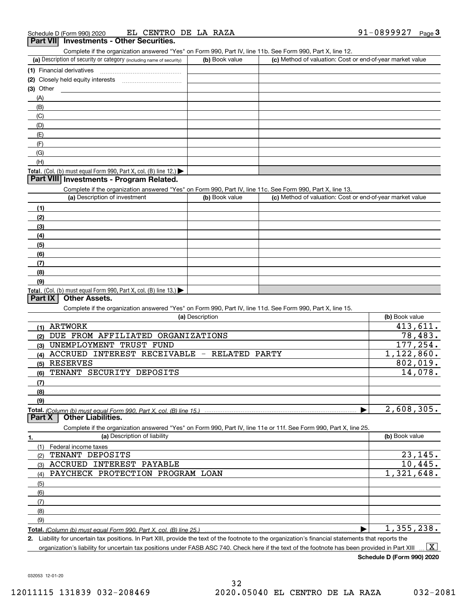Complete if the organization answered "Yes" on Form 990, Part IV, line 11b. See Form 990, Part X, line 12.

| (a) Description of security or category (including name of security) | (b) Book value | (c) Method of valuation: Cost or end-of-year market value |
|----------------------------------------------------------------------|----------------|-----------------------------------------------------------|
| (1) Financial derivatives                                            |                |                                                           |
| (2) Closely held equity interests                                    |                |                                                           |
| $(3)$ Other                                                          |                |                                                           |
| (A)                                                                  |                |                                                           |
| (B)                                                                  |                |                                                           |
| (C)                                                                  |                |                                                           |
| (D)                                                                  |                |                                                           |
| (E)                                                                  |                |                                                           |
| (F)                                                                  |                |                                                           |
| (G)                                                                  |                |                                                           |
| (H)                                                                  |                |                                                           |
| Total. (Col. (b) must equal Form 990, Part X, col. (B) line $12.$    |                |                                                           |

## **Part VIII Investments - Program Related.**

Complete if the organization answered "Yes" on Form 990, Part IV, line 11c. See Form 990, Part X, line 13.

| (a) Description of investment                                                          | (b) Book value | (c) Method of valuation: Cost or end-of-year market value |
|----------------------------------------------------------------------------------------|----------------|-----------------------------------------------------------|
| (1)                                                                                    |                |                                                           |
| (2)                                                                                    |                |                                                           |
| $\frac{1}{2}$                                                                          |                |                                                           |
| (4)                                                                                    |                |                                                           |
| (5)                                                                                    |                |                                                           |
| (6)                                                                                    |                |                                                           |
| (7)                                                                                    |                |                                                           |
| (8)                                                                                    |                |                                                           |
| (9)                                                                                    |                |                                                           |
| Total. (Col. (b) must equal Form 990, Part X, col. (B) line 13.) $\blacktriangleright$ |                |                                                           |

## **Part IX Other Assets.**

Complete if the organization answered "Yes" on Form 990, Part IV, line 11d. See Form 990, Part X, line 15.

| (a) Description                                                                                                   | (b) Book value |
|-------------------------------------------------------------------------------------------------------------------|----------------|
| <b>ARTWORK</b><br>(1)                                                                                             | 413,611.       |
| DUE FROM AFFILIATED<br>ORGANIZATIONS<br>(2)                                                                       | 78,483.        |
| UNEMPLOYMENT TRUST FUND<br>(3)                                                                                    | 177,254.       |
| INTEREST RECEIVABLE - RELATED<br><b>ACCRUED</b><br>PARTY<br>(4)                                                   | 1, 122, 860.   |
| <b>RESERVES</b><br>(5)                                                                                            | 802,019.       |
| SECURITY DEPOSITS<br>TENANT<br>(6)                                                                                | 14,078.        |
| (7)                                                                                                               |                |
| (8)                                                                                                               |                |
| (9)                                                                                                               |                |
| <u>Total. (Column (b) must equal Form 990. Part X. col. (B) line 15.) …………………………………………………………………</u>               | 2,608,305.     |
| <b>Other Liabilities.</b><br>Part X                                                                               |                |
|                                                                                                                   |                |
| Complete if the organization answered "Yes" on Form 990, Part IV, line 11e or 11f. See Form 990, Part X, line 25. |                |
| (a) Description of liability<br>1.                                                                                | (b) Book value |
| Federal income taxes<br>(1)                                                                                       |                |
| TENANT DEPOSITS<br>(2)                                                                                            | 23, 145.       |
| <b>ACCRUED</b><br>INTEREST<br>PAYABLE<br>(3)                                                                      | 10,445.        |
| PAYCHECK PROTECTION PROGRAM LOAN<br>(4)                                                                           | 1,321,648.     |
| (5)                                                                                                               |                |
| (6)                                                                                                               |                |
| (7)                                                                                                               |                |
| (8)                                                                                                               |                |
| (9)                                                                                                               |                |

**2.** Liability for uncertain tax positions. In Part XIII, provide the text of the footnote to the organization's financial statements that reports the organization's liability for uncertain tax positions under FASB ASC 740. Check here if the text of the footnote has been provided in Part XIII  $\boxed{\text{X}}$ 

**Schedule D (Form 990) 2020**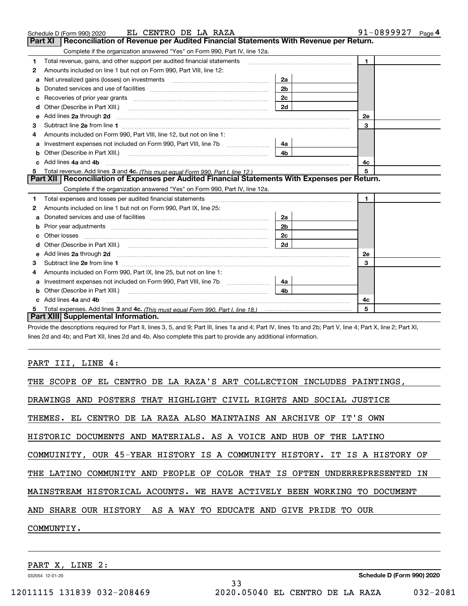|   | EL CENTRO DE LA RAZA<br>Schedule D (Form 990) 2020                                                                                                                                                                                   |                | 91-0899927<br>Page 4 |
|---|--------------------------------------------------------------------------------------------------------------------------------------------------------------------------------------------------------------------------------------|----------------|----------------------|
|   | Reconciliation of Revenue per Audited Financial Statements With Revenue per Return.<br>Part XI                                                                                                                                       |                |                      |
|   | Complete if the organization answered "Yes" on Form 990, Part IV, line 12a.                                                                                                                                                          |                |                      |
| 1 | Total revenue, gains, and other support per audited financial statements                                                                                                                                                             |                | $\mathbf{1}$         |
| 2 | Amounts included on line 1 but not on Form 990, Part VIII, line 12:                                                                                                                                                                  |                |                      |
| а | Net unrealized gains (losses) on investments [11] matter contracts and the unrealized gains (losses) on investments                                                                                                                  | 2a             |                      |
| b |                                                                                                                                                                                                                                      | 2 <sub>b</sub> |                      |
| с |                                                                                                                                                                                                                                      | 2c             |                      |
| d | Other (Describe in Part XIII.)                                                                                                                                                                                                       | 2d             |                      |
| е | Add lines 2a through 2d <b>continuum contract and all contract and all contract and all contract and all contract and all contract and all contract and all contract and all contract and all contract and all contract and all </b> |                | 2e                   |
| з |                                                                                                                                                                                                                                      |                | 3                    |
|   | Amounts included on Form 990, Part VIII, line 12, but not on line 1:                                                                                                                                                                 |                |                      |
| a |                                                                                                                                                                                                                                      | 4a             |                      |
| b | Other (Describe in Part XIII.)                                                                                                                                                                                                       | 4 <sub>b</sub> |                      |
|   | Add lines 4a and 4b                                                                                                                                                                                                                  |                | 4с                   |
| 5 | Total revenue. Add lines 3 and 4c. (This must equal Form 990. Part I. line 12.) <i>manumeronominal</i> manumeronominal                                                                                                               |                | 5                    |
|   | Part XII   Reconciliation of Expenses per Audited Financial Statements With Expenses per Return.                                                                                                                                     |                |                      |
|   | Complete if the organization answered "Yes" on Form 990, Part IV, line 12a.                                                                                                                                                          |                |                      |
| 1 | Total expenses and losses per audited financial statements [11] [11] Total expenses and losses per audited financial statements [11] [11] Total expenses and losses per audited financial statements                                 |                | 1.                   |
| 2 | Amounts included on line 1 but not on Form 990, Part IX, line 25:                                                                                                                                                                    |                |                      |
| a |                                                                                                                                                                                                                                      | 2a             |                      |
| b |                                                                                                                                                                                                                                      | 2b             |                      |
|   |                                                                                                                                                                                                                                      | 2с             |                      |
|   |                                                                                                                                                                                                                                      | 2d             |                      |
| e | Add lines 2a through 2d <b>contained a contained a contained a contained a</b> contained a contained a contained a contained a contained a contained a contained a contained a contained a contained a contained a contained a cont  |                | 2e                   |
| 3 |                                                                                                                                                                                                                                      |                | 3                    |
| 4 | Amounts included on Form 990, Part IX, line 25, but not on line 1:                                                                                                                                                                   |                |                      |
| a |                                                                                                                                                                                                                                      | 4a             |                      |
| b |                                                                                                                                                                                                                                      | 4b             |                      |
|   | Add lines 4a and 4b                                                                                                                                                                                                                  |                | 4с                   |
|   |                                                                                                                                                                                                                                      |                | 5                    |
|   | Part XIII Supplemental Information.                                                                                                                                                                                                  |                |                      |

Provide the descriptions required for Part II, lines 3, 5, and 9; Part III, lines 1a and 4; Part IV, lines 1b and 2b; Part V, line 4; Part X, line 2; Part XI, lines 2d and 4b; and Part XII, lines 2d and 4b. Also complete this part to provide any additional information.

## PART III, LINE 4:

| THE SCOPE OF EL CENTRO DE LA RAZA'S ART COLLECTION INCLUDES PAINTINGS,     |
|----------------------------------------------------------------------------|
| DRAWINGS AND POSTERS THAT HIGHLIGHT CIVIL RIGHTS AND SOCIAL JUSTICE        |
| THEMES. EL CENTRO DE LA RAZA ALSO MAINTAINS AN ARCHIVE OF IT'S OWN         |
| HISTORIC DOCUMENTS AND MATERIALS. AS A VOICE AND HUB OF THE LATINO         |
| COMMUINITY, OUR 45-YEAR HISTORY IS A COMMUNITY HISTORY. IT IS A HISTORY OF |
| THE LATINO COMMUNITY AND PEOPLE OF COLOR THAT IS OFTEN UNDERREPRESENTED IN |
| MAINSTREAM HISTORICAL ACOUNTS. WE HAVE ACTIVELY BEEN WORKING TO DOCUMENT   |
| AND SHARE OUR HISTORY AS A WAY TO EDUCATE AND GIVE PRIDE TO OUR            |
| COMMUNTIY.                                                                 |
|                                                                            |

33

PART X, LINE 2: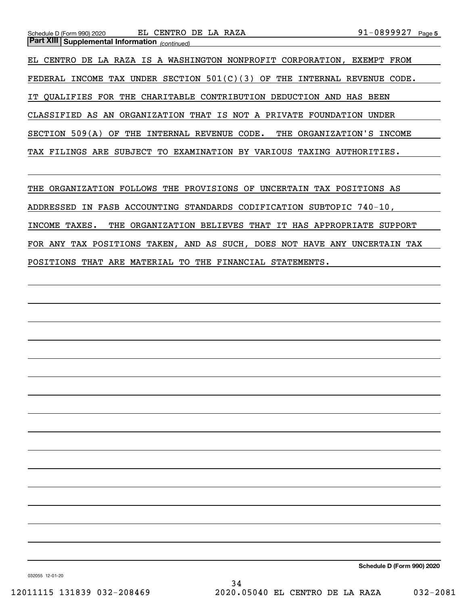EL CENTRO DE LA RAZA IS A WASHINGTON NONPROFIT CORPORATION, EXEMPT FROM FEDERAL INCOME TAX UNDER SECTION  $501(C)(3)$  OF THE INTERNAL REVENUE CODE. IT QUALIFIES FOR THE CHARITABLE CONTRIBUTION DEDUCTION AND HAS BEEN CLASSIFIED AS AN ORGANIZATION THAT IS NOT A PRIVATE FOUNDATION UNDER SECTION 509(A) OF THE INTERNAL REVENUE CODE. THE ORGANIZATION'S INCOME TAX FILINGS ARE SUBJECT TO EXAMINATION BY VARIOUS TAXING AUTHORITIES.

THE ORGANIZATION FOLLOWS THE PROVISIONS OF UNCERTAIN TAX POSITIONS AS ADDRESSED IN FASB ACCOUNTING STANDARDS CODIFICATION SUBTOPIC 740-10, INCOME TAXES. THE ORGANIZATION BELIEVES THAT IT HAS APPROPRIATE SUPPORT FOR ANY TAX POSITIONS TAKEN, AND AS SUCH, DOES NOT HAVE ANY UNCERTAIN TAX POSITIONS THAT ARE MATERIAL TO THE FINANCIAL STATEMENTS.

**Schedule D (Form 990) 2020**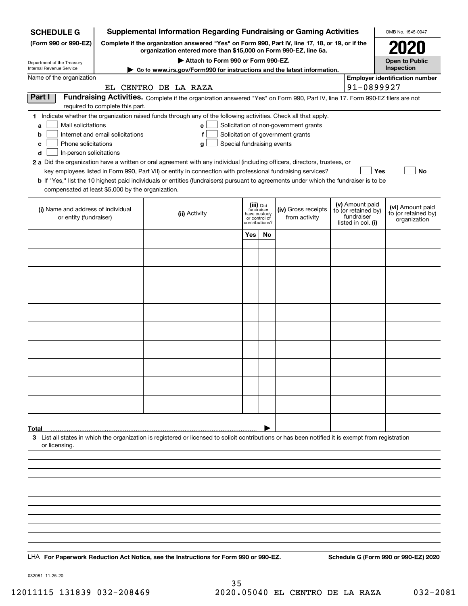| <b>SCHEDULE G</b>                                        |                                                                                                                                                                     | <b>Supplemental Information Regarding Fundraising or Gaming Activities</b>                                                                         |                                         |    |                                       |  |                                        | OMB No. 1545-0047                       |
|----------------------------------------------------------|---------------------------------------------------------------------------------------------------------------------------------------------------------------------|----------------------------------------------------------------------------------------------------------------------------------------------------|-----------------------------------------|----|---------------------------------------|--|----------------------------------------|-----------------------------------------|
| (Form 990 or 990-EZ)                                     | Complete if the organization answered "Yes" on Form 990, Part IV, line 17, 18, or 19, or if the<br>organization entered more than \$15,000 on Form 990-EZ, line 6a. |                                                                                                                                                    |                                         |    |                                       |  | 2021                                   |                                         |
| Department of the Treasury<br>Internal Revenue Service   | Attach to Form 990 or Form 990-EZ.                                                                                                                                  |                                                                                                                                                    |                                         |    |                                       |  | <b>Open to Public</b><br>Inspection    |                                         |
| Name of the organization                                 |                                                                                                                                                                     | $\blacktriangleright$ Go to www.irs.gov/Form990 for instructions and the latest information.                                                       |                                         |    |                                       |  |                                        | <b>Employer identification number</b>   |
|                                                          |                                                                                                                                                                     | EL CENTRO DE LA RAZA                                                                                                                               |                                         |    |                                       |  | 91-0899927                             |                                         |
| Part I                                                   |                                                                                                                                                                     | Fundraising Activities. Complete if the organization answered "Yes" on Form 990, Part IV, line 17. Form 990-EZ filers are not                      |                                         |    |                                       |  |                                        |                                         |
|                                                          | required to complete this part.                                                                                                                                     | 1 Indicate whether the organization raised funds through any of the following activities. Check all that apply.                                    |                                         |    |                                       |  |                                        |                                         |
| Mail solicitations<br>a                                  |                                                                                                                                                                     | e                                                                                                                                                  |                                         |    | Solicitation of non-government grants |  |                                        |                                         |
| b                                                        | Internet and email solicitations                                                                                                                                    | f                                                                                                                                                  |                                         |    | Solicitation of government grants     |  |                                        |                                         |
| Phone solicitations<br>c<br>In-person solicitations<br>d |                                                                                                                                                                     | Special fundraising events<br>a                                                                                                                    |                                         |    |                                       |  |                                        |                                         |
|                                                          |                                                                                                                                                                     | 2 a Did the organization have a written or oral agreement with any individual (including officers, directors, trustees, or                         |                                         |    |                                       |  |                                        |                                         |
|                                                          |                                                                                                                                                                     | key employees listed in Form 990, Part VII) or entity in connection with professional fundraising services?                                        |                                         |    |                                       |  | Yes                                    | No                                      |
| compensated at least \$5,000 by the organization.        |                                                                                                                                                                     | <b>b</b> If "Yes," list the 10 highest paid individuals or entities (fundraisers) pursuant to agreements under which the fundraiser is to be       |                                         |    |                                       |  |                                        |                                         |
|                                                          |                                                                                                                                                                     |                                                                                                                                                    |                                         |    |                                       |  |                                        |                                         |
| (i) Name and address of individual                       |                                                                                                                                                                     | (ii) Activity                                                                                                                                      | (iii) Did<br>fundraiser<br>have custody |    | (iv) Gross receipts                   |  | (v) Amount paid<br>to (or retained by) | (vi) Amount paid<br>to (or retained by) |
| or entity (fundraiser)                                   |                                                                                                                                                                     |                                                                                                                                                    | or control of<br>contributions?         |    | from activity                         |  | fundraiser<br>listed in col. (i)       | organization                            |
|                                                          |                                                                                                                                                                     |                                                                                                                                                    | Yes                                     | No |                                       |  |                                        |                                         |
|                                                          |                                                                                                                                                                     |                                                                                                                                                    |                                         |    |                                       |  |                                        |                                         |
|                                                          |                                                                                                                                                                     |                                                                                                                                                    |                                         |    |                                       |  |                                        |                                         |
|                                                          |                                                                                                                                                                     |                                                                                                                                                    |                                         |    |                                       |  |                                        |                                         |
|                                                          |                                                                                                                                                                     |                                                                                                                                                    |                                         |    |                                       |  |                                        |                                         |
|                                                          |                                                                                                                                                                     |                                                                                                                                                    |                                         |    |                                       |  |                                        |                                         |
|                                                          |                                                                                                                                                                     |                                                                                                                                                    |                                         |    |                                       |  |                                        |                                         |
|                                                          |                                                                                                                                                                     |                                                                                                                                                    |                                         |    |                                       |  |                                        |                                         |
|                                                          |                                                                                                                                                                     |                                                                                                                                                    |                                         |    |                                       |  |                                        |                                         |
|                                                          |                                                                                                                                                                     |                                                                                                                                                    |                                         |    |                                       |  |                                        |                                         |
|                                                          |                                                                                                                                                                     |                                                                                                                                                    |                                         |    |                                       |  |                                        |                                         |
|                                                          |                                                                                                                                                                     |                                                                                                                                                    |                                         |    |                                       |  |                                        |                                         |
|                                                          |                                                                                                                                                                     |                                                                                                                                                    |                                         |    |                                       |  |                                        |                                         |
|                                                          |                                                                                                                                                                     |                                                                                                                                                    |                                         |    |                                       |  |                                        |                                         |
|                                                          |                                                                                                                                                                     |                                                                                                                                                    |                                         |    |                                       |  |                                        |                                         |
|                                                          |                                                                                                                                                                     |                                                                                                                                                    |                                         |    |                                       |  |                                        |                                         |
| Total                                                    |                                                                                                                                                                     | 3 List all states in which the organization is registered or licensed to solicit contributions or has been notified it is exempt from registration |                                         |    |                                       |  |                                        |                                         |
| or licensing.                                            |                                                                                                                                                                     |                                                                                                                                                    |                                         |    |                                       |  |                                        |                                         |
|                                                          |                                                                                                                                                                     |                                                                                                                                                    |                                         |    |                                       |  |                                        |                                         |
|                                                          |                                                                                                                                                                     |                                                                                                                                                    |                                         |    |                                       |  |                                        |                                         |
|                                                          |                                                                                                                                                                     |                                                                                                                                                    |                                         |    |                                       |  |                                        |                                         |
|                                                          |                                                                                                                                                                     |                                                                                                                                                    |                                         |    |                                       |  |                                        |                                         |
|                                                          |                                                                                                                                                                     |                                                                                                                                                    |                                         |    |                                       |  |                                        |                                         |
|                                                          |                                                                                                                                                                     |                                                                                                                                                    |                                         |    |                                       |  |                                        |                                         |
|                                                          |                                                                                                                                                                     |                                                                                                                                                    |                                         |    |                                       |  |                                        |                                         |
|                                                          |                                                                                                                                                                     |                                                                                                                                                    |                                         |    |                                       |  |                                        |                                         |
|                                                          |                                                                                                                                                                     | LHA For Paperwork Reduction Act Notice, see the Instructions for Form 990 or 990-EZ.                                                               |                                         |    |                                       |  |                                        | Schedule G (Form 990 or 990-EZ) 2020    |

032081 11-25-20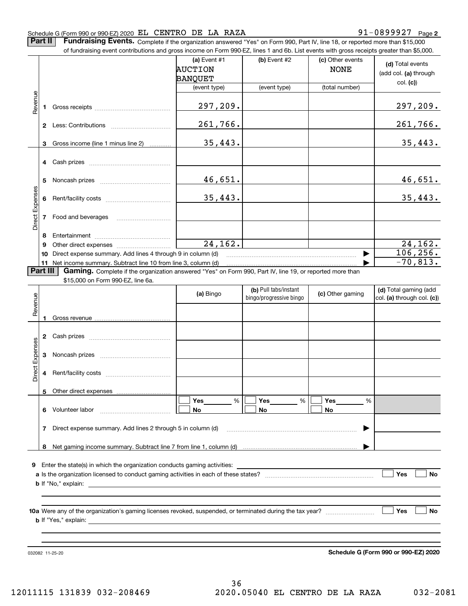### Schedule G (Form 990 or 990-EZ) 2020 Page EL CENTRO DE LA RAZA 91-0899927

**2**

**Part II** | Fundraising Events. Complete if the organization answered "Yes" on Form 990, Part IV, line 18, or reported more than \$15,000

|                 |          | of fundraising event contributions and gross income on Form 990-EZ, lines 1 and 6b. List events with gross receipts greater than \$5,000.     |                                    |                         |                                 |                                           |
|-----------------|----------|-----------------------------------------------------------------------------------------------------------------------------------------------|------------------------------------|-------------------------|---------------------------------|-------------------------------------------|
|                 |          |                                                                                                                                               | (a) Event #1<br>AUCTION<br>BANQUET | (b) Event #2            | (c) Other events<br><b>NONE</b> | (d) Total events<br>(add col. (a) through |
|                 |          |                                                                                                                                               | (event type)                       | (event type)            | (total number)                  | col. (c))                                 |
| Revenue         |          |                                                                                                                                               |                                    |                         |                                 |                                           |
|                 |          |                                                                                                                                               | 297,209.                           |                         |                                 | 297, 209.                                 |
|                 |          |                                                                                                                                               | 261,766.                           |                         |                                 | <u>261,766.</u>                           |
|                 |          | 3 Gross income (line 1 minus line 2)                                                                                                          | 35,443.                            |                         |                                 | 35,443.                                   |
|                 |          |                                                                                                                                               |                                    |                         |                                 |                                           |
|                 | 5        |                                                                                                                                               | 46,651.                            |                         |                                 | <u>46,651.</u>                            |
|                 |          |                                                                                                                                               | 35,443.                            |                         |                                 | 35,443.                                   |
| Direct Expenses |          | 7 Food and beverages                                                                                                                          |                                    |                         |                                 |                                           |
|                 | 8        |                                                                                                                                               |                                    |                         |                                 |                                           |
|                 | 9        |                                                                                                                                               | 24, 162.                           |                         |                                 | 24, 162.                                  |
|                 | 10       | Direct expense summary. Add lines 4 through 9 in column (d)                                                                                   |                                    |                         |                                 | 106, 256.                                 |
|                 | Part III | 11 Net income summary. Subtract line 10 from line 3, column (d)                                                                               |                                    |                         |                                 | $-70,813.$                                |
|                 |          | Gaming. Complete if the organization answered "Yes" on Form 990, Part IV, line 19, or reported more than<br>\$15,000 on Form 990-EZ, line 6a. |                                    |                         |                                 |                                           |
|                 |          |                                                                                                                                               |                                    | (b) Pull tabs/instant   |                                 | (d) Total gaming (add                     |
|                 |          |                                                                                                                                               | (a) Bingo                          | bingo/progressive bingo | (c) Other gaming                | col. (a) through col. (c))                |
| Revenue         |          |                                                                                                                                               |                                    |                         |                                 |                                           |
|                 |          |                                                                                                                                               |                                    |                         |                                 |                                           |
|                 |          |                                                                                                                                               |                                    |                         |                                 |                                           |
|                 |          |                                                                                                                                               |                                    |                         |                                 |                                           |
| Expenses        | 3        |                                                                                                                                               |                                    |                         |                                 |                                           |
| Direct          |          |                                                                                                                                               |                                    |                         |                                 |                                           |
|                 |          | 5 Other direct expenses                                                                                                                       |                                    |                         |                                 |                                           |
|                 |          |                                                                                                                                               | Yes<br>%                           | Yes<br>%                | <b>Yes</b><br>%                 |                                           |
|                 |          | 6 Volunteer labor                                                                                                                             | No.                                | No                      | No.                             |                                           |
|                 | 7        | Direct expense summary. Add lines 2 through 5 in column (d)                                                                                   |                                    |                         | ▶                               |                                           |
|                 |          |                                                                                                                                               |                                    |                         |                                 |                                           |
|                 |          |                                                                                                                                               |                                    |                         |                                 |                                           |
|                 |          |                                                                                                                                               |                                    |                         |                                 |                                           |
|                 |          |                                                                                                                                               |                                    |                         |                                 |                                           |
|                 |          |                                                                                                                                               |                                    |                         |                                 | Yes<br>No                                 |
|                 |          |                                                                                                                                               |                                    |                         |                                 |                                           |
|                 |          |                                                                                                                                               |                                    |                         |                                 |                                           |
|                 |          |                                                                                                                                               |                                    |                         |                                 | <b>Yes</b><br>No                          |
|                 |          |                                                                                                                                               |                                    |                         |                                 |                                           |
|                 |          |                                                                                                                                               |                                    |                         |                                 |                                           |
|                 |          |                                                                                                                                               |                                    |                         |                                 |                                           |

032082 11-25-20

**Schedule G (Form 990 or 990-EZ) 2020**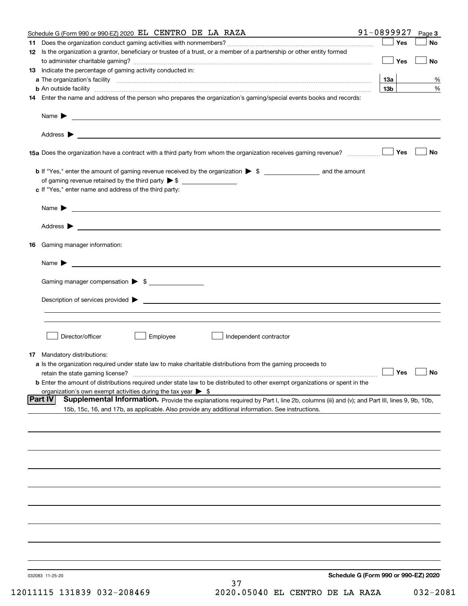| Schedule G (Form 990 or 990-EZ) 2020 EL CENTRO DE LA RAZA                                                                                                                                                                                                    | 91-0899927                           | Page 3    |
|--------------------------------------------------------------------------------------------------------------------------------------------------------------------------------------------------------------------------------------------------------------|--------------------------------------|-----------|
|                                                                                                                                                                                                                                                              | Yes                                  | No        |
| 12 Is the organization a grantor, beneficiary or trustee of a trust, or a member of a partnership or other entity formed                                                                                                                                     | Yes                                  | No        |
| <b>13</b> Indicate the percentage of gaming activity conducted in:                                                                                                                                                                                           |                                      |           |
|                                                                                                                                                                                                                                                              | 13а                                  | %         |
| <b>b</b> An outside facility <b>contained an according to the contract of the contract of the contract of the contract of the contract of the contract of the contract of the contract of the contract of the contract of the contrac</b>                    | 13 <sub>b</sub>                      | %         |
| 14 Enter the name and address of the person who prepares the organization's gaming/special events books and records:                                                                                                                                         |                                      |           |
|                                                                                                                                                                                                                                                              |                                      |           |
|                                                                                                                                                                                                                                                              |                                      |           |
|                                                                                                                                                                                                                                                              | Yes                                  | No        |
|                                                                                                                                                                                                                                                              |                                      |           |
| of gaming revenue retained by the third party $\triangleright$ \$                                                                                                                                                                                            |                                      |           |
| c If "Yes," enter name and address of the third party:                                                                                                                                                                                                       |                                      |           |
| Name $\blacktriangleright$<br><u> 1989 - Johann Barbara, marka a shekara tsa 1989 - An tsa 1989 - An tsa 1989 - An tsa 1989 - An tsa 1989 - An</u>                                                                                                           |                                      |           |
| Address $\blacktriangleright$                                                                                                                                                                                                                                |                                      |           |
| Gaming manager information:<br>16                                                                                                                                                                                                                            |                                      |           |
| $Name \rightarrow$                                                                                                                                                                                                                                           |                                      |           |
| Gaming manager compensation > \$                                                                                                                                                                                                                             |                                      |           |
| Description of services provided <b>by example and a service of the services</b> contained by the services provided <b>by the service of the services</b> contained by the services of the services of the services of the services of t                     |                                      |           |
|                                                                                                                                                                                                                                                              |                                      |           |
|                                                                                                                                                                                                                                                              |                                      |           |
| Director/officer<br>Employee<br>Independent contractor                                                                                                                                                                                                       |                                      |           |
|                                                                                                                                                                                                                                                              |                                      |           |
| <b>17</b> Mandatory distributions:<br>a Is the organization required under state law to make charitable distributions from the gaming proceeds to                                                                                                            |                                      |           |
| retain the state gaming license?                                                                                                                                                                                                                             | $\Box$ Yes                           | $\Box$ No |
| <b>b</b> Enter the amount of distributions required under state law to be distributed to other exempt organizations or spent in the                                                                                                                          |                                      |           |
| organization's own exempt activities during the tax year $\triangleright$ \$                                                                                                                                                                                 |                                      |           |
| <b>Part IV</b><br>Supplemental Information. Provide the explanations required by Part I, line 2b, columns (iii) and (v); and Part III, lines 9, 9b, 10b,<br>15b, 15c, 16, and 17b, as applicable. Also provide any additional information. See instructions. |                                      |           |
|                                                                                                                                                                                                                                                              |                                      |           |
|                                                                                                                                                                                                                                                              |                                      |           |
|                                                                                                                                                                                                                                                              |                                      |           |
|                                                                                                                                                                                                                                                              |                                      |           |
|                                                                                                                                                                                                                                                              |                                      |           |
|                                                                                                                                                                                                                                                              |                                      |           |
|                                                                                                                                                                                                                                                              |                                      |           |
|                                                                                                                                                                                                                                                              |                                      |           |
|                                                                                                                                                                                                                                                              |                                      |           |
| 032083 11-25-20                                                                                                                                                                                                                                              | Schedule G (Form 990 or 990-EZ) 2020 |           |
| 37                                                                                                                                                                                                                                                           |                                      |           |

12011115 131839 032-208469 2020.05040 EL CENTRO DE LA RAZA 032-2081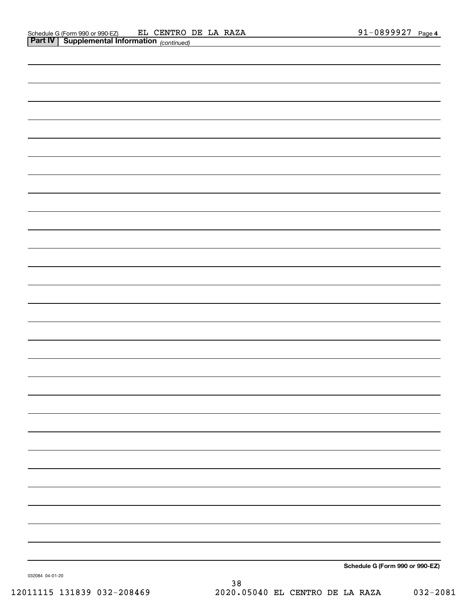|                 | Schedule G (Form 990 or 990-EZ) |
|-----------------|---------------------------------|
| 032084 04-01-20 |                                 |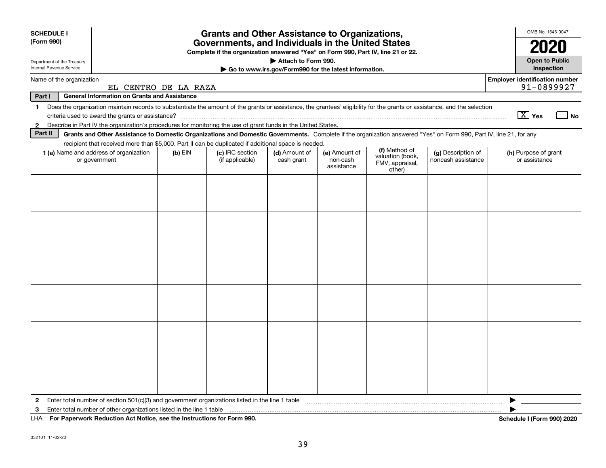| <b>SCHEDULE I</b><br>(Form 990)                        | <b>Grants and Other Assistance to Organizations,</b><br>Governments, and Individuals in the United States<br>Complete if the organization answered "Yes" on Form 990, Part IV, line 21 or 22. |           |                                    |                             |                                                       |                                                                |                                          |                                                     |
|--------------------------------------------------------|-----------------------------------------------------------------------------------------------------------------------------------------------------------------------------------------------|-----------|------------------------------------|-----------------------------|-------------------------------------------------------|----------------------------------------------------------------|------------------------------------------|-----------------------------------------------------|
| Department of the Treasury<br>Internal Revenue Service |                                                                                                                                                                                               |           |                                    | Attach to Form 990.         | Go to www.irs.gov/Form990 for the latest information. |                                                                |                                          | <b>Open to Public</b><br><b>Inspection</b>          |
| Name of the organization                               | EL CENTRO DE LA RAZA                                                                                                                                                                          |           |                                    |                             |                                                       |                                                                |                                          | <b>Employer identification number</b><br>91-0899927 |
| Part I                                                 | <b>General Information on Grants and Assistance</b>                                                                                                                                           |           |                                    |                             |                                                       |                                                                |                                          |                                                     |
| $\mathbf{1}$                                           | Does the organization maintain records to substantiate the amount of the grants or assistance, the grantees' eligibility for the grants or assistance, and the selection                      |           |                                    |                             |                                                       |                                                                |                                          | $\boxed{\text{X}}$ Yes<br>l No                      |
| $\mathbf{2}$<br>Part II                                | Describe in Part IV the organization's procedures for monitoring the use of grant funds in the United States.                                                                                 |           |                                    |                             |                                                       |                                                                |                                          |                                                     |
|                                                        | Grants and Other Assistance to Domestic Organizations and Domestic Governments. Complete if the organization answered "Yes" on Form 990, Part IV, line 21, for any                            |           |                                    |                             |                                                       |                                                                |                                          |                                                     |
|                                                        | recipient that received more than \$5,000. Part II can be duplicated if additional space is needed.<br>1 (a) Name and address of organization<br>or government                                | $(b)$ EIN | (c) IRC section<br>(if applicable) | (d) Amount of<br>cash grant | (e) Amount of<br>non-cash<br>assistance               | (f) Method of<br>valuation (book,<br>FMV, appraisal,<br>other) | (g) Description of<br>noncash assistance | (h) Purpose of grant<br>or assistance               |
|                                                        |                                                                                                                                                                                               |           |                                    |                             |                                                       |                                                                |                                          |                                                     |
|                                                        |                                                                                                                                                                                               |           |                                    |                             |                                                       |                                                                |                                          |                                                     |
|                                                        |                                                                                                                                                                                               |           |                                    |                             |                                                       |                                                                |                                          |                                                     |
|                                                        |                                                                                                                                                                                               |           |                                    |                             |                                                       |                                                                |                                          |                                                     |
| $\mathbf{2}$                                           | Enter total number of section 501(c)(3) and government organizations listed in the line 1 table                                                                                               |           |                                    |                             |                                                       |                                                                |                                          |                                                     |
| 3                                                      | Enter total number of other organizations listed in the line 1 table                                                                                                                          |           |                                    |                             |                                                       |                                                                |                                          |                                                     |
|                                                        | LHA For Paperwork Reduction Act Notice, see the Instructions for Form 990.                                                                                                                    |           |                                    |                             |                                                       |                                                                |                                          | Schedule I (Form 990) 2020                          |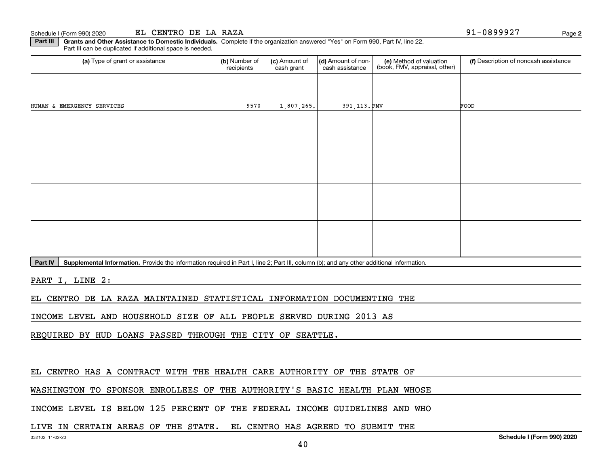**Part III | Grants and Other Assistance to Domestic Individuals. Complete if the organization answered "Yes" on Form 990, Part IV, line 22.** Part III can be duplicated if additional space is needed.

| (a) Type of grant or assistance                                                                                                                      | (b) Number of<br>recipients | (c) Amount of<br>cash grant | (d) Amount of non-<br>cash assistance | (e) Method of valuation<br>(book, FMV, appraisal, other) | (f) Description of noncash assistance |  |  |  |  |
|------------------------------------------------------------------------------------------------------------------------------------------------------|-----------------------------|-----------------------------|---------------------------------------|----------------------------------------------------------|---------------------------------------|--|--|--|--|
|                                                                                                                                                      |                             |                             |                                       |                                                          |                                       |  |  |  |  |
| HUMAN & EMERGENCY SERVICES                                                                                                                           | 9570                        | 1,807,265.                  | 391, 113. FMV                         |                                                          | FOOD                                  |  |  |  |  |
|                                                                                                                                                      |                             |                             |                                       |                                                          |                                       |  |  |  |  |
|                                                                                                                                                      |                             |                             |                                       |                                                          |                                       |  |  |  |  |
|                                                                                                                                                      |                             |                             |                                       |                                                          |                                       |  |  |  |  |
|                                                                                                                                                      |                             |                             |                                       |                                                          |                                       |  |  |  |  |
|                                                                                                                                                      |                             |                             |                                       |                                                          |                                       |  |  |  |  |
|                                                                                                                                                      |                             |                             |                                       |                                                          |                                       |  |  |  |  |
|                                                                                                                                                      |                             |                             |                                       |                                                          |                                       |  |  |  |  |
|                                                                                                                                                      |                             |                             |                                       |                                                          |                                       |  |  |  |  |
| Supplemental Information. Provide the information required in Part I, line 2; Part III, column (b); and any other additional information.<br>Part IV |                             |                             |                                       |                                                          |                                       |  |  |  |  |

PART I, LINE 2:

EL CENTRO DE LA RAZA MAINTAINED STATISTICAL INFORMATION DOCUMENTING THE

INCOME LEVEL AND HOUSEHOLD SIZE OF ALL PEOPLE SERVED DURING 2013 AS

REQUIRED BY HUD LOANS PASSED THROUGH THE CITY OF SEATTLE.

EL CENTRO HAS A CONTRACT WITH THE HEALTH CARE AUTHORITY OF THE STATE OF

WASHINGTON TO SPONSOR ENROLLEES OF THE AUTHORITY'S BASIC HEALTH PLAN WHOSE

INCOME LEVEL IS BELOW 125 PERCENT OF THE FEDERAL INCOME GUIDELINES AND WHO

LIVE IN CERTAIN AREAS OF THE STATE. EL CENTRO HAS AGREED TO SUBMIT THE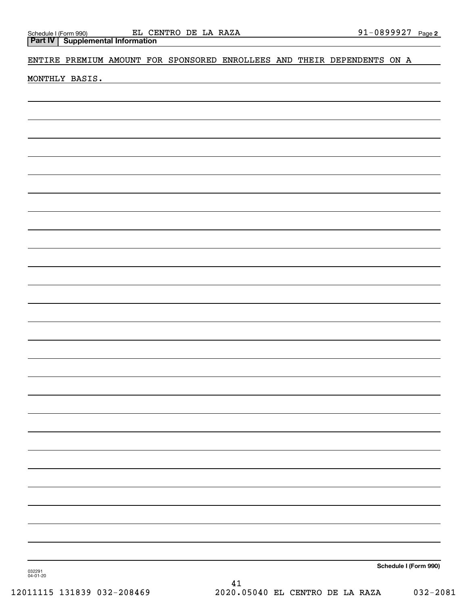ENTIRE PREMIUM AMOUNT FOR SPONSORED ENROLLEES AND THEIR DEPENDENTS ON A

MONTHLY BASIS.

**Schedule I (Form 990)**

032291 04-01-20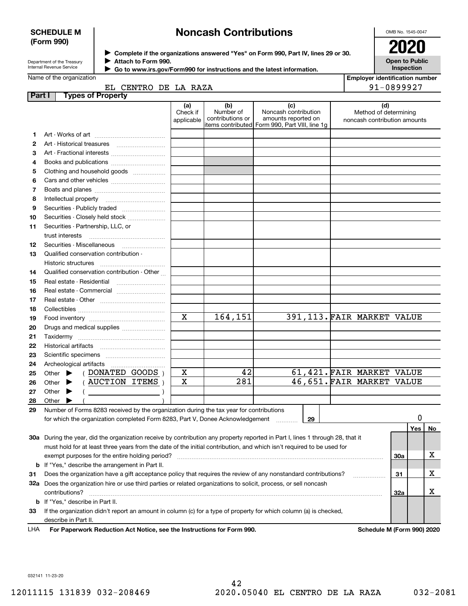### **SCHEDULE M (Form 990)**

# **Noncash Contributions**

OMB No. 1545-0047

| Department of the Treasury      |
|---------------------------------|
| <b>Internal Revenue Service</b> |

**Complete if the organizations answered "Yes" on Form 990, Part IV, lines 29 or 30.** <sup>J</sup>**2020 Attach to Form 990.** J

**Open to Public Inspection**

|  | Name of the organization |
|--|--------------------------|

 **Go to www.irs.gov/Form990 for instructions and the latest information.** J

| <b>Employer identification number</b> |
|---------------------------------------|
| 91-0899927                            |

|  | CENTRO DE LA RAZA |  |  |
|--|-------------------|--|--|
|  |                   |  |  |
|  |                   |  |  |

| Part I |       |                             | <b>Types of Property</b>                                                                                                       |                               |                                                |                                                    |    |                                                              |     |     |    |
|--------|-------|-----------------------------|--------------------------------------------------------------------------------------------------------------------------------|-------------------------------|------------------------------------------------|----------------------------------------------------|----|--------------------------------------------------------------|-----|-----|----|
|        |       |                             |                                                                                                                                | (a)<br>Check if<br>applicable | (b)<br>Number of<br>contributions or           | (c)<br>Noncash contribution<br>amounts reported on |    | (d)<br>Method of determining<br>noncash contribution amounts |     |     |    |
|        |       |                             |                                                                                                                                |                               | items contributed Form 990, Part VIII, line 1g |                                                    |    |                                                              |     |     |    |
| 1      |       |                             |                                                                                                                                |                               |                                                |                                                    |    |                                                              |     |     |    |
| 2      |       |                             |                                                                                                                                |                               |                                                |                                                    |    |                                                              |     |     |    |
| з      |       |                             |                                                                                                                                |                               |                                                |                                                    |    |                                                              |     |     |    |
| 4      |       |                             |                                                                                                                                |                               |                                                |                                                    |    |                                                              |     |     |    |
| 5      |       |                             | Clothing and household goods                                                                                                   |                               |                                                |                                                    |    |                                                              |     |     |    |
| 6      |       |                             |                                                                                                                                |                               |                                                |                                                    |    |                                                              |     |     |    |
| 7      |       |                             |                                                                                                                                |                               |                                                |                                                    |    |                                                              |     |     |    |
| 8      |       |                             |                                                                                                                                |                               |                                                |                                                    |    |                                                              |     |     |    |
| 9      |       |                             |                                                                                                                                |                               |                                                |                                                    |    |                                                              |     |     |    |
| 10     |       |                             | Securities - Closely held stock                                                                                                |                               |                                                |                                                    |    |                                                              |     |     |    |
| 11     |       |                             | Securities - Partnership, LLC, or                                                                                              |                               |                                                |                                                    |    |                                                              |     |     |    |
|        |       | trust interests             |                                                                                                                                |                               |                                                |                                                    |    |                                                              |     |     |    |
| 12     |       |                             |                                                                                                                                |                               |                                                |                                                    |    |                                                              |     |     |    |
| 13     |       |                             | Qualified conservation contribution -                                                                                          |                               |                                                |                                                    |    |                                                              |     |     |    |
|        |       | Historic structures         |                                                                                                                                |                               |                                                |                                                    |    |                                                              |     |     |    |
| 14     |       |                             | Qualified conservation contribution - Other                                                                                    |                               |                                                |                                                    |    |                                                              |     |     |    |
| 15     |       |                             | Real estate - Residential                                                                                                      |                               |                                                |                                                    |    |                                                              |     |     |    |
| 16     |       |                             |                                                                                                                                |                               |                                                |                                                    |    |                                                              |     |     |    |
| 17     |       |                             |                                                                                                                                |                               |                                                |                                                    |    |                                                              |     |     |    |
| 18     |       |                             |                                                                                                                                |                               |                                                |                                                    |    |                                                              |     |     |    |
| 19     |       |                             |                                                                                                                                | $\mathbf x$                   | 164,151                                        |                                                    |    | 391, 113. FAIR MARKET VALUE                                  |     |     |    |
| 20     |       |                             | Drugs and medical supplies                                                                                                     |                               |                                                |                                                    |    |                                                              |     |     |    |
| 21     |       | Taxidermy                   |                                                                                                                                |                               |                                                |                                                    |    |                                                              |     |     |    |
| 22     |       |                             |                                                                                                                                |                               |                                                |                                                    |    |                                                              |     |     |    |
| 23     |       |                             |                                                                                                                                |                               |                                                |                                                    |    |                                                              |     |     |    |
| 24     |       |                             | Archeological artifacts                                                                                                        |                               |                                                |                                                    |    |                                                              |     |     |    |
| 25     |       | Other $\blacktriangleright$ | (DONATED GOODS)                                                                                                                | X                             | 42                                             |                                                    |    | 61,421. FAIR MARKET VALUE                                    |     |     |    |
| 26     |       | Other $\blacktriangleright$ | $($ AUCTION ITEMS $)$                                                                                                          | X                             | 281                                            |                                                    |    | 46,651. FAIR MARKET VALUE                                    |     |     |    |
| 27     |       | Other $\blacktriangleright$ |                                                                                                                                |                               |                                                |                                                    |    |                                                              |     |     |    |
| 28     | Other |                             |                                                                                                                                |                               |                                                |                                                    |    |                                                              |     |     |    |
| 29     |       |                             | Number of Forms 8283 received by the organization during the tax year for contributions                                        |                               |                                                |                                                    |    |                                                              |     |     |    |
|        |       |                             | for which the organization completed Form 8283, Part V, Donee Acknowledgement                                                  |                               |                                                |                                                    | 29 |                                                              |     | 0   |    |
|        |       |                             |                                                                                                                                |                               |                                                |                                                    |    |                                                              |     | Yes | No |
|        |       |                             | 30a During the year, did the organization receive by contribution any property reported in Part I, lines 1 through 28, that it |                               |                                                |                                                    |    |                                                              |     |     |    |
|        |       |                             | must hold for at least three years from the date of the initial contribution, and which isn't required to be used for          |                               |                                                |                                                    |    |                                                              |     |     |    |
|        |       |                             | exempt purposes for the entire holding period?                                                                                 |                               |                                                |                                                    |    |                                                              | 30a |     | х  |
|        |       |                             | <b>b</b> If "Yes," describe the arrangement in Part II.                                                                        |                               |                                                |                                                    |    |                                                              |     |     |    |
| 31     |       |                             | Does the organization have a gift acceptance policy that requires the review of any nonstandard contributions?                 |                               |                                                |                                                    |    |                                                              | 31  |     | х  |
|        |       |                             | 32a Does the organization hire or use third parties or related organizations to solicit, process, or sell noncash              |                               |                                                |                                                    |    |                                                              |     |     |    |
|        |       | contributions?              |                                                                                                                                |                               |                                                |                                                    |    |                                                              | 32a |     | х  |
|        |       |                             | <b>b</b> If "Yes," describe in Part II.                                                                                        |                               |                                                |                                                    |    |                                                              |     |     |    |
| 33     |       |                             | If the organization didn't report an amount in column (c) for a type of property for which column (a) is checked,              |                               |                                                |                                                    |    |                                                              |     |     |    |
|        |       | describe in Part II.        |                                                                                                                                |                               |                                                |                                                    |    |                                                              |     |     |    |
|        |       |                             |                                                                                                                                |                               |                                                |                                                    |    |                                                              |     |     |    |

**For Paperwork Reduction Act Notice, see the Instructions for Form 990. Schedule M (Form 990) 2020** LHA

032141 11-23-20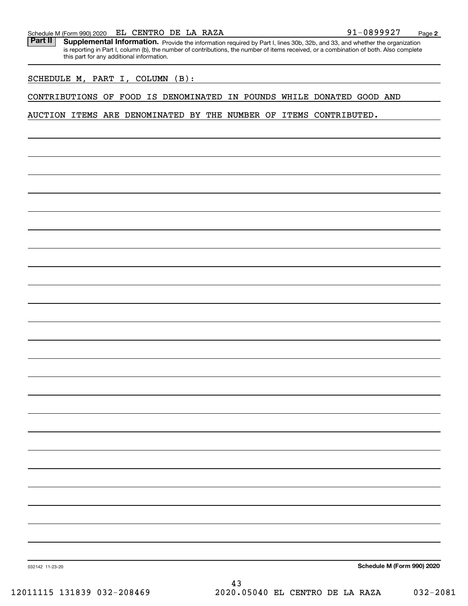### Schedule M (Form 990) 2020  ${\bf EL}$  C ${\bf ENTRO}$  D ${\bf E}$  LA RAZA 9 $1-0899927$  Page

Part II | Supplemental Information. Provide the information required by Part I, lines 30b, 32b, and 33, and whether the organization is reporting in Part I, column (b), the number of contributions, the number of items received, or a combination of both. Also complete this part for any additional information.

### SCHEDULE M, PART I, COLUMN (B):

### CONTRIBUTIONS OF FOOD IS DENOMINATED IN POUNDS WHILE DONATED GOOD AND

### AUCTION ITEMS ARE DENOMINATED BY THE NUMBER OF ITEMS CONTRIBUTED.

**Schedule M (Form 990) 2020**

032142 11-23-20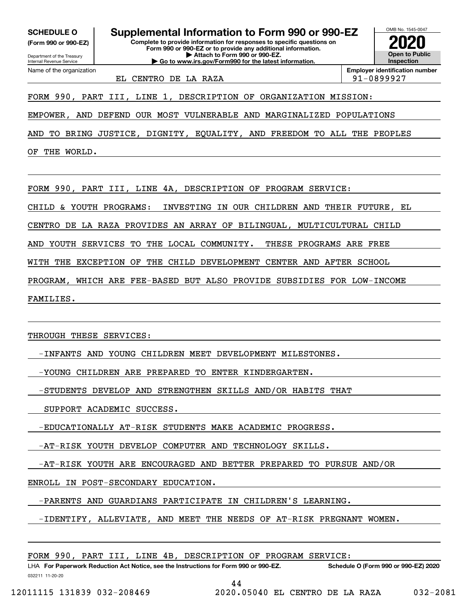**(Form 990 or 990-EZ)**

Department of the Treasury Internal Revenue Service Name of the organization

**Complete to provide information for responses to specific questions on Form 990 or 990-EZ or to provide any additional information. | Attach to Form 990 or 990-EZ. | Go to www.irs.gov/Form990 for the latest information. SCHEDULE O Supplemental Information to Form 990 or 990-EZ**



EL CENTRO DE LA RAZA 91-0899927

**Employer identification number**

FORM 990, PART III, LINE 1, DESCRIPTION OF ORGANIZATION MISSION:

EMPOWER, AND DEFEND OUR MOST VULNERABLE AND MARGINALIZED POPULATIONS

AND TO BRING JUSTICE, DIGNITY, EQUALITY, AND FREEDOM TO ALL THE PEOPLES

OF THE WORLD.

FORM 990, PART III, LINE 4A, DESCRIPTION OF PROGRAM SERVICE:

CHILD & YOUTH PROGRAMS: INVESTING IN OUR CHILDREN AND THEIR FUTURE, EL

CENTRO DE LA RAZA PROVIDES AN ARRAY OF BILINGUAL, MULTICULTURAL CHILD

AND YOUTH SERVICES TO THE LOCAL COMMUNITY. THESE PROGRAMS ARE FREE

WITH THE EXCEPTION OF THE CHILD DEVELOPMENT CENTER AND AFTER SCHOOL

PROGRAM, WHICH ARE FEE-BASED BUT ALSO PROVIDE SUBSIDIES FOR LOW-INCOME

FAMILIES.

THROUGH THESE SERVICES:

-INFANTS AND YOUNG CHILDREN MEET DEVELOPMENT MILESTONES.

-YOUNG CHILDREN ARE PREPARED TO ENTER KINDERGARTEN.

-STUDENTS DEVELOP AND STRENGTHEN SKILLS AND/OR HABITS THAT

SUPPORT ACADEMIC SUCCESS.

-EDUCATIONALLY AT-RISK STUDENTS MAKE ACADEMIC PROGRESS.

-AT-RISK YOUTH DEVELOP COMPUTER AND TECHNOLOGY SKILLS.

-AT-RISK YOUTH ARE ENCOURAGED AND BETTER PREPARED TO PURSUE AND/OR

ENROLL IN POST-SECONDARY EDUCATION.

-PARENTS AND GUARDIANS PARTICIPATE IN CHILDREN'S LEARNING.

-IDENTIFY, ALLEVIATE, AND MEET THE NEEDS OF AT-RISK PREGNANT WOMEN.

FORM 990, PART III, LINE 4B, DESCRIPTION OF PROGRAM SERVICE:

032211 11-20-20 LHA For Paperwork Reduction Act Notice, see the Instructions for Form 990 or 990-EZ. Schedule O (Form 990 or 990-EZ) 2020 44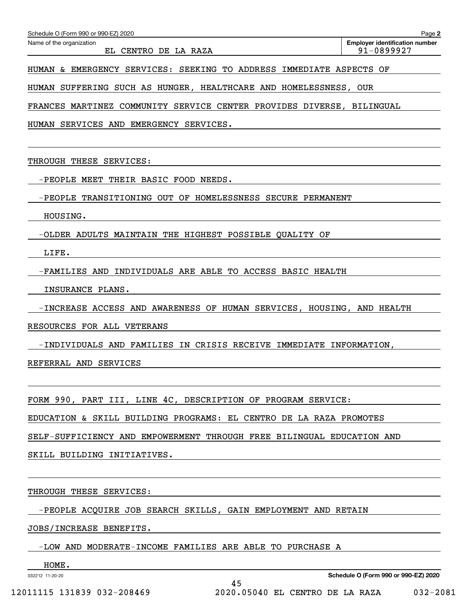| Schedule O (Form 990 or 990-EZ) 2020 | Page 2                                |
|--------------------------------------|---------------------------------------|
| Name of the organization             | <b>Employer identification number</b> |
| CENTRO DE LA RAZA<br>EL.             | 91-0899927                            |
|                                      |                                       |

HUMAN & EMERGENCY SERVICES: SEEKING TO ADDRESS IMMEDIATE ASPECTS OF

HUMAN SUFFERING SUCH AS HUNGER, HEALTHCARE AND HOMELESSNESS, OUR

FRANCES MARTINEZ COMMUNITY SERVICE CENTER PROVIDES DIVERSE, BILINGUAL

HUMAN SERVICES AND EMERGENCY SERVICES.

THROUGH THESE SERVICES:

-PEOPLE MEET THEIR BASIC FOOD NEEDS.

-PEOPLE TRANSITIONING OUT OF HOMELESSNESS SECURE PERMANENT

HOUSING.

-OLDER ADULTS MAINTAIN THE HIGHEST POSSIBLE QUALITY OF

LIFE.

-FAMILIES AND INDIVIDUALS ARE ABLE TO ACCESS BASIC HEALTH

INSURANCE PLANS.

-INCREASE ACCESS AND AWARENESS OF HUMAN SERVICES, HOUSING, AND HEALTH

RESOURCES FOR ALL VETERANS

-INDIVIDUALS AND FAMILIES IN CRISIS RECEIVE IMMEDIATE INFORMATION,

REFERRAL AND SERVICES

FORM 990, PART III, LINE 4C, DESCRIPTION OF PROGRAM SERVICE:

EDUCATION & SKILL BUILDING PROGRAMS: EL CENTRO DE LA RAZA PROMOTES

SELF-SUFFICIENCY AND EMPOWERMENT THROUGH FREE BILINGUAL EDUCATION AND

SKILL BUILDING INITIATIVES.

THROUGH THESE SERVICES:

-PEOPLE ACQUIRE JOB SEARCH SKILLS, GAIN EMPLOYMENT AND RETAIN

45

JOBS/INCREASE BENEFITS.

-LOW AND MODERATE-INCOME FAMILIES ARE ABLE TO PURCHASE A

032212 11-20-20 HOME.

**Schedule O (Form 990 or 990-EZ) 2020**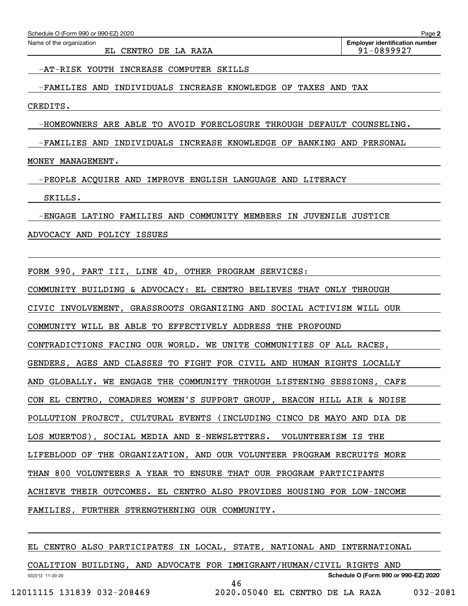EL CENTRO DE LA RAZA 91-0899927

-AT-RISK YOUTH INCREASE COMPUTER SKILLS

-FAMILIES AND INDIVIDUALS INCREASE KNOWLEDGE OF TAXES AND TAX

CREDITS.

-HOMEOWNERS ARE ABLE TO AVOID FORECLOSURE THROUGH DEFAULT COUNSELING.

-FAMILIES AND INDIVIDUALS INCREASE KNOWLEDGE OF BANKING AND PERSONAL

MONEY MANAGEMENT.

-PEOPLE ACQUIRE AND IMPROVE ENGLISH LANGUAGE AND LITERACY

SKILLS.

-ENGAGE LATINO FAMILIES AND COMMUNITY MEMBERS IN JUVENILE JUSTICE

ADVOCACY AND POLICY ISSUES

FORM 990, PART III, LINE 4D, OTHER PROGRAM SERVICES:

COMMUNITY BUILDING & ADVOCACY: EL CENTRO BELIEVES THAT ONLY THROUGH

CIVIC INVOLVEMENT, GRASSROOTS ORGANIZING AND SOCIAL ACTIVISM WILL OUR

COMMUNITY WILL BE ABLE TO EFFECTIVELY ADDRESS THE PROFOUND

CONTRADICTIONS FACING OUR WORLD. WE UNITE COMMUNITIES OF ALL RACES,

GENDERS, AGES AND CLASSES TO FIGHT FOR CIVIL AND HUMAN RIGHTS LOCALLY

AND GLOBALLY. WE ENGAGE THE COMMUNITY THROUGH LISTENING SESSIONS, CAFE

CON EL CENTRO, COMADRES WOMEN'S SUPPORT GROUP, BEACON HILL AIR & NOISE

POLLUTION PROJECT, CULTURAL EVENTS (INCLUDING CINCO DE MAYO AND DIA DE

LOS MUERTOS), SOCIAL MEDIA AND E-NEWSLETTERS. VOLUNTEERISM IS THE

LIFEBLOOD OF THE ORGANIZATION, AND OUR VOLUNTEER PROGRAM RECRUITS MORE

THAN 800 VOLUNTEERS A YEAR TO ENSURE THAT OUR PROGRAM PARTICIPANTS

ACHIEVE THEIR OUTCOMES. EL CENTRO ALSO PROVIDES HOUSING FOR LOW-INCOME

FAMILIES, FURTHER STRENGTHENING OUR COMMUNITY.

EL CENTRO ALSO PARTICIPATES IN LOCAL, STATE, NATIONAL AND INTERNATIONAL

032212 11-20-20 **Schedule O (Form 990 or 990-EZ) 2020** COALITION BUILDING, AND ADVOCATE FOR IMMIGRANT/HUMAN/CIVIL RIGHTS AND 46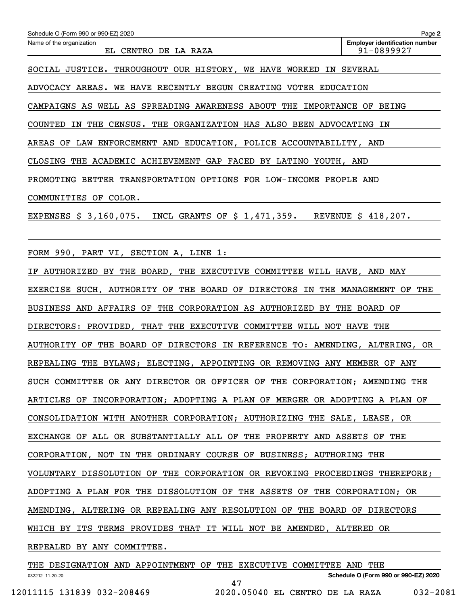| Schedule O (Form 990 or 990-EZ) 2020                                        | Page 2                                              |
|-----------------------------------------------------------------------------|-----------------------------------------------------|
| Name of the organization<br>EL CENTRO DE LA RAZA                            | <b>Employer identification number</b><br>91-0899927 |
| SOCIAL JUSTICE. THROUGHOUT OUR HISTORY, WE HAVE WORKED                      | IN SEVERAL                                          |
| ADVOCACY AREAS.<br>WE HAVE RECENTLY BEGUN CREATING VOTER EDUCATION          |                                                     |
| CAMPAIGNS AS WELL AS SPREADING AWARENESS ABOUT THE IMPORTANCE OF BEING      |                                                     |
| COUNTED IN THE CENSUS. THE ORGANIZATION HAS ALSO BEEN ADVOCATING IN         |                                                     |
| AREAS OF LAW ENFORCEMENT AND EDUCATION, POLICE ACCOUNTABILITY, AND          |                                                     |
| CLOSING THE ACADEMIC ACHIEVEMENT GAP FACED BY LATINO YOUTH, AND             |                                                     |
| PROMOTING BETTER TRANSPORTATION OPTIONS FOR LOW-INCOME PEOPLE AND           |                                                     |
| COMMUNITIES OF COLOR.                                                       |                                                     |
| EXPENSES \$ 3,160,075.<br>INCL GRANTS OF $$1,471,359$ .                     | REVENUE \$ 418,207.                                 |
|                                                                             |                                                     |
| FORM 990, PART VI, SECTION A, LINE 1:                                       |                                                     |
| IF AUTHORIZED BY THE BOARD, THE EXECUTIVE COMMITTEE WILL HAVE, AND MAY      |                                                     |
| EXERCISE SUCH, AUTHORITY OF THE BOARD OF DIRECTORS IN THE MANAGEMENT OF THE |                                                     |
| BUSINESS AND AFFAIRS OF THE CORPORATION AS AUTHORIZED BY THE BOARD OF       |                                                     |

DIRECTORS: PROVIDED, THAT THE EXECUTIVE COMMITTEE WILL NOT HAVE THE

AUTHORITY OF THE BOARD OF DIRECTORS IN REFERENCE TO: AMENDING, ALTERING, OR

REPEALING THE BYLAWS; ELECTING, APPOINTING OR REMOVING ANY MEMBER OF ANY

SUCH COMMITTEE OR ANY DIRECTOR OR OFFICER OF THE CORPORATION; AMENDING THE

ARTICLES OF INCORPORATION; ADOPTING A PLAN OF MERGER OR ADOPTING A PLAN OF

CONSOLIDATION WITH ANOTHER CORPORATION; AUTHORIZING THE SALE, LEASE, OR

EXCHANGE OF ALL OR SUBSTANTIALLY ALL OF THE PROPERTY AND ASSETS OF THE

CORPORATION, NOT IN THE ORDINARY COURSE OF BUSINESS; AUTHORING THE

VOLUNTARY DISSOLUTION OF THE CORPORATION OR REVOKING PROCEEDINGS THEREFORE;

ADOPTING A PLAN FOR THE DISSOLUTION OF THE ASSETS OF THE CORPORATION; OR

AMENDING, ALTERING OR REPEALING ANY RESOLUTION OF THE BOARD OF DIRECTORS

WHICH BY ITS TERMS PROVIDES THAT IT WILL NOT BE AMENDED, ALTERED OR

REPEALED BY ANY COMMITTEE.

032212 11-20-20 **Schedule O (Form 990 or 990-EZ) 2020** THE DESIGNATION AND APPOINTMENT OF THE EXECUTIVE COMMITTEE AND THE 47 12011115 131839 032-208469 2020.05040 EL CENTRO DE LA RAZA 032-2081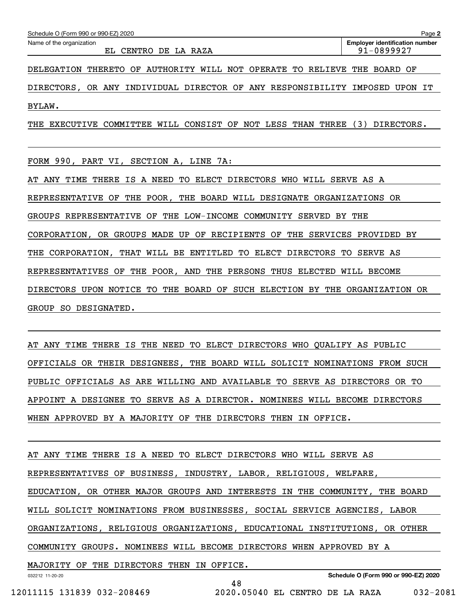DIRECTORS, OR ANY INDIVIDUAL DIRECTOR OF ANY RESPONSIBILITY IMPOSED UPON IT BYLAW.

THE EXECUTIVE COMMITTEE WILL CONSIST OF NOT LESS THAN THREE (3) DIRECTORS.

FORM 990, PART VI, SECTION A, LINE 7A:

AT ANY TIME THERE IS A NEED TO ELECT DIRECTORS WHO WILL SERVE AS A REPRESENTATIVE OF THE POOR, THE BOARD WILL DESIGNATE ORGANIZATIONS OR GROUPS REPRESENTATIVE OF THE LOW-INCOME COMMUNITY SERVED BY THE CORPORATION, OR GROUPS MADE UP OF RECIPIENTS OF THE SERVICES PROVIDED BY THE CORPORATION, THAT WILL BE ENTITLED TO ELECT DIRECTORS TO SERVE AS REPRESENTATIVES OF THE POOR, AND THE PERSONS THUS ELECTED WILL BECOME DIRECTORS UPON NOTICE TO THE BOARD OF SUCH ELECTION BY THE ORGANIZATION OR GROUP SO DESIGNATED.

AT ANY TIME THERE IS THE NEED TO ELECT DIRECTORS WHO QUALIFY AS PUBLIC OFFICIALS OR THEIR DESIGNEES, THE BOARD WILL SOLICIT NOMINATIONS FROM SUCH PUBLIC OFFICIALS AS ARE WILLING AND AVAILABLE TO SERVE AS DIRECTORS OR TO APPOINT A DESIGNEE TO SERVE AS A DIRECTOR. NOMINEES WILL BECOME DIRECTORS WHEN APPROVED BY A MAJORITY OF THE DIRECTORS THEN IN OFFICE.

AT ANY TIME THERE IS A NEED TO ELECT DIRECTORS WHO WILL SERVE AS REPRESENTATIVES OF BUSINESS, INDUSTRY, LABOR, RELIGIOUS, WELFARE, EDUCATION, OR OTHER MAJOR GROUPS AND INTERESTS IN THE COMMUNITY, THE BOARD WILL SOLICIT NOMINATIONS FROM BUSINESSES, SOCIAL SERVICE AGENCIES, LABOR ORGANIZATIONS, RELIGIOUS ORGANIZATIONS, EDUCATIONAL INSTITUTIONS, OR OTHER COMMUNITY GROUPS. NOMINEES WILL BECOME DIRECTORS WHEN APPROVED BY A MAJORITY OF THE DIRECTORS THEN IN OFFICE.

032212 11-20-20

**Schedule O (Form 990 or 990-EZ) 2020**

12011115 131839 032-208469 2020.05040 EL CENTRO DE LA RAZA 032-2081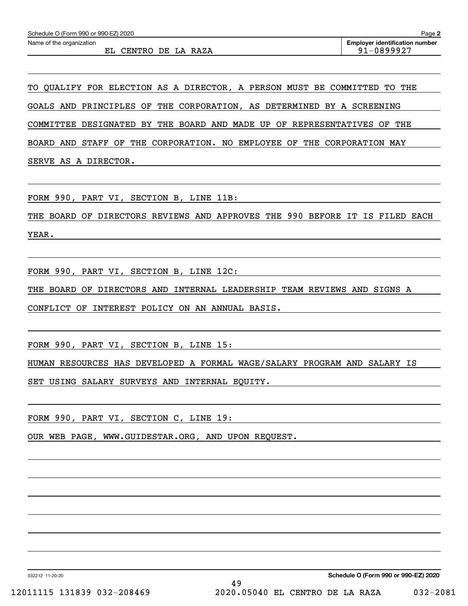TO QUALIFY FOR ELECTION AS A DIRECTOR, A PERSON MUST BE COMMITTED TO THE GOALS AND PRINCIPLES OF THE CORPORATION, AS DETERMINED BY A SCREENING COMMITTEE DESIGNATED BY THE BOARD AND MADE UP OF REPRESENTATIVES OF THE BOARD AND STAFF OF THE CORPORATION. NO EMPLOYEE OF THE CORPORATION MAY SERVE AS A DIRECTOR.

FORM 990, PART VI, SECTION B, LINE 11B:

THE BOARD OF DIRECTORS REVIEWS AND APPROVES THE 990 BEFORE IT IS FILED EACH YEAR.

FORM 990, PART VI, SECTION B, LINE 12C:

THE BOARD OF DIRECTORS AND INTERNAL LEADERSHIP TEAM REVIEWS AND SIGNS A

CONFLICT OF INTEREST POLICY ON AN ANNUAL BASIS.

FORM 990, PART VI, SECTION B, LINE 15:

HUMAN RESOURCES HAS DEVELOPED A FORMAL WAGE/SALARY PROGRAM AND SALARY IS

SET USING SALARY SURVEYS AND INTERNAL EQUITY.

FORM 990, PART VI, SECTION C, LINE 19:

OUR WEB PAGE, WWW.GUIDESTAR.ORG, AND UPON REQUEST.

032212 11-20-20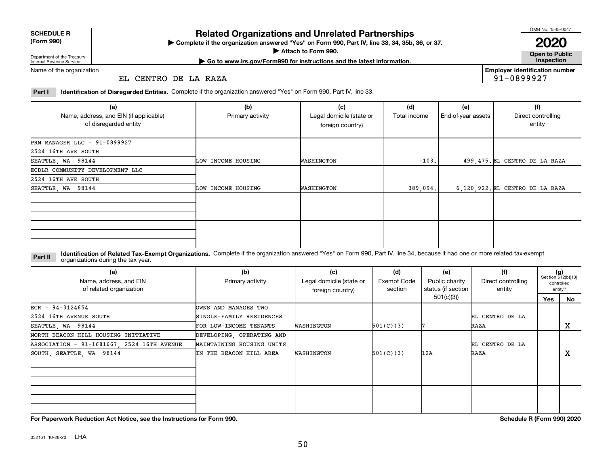032161 10-28-20 LHA

**Related Organizations and Unrelated Partnerships**

**Complete if the organization answered "Yes" on Form 990, Part IV, line 33, 34, 35b, 36, or 37.** |

**Attach to Form 990.**  |

Department of the Treasury Internal Revenue Service

Name of the organization

EL CENTRO DE LA RAZA

**Part I Identification of Disregarded Entities.**  Complete if the organization answered "Yes" on Form 990, Part IV, line 33.

| (a)<br>Name, address, and EIN (if applicable)<br>of disregarded entity | (b)<br>Primary activity | (c)<br>Legal domicile (state or<br>foreign country) | (d)<br>Total income | (e)<br>End-of-year assets | (f)<br>Direct controlling<br>entity |
|------------------------------------------------------------------------|-------------------------|-----------------------------------------------------|---------------------|---------------------------|-------------------------------------|
| PRM MANAGER LLC - 91-0899927                                           |                         |                                                     |                     |                           |                                     |
| 2524 16TH AVE SOUTH                                                    |                         |                                                     |                     |                           |                                     |
| SEATTLE, WA 98144                                                      | LOW INCOME HOUSING      | WASHINGTON                                          | $-103.$             |                           | 499,475. EL CENTRO DE LA RAZA       |
| ECDLR COMMUNITY DEVELOPMENT LLC                                        |                         |                                                     |                     |                           |                                     |
| 2524 16TH AVE SOUTH                                                    |                         |                                                     |                     |                           |                                     |
| SEATTLE, WA 98144                                                      | LOW INCOME HOUSING      | WASHINGTON                                          | 389,094.            |                           | 6,120,922. EL CENTRO DE LA RAZA     |
|                                                                        |                         |                                                     |                     |                           |                                     |
|                                                                        |                         |                                                     |                     |                           |                                     |

**Identification of Related Tax-Exempt Organizations.** Complete if the organization answered "Yes" on Form 990, Part IV, line 34, because it had one or more related tax-exempt **Part II** organizations during the tax year.

| (a)<br>Name, address, and EIN              | (b)<br>Primary activity   | (c)<br>Legal domicile (state or | (d)<br>Exempt Code | (e)<br>Public charity | (f)<br>Direct controlling |         | $(g)$<br>Section 512(b)(13)<br>controlled |
|--------------------------------------------|---------------------------|---------------------------------|--------------------|-----------------------|---------------------------|---------|-------------------------------------------|
| of related organization                    |                           | foreign country)                | section            | status (if section    | entity                    | entity? |                                           |
|                                            |                           |                                 |                    | 501(c)(3)             |                           | Yes     | No                                        |
| ECR $-94-3124654$                          | OWNS AND MANAGES TWO      |                                 |                    |                       |                           |         |                                           |
| 2524 16TH AVENUE SOUTH                     | SINGLE-FAMILY RESIDENCES  |                                 |                    |                       | EL CENTRO DE LA           |         |                                           |
| SEATTLE, WA 98144                          | FOR LOW-INCOME TENANTS    | WASHINGTON                      | 501(C)(3)          |                       | RAZA                      |         | х                                         |
| NORTH BEACON HILL HOUSING INITIATIVE       | DEVELOPING, OPERATING AND |                                 |                    |                       |                           |         |                                           |
| ASSOCIATION - 91-1681667, 2524 16TH AVENUE | MAINTAINING HOUSING UNITS |                                 |                    |                       | EL CENTRO DE LA           |         |                                           |
| SOUTH, SEATTLE, WA 98144                   | IN THE BEACON HILL AREA   | WASHINGTON                      | 501(C)(3)          | 12A                   | RAZA                      |         | х                                         |
|                                            |                           |                                 |                    |                       |                           |         |                                           |
|                                            |                           |                                 |                    |                       |                           |         |                                           |
|                                            |                           |                                 |                    |                       |                           |         |                                           |
|                                            |                           |                                 |                    |                       |                           |         |                                           |
|                                            |                           |                                 |                    |                       |                           |         |                                           |
|                                            |                           |                                 |                    |                       |                           |         |                                           |

**For Paperwork Reduction Act Notice, see the Instructions for Form 990. Schedule R (Form 990) 2020**

OMB No. 1545-0047

**Open to Public | Go to www.irs.gov/Form990 for instructions and the latest information. Inspection 2020**

**Employer identification number**

91-0899927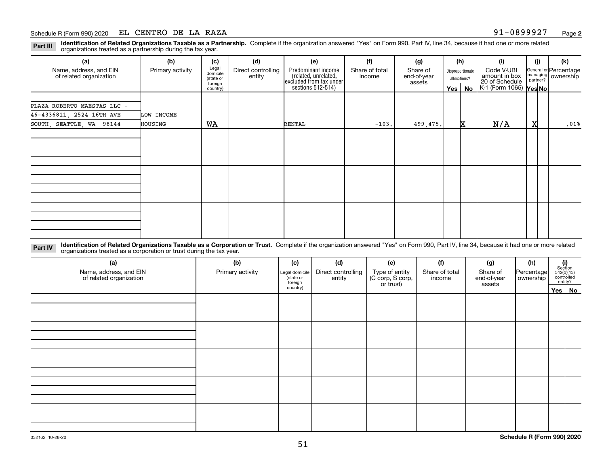**Identification of Related Organizations Taxable as a Partnership.** Complete if the organization answered "Yes" on Form 990, Part IV, line 34, because it had one or more related **Part III** organizations treated as a partnership during the tax year.

| (a)                         | (b)              | (c)                  | (d)                | (e)                                          | (f)            | (g)                   |         | (h)              | (i)                             | (i)      | (k)                   |
|-----------------------------|------------------|----------------------|--------------------|----------------------------------------------|----------------|-----------------------|---------|------------------|---------------------------------|----------|-----------------------|
| Name, address, and EIN      | Primary activity | Legal<br>domicile    | Direct controlling | Predominant income                           | Share of total | Share of              |         | Disproportionate | Code V-UBI                      | managing | General or Percentage |
| of related organization     |                  | (state or<br>foreign | entity             | (related, unrelated,                         | income         | end-of-year<br>assets |         | allocations?     | amount in box<br>20 of Schedule | partner? | ownership             |
|                             |                  | country)             |                    | excluded from tax under<br>sections 512-514) |                |                       | Yes $ $ | No               | K-1 (Form 1065) <b>Yes No</b>   |          |                       |
|                             |                  |                      |                    |                                              |                |                       |         |                  |                                 |          |                       |
| PLAZA ROBERTO MAESTAS LLC - |                  |                      |                    |                                              |                |                       |         |                  |                                 |          |                       |
| 46-4336811, 2524 16TH AVE   | LOW INCOME       |                      |                    |                                              |                |                       |         |                  |                                 |          |                       |
| SOUTH, SEATTLE, WA 98144    | HOUSING          | WA                   |                    | RENTAL                                       | $-103.$        | 499,475.              |         | x                | N/A                             | X        | .01%                  |
|                             |                  |                      |                    |                                              |                |                       |         |                  |                                 |          |                       |
|                             |                  |                      |                    |                                              |                |                       |         |                  |                                 |          |                       |
|                             |                  |                      |                    |                                              |                |                       |         |                  |                                 |          |                       |
|                             |                  |                      |                    |                                              |                |                       |         |                  |                                 |          |                       |
|                             |                  |                      |                    |                                              |                |                       |         |                  |                                 |          |                       |
|                             |                  |                      |                    |                                              |                |                       |         |                  |                                 |          |                       |
|                             |                  |                      |                    |                                              |                |                       |         |                  |                                 |          |                       |
|                             |                  |                      |                    |                                              |                |                       |         |                  |                                 |          |                       |
|                             |                  |                      |                    |                                              |                |                       |         |                  |                                 |          |                       |
|                             |                  |                      |                    |                                              |                |                       |         |                  |                                 |          |                       |
|                             |                  |                      |                    |                                              |                |                       |         |                  |                                 |          |                       |
|                             |                  |                      |                    |                                              |                |                       |         |                  |                                 |          |                       |
|                             |                  |                      |                    |                                              |                |                       |         |                  |                                 |          |                       |

**Identification of Related Organizations Taxable as a Corporation or Trust.** Complete if the organization answered "Yes" on Form 990, Part IV, line 34, because it had one or more related **Part IV** organizations treated as a corporation or trust during the tax year.

| (a)<br>Name, address, and EIN<br>of related organization | (b)<br>Primary activity | (c)<br>Legal domicile<br>(state or<br>foreign | (d)<br>Direct controlling<br>entity | (e)<br>Type of entity<br>(C corp, S corp,<br>or trust) | (f)<br>Share of total<br>income | (g)<br>Share of<br>end-of-year<br>assets | (h)<br>Percentage<br>ownership | $\begin{array}{c} \textbf{(i)}\\ \text{Section}\\ 512 \text{(b)} \text{(13)}\\ \text{controlled}\\ \text{entity?} \end{array}$ |
|----------------------------------------------------------|-------------------------|-----------------------------------------------|-------------------------------------|--------------------------------------------------------|---------------------------------|------------------------------------------|--------------------------------|--------------------------------------------------------------------------------------------------------------------------------|
|                                                          |                         | country)                                      |                                     |                                                        |                                 |                                          |                                | Yes No                                                                                                                         |
|                                                          |                         |                                               |                                     |                                                        |                                 |                                          |                                |                                                                                                                                |
|                                                          |                         |                                               |                                     |                                                        |                                 |                                          |                                |                                                                                                                                |
|                                                          |                         |                                               |                                     |                                                        |                                 |                                          |                                |                                                                                                                                |
|                                                          |                         |                                               |                                     |                                                        |                                 |                                          |                                |                                                                                                                                |
|                                                          |                         |                                               |                                     |                                                        |                                 |                                          |                                |                                                                                                                                |
|                                                          |                         |                                               |                                     |                                                        |                                 |                                          |                                |                                                                                                                                |
|                                                          |                         |                                               |                                     |                                                        |                                 |                                          |                                |                                                                                                                                |
|                                                          |                         |                                               |                                     |                                                        |                                 |                                          |                                |                                                                                                                                |
|                                                          |                         |                                               |                                     |                                                        |                                 |                                          |                                |                                                                                                                                |
|                                                          |                         |                                               |                                     |                                                        |                                 |                                          |                                |                                                                                                                                |
|                                                          |                         |                                               |                                     |                                                        |                                 |                                          |                                |                                                                                                                                |
|                                                          |                         |                                               |                                     |                                                        |                                 |                                          |                                |                                                                                                                                |
|                                                          |                         |                                               |                                     |                                                        |                                 |                                          |                                |                                                                                                                                |
|                                                          |                         |                                               |                                     |                                                        |                                 |                                          |                                |                                                                                                                                |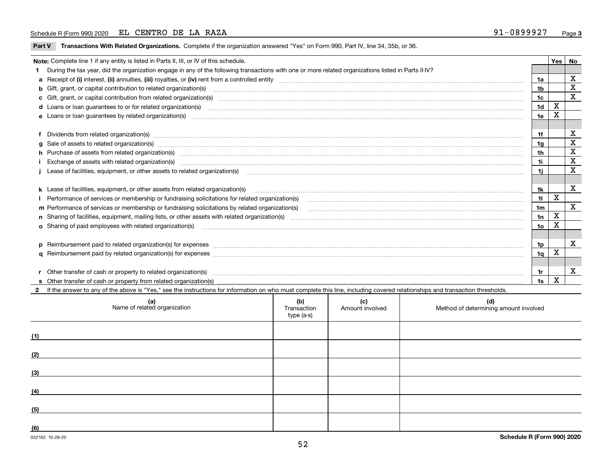**Part V** T**ransactions With Related Organizations.** Complete if the organization answered "Yes" on Form 990, Part IV, line 34, 35b, or 36.

| Note: Complete line 1 if any entity is listed in Parts II, III, or IV of this schedule.                                                                                                                                           |                 | Yes   No |             |
|-----------------------------------------------------------------------------------------------------------------------------------------------------------------------------------------------------------------------------------|-----------------|----------|-------------|
| During the tax year, did the organization engage in any of the following transactions with one or more related organizations listed in Parts II-IV?                                                                               |                 |          |             |
|                                                                                                                                                                                                                                   | 1a              |          | X           |
| b Gift, grant, or capital contribution to related organization(s) manufaction contracts and contribution to related organization(s)                                                                                               | 1b              |          | X           |
| c Gift, grant, or capital contribution from related organization(s) material content and contribution from related organization(s) material content and content and contribution from related organization(s) material content    | 1c              |          | $\mathbf X$ |
|                                                                                                                                                                                                                                   | 1 <sub>d</sub>  | X        |             |
|                                                                                                                                                                                                                                   | 1e              | X        |             |
|                                                                                                                                                                                                                                   |                 |          |             |
| f Dividends from related organization(s) manufactured contains and contained a series of the contact of the contact of the contact of the contact of the contact of the contact of the contact of the contact of the contact o    | 1f              |          | х           |
| g Sale of assets to related organization(s) www.assettion.com/www.assettion.com/www.assettion.com/www.assettion.com/www.assettion.com/www.assettion.com/www.assettion.com/www.assettion.com/www.assettion.com/www.assettion.co    | 1g              |          | X           |
| h Purchase of assets from related organization(s) manufactured content to content the content of the content of the content of the content of the content of the content of the content of the content of the content of the c    | 1 <sub>h</sub>  |          | X           |
|                                                                                                                                                                                                                                   | 1i              |          | X           |
| Lease of facilities, equipment, or other assets to related organization(s) contraction contraction control and the set of facilities, equipment, or other assets to related organization(s) contraction control and the set of    | 11              |          | X           |
|                                                                                                                                                                                                                                   |                 |          |             |
| k Lease of facilities, equipment, or other assets from related organization(s) manufaction content and content to the assets from related organization(s) manufaction content and content and content and content and content     | 1k              |          | X           |
| Performance of services or membership or fundraising solicitations for related organization(s) [11] processors content to the service or membership or fundraising solicitations for related organization(s) [11] processors c    | 11              | X        |             |
|                                                                                                                                                                                                                                   | 1 <sub>m</sub>  |          | X           |
|                                                                                                                                                                                                                                   | 1n              | X        |             |
| <b>o</b> Sharing of paid employees with related organization(s)                                                                                                                                                                   | 10 <sub>o</sub> | x        |             |
|                                                                                                                                                                                                                                   |                 |          |             |
| p Reimbursement paid to related organization(s) for expenses [1111] and the content of the content of the content of the content of the content of the content of the content of the content of the content of the content of     | 1p              |          | х           |
|                                                                                                                                                                                                                                   | 1q              | х        |             |
|                                                                                                                                                                                                                                   |                 |          |             |
| r Other transfer of cash or property to related organization(s)                                                                                                                                                                   | 1r              |          | X           |
| r Other transfer of cash or property to related organization(s) www.community.com/www.community.com/www.communi<br>S Other transfer of cash or property from related organization(s) www.community.community.community.community. | 1s              | X        |             |
| 2 If the answer to any of the above is "Yes," see the instructions for information on who must complete this line, including covered relationships and transaction thresholds.                                                    |                 |          |             |

| (a)<br>Name of related organization | (b)<br>Transaction<br>type (a-s) | (c)<br>Amount involved | (d)<br>Method of determining amount involved |
|-------------------------------------|----------------------------------|------------------------|----------------------------------------------|
| (1)                                 |                                  |                        |                                              |
| (2)                                 |                                  |                        |                                              |
| (3)                                 |                                  |                        |                                              |
| (4)                                 |                                  |                        |                                              |
| (5)                                 |                                  |                        |                                              |
| (6)                                 |                                  |                        |                                              |

 $\overline{\phantom{a}}$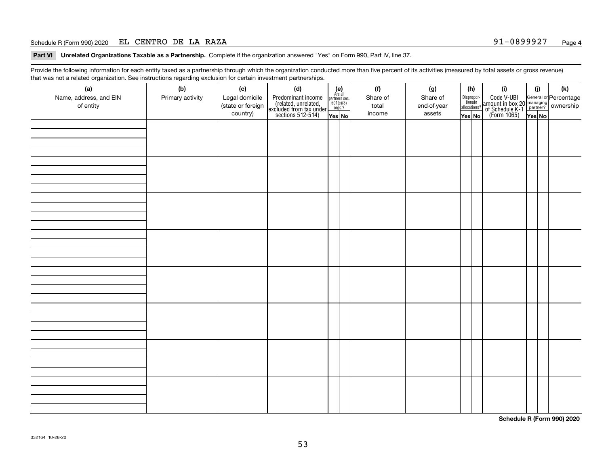### Schedule R (Form 990) 2020 Page EL CENTRO DE LA RAZA 91-0899927

**Part VI Unrelated Organizations Taxable as a Partnership. Complete if the organization answered "Yes" on Form 990, Part IV, line 37.** 

Provide the following information for each entity taxed as a partnership through which the organization conducted more than five percent of its activities (measured by total assets or gross revenue) that was not a related organization. See instructions regarding exclusion for certain investment partnerships.

| ັ                      | ັ<br>ັ           |                   | . .                                                                                        |                                                                                                                 |  |          |             |                                  |                                                                                                  |        |     |  |
|------------------------|------------------|-------------------|--------------------------------------------------------------------------------------------|-----------------------------------------------------------------------------------------------------------------|--|----------|-------------|----------------------------------|--------------------------------------------------------------------------------------------------|--------|-----|--|
| (a)                    | (b)              | (c)               | (d)                                                                                        | $\begin{array}{c} \textbf{(e)}\\ \text{Are all} \\ \text{partners sec}\\ 501(c)(3)\\ \text{orgs.?} \end{array}$ |  | (f)      | (g)         | (h)                              | (i)                                                                                              | (i)    | (k) |  |
| Name, address, and EIN | Primary activity | Legal domicile    |                                                                                            |                                                                                                                 |  | Share of | Share of    |                                  |                                                                                                  |        |     |  |
| of entity              |                  | (state or foreign |                                                                                            |                                                                                                                 |  | total    | end-of-year | Disproportionate<br>allocations? |                                                                                                  |        |     |  |
|                        |                  | country)          | Predominant income<br>(related, unrelated,<br>excluded from tax under<br>sections 512-514) | Yes No                                                                                                          |  | income   | assets      | Yes No                           | Code V-UBI<br>amount in box 20 managing<br>of Schedule K-1<br>(Form 1065)<br>$\overline{Yes}$ No | Yes No |     |  |
|                        |                  |                   |                                                                                            |                                                                                                                 |  |          |             |                                  |                                                                                                  |        |     |  |
|                        |                  |                   |                                                                                            |                                                                                                                 |  |          |             |                                  |                                                                                                  |        |     |  |
|                        |                  |                   |                                                                                            |                                                                                                                 |  |          |             |                                  |                                                                                                  |        |     |  |
|                        |                  |                   |                                                                                            |                                                                                                                 |  |          |             |                                  |                                                                                                  |        |     |  |
|                        |                  |                   |                                                                                            |                                                                                                                 |  |          |             |                                  |                                                                                                  |        |     |  |
|                        |                  |                   |                                                                                            |                                                                                                                 |  |          |             |                                  |                                                                                                  |        |     |  |
|                        |                  |                   |                                                                                            |                                                                                                                 |  |          |             |                                  |                                                                                                  |        |     |  |
|                        |                  |                   |                                                                                            |                                                                                                                 |  |          |             |                                  |                                                                                                  |        |     |  |
|                        |                  |                   |                                                                                            |                                                                                                                 |  |          |             |                                  |                                                                                                  |        |     |  |
|                        |                  |                   |                                                                                            |                                                                                                                 |  |          |             |                                  |                                                                                                  |        |     |  |
|                        |                  |                   |                                                                                            |                                                                                                                 |  |          |             |                                  |                                                                                                  |        |     |  |
|                        |                  |                   |                                                                                            |                                                                                                                 |  |          |             |                                  |                                                                                                  |        |     |  |
|                        |                  |                   |                                                                                            |                                                                                                                 |  |          |             |                                  |                                                                                                  |        |     |  |
|                        |                  |                   |                                                                                            |                                                                                                                 |  |          |             |                                  |                                                                                                  |        |     |  |
|                        |                  |                   |                                                                                            |                                                                                                                 |  |          |             |                                  |                                                                                                  |        |     |  |
|                        |                  |                   |                                                                                            |                                                                                                                 |  |          |             |                                  |                                                                                                  |        |     |  |
|                        |                  |                   |                                                                                            |                                                                                                                 |  |          |             |                                  |                                                                                                  |        |     |  |
|                        |                  |                   |                                                                                            |                                                                                                                 |  |          |             |                                  |                                                                                                  |        |     |  |
|                        |                  |                   |                                                                                            |                                                                                                                 |  |          |             |                                  |                                                                                                  |        |     |  |
|                        |                  |                   |                                                                                            |                                                                                                                 |  |          |             |                                  |                                                                                                  |        |     |  |
|                        |                  |                   |                                                                                            |                                                                                                                 |  |          |             |                                  |                                                                                                  |        |     |  |
|                        |                  |                   |                                                                                            |                                                                                                                 |  |          |             |                                  |                                                                                                  |        |     |  |
|                        |                  |                   |                                                                                            |                                                                                                                 |  |          |             |                                  |                                                                                                  |        |     |  |
|                        |                  |                   |                                                                                            |                                                                                                                 |  |          |             |                                  |                                                                                                  |        |     |  |
|                        |                  |                   |                                                                                            |                                                                                                                 |  |          |             |                                  |                                                                                                  |        |     |  |
|                        |                  |                   |                                                                                            |                                                                                                                 |  |          |             |                                  |                                                                                                  |        |     |  |
|                        |                  |                   |                                                                                            |                                                                                                                 |  |          |             |                                  |                                                                                                  |        |     |  |
|                        |                  |                   |                                                                                            |                                                                                                                 |  |          |             |                                  |                                                                                                  |        |     |  |
|                        |                  |                   |                                                                                            |                                                                                                                 |  |          |             |                                  |                                                                                                  |        |     |  |
|                        |                  |                   |                                                                                            |                                                                                                                 |  |          |             |                                  |                                                                                                  |        |     |  |
|                        |                  |                   |                                                                                            |                                                                                                                 |  |          |             |                                  |                                                                                                  |        |     |  |
|                        |                  |                   |                                                                                            |                                                                                                                 |  |          |             |                                  |                                                                                                  |        |     |  |
|                        |                  |                   |                                                                                            |                                                                                                                 |  |          |             |                                  |                                                                                                  |        |     |  |
|                        |                  |                   |                                                                                            |                                                                                                                 |  |          |             |                                  |                                                                                                  |        |     |  |
|                        |                  |                   |                                                                                            |                                                                                                                 |  |          |             |                                  |                                                                                                  |        |     |  |
|                        |                  |                   |                                                                                            |                                                                                                                 |  |          |             |                                  |                                                                                                  |        |     |  |
|                        |                  |                   |                                                                                            |                                                                                                                 |  |          |             |                                  |                                                                                                  |        |     |  |
|                        |                  |                   |                                                                                            |                                                                                                                 |  |          |             |                                  |                                                                                                  |        |     |  |
|                        |                  |                   |                                                                                            |                                                                                                                 |  |          |             |                                  |                                                                                                  |        |     |  |
|                        |                  |                   |                                                                                            |                                                                                                                 |  |          |             |                                  |                                                                                                  |        |     |  |

**Schedule R (Form 990) 2020**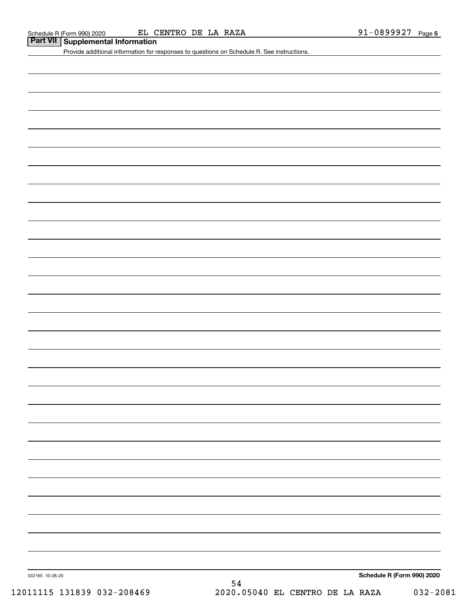### Schedule R (Form 990) 2020 EL CENTRO DE LA RAZA 9 $1\mathrm{-}0899927 Page$

# **Part VII Supplemental Information**

Provide additional information for responses to questions on Schedule R. See instructions.

**Schedule R (Form 990) 2020**

032165 10-28-20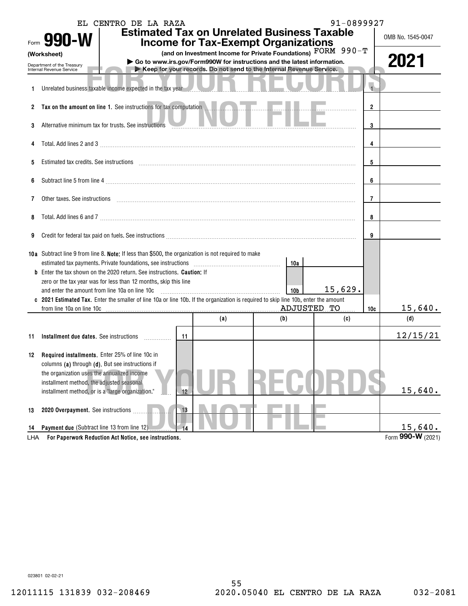|     | Form 990-W<br>(Worksheet)<br>Department of the Treasury<br>Internal Revenue Service                                     | EL CENTRO DE LA RAZA                                                                                                              |    |     | <b>Estimated Tax on Unrelated Business Taxable</b><br><b>Income for Tax-Exempt Organizations</b><br>(and on Investment Income for Private Foundations) FORM 990-T<br>Go to www.irs.gov/Form990W for instructions and the latest information.<br>Keep for your records. Do not send to the Internal Revenue Service. | 91-0899927 |                | OMB No. 1545-0047<br>2021 |
|-----|-------------------------------------------------------------------------------------------------------------------------|-----------------------------------------------------------------------------------------------------------------------------------|----|-----|---------------------------------------------------------------------------------------------------------------------------------------------------------------------------------------------------------------------------------------------------------------------------------------------------------------------|------------|----------------|---------------------------|
|     |                                                                                                                         | Unrelated business taxable income expected in the tax year                                                                        |    |     |                                                                                                                                                                                                                                                                                                                     |            | $\overline{1}$ |                           |
|     |                                                                                                                         | 2 Tax on the amount on line 1. See instructions for tax computation                                                               |    |     |                                                                                                                                                                                                                                                                                                                     |            | $\overline{2}$ |                           |
| 3   |                                                                                                                         | Alternative minimum tax for trusts. See instructions                                                                              |    |     |                                                                                                                                                                                                                                                                                                                     |            | 3              |                           |
|     |                                                                                                                         |                                                                                                                                   | 4  |     |                                                                                                                                                                                                                                                                                                                     |            |                |                           |
| 5   |                                                                                                                         | Estimated tax credits. See instructions entitled and contained and contained and contained tax credits. See instructions          |    |     |                                                                                                                                                                                                                                                                                                                     |            | 5              |                           |
| 6   |                                                                                                                         |                                                                                                                                   | 6  |     |                                                                                                                                                                                                                                                                                                                     |            |                |                           |
| 7   | Other taxes. See instructions <i>machines and accordinational content and accordinational content and accordination</i> |                                                                                                                                   | 7  |     |                                                                                                                                                                                                                                                                                                                     |            |                |                           |
| 8   |                                                                                                                         |                                                                                                                                   |    |     |                                                                                                                                                                                                                                                                                                                     |            |                |                           |
| 9   |                                                                                                                         |                                                                                                                                   |    |     |                                                                                                                                                                                                                                                                                                                     |            | 9              |                           |
|     | 10a Subtract line 9 from line 8. Note: If less than \$500, the organization is not required to make                     |                                                                                                                                   |    |     |                                                                                                                                                                                                                                                                                                                     |            |                |                           |
|     |                                                                                                                         | Enter the tax shown on the 2020 return. See instructions. <b>Caution:</b> If                                                      |    |     | 10a                                                                                                                                                                                                                                                                                                                 |            |                |                           |
|     | and enter the amount from line 10a on line 10c                                                                          | zero or the tax year was for less than 12 months, skip this line                                                                  |    |     | 10 <sub>b</sub>                                                                                                                                                                                                                                                                                                     | 15,629.    |                |                           |
|     |                                                                                                                         | 2021 Estimated Tax. Enter the smaller of line 10a or line 10b. If the organization is required to skip line 10b, enter the amount |    |     |                                                                                                                                                                                                                                                                                                                     |            |                |                           |
|     | from line 10a on line 10c                                                                                               |                                                                                                                                   |    |     | ADJUSTED TO                                                                                                                                                                                                                                                                                                         |            | 10c            | 15,640.                   |
|     |                                                                                                                         |                                                                                                                                   |    | (a) | (b)                                                                                                                                                                                                                                                                                                                 | (c)        |                | (d)                       |
| 11  |                                                                                                                         | Installment due dates. See instructions <i>manuforman</i>                                                                         | 11 |     |                                                                                                                                                                                                                                                                                                                     |            |                | 12/15/21                  |
|     |                                                                                                                         |                                                                                                                                   |    |     |                                                                                                                                                                                                                                                                                                                     |            |                |                           |
|     | 12 Required installments. Enter 25% of line 10c in                                                                      |                                                                                                                                   |    |     |                                                                                                                                                                                                                                                                                                                     |            |                |                           |
|     | columns (a) through (d). But see instructions if<br>the organization uses the annualized income                         |                                                                                                                                   |    |     |                                                                                                                                                                                                                                                                                                                     |            |                |                           |
|     | installment method, the adjusted seasonal                                                                               |                                                                                                                                   |    |     |                                                                                                                                                                                                                                                                                                                     |            |                |                           |
|     | installment method, or is a "large organization."                                                                       |                                                                                                                                   | 12 |     |                                                                                                                                                                                                                                                                                                                     |            |                | 15,640.                   |
| 13  | 2020 Overpayment. See instructions                                                                                      |                                                                                                                                   | 13 |     |                                                                                                                                                                                                                                                                                                                     |            |                |                           |
| 14  | Payment due (Subtract line 13 from line 12)                                                                             |                                                                                                                                   | 14 |     |                                                                                                                                                                                                                                                                                                                     |            |                | 15,640.                   |
| LHA |                                                                                                                         | For Paperwork Reduction Act Notice, see instructions.                                                                             |    |     |                                                                                                                                                                                                                                                                                                                     |            |                | Form 990-W (2021)         |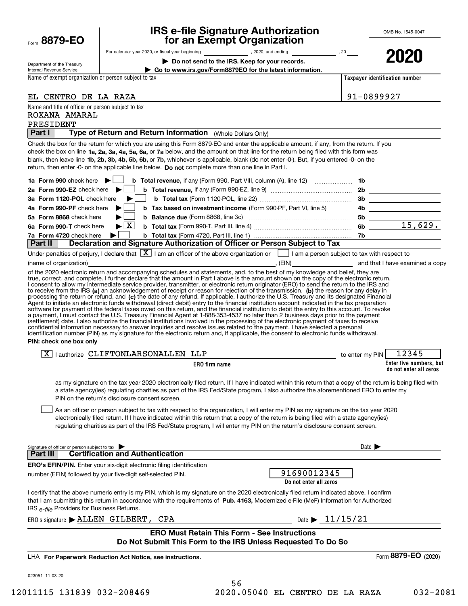| Form | 8879-1 |  | FΩ | ጋ |
|------|--------|--|----|---|
|------|--------|--|----|---|

# **IRS e-file Signature Authorization for an Exempt Organization**

| Department of the Treasury |
|----------------------------|
| Internal Revenue Service   |

ROXANA AMARAL

For calendar year 2020, or fiscal year beginning and the state of the state of the state of the state of the state of the state of the state of the state of the state of the state of the state of the state of the state of

**| Do not send to the IRS. Keep for your records.**

**| Go to www.irs.gov/Form8879EO for the latest information.**

**2020**

Name of exempt organization or person subject to tax

Name and title of officer or person subject to tax

EL CENTRO DE LA RAZA

**Taxpayer identification number**

| . o o o<br>--<br>╭. |
|---------------------|
|                     |

|          | PRESIDENT<br>Type of Return and Return Information (Whole Dollars Only)                                                                                                                                                                                                                      |                            |                                                   |
|----------|----------------------------------------------------------------------------------------------------------------------------------------------------------------------------------------------------------------------------------------------------------------------------------------------|----------------------------|---------------------------------------------------|
| Part I   |                                                                                                                                                                                                                                                                                              |                            |                                                   |
|          | Check the box for the return for which you are using this Form 8879-EO and enter the applicable amount, if any, from the return. If you<br>check the box on line 1a, 2a, 3a, 4a, 5a, 6a, or 7a below, and the amount on that line for the return being filed with this form was              |                            |                                                   |
|          | blank, then leave line 1b, 2b, 3b, 4b, 5b, 6b, or 7b, whichever is applicable, blank (do not enter -0-). But, if you entered -0- on the                                                                                                                                                      |                            |                                                   |
|          | return, then enter -0- on the applicable line below. Do not complete more than one line in Part I.                                                                                                                                                                                           |                            |                                                   |
|          | 1a Form 990 check here $\blacktriangleright$                                                                                                                                                                                                                                                 |                            |                                                   |
|          | 2a Form 990-EZ check here $\blacktriangleright$                                                                                                                                                                                                                                              |                            |                                                   |
|          | 3a Form 1120-POL check here<br>▶                                                                                                                                                                                                                                                             |                            |                                                   |
|          | b Tax based on investment income (Form 990-PF, Part VI, line 5) 4b ______________<br>4a Form 990-PF check here                                                                                                                                                                               |                            |                                                   |
|          | 5a Form 8868 check here<br><b>b</b> Balance due (Form 8868, line 3c) $\ldots$ 5b $\ldots$ 5b $\ldots$ 15, 629.                                                                                                                                                                               |                            |                                                   |
|          | $\blacktriangleright$ $\boxed{\text{X}}$<br>6a Form 990-T check here                                                                                                                                                                                                                         |                            |                                                   |
|          | D check here<br><b>Declaration and Signature Authorization of Officer or Person Subject to Tax</b><br>Declaration and Signature Authorization of Officer or Person Subject to Tax<br>7a Form 4720 check here                                                                                 |                            |                                                   |
| Part II  |                                                                                                                                                                                                                                                                                              |                            |                                                   |
|          | Under penalties of perjury, I declare that $\boxed{\mathbf{X}}$ I am an officer of the above organization or $\boxed{\phantom{\mathbf{X}}}$ I am a person subject to tax with respect to                                                                                                     |                            |                                                   |
|          | (name of organization) and that I have examined a copy of the state of organization) and that I have examined a copy                                                                                                                                                                         |                            |                                                   |
|          | of the 2020 electronic return and accompanying schedules and statements, and, to the best of my knowledge and belief, they are<br>true, correct, and complete. I further declare that the amount in Part I above is the amount shown on the copy of the electronic return.                   |                            |                                                   |
|          | I consent to allow my intermediate service provider, transmitter, or electronic return originator (ERO) to send the return to the IRS and                                                                                                                                                    |                            |                                                   |
|          | to receive from the IRS (a) an acknowledgement of receipt or reason for rejection of the transmission, (b) the reason for any delay in<br>processing the return or refund, and (c) the date of any refund. If applicable, I authorize the U.S. Treasury and its designated Financial         |                            |                                                   |
|          | Agent to initiate an electronic funds withdrawal (direct debit) entry to the financial institution account indicated in the tax preparation                                                                                                                                                  |                            |                                                   |
|          | software for payment of the federal taxes owed on this return, and the financial institution to debit the entry to this account. To revoke                                                                                                                                                   |                            |                                                   |
|          | a payment, I must contact the U.S. Treasury Financial Agent at 1-888-353-4537 no later than 2 business days prior to the payment<br>(settlement) date. I also authorize the financial institutions involved in the processing of the electronic payment of taxes to receive                  |                            |                                                   |
|          | confidential information necessary to answer inquiries and resolve issues related to the payment. I have selected a personal                                                                                                                                                                 |                            |                                                   |
|          | identification number (PIN) as my signature for the electronic return and, if applicable, the consent to electronic funds withdrawal.<br>PIN: check one box only                                                                                                                             |                            |                                                   |
|          |                                                                                                                                                                                                                                                                                              |                            |                                                   |
|          | $\boxed{X}$   authorize CLIFTONLARSONALLEN LLP<br><b>Example 10</b> to enter my PIN                                                                                                                                                                                                          |                            | 12345                                             |
|          | ERO firm name                                                                                                                                                                                                                                                                                |                            | Enter five numbers, but<br>do not enter all zeros |
|          | as my signature on the tax year 2020 electronically filed return. If I have indicated within this return that a copy of the return is being filed with<br>a state agency(ies) regulating charities as part of the IRS Fed/State program, I also authorize the aforementioned ERO to enter my |                            |                                                   |
|          | PIN on the return's disclosure consent screen.                                                                                                                                                                                                                                               |                            |                                                   |
|          | As an officer or person subject to tax with respect to the organization, I will enter my PIN as my signature on the tax year 2020                                                                                                                                                            |                            |                                                   |
|          | electronically filed return. If I have indicated within this return that a copy of the return is being filed with a state agency(ies)                                                                                                                                                        |                            |                                                   |
|          | regulating charities as part of the IRS Fed/State program, I will enter my PIN on the return's disclosure consent screen.                                                                                                                                                                    |                            |                                                   |
|          |                                                                                                                                                                                                                                                                                              |                            |                                                   |
|          | Signature of officer or person subject to tax                                                                                                                                                                                                                                                | Date $\blacktriangleright$ |                                                   |
| Part III | <b>Certification and Authentication</b>                                                                                                                                                                                                                                                      |                            |                                                   |
|          | ERO's EFIN/PIN. Enter your six-digit electronic filing identification                                                                                                                                                                                                                        |                            |                                                   |
|          | 91690012345<br>number (EFIN) followed by your five-digit self-selected PIN.<br>Do not enter all zeros                                                                                                                                                                                        |                            |                                                   |
|          | I certify that the above numeric entry is my PIN, which is my signature on the 2020 electronically filed return indicated above. I confirm                                                                                                                                                   |                            |                                                   |
|          | that I am submitting this return in accordance with the requirements of Pub. 4163, Modernized e-File (MeF) Information for Authorized                                                                                                                                                        |                            |                                                   |
|          | IRS e-file Providers for Business Returns.                                                                                                                                                                                                                                                   |                            |                                                   |
|          | Date $\triangleright$ 11/15/21<br>$ERO's signature$ $\blacktriangleright$ ALLEN GILBERT, CPA                                                                                                                                                                                                 |                            |                                                   |
|          | <b>ERO Must Retain This Form - See Instructions</b>                                                                                                                                                                                                                                          |                            |                                                   |
|          | Do Not Submit This Form to the IRS Unless Requested To Do So<br>LHA For Paperwork Reduction Act Notice, see instructions.                                                                                                                                                                    |                            | Form 8879-EO (2020)                               |

12011115 131839 032-208469 2020.05040 EL CENTRO DE LA RAZA 032-2081

56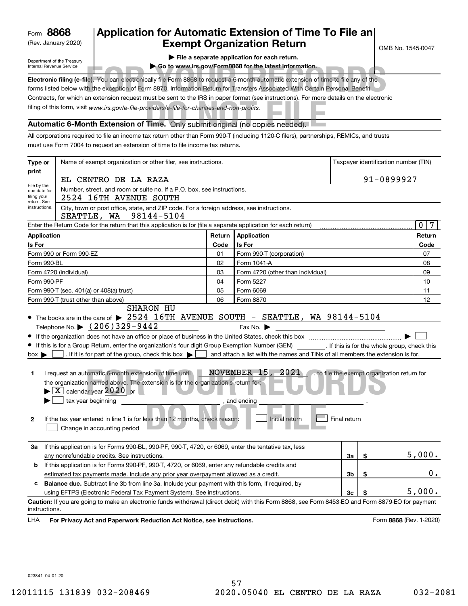(Rev. January 2020)

# **Application for Automatic Extension of Time To File an Exempt Organization Return**

OMB No. 1545-0047

Department of the Treasury Internal Revenue Service

|  |  |  | File a separate application for each return. |  |  |
|--|--|--|----------------------------------------------|--|--|
|--|--|--|----------------------------------------------|--|--|

**| Go to www.irs.gov/Form8868 for the latest information.**

| internal Revenue Service | GO to www.irs.dov/Formoodo for the latest information.                                                                                   |
|--------------------------|------------------------------------------------------------------------------------------------------------------------------------------|
|                          | Electronic filing (e-file). You can electronically file Form 8868 to request a 6-month automatic extension of time to file any of the    |
|                          | forms listed below with the exception of Form 8870, Information Return for Transfers Associated With Certain Personal Benefit.           |
|                          | Contracts, for which an extension request must be sent to the IRS in paper format (see instructions). For more details on the electronic |
|                          | filing of this form, visit www.irs.gov/e-file-providers/e-file-for-charities-and-non-profits.                                            |
|                          | Automatic 6-Month Extension of Time. Only submit original (no copies needed).                                                            |

All corporations required to file an income tax return other than Form 990-T (including 1120-C filers), partnerships, REMICs, and trusts must use Form 7004 to request an extension of time to file income tax returns.

| Type or                                    | Name of exempt organization or other filer, see instructions.                                                                                                                                                                                                                                                                                                                                                                                                                                                                                                              |        |                                                                                                                                       |              |    | Taxpayer identification number (TIN)         |
|--------------------------------------------|----------------------------------------------------------------------------------------------------------------------------------------------------------------------------------------------------------------------------------------------------------------------------------------------------------------------------------------------------------------------------------------------------------------------------------------------------------------------------------------------------------------------------------------------------------------------------|--------|---------------------------------------------------------------------------------------------------------------------------------------|--------------|----|----------------------------------------------|
| print                                      | EL CENTRO DE LA RAZA                                                                                                                                                                                                                                                                                                                                                                                                                                                                                                                                                       |        |                                                                                                                                       |              |    | 91-0899927                                   |
| File by the<br>due date for<br>filing your | Number, street, and room or suite no. If a P.O. box, see instructions.<br>2524 16TH AVENUE SOUTH                                                                                                                                                                                                                                                                                                                                                                                                                                                                           |        |                                                                                                                                       |              |    |                                              |
| return. See<br>instructions.               | City, town or post office, state, and ZIP code. For a foreign address, see instructions.<br>98144-5104<br>SEATTLE, WA                                                                                                                                                                                                                                                                                                                                                                                                                                                      |        |                                                                                                                                       |              |    |                                              |
|                                            | Enter the Return Code for the return that this application is for (file a separate application for each return)                                                                                                                                                                                                                                                                                                                                                                                                                                                            |        |                                                                                                                                       |              |    | $\mathbf 0$<br>7                             |
| <b>Application</b>                         |                                                                                                                                                                                                                                                                                                                                                                                                                                                                                                                                                                            | Return | Application                                                                                                                           |              |    | Return                                       |
| Is For                                     |                                                                                                                                                                                                                                                                                                                                                                                                                                                                                                                                                                            | Code   | <b>Is For</b>                                                                                                                         |              |    | Code                                         |
|                                            | Form 990 or Form 990-EZ                                                                                                                                                                                                                                                                                                                                                                                                                                                                                                                                                    | 01     | Form 990-T (corporation)                                                                                                              |              |    | 07                                           |
| Form 990-BL                                |                                                                                                                                                                                                                                                                                                                                                                                                                                                                                                                                                                            | 02     | Form 1041-A                                                                                                                           |              |    | 08                                           |
|                                            | Form 4720 (individual)                                                                                                                                                                                                                                                                                                                                                                                                                                                                                                                                                     | 03     | Form 4720 (other than individual)                                                                                                     |              |    | 09                                           |
| Form 990-PF                                |                                                                                                                                                                                                                                                                                                                                                                                                                                                                                                                                                                            | 04     | Form 5227                                                                                                                             |              |    | 10                                           |
|                                            | Form 990-T (sec. 401(a) or 408(a) trust)                                                                                                                                                                                                                                                                                                                                                                                                                                                                                                                                   | 05     | Form 6069                                                                                                                             |              |    | 11                                           |
|                                            | Form 990-T (trust other than above)<br><b>SHARON HU</b>                                                                                                                                                                                                                                                                                                                                                                                                                                                                                                                    | 06     | Form 8870                                                                                                                             |              |    | 12                                           |
| $box \triangleright$<br>1<br>$\mathbf{2}$  | If this is for a Group Return, enter the organization's four digit Group Exemption Number (GEN) [If this is for the whole group, check this<br>. If it is for part of the group, check this box $\blacktriangleright$<br>I request an automatic 6-month extension of time until<br>the organization named above. The extension is for the organization's return for:<br>$\blacktriangleright$ $\boxed{\text{X}}$ calendar year 2020 or<br>tax year beginning<br>If the tax year entered in line 1 is for less than 12 months, check reason:<br>Change in accounting period |        | and attach a list with the names and TINs of all members the extension is for.<br>NOVEMBER 15, 2021<br>, and ending<br>Initial return | Final return |    | , to file the exempt organization return for |
| За                                         | If this application is for Forms 990-BL, 990-PF, 990-T, 4720, or 6069, enter the tentative tax, less                                                                                                                                                                                                                                                                                                                                                                                                                                                                       |        |                                                                                                                                       |              |    |                                              |
|                                            | any nonrefundable credits. See instructions.                                                                                                                                                                                                                                                                                                                                                                                                                                                                                                                               |        |                                                                                                                                       | За           | \$ | 5,000.                                       |
|                                            | If this application is for Forms 990-PF, 990-T, 4720, or 6069, enter any refundable credits and<br>b<br>\$<br>estimated tax payments made. Include any prior year overpayment allowed as a credit.                                                                                                                                                                                                                                                                                                                                                                         |        |                                                                                                                                       |              | 0. |                                              |
| c                                          | <b>Balance due.</b> Subtract line 3b from line 3a. Include your payment with this form, if required, by                                                                                                                                                                                                                                                                                                                                                                                                                                                                    |        |                                                                                                                                       | 3b           |    |                                              |
|                                            | using EFTPS (Electronic Federal Tax Payment System). See instructions.                                                                                                                                                                                                                                                                                                                                                                                                                                                                                                     |        |                                                                                                                                       | 3c           |    | 5,000.                                       |
| instructions.<br>LHA                       | Caution: If you are going to make an electronic funds withdrawal (direct debit) with this Form 8868, see Form 8453-EO and Form 8879-EO for payment<br>For Privacy Act and Paperwork Reduction Act Notice, see instructions.                                                                                                                                                                                                                                                                                                                                                |        |                                                                                                                                       |              |    | Form 8868 (Rev. 1-2020)                      |

023841 04-01-20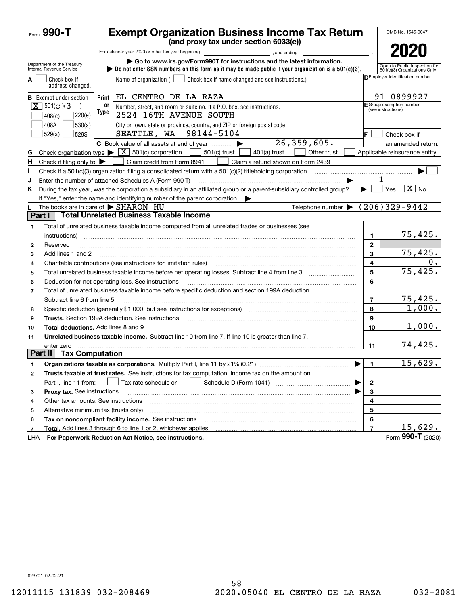|                | Form $990 - T$                                         |            | <b>Exempt Organization Business Income Tax Return</b>                                                                                                                                                                                                                                                                                 |                | OMB No. 1545-0047                                             |
|----------------|--------------------------------------------------------|------------|---------------------------------------------------------------------------------------------------------------------------------------------------------------------------------------------------------------------------------------------------------------------------------------------------------------------------------------|----------------|---------------------------------------------------------------|
|                |                                                        |            | (and proxy tax under section 6033(e))                                                                                                                                                                                                                                                                                                 |                |                                                               |
|                |                                                        |            | For calendar year 2020 or other tax year beginning<br>and ending,                                                                                                                                                                                                                                                                     |                | 2020                                                          |
|                | Department of the Treasury<br>Internal Revenue Service |            | Go to www.irs.gov/Form990T for instructions and the latest information.<br>bo not enter SSN numbers on this form as it may be made public if your organization is a $501(c)(3)$ .                                                                                                                                                     |                | Open to Public Inspection for<br>501(c)(3) Organizations Only |
| A              | Check box if<br>address changed.                       |            | Name of organization (<br>Check box if name changed and see instructions.)                                                                                                                                                                                                                                                            |                | DEmployer identification number                               |
|                | <b>B</b> Exempt under section                          | Print      | EL CENTRO DE LA RAZA                                                                                                                                                                                                                                                                                                                  |                | 91-0899927                                                    |
|                | $X$ 501(c)(3)<br>]220(e)<br>408(e)                     | 0ľ<br>Type | Number, street, and room or suite no. If a P.O. box, see instructions.<br>2524 16TH AVENUE SOUTH                                                                                                                                                                                                                                      |                | F Group exemption number<br>(see instructions)                |
|                | 408A<br> 530(a) <br>529S<br>529(a)                     |            | City or town, state or province, country, and ZIP or foreign postal code<br>SEATTLE, WA 98144-5104                                                                                                                                                                                                                                    | IF.            | Check box if                                                  |
|                |                                                        |            | 26,359,605.<br>C Book value of all assets at end of year<br>▶                                                                                                                                                                                                                                                                         |                | an amended return.                                            |
| G              |                                                        |            | Check organization type $\blacktriangleright \boxed{\textbf{X}}$ 501(c) corporation<br>$501(c)$ trust<br>$401(a)$ trust<br>Other trust                                                                                                                                                                                                |                | Applicable reinsurance entity                                 |
| н.             | Check if filing only to $\blacktriangleright$          |            | Claim credit from Form 8941<br>Claim a refund shown on Form 2439                                                                                                                                                                                                                                                                      |                |                                                               |
|                |                                                        |            |                                                                                                                                                                                                                                                                                                                                       |                |                                                               |
| J              |                                                        |            | Enter the number of attached Schedules A (Form 990-T)                                                                                                                                                                                                                                                                                 |                |                                                               |
| K.             |                                                        |            | During the tax year, was the corporation a subsidiary in an affiliated group or a parent-subsidiary controlled group?<br>If "Yes," enter the name and identifying number of the parent corporation.                                                                                                                                   |                | $\overline{X}$ No<br>Yes                                      |
|                |                                                        |            | The books are in care of $\triangleright$ SHARON HU<br>Telephone number $\blacktriangleright$                                                                                                                                                                                                                                         |                | $(206)329-9442$                                               |
| Part I         |                                                        |            | <b>Total Unrelated Business Taxable Income</b>                                                                                                                                                                                                                                                                                        |                |                                                               |
| 1              |                                                        |            | Total of unrelated business taxable income computed from all unrelated trades or businesses (see                                                                                                                                                                                                                                      |                |                                                               |
|                | instructions)                                          |            |                                                                                                                                                                                                                                                                                                                                       | 1              | 75,425.                                                       |
| 2              | Reserved                                               |            |                                                                                                                                                                                                                                                                                                                                       | $\mathbf{2}$   |                                                               |
| 3              | Add lines 1 and 2                                      |            |                                                                                                                                                                                                                                                                                                                                       | 3              | 75,425.                                                       |
| 4              |                                                        |            | Charitable contributions (see instructions for limitation rules)                                                                                                                                                                                                                                                                      | 4              | 0.                                                            |
| 5              |                                                        |            |                                                                                                                                                                                                                                                                                                                                       | 5              | 75,425.                                                       |
| 6              |                                                        |            | Deduction for net operating loss. See instructions                                                                                                                                                                                                                                                                                    | 6              |                                                               |
| $\overline{7}$ |                                                        |            | Total of unrelated business taxable income before specific deduction and section 199A deduction.                                                                                                                                                                                                                                      |                |                                                               |
|                | Subtract line 6 from line 5                            |            |                                                                                                                                                                                                                                                                                                                                       | $\overline{7}$ | 75,425.                                                       |
| 8              |                                                        |            | Specific deduction (generally \$1,000, but see instructions for exceptions) manufactured controller and the set                                                                                                                                                                                                                       | 8              | 1,000.                                                        |
| 9              |                                                        |            |                                                                                                                                                                                                                                                                                                                                       | 9              |                                                               |
| 10             | Total deductions. Add lines 8 and 9                    |            | $\begin{bmatrix} \begin{bmatrix} 0 & 0 & 0 & 0 \\ 0 & 0 & 0 & 0 \\ 0 & 0 & 0 & 0 \\ 0 & 0 & 0 & 0 \\ 0 & 0 & 0 & 0 \\ 0 & 0 & 0 & 0 \\ 0 & 0 & 0 & 0 \\ 0 & 0 & 0 & 0 \\ 0 & 0 & 0 & 0 & 0 \\ 0 & 0 & 0 & 0 & 0 \\ 0 & 0 & 0 & 0 & 0 \\ 0 & 0 & 0 & 0 & 0 \\ 0 & 0 & 0 & 0 & 0 \\ 0 & 0 & 0 & 0 & 0 \\ 0 & 0 & 0 & 0 & 0 \\ 0 & 0 & $ | 10             | 1,000.                                                        |
| 11             |                                                        |            | Unrelated business taxable income. Subtract line 10 from line 7. If line 10 is greater than line 7.                                                                                                                                                                                                                                   |                |                                                               |
|                | enter zero                                             |            |                                                                                                                                                                                                                                                                                                                                       | 11             | 74,425.                                                       |
| Part II        | <b>Tax Computation</b>                                 |            |                                                                                                                                                                                                                                                                                                                                       |                |                                                               |
|                |                                                        |            | Organizations taxable as corporations. Multiply Part I, line 11 by 21% (0.21)                                                                                                                                                                                                                                                         | 1              | 15,629.                                                       |
| 2              |                                                        |            | Trusts taxable at trust rates. See instructions for tax computation. Income tax on the amount on                                                                                                                                                                                                                                      |                |                                                               |
|                | Part I, line 11 from:                                  |            | Tax rate schedule or                                                                                                                                                                                                                                                                                                                  | $\mathbf 2$    |                                                               |
| з              | Proxy tax. See instructions                            |            |                                                                                                                                                                                                                                                                                                                                       | 3              |                                                               |
| 4              | Other tax amounts. See instructions                    |            |                                                                                                                                                                                                                                                                                                                                       | 4              |                                                               |
| 5              | Alternative minimum tax (trusts only)                  |            |                                                                                                                                                                                                                                                                                                                                       | 5              |                                                               |
| 6              |                                                        |            | Tax on noncompliant facility income. See instructions                                                                                                                                                                                                                                                                                 | 6              |                                                               |
| 7              |                                                        |            | Total. Add lines 3 through 6 to line 1 or 2, whichever applies                                                                                                                                                                                                                                                                        | $\overline{7}$ | 15,629.                                                       |
| LHA            |                                                        |            | For Paperwork Reduction Act Notice, see instructions.                                                                                                                                                                                                                                                                                 |                | Form 990-T (2020)                                             |

023701 02-02-21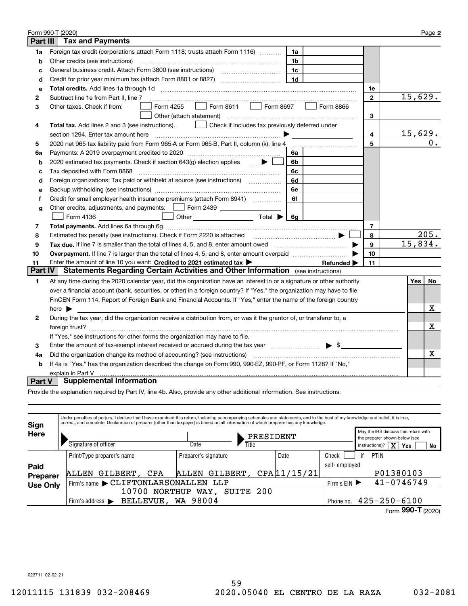|                 | Form 990-T (2020)                                                                                                                                                                                                              |             |  | Page 2         |    |
|-----------------|--------------------------------------------------------------------------------------------------------------------------------------------------------------------------------------------------------------------------------|-------------|--|----------------|----|
| <b>Part III</b> | <b>Tax and Payments</b>                                                                                                                                                                                                        |             |  |                |    |
| 1a              | Foreign tax credit (corporations attach Form 1118; trusts attach Form 1116)<br>1a                                                                                                                                              |             |  |                |    |
| b               | Other credits (see instructions)<br>1b                                                                                                                                                                                         |             |  |                |    |
| C               | 1c                                                                                                                                                                                                                             |             |  |                |    |
| d               | 1 <sub>d</sub>                                                                                                                                                                                                                 |             |  |                |    |
| e               |                                                                                                                                                                                                                                | 1e          |  |                |    |
| 2               | Subtract line 1e from Part II, line 7                                                                                                                                                                                          | $\mathbf 2$ |  | 15,629.        |    |
| 3               | Form 8611<br>Form 8697<br>Form 4255<br>Form 8866<br>Other taxes. Check if from:<br>$\mathbf{1}$                                                                                                                                |             |  |                |    |
|                 | Other (attach statement)                                                                                                                                                                                                       | 3           |  |                |    |
| 4               | Check if includes tax previously deferred under<br><b>Total tax.</b> Add lines 2 and 3 (see instructions).                                                                                                                     |             |  |                |    |
|                 | section 1294. Enter tax amount here                                                                                                                                                                                            | 4           |  | <u>15,629.</u> |    |
| 5               | 2020 net 965 tax liability paid from Form 965-A or Form 965-B, Part II, column (k), line 4                                                                                                                                     | 5           |  |                | 0. |
| 6a              | Payments: A 2019 overpayment credited to 2020 [11] [11] maximum materials: A 2019 overpayment credited to 2020<br>6а                                                                                                           |             |  |                |    |
| b               | 2020 estimated tax payments. Check if section 643(g) election applies<br>6b                                                                                                                                                    |             |  |                |    |
| c               | Tax deposited with Form 8868<br>6c                                                                                                                                                                                             |             |  |                |    |
| d               | Foreign organizations: Tax paid or withheld at source (see instructions) [<br>6d                                                                                                                                               |             |  |                |    |
| е               | 6e                                                                                                                                                                                                                             |             |  |                |    |
| f               | Credit for small employer health insurance premiums (attach Form 8941) [<br>6f                                                                                                                                                 |             |  |                |    |
| g               | Other credits, adjustments, and payments:   Form 2439                                                                                                                                                                          |             |  |                |    |
|                 | Other $\overline{\hspace{1cm}}$ Total $\blacktriangleright$ $\overline{\hspace{1cm}}$ 6g<br>Form 4136                                                                                                                          |             |  |                |    |
| 7               |                                                                                                                                                                                                                                | 7           |  |                |    |
| 8               | Estimated tax penalty (see instructions). Check if Form 2220 is attached                                                                                                                                                       | 8           |  | 205.           |    |
| 9               | Tax due. If line 7 is smaller than the total of lines 4, 5, and 8, enter amount owed <i>musicanal community conduction</i>                                                                                                     | 9           |  | 15,834.        |    |
| 10              |                                                                                                                                                                                                                                | 10          |  |                |    |
| 11              | Enter the amount of line 10 you want: Credited to 2021 estimated tax ><br>Refunded >                                                                                                                                           | 11          |  |                |    |
| <b>Part IV</b>  | Statements Regarding Certain Activities and Other Information (see instructions)                                                                                                                                               |             |  |                |    |
| 1               | At any time during the 2020 calendar year, did the organization have an interest in or a signature or other authority                                                                                                          |             |  | Yes  <br>No    |    |
|                 | over a financial account (bank, securities, or other) in a foreign country? If "Yes," the organization may have to file                                                                                                        |             |  |                |    |
|                 | FinCEN Form 114, Report of Foreign Bank and Financial Accounts. If "Yes," enter the name of the foreign country                                                                                                                |             |  |                |    |
|                 | here $\blacktriangleright$                                                                                                                                                                                                     |             |  | х              |    |
| 2               | During the tax year, did the organization receive a distribution from, or was it the grantor of, or transferor to, a                                                                                                           |             |  |                |    |
|                 |                                                                                                                                                                                                                                |             |  | Х              |    |
|                 | If "Yes," see instructions for other forms the organization may have to file.                                                                                                                                                  |             |  |                |    |
| 3               | Enter the amount of tax-exempt interest received or accrued during the tax year match states and the summary states and states and the states of the amount of tax-exempt interest received or accrued during the tax year mat |             |  |                |    |
| 4a              | Did the organization change its method of accounting? (see instructions)                                                                                                                                                       |             |  |                | x  |
| b               | If 4a is "Yes," has the organization described the change on Form 990, 990-EZ, 990-PF, or Form 1128? If "No,"                                                                                                                  |             |  |                |    |
|                 | explain in Part V                                                                                                                                                                                                              |             |  |                |    |
| Part V          | <b>Supplemental Information</b>                                                                                                                                                                                                |             |  |                |    |

Provide the explanation required by Part IV, line 4b. Also, provide any other additional information. See instructions.

| Sign            | Under penalties of perjury, I declare that I have examined this return, including accompanying schedules and statements, and to the best of my knowledge and belief, it is true,<br>correct, and complete. Declaration of preparer (other than taxpayer) is based on all information of which preparer has any knowledge. |                      |           |             |               |    |                                                                       |    |
|-----------------|---------------------------------------------------------------------------------------------------------------------------------------------------------------------------------------------------------------------------------------------------------------------------------------------------------------------------|----------------------|-----------|-------------|---------------|----|-----------------------------------------------------------------------|----|
| Here            |                                                                                                                                                                                                                                                                                                                           |                      | PRESIDENT |             |               |    | May the IRS discuss this return with<br>the preparer shown below (see |    |
|                 | Signature of officer                                                                                                                                                                                                                                                                                                      | Date                 | Title     |             |               |    | instructions)? $\boxed{\mathbf{X}}$ Yes                               | No |
|                 | Print/Type preparer's name                                                                                                                                                                                                                                                                                                | Preparer's signature |           | Date        | Check         | if | PTIN                                                                  |    |
| Paid            |                                                                                                                                                                                                                                                                                                                           |                      |           |             | self-employed |    |                                                                       |    |
| Preparer        | GILBERT, CPA<br>ALLEN                                                                                                                                                                                                                                                                                                     | GILBERT,<br>ALLEN    |           | CPA11/15/21 |               |    | P01380103                                                             |    |
| <b>Use Only</b> | Firm's name CLIFTONLARSONALLEN LLP                                                                                                                                                                                                                                                                                        |                      |           |             | Firm's $EIN$  |    | $41 - 0746749$                                                        |    |
|                 | 10700<br>NORTHUP                                                                                                                                                                                                                                                                                                          | SUITE 200<br>WAY,    |           |             |               |    |                                                                       |    |
|                 | BELLEVUE, WA 98004<br>Firm's address $\blacktriangleright$                                                                                                                                                                                                                                                                |                      |           |             | Phone no.     |    | $425 - 250 - 6100$                                                    |    |
|                 |                                                                                                                                                                                                                                                                                                                           |                      |           |             |               |    | 000T                                                                  |    |

023711 02-02-21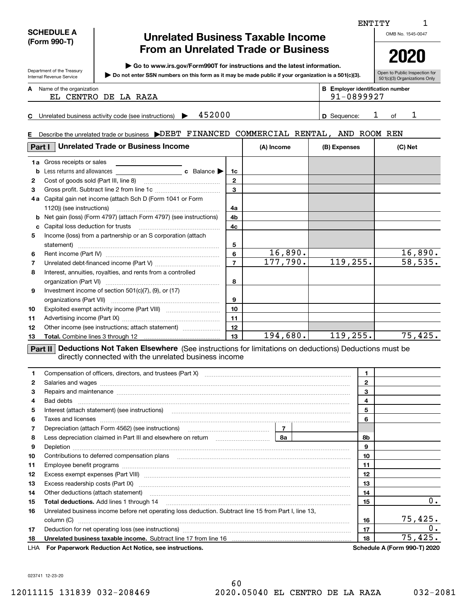|        | <b>SCHEDULE A</b><br>(Form 990-T)                             | <b>Unrelated Business Taxable Income</b>                                                                                                                                                                                       |                                                                         | OMB No. 1545-0047 |              |              |                                |
|--------|---------------------------------------------------------------|--------------------------------------------------------------------------------------------------------------------------------------------------------------------------------------------------------------------------------|-------------------------------------------------------------------------|-------------------|--------------|--------------|--------------------------------|
|        |                                                               | <b>From an Unrelated Trade or Business</b>                                                                                                                                                                                     |                                                                         |                   |              |              |                                |
|        |                                                               | Go to www.irs.gov/Form990T for instructions and the latest information.                                                                                                                                                        |                                                                         |                   |              |              | 2020                           |
|        | Department of the Treasury<br><b>Internal Revenue Service</b> | Do not enter SSN numbers on this form as it may be made public if your organization is a 501(c)(3).                                                                                                                            | Open to Public Inspection for                                           |                   |              |              |                                |
|        | <b>A</b> Name of the organization                             |                                                                                                                                                                                                                                | 501(c)(3) Organizations Only<br><b>B</b> Employer identification number |                   |              |              |                                |
|        |                                                               | EL CENTRO DE LA RAZA                                                                                                                                                                                                           |                                                                         |                   | 91-0899927   |              |                                |
|        |                                                               |                                                                                                                                                                                                                                |                                                                         |                   |              |              |                                |
|        |                                                               | 452000<br>C Unrelated business activity code (see instructions) $\blacktriangleright$                                                                                                                                          |                                                                         |                   | D Sequence:  | ı            | 1<br>of                        |
| Е.     |                                                               | Describe the unrelated trade or business DDEBT FINANCED COMMERCIAL RENTAL, AND ROOM REN                                                                                                                                        |                                                                         |                   |              |              |                                |
|        |                                                               | <b>Part I</b> Unrelated Trade or Business Income                                                                                                                                                                               |                                                                         | (A) Income        | (B) Expenses |              | (C) Net                        |
|        | <b>1a</b> Gross receipts or sales                             |                                                                                                                                                                                                                                |                                                                         |                   |              |              |                                |
| b      | Less returns and allowances                                   | <b>c</b> Balance                                                                                                                                                                                                               | 1c                                                                      |                   |              |              |                                |
| 2      |                                                               |                                                                                                                                                                                                                                | $\mathbf{2}$                                                            |                   |              |              |                                |
| 3      |                                                               |                                                                                                                                                                                                                                | 3                                                                       |                   |              |              |                                |
|        |                                                               | 4a Capital gain net income (attach Sch D (Form 1041 or Form                                                                                                                                                                    |                                                                         |                   |              |              |                                |
|        | 1120)) (see instructions)                                     |                                                                                                                                                                                                                                | 4a                                                                      |                   |              |              |                                |
|        |                                                               | <b>b</b> Net gain (loss) (Form 4797) (attach Form 4797) (see instructions)                                                                                                                                                     | 4b                                                                      |                   |              |              |                                |
|        | Capital loss deduction for trusts                             |                                                                                                                                                                                                                                | 4c                                                                      |                   |              |              |                                |
| 5      |                                                               | Income (loss) from a partnership or an S corporation (attach                                                                                                                                                                   |                                                                         |                   |              |              |                                |
|        |                                                               |                                                                                                                                                                                                                                | 5                                                                       |                   |              |              |                                |
| 6      |                                                               |                                                                                                                                                                                                                                | 6                                                                       | 16,890.           |              |              | <u>16,890.</u>                 |
| 7      |                                                               |                                                                                                                                                                                                                                | $\overline{7}$                                                          | 177,790.          | 119, 255.    |              | 58, 535.                       |
| 8      |                                                               | Interest, annuities, royalties, and rents from a controlled                                                                                                                                                                    | 8                                                                       |                   |              |              |                                |
| 9      |                                                               | Investment income of section 501(c)(7), (9), or (17)                                                                                                                                                                           |                                                                         |                   |              |              |                                |
|        |                                                               |                                                                                                                                                                                                                                | 9                                                                       |                   |              |              |                                |
| 10     |                                                               |                                                                                                                                                                                                                                | 10                                                                      |                   |              |              |                                |
| 11     |                                                               |                                                                                                                                                                                                                                | 11                                                                      |                   |              |              |                                |
| 12     |                                                               | Other income (see instructions; attach statement)                                                                                                                                                                              | 12                                                                      |                   |              |              |                                |
| 13     | Total. Combine lines 3 through 12                             |                                                                                                                                                                                                                                | 13                                                                      | 194,680.          | 119, 255.    |              | 75,425.                        |
|        |                                                               |                                                                                                                                                                                                                                |                                                                         |                   |              |              |                                |
|        |                                                               | Part II Deductions Not Taken Elsewhere (See instructions for limitations on deductions) Deductions must be<br>directly connected with the unrelated business income                                                            |                                                                         |                   |              |              |                                |
| 1      |                                                               |                                                                                                                                                                                                                                |                                                                         |                   |              | 1.           |                                |
| 2      |                                                               | Salaries and wages with the continuum contract of the contract of the contract of the contract of the contract of the contract of the contract of the contract of the contract of the contract of the contract of the contract |                                                                         |                   |              | $\mathbf{2}$ |                                |
| 3      |                                                               | Repairs and maintenance measurements and maintenance measurements and maintenance measurements and maintenance                                                                                                                 |                                                                         |                   |              | 3            |                                |
| 4      | Bad debts                                                     |                                                                                                                                                                                                                                |                                                                         |                   |              | 4            |                                |
| 5      |                                                               | Interest (attach statement) (see instructions) www.communicalisation.communicalisations.communicalisations.                                                                                                                    |                                                                         |                   |              | 5<br>6       |                                |
| 6      |                                                               |                                                                                                                                                                                                                                |                                                                         |                   |              |              |                                |
| 7<br>8 |                                                               |                                                                                                                                                                                                                                |                                                                         |                   |              | 8b           |                                |
| 9      |                                                               |                                                                                                                                                                                                                                |                                                                         |                   |              | 9            |                                |
| 10     |                                                               |                                                                                                                                                                                                                                |                                                                         |                   |              | 10           |                                |
| 11     |                                                               |                                                                                                                                                                                                                                |                                                                         |                   |              | 11           |                                |
| 12     |                                                               |                                                                                                                                                                                                                                |                                                                         |                   |              | 12           |                                |
| 13     |                                                               | Excess exempt expenses (Part VIII) machines and continuum contract and contact the set of the contract of the                                                                                                                  |                                                                         |                   |              | 13           |                                |
| 14     |                                                               | Excess readership costs (Part IX) [11] [22] [23] [33] [34] [34] [34] [34] [35] [34] [35] [35] [35] [35] [35] [<br>Other deductions (attach statement)                                                                          |                                                                         |                   |              | 14           |                                |
| 15     |                                                               |                                                                                                                                                                                                                                |                                                                         |                   |              | 15           |                                |
| 16     |                                                               | Unrelated business income before net operating loss deduction. Subtract line 15 from Part I, line 13,                                                                                                                          |                                                                         |                   |              |              |                                |
|        |                                                               |                                                                                                                                                                                                                                |                                                                         |                   |              | 16           |                                |
| 17     |                                                               |                                                                                                                                                                                                                                |                                                                         |                   |              | 17           | 0.<br>75,425.<br>О.<br>75,425. |

023741 12-23-20

1 ENTITY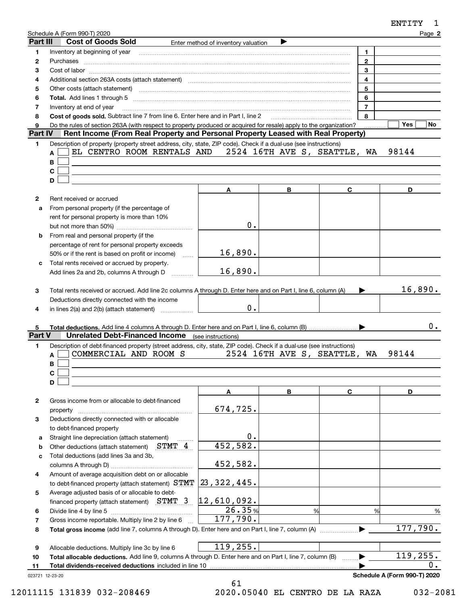|                 | Schedule A (Form 990-T) 2020                                                                                                                                                                                                   |                                                                                                                                                                                                                                                                                                                                                                                                                                               |                              |                | Page 2                       |
|-----------------|--------------------------------------------------------------------------------------------------------------------------------------------------------------------------------------------------------------------------------|-----------------------------------------------------------------------------------------------------------------------------------------------------------------------------------------------------------------------------------------------------------------------------------------------------------------------------------------------------------------------------------------------------------------------------------------------|------------------------------|----------------|------------------------------|
| Part III        | <b>Cost of Goods Sold</b>                                                                                                                                                                                                      | Enter method of inventory valuation                                                                                                                                                                                                                                                                                                                                                                                                           |                              |                |                              |
| 1               | Inventory at beginning of year                                                                                                                                                                                                 | $\begin{minipage}{0.5\textwidth} \begin{tabular}{ l l l } \hline & \multicolumn{1}{ l l } \hline & \multicolumn{1}{ l } \multicolumn{1}{ l } \hline \multicolumn{1}{ l } \multicolumn{1}{ l } \multicolumn{1}{ l } \multicolumn{1}{ l } \multicolumn{1}{ l } \multicolumn{1}{ l } \multicolumn{1}{ l } \multicolumn{1}{ l } \multicolumn{1}{ l } \multicolumn{1}{ l } \multicolumn{1}{ l } \multicolumn{1}{ l } \multicolumn{1}{ l } \multic$ |                              | 1              |                              |
| 2               |                                                                                                                                                                                                                                |                                                                                                                                                                                                                                                                                                                                                                                                                                               |                              | $\overline{2}$ |                              |
| 3               |                                                                                                                                                                                                                                |                                                                                                                                                                                                                                                                                                                                                                                                                                               |                              | 3              |                              |
| 4               | Additional section 263A costs (attach statement) material content and according to the Additional section 263A                                                                                                                 |                                                                                                                                                                                                                                                                                                                                                                                                                                               |                              | $\overline{4}$ |                              |
| 5               | Other costs (attach statement) manufactured and contract and contract and contract and contract and contract and contract and contract and contract and contract and contract and contract and contract and contract and contr |                                                                                                                                                                                                                                                                                                                                                                                                                                               |                              | 5              |                              |
| 6               | Total. Add lines 1 through 5 [11, 12] manuscription of the contract of the contract of the contract of the contract of the contract of the contract of the contract of the contract of the contract of the contract of the con |                                                                                                                                                                                                                                                                                                                                                                                                                                               |                              | 6              |                              |
| 7               | Inventory at end of year                                                                                                                                                                                                       |                                                                                                                                                                                                                                                                                                                                                                                                                                               |                              | $\overline{7}$ |                              |
| 8               | Cost of goods sold. Subtract line 7 from line 6. Enter here and in Part I, line 2                                                                                                                                              |                                                                                                                                                                                                                                                                                                                                                                                                                                               |                              | 8              |                              |
| 9               | Do the rules of section 263A (with respect to property produced or acquired for resale) apply to the organization?<br>Rent Income (From Real Property and Personal Property Leased with Real Property)                         |                                                                                                                                                                                                                                                                                                                                                                                                                                               |                              |                | Yes<br>No.                   |
| <b>Part IV</b>  |                                                                                                                                                                                                                                |                                                                                                                                                                                                                                                                                                                                                                                                                                               |                              |                |                              |
| 1               | Description of property (property street address, city, state, ZIP code). Check if a dual-use (see instructions)<br>EL CENTRO ROOM RENTALS AND 2524 16TH AVE S, SEATTLE, WA                                                    |                                                                                                                                                                                                                                                                                                                                                                                                                                               |                              |                | 98144                        |
|                 | A<br>B                                                                                                                                                                                                                         |                                                                                                                                                                                                                                                                                                                                                                                                                                               |                              |                |                              |
|                 | C                                                                                                                                                                                                                              |                                                                                                                                                                                                                                                                                                                                                                                                                                               |                              |                |                              |
|                 | D                                                                                                                                                                                                                              |                                                                                                                                                                                                                                                                                                                                                                                                                                               |                              |                |                              |
|                 |                                                                                                                                                                                                                                |                                                                                                                                                                                                                                                                                                                                                                                                                                               | В                            | C              | D                            |
|                 |                                                                                                                                                                                                                                | A                                                                                                                                                                                                                                                                                                                                                                                                                                             |                              |                |                              |
| $\mathbf{2}$    | Rent received or accrued<br>From personal property (if the percentage of                                                                                                                                                       |                                                                                                                                                                                                                                                                                                                                                                                                                                               |                              |                |                              |
| a               | rent for personal property is more than 10%                                                                                                                                                                                    |                                                                                                                                                                                                                                                                                                                                                                                                                                               |                              |                |                              |
|                 |                                                                                                                                                                                                                                | 0.                                                                                                                                                                                                                                                                                                                                                                                                                                            |                              |                |                              |
| b               | From real and personal property (if the                                                                                                                                                                                        |                                                                                                                                                                                                                                                                                                                                                                                                                                               |                              |                |                              |
|                 | percentage of rent for personal property exceeds                                                                                                                                                                               |                                                                                                                                                                                                                                                                                                                                                                                                                                               |                              |                |                              |
|                 | 50% or if the rent is based on profit or income)                                                                                                                                                                               | 16,890.                                                                                                                                                                                                                                                                                                                                                                                                                                       |                              |                |                              |
| c               | $\sim$<br>Total rents received or accrued by property.                                                                                                                                                                         |                                                                                                                                                                                                                                                                                                                                                                                                                                               |                              |                |                              |
|                 | Add lines 2a and 2b, columns A through D                                                                                                                                                                                       | 16,890.                                                                                                                                                                                                                                                                                                                                                                                                                                       |                              |                |                              |
|                 |                                                                                                                                                                                                                                |                                                                                                                                                                                                                                                                                                                                                                                                                                               |                              |                |                              |
| 3               | Total rents received or accrued. Add line 2c columns A through D. Enter here and on Part I, line 6, column (A)                                                                                                                 |                                                                                                                                                                                                                                                                                                                                                                                                                                               |                              |                | 16,890.                      |
|                 | Deductions directly connected with the income                                                                                                                                                                                  |                                                                                                                                                                                                                                                                                                                                                                                                                                               |                              |                |                              |
| 4               | in lines 2(a) and 2(b) (attach statement)                                                                                                                                                                                      | 0.                                                                                                                                                                                                                                                                                                                                                                                                                                            |                              |                |                              |
|                 |                                                                                                                                                                                                                                |                                                                                                                                                                                                                                                                                                                                                                                                                                               |                              |                |                              |
| 5               |                                                                                                                                                                                                                                |                                                                                                                                                                                                                                                                                                                                                                                                                                               |                              |                | 0.                           |
| Part V          | <b>Unrelated Debt-Financed Income</b> (see instructions)                                                                                                                                                                       |                                                                                                                                                                                                                                                                                                                                                                                                                                               |                              |                |                              |
| 1               | Description of debt-financed property (street address, city, state, ZIP code). Check if a dual-use (see instructions)                                                                                                          |                                                                                                                                                                                                                                                                                                                                                                                                                                               |                              |                |                              |
|                 | COMMERCIAL AND ROOM S<br>A                                                                                                                                                                                                     |                                                                                                                                                                                                                                                                                                                                                                                                                                               | 2524 16TH AVE S, SEATTLE, WA |                | 98144                        |
|                 | В                                                                                                                                                                                                                              |                                                                                                                                                                                                                                                                                                                                                                                                                                               |                              |                |                              |
|                 | C                                                                                                                                                                                                                              |                                                                                                                                                                                                                                                                                                                                                                                                                                               |                              |                |                              |
|                 | D                                                                                                                                                                                                                              |                                                                                                                                                                                                                                                                                                                                                                                                                                               |                              |                |                              |
|                 |                                                                                                                                                                                                                                | Α                                                                                                                                                                                                                                                                                                                                                                                                                                             | В                            | C              | D                            |
| 2               | Gross income from or allocable to debt-financed                                                                                                                                                                                |                                                                                                                                                                                                                                                                                                                                                                                                                                               |                              |                |                              |
|                 | property                                                                                                                                                                                                                       | 674,725.                                                                                                                                                                                                                                                                                                                                                                                                                                      |                              |                |                              |
| 3               | Deductions directly connected with or allocable                                                                                                                                                                                |                                                                                                                                                                                                                                                                                                                                                                                                                                               |                              |                |                              |
|                 | to debt-financed property                                                                                                                                                                                                      |                                                                                                                                                                                                                                                                                                                                                                                                                                               |                              |                |                              |
| а               | Straight line depreciation (attach statement)                                                                                                                                                                                  | $\mathbf 0$ .                                                                                                                                                                                                                                                                                                                                                                                                                                 |                              |                |                              |
| b               | Other deductions (attach statement) STMT 4                                                                                                                                                                                     | 452,582.                                                                                                                                                                                                                                                                                                                                                                                                                                      |                              |                |                              |
| c               | Total deductions (add lines 3a and 3b,                                                                                                                                                                                         |                                                                                                                                                                                                                                                                                                                                                                                                                                               |                              |                |                              |
|                 |                                                                                                                                                                                                                                | 452,582.                                                                                                                                                                                                                                                                                                                                                                                                                                      |                              |                |                              |
| 4               | Amount of average acquisition debt on or allocable                                                                                                                                                                             |                                                                                                                                                                                                                                                                                                                                                                                                                                               |                              |                |                              |
|                 | to debt-financed property (attach statement) STMT                                                                                                                                                                              | 23, 322, 445.                                                                                                                                                                                                                                                                                                                                                                                                                                 |                              |                |                              |
| 5               | Average adjusted basis of or allocable to debt-                                                                                                                                                                                |                                                                                                                                                                                                                                                                                                                                                                                                                                               |                              |                |                              |
|                 | financed property (attach statement) $STMT$ 3                                                                                                                                                                                  | $ 12$ ,610,092.                                                                                                                                                                                                                                                                                                                                                                                                                               |                              |                |                              |
| 6               | Divide line 4 by line 5                                                                                                                                                                                                        | 26.35%                                                                                                                                                                                                                                                                                                                                                                                                                                        | %                            | %              | %                            |
| 7               | Gross income reportable. Multiply line 2 by line 6                                                                                                                                                                             | 177,790.                                                                                                                                                                                                                                                                                                                                                                                                                                      |                              |                |                              |
| 8               |                                                                                                                                                                                                                                |                                                                                                                                                                                                                                                                                                                                                                                                                                               |                              |                | 177,790.                     |
|                 |                                                                                                                                                                                                                                |                                                                                                                                                                                                                                                                                                                                                                                                                                               |                              |                |                              |
| 9               | Allocable deductions. Multiply line 3c by line 6                                                                                                                                                                               | 119,255.                                                                                                                                                                                                                                                                                                                                                                                                                                      |                              |                |                              |
| 10              | Total allocable deductions. Add line 9, columns A through D. Enter here and on Part I, line 7, column (B)                                                                                                                      |                                                                                                                                                                                                                                                                                                                                                                                                                                               |                              |                | 119,255.                     |
| 11              | Total dividends-received deductions included in line 10                                                                                                                                                                        |                                                                                                                                                                                                                                                                                                                                                                                                                                               |                              |                | 0.                           |
| 023721 12-23-20 |                                                                                                                                                                                                                                |                                                                                                                                                                                                                                                                                                                                                                                                                                               |                              |                | Schedule A (Form 990-T) 2020 |
|                 |                                                                                                                                                                                                                                | 61                                                                                                                                                                                                                                                                                                                                                                                                                                            |                              |                |                              |

# 12011115 131839 032-208469 2020.05040 EL CENTRO DE LA RAZA 032-2081

ENTITY 1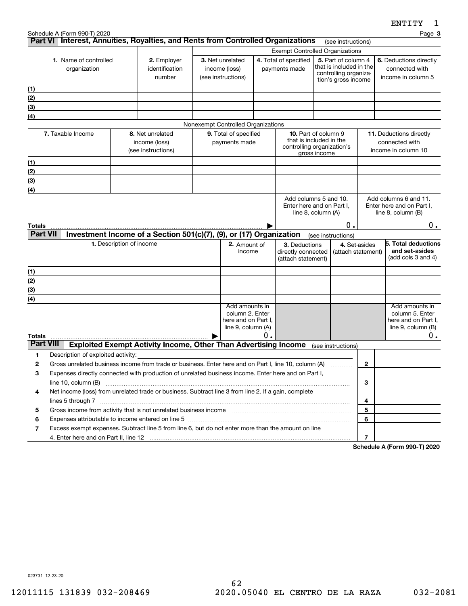|                                       |                                    |                                                                                                                                                                                                                                                     |                                                                                |    |                                                                                      |                    |                                                                                                |                    | <b>FIATTI</b>                                                                             |
|---------------------------------------|------------------------------------|-----------------------------------------------------------------------------------------------------------------------------------------------------------------------------------------------------------------------------------------------------|--------------------------------------------------------------------------------|----|--------------------------------------------------------------------------------------|--------------------|------------------------------------------------------------------------------------------------|--------------------|-------------------------------------------------------------------------------------------|
|                                       | Schedule A (Form 990-T) 2020       | Part VI Interest, Annuities, Royalties, and Rents from Controlled Organizations                                                                                                                                                                     |                                                                                |    |                                                                                      |                    | (see instructions)                                                                             |                    | Page 3                                                                                    |
|                                       |                                    |                                                                                                                                                                                                                                                     |                                                                                |    | <b>Exempt Controlled Organizations</b>                                               |                    |                                                                                                |                    |                                                                                           |
| 1. Name of controlled<br>organization |                                    | 2. Employer<br>identification<br>number                                                                                                                                                                                                             | 3. Net unrelated<br>income (loss)<br>(see instructions)                        |    | 4. Total of specified<br>payments made                                               |                    | 5. Part of column 4<br>that is included in the<br>controlling organiza-<br>tion's gross income |                    | 6. Deductions directly<br>connected with<br>income in column 5                            |
| (1)                                   |                                    |                                                                                                                                                                                                                                                     |                                                                                |    |                                                                                      |                    |                                                                                                |                    |                                                                                           |
| (2)                                   |                                    |                                                                                                                                                                                                                                                     |                                                                                |    |                                                                                      |                    |                                                                                                |                    |                                                                                           |
| (3)                                   |                                    |                                                                                                                                                                                                                                                     |                                                                                |    |                                                                                      |                    |                                                                                                |                    |                                                                                           |
| (4)                                   |                                    |                                                                                                                                                                                                                                                     |                                                                                |    |                                                                                      |                    |                                                                                                |                    |                                                                                           |
|                                       |                                    |                                                                                                                                                                                                                                                     | Nonexempt Controlled Organizations                                             |    |                                                                                      |                    |                                                                                                |                    |                                                                                           |
|                                       | 7. Taxable Income                  | 8. Net unrelated<br>income (loss)<br>(see instructions)                                                                                                                                                                                             | 9. Total of specified<br>payments made                                         |    | <b>10.</b> Part of column 9<br>that is included in the<br>controlling organization's | gross income       |                                                                                                |                    | 11. Deductions directly<br>connected with<br>income in column 10                          |
| (1)                                   |                                    |                                                                                                                                                                                                                                                     |                                                                                |    |                                                                                      |                    |                                                                                                |                    |                                                                                           |
| (2)                                   |                                    |                                                                                                                                                                                                                                                     |                                                                                |    |                                                                                      |                    |                                                                                                |                    |                                                                                           |
| (3)                                   |                                    |                                                                                                                                                                                                                                                     |                                                                                |    |                                                                                      |                    |                                                                                                |                    |                                                                                           |
| (4)                                   |                                    |                                                                                                                                                                                                                                                     |                                                                                |    |                                                                                      |                    |                                                                                                |                    |                                                                                           |
| Totals                                |                                    |                                                                                                                                                                                                                                                     |                                                                                |    | Enter here and on Part I,                                                            | line 8, column (A) | 0.                                                                                             |                    | Enter here and on Part I.<br>line $8$ , column $(B)$<br>$0$ .                             |
| <b>Part VII</b>                       |                                    | Investment Income of a Section 501(c)(7), (9), or (17) Organization                                                                                                                                                                                 |                                                                                |    |                                                                                      | (see instructions) |                                                                                                |                    |                                                                                           |
|                                       |                                    | 1. Description of income                                                                                                                                                                                                                            | 2. Amount of<br>income                                                         |    | 3. Deductions<br>directly connected<br>(attach statement)                            |                    | 4. Set-asides                                                                                  | (attach statement) | 5. Total deductions<br>and set-asides<br>(add cols 3 and 4)                               |
| (1)                                   |                                    |                                                                                                                                                                                                                                                     |                                                                                |    |                                                                                      |                    |                                                                                                |                    |                                                                                           |
| (2)                                   |                                    |                                                                                                                                                                                                                                                     |                                                                                |    |                                                                                      |                    |                                                                                                |                    |                                                                                           |
| $\frac{1}{(3)}$                       |                                    |                                                                                                                                                                                                                                                     |                                                                                |    |                                                                                      |                    |                                                                                                |                    |                                                                                           |
| (4)                                   |                                    |                                                                                                                                                                                                                                                     |                                                                                |    |                                                                                      |                    |                                                                                                |                    |                                                                                           |
| <b>Totals</b>                         |                                    |                                                                                                                                                                                                                                                     | Add amounts in<br>column 2. Enter<br>here and on Part I.<br>line 9, column (A) | О. |                                                                                      |                    |                                                                                                |                    | Add amounts in<br>column 5. Enter<br>here and on Part I.<br>line $9$ , column $(B)$<br>0. |
| <b>Part VIII</b>                      |                                    | <b>Exploited Exempt Activity Income, Other Than Advertising Income</b>                                                                                                                                                                              |                                                                                |    |                                                                                      | (see instructions) |                                                                                                |                    |                                                                                           |
| 1                                     | Description of exploited activity: |                                                                                                                                                                                                                                                     |                                                                                |    |                                                                                      |                    |                                                                                                |                    |                                                                                           |
| 2                                     |                                    | Gross unrelated business income from trade or business. Enter here and on Part I, line 10, column (A)                                                                                                                                               |                                                                                |    |                                                                                      |                    |                                                                                                | $\mathbf{2}$       |                                                                                           |
| з                                     |                                    | Expenses directly connected with production of unrelated business income. Enter here and on Part I,                                                                                                                                                 |                                                                                |    |                                                                                      |                    |                                                                                                |                    |                                                                                           |
|                                       | line 10, column (B)                |                                                                                                                                                                                                                                                     |                                                                                |    |                                                                                      |                    |                                                                                                | 3                  |                                                                                           |
| 4                                     |                                    | Net income (loss) from unrelated trade or business. Subtract line 3 from line 2. If a gain, complete                                                                                                                                                |                                                                                |    |                                                                                      |                    |                                                                                                |                    |                                                                                           |
|                                       | lines 5 through 7                  |                                                                                                                                                                                                                                                     |                                                                                |    |                                                                                      |                    |                                                                                                | 4                  |                                                                                           |
| 5                                     |                                    | Gross income from activity that is not unrelated business income [11] [11] content material contents income from activity that is not unrelated business income [11] [11] $\alpha$ [12] $\alpha$ [12] $\alpha$ [12] $\alpha$ [12] $\alpha$ [12] $\$ |                                                                                |    |                                                                                      |                    |                                                                                                | 5                  |                                                                                           |
| 6                                     |                                    | Expenses attributable to income entered on line 5 [111] [12] manufacture attributable to income entered on line 5                                                                                                                                   |                                                                                |    |                                                                                      |                    |                                                                                                | 6                  |                                                                                           |
| 7                                     |                                    | Excess exempt expenses. Subtract line 5 from line 6, but do not enter more than the amount on line                                                                                                                                                  |                                                                                |    |                                                                                      |                    |                                                                                                | 7                  |                                                                                           |

**Schedule A (Form 990-T) 2020**

023731 12-23-20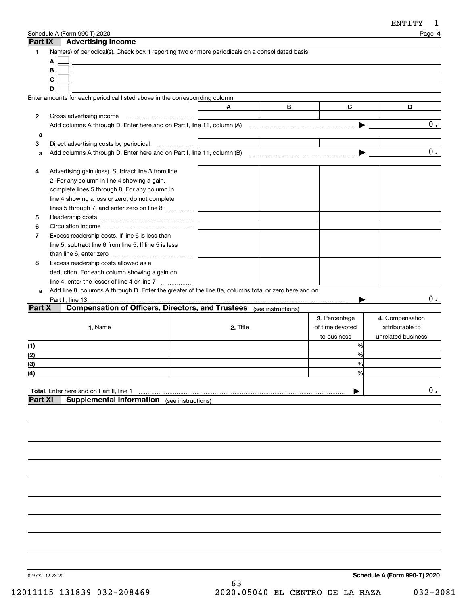| Part IX        | Schedule A (Form 990-T) 2020<br><b>Advertising Income</b>                                                      |          |   |                 | Page 4             |
|----------------|----------------------------------------------------------------------------------------------------------------|----------|---|-----------------|--------------------|
| 1              | Name(s) of periodical(s). Check box if reporting two or more periodicals on a consolidated basis.<br>A         |          |   |                 |                    |
|                | B                                                                                                              |          |   |                 |                    |
|                | C                                                                                                              |          |   |                 |                    |
|                | D                                                                                                              |          |   |                 |                    |
|                | Enter amounts for each periodical listed above in the corresponding column.                                    |          |   |                 |                    |
|                |                                                                                                                | A        | B | C               | D                  |
| 2              | Gross advertising income                                                                                       |          |   |                 | 0.                 |
|                | Add columns A through D. Enter here and on Part I, line 11, column (A) manufactured columns A through D. Enter |          |   |                 |                    |
| a              |                                                                                                                |          |   |                 |                    |
| 3              | Direct advertising costs by periodical                                                                         |          |   |                 | 0.                 |
| a              | Add columns A through D. Enter here and on Part I, line 11, column (B)                                         |          |   |                 |                    |
| 4              |                                                                                                                |          |   |                 |                    |
|                | Advertising gain (loss). Subtract line 3 from line<br>2. For any column in line 4 showing a gain,              |          |   |                 |                    |
|                | complete lines 5 through 8. For any column in                                                                  |          |   |                 |                    |
|                | line 4 showing a loss or zero, do not complete                                                                 |          |   |                 |                    |
|                | lines 5 through 7, and enter zero on line 8                                                                    |          |   |                 |                    |
| 5              |                                                                                                                |          |   |                 |                    |
| 6              |                                                                                                                |          |   |                 |                    |
| 7              | Excess readership costs. If line 6 is less than                                                                |          |   |                 |                    |
|                | line 5, subtract line 6 from line 5. If line 5 is less                                                         |          |   |                 |                    |
|                |                                                                                                                |          |   |                 |                    |
| 8              | Excess readership costs allowed as a                                                                           |          |   |                 |                    |
|                | deduction. For each column showing a gain on                                                                   |          |   |                 |                    |
|                |                                                                                                                |          |   |                 |                    |
| a              | Add line 8, columns A through D. Enter the greater of the line 8a, columns total or zero here and on           |          |   |                 |                    |
|                | Part II, line 13                                                                                               |          |   |                 | 0.                 |
| Part X         | Compensation of Officers, Directors, and Trustees (see instructions)                                           |          |   |                 |                    |
|                |                                                                                                                |          |   | 3. Percentage   | 4. Compensation    |
|                | 1. Name                                                                                                        | 2. Title |   | of time devoted | attributable to    |
|                |                                                                                                                |          |   | to business     | unrelated business |
| (1)            |                                                                                                                |          |   | %               |                    |
| (2)            |                                                                                                                |          |   | %               |                    |
| (3)            |                                                                                                                |          |   | %               |                    |
| (4)            |                                                                                                                |          |   | %               |                    |
|                |                                                                                                                |          |   |                 |                    |
|                | Total. Enter here and on Part II, line 1                                                                       |          |   |                 | $0$ .              |
| <b>Part XI</b> | <b>Supplemental Information</b> (see instructions)                                                             |          |   |                 |                    |
|                |                                                                                                                |          |   |                 |                    |

023732 12-23-20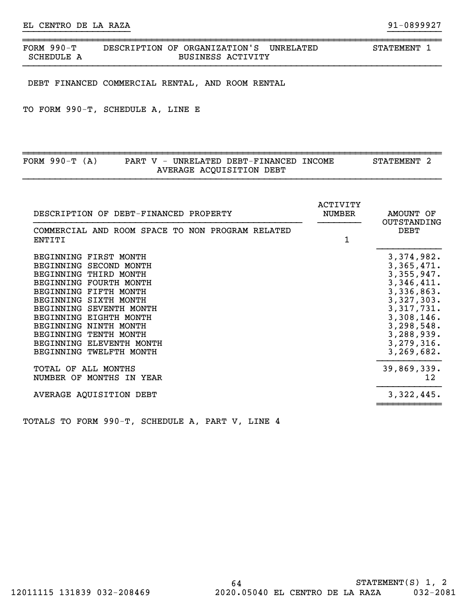| 990–ጥ<br>FORM | DESCRIPTION OF ORGANIZATION'S | <b>UNRELATED</b> | <b>STATEMENT</b> |
|---------------|-------------------------------|------------------|------------------|
| SCHEDULE      | <b>BUSINESS ACTIVITY</b>      |                  |                  |

}}}}}}}}}}}}}}}}}}}} }}}}}}}}}}

DEBT FINANCED COMMERCIAL RENTAL, AND ROOM RENTAL

TO FORM 990-T, SCHEDULE A, LINE E

| FORM $990-T (A)$ |  | PART V - UNRELATED DEBT-FINANCED INCOME | <b>STATEMENT</b> |  |
|------------------|--|-----------------------------------------|------------------|--|
|                  |  | AVERAGE ACQUISITION DEBT                |                  |  |

| <b>DEBT</b><br>COMMERCIAL AND ROOM SPACE TO NON PROGRAM RELATED<br>1<br>ENTITI<br>BEGINNING FIRST MONTH<br>BEGINNING SECOND MONTH<br>BEGINNING THIRD MONTH<br>BEGINNING FOURTH MONTH<br>BEGINNING FIFTH MONTH<br>BEGINNING SIXTH MONTH<br>BEGINNING SEVENTH MONTH<br>BEGINNING EIGHTH MONTH<br>BEGINNING NINTH MONTH<br>BEGINNING TENTH MONTH<br>BEGINNING ELEVENTH MONTH<br>BEGINNING TWELFTH MONTH<br>TOTAL OF<br>ALL MONTHS<br>NUMBER OF MONTHS IN YEAR<br>AVERAGE AQUISITION DEBT | DESCRIPTION OF DEBT-FINANCED PROPERTY | ACTIVITY<br><b>NUMBER</b><br>AMOUNT OF<br>OUTSTANDING                                                                                                                          |
|---------------------------------------------------------------------------------------------------------------------------------------------------------------------------------------------------------------------------------------------------------------------------------------------------------------------------------------------------------------------------------------------------------------------------------------------------------------------------------------|---------------------------------------|--------------------------------------------------------------------------------------------------------------------------------------------------------------------------------|
|                                                                                                                                                                                                                                                                                                                                                                                                                                                                                       |                                       |                                                                                                                                                                                |
|                                                                                                                                                                                                                                                                                                                                                                                                                                                                                       |                                       | 3, 374, 982.<br>3,365,471.<br>3,355,947.<br>3,346,411.<br>3,336,863.<br>3,327,303.<br>3,317,731.<br>3,308,146.<br>3, 298, 548.<br>3, 288, 939.<br>3, 279, 316.<br>3, 269, 682. |
|                                                                                                                                                                                                                                                                                                                                                                                                                                                                                       |                                       | 39,869,339.<br>12                                                                                                                                                              |
|                                                                                                                                                                                                                                                                                                                                                                                                                                                                                       |                                       | 3,322,445.                                                                                                                                                                     |

TOTALS TO FORM 990-T, SCHEDULE A, PART V, LINE 4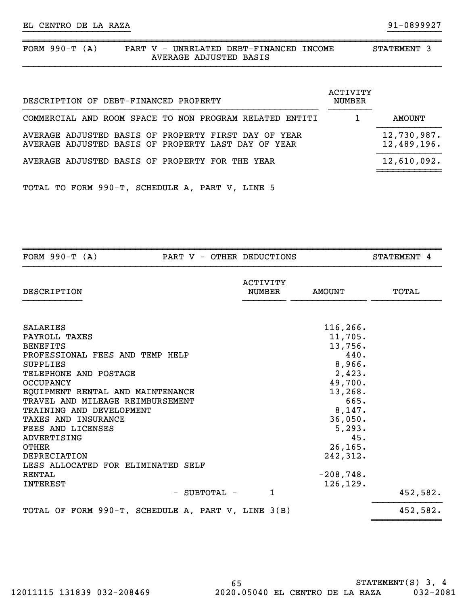| FORM $990-T$ | (A) | PART | - 77<br>$\overline{\phantom{0}}$ |  | UNRELATED DEBT-FINANCED | <b>INCOME</b> | <b>STATEMENT</b> |  |
|--------------|-----|------|----------------------------------|--|-------------------------|---------------|------------------|--|
|              |     |      |                                  |  | AVERAGE ADJUSTED BASIS  |               |                  |  |
|              |     |      |                                  |  |                         |               |                  |  |

}}}}}}}}}}}}}}}}}}}} }}}}}}}}}}

| DESCRIPTION OF DEBT-FINANCED PROPERTY                                                                       | ACTIVITY<br>NUMBER |                            |
|-------------------------------------------------------------------------------------------------------------|--------------------|----------------------------|
| COMMERCIAL AND ROOM SPACE TO NON PROGRAM RELATED ENTITI                                                     |                    | AMOUNT                     |
| AVERAGE ADJUSTED BASIS OF PROPERTY FIRST DAY OF YEAR<br>AVERAGE ADJUSTED BASIS OF PROPERTY LAST DAY OF YEAR |                    | 12,730,987.<br>12,489,196. |
| AVERAGE ADJUSTED BASIS OF PROPERTY FOR THE YEAR                                                             |                    | 12,610,092.                |
|                                                                                                             |                    |                            |

TOTAL TO FORM 990-T, SCHEDULE A, PART V, LINE 5

| FORM $990-T (A)$                                   | PART V - OTHER DEDUCTIONS        |               | STATEMENT 4 |
|----------------------------------------------------|----------------------------------|---------------|-------------|
| DESCRIPTION                                        | <b>ACTIVITY</b><br><b>NUMBER</b> | <b>AMOUNT</b> | TOTAL       |
|                                                    |                                  |               |             |
| <b>SALARIES</b>                                    |                                  | 116, 266.     |             |
| PAYROLL TAXES                                      |                                  | 11,705.       |             |
| <b>BENEFITS</b>                                    |                                  | 13,756.       |             |
| PROFESSIONAL FEES AND TEMP HELP                    |                                  | 440.          |             |
| <b>SUPPLIES</b>                                    |                                  | 8,966.        |             |
| TELEPHONE AND POSTAGE                              |                                  | 2,423.        |             |
| <b>OCCUPANCY</b>                                   |                                  | 49,700.       |             |
| EQUIPMENT RENTAL AND MAINTENANCE                   |                                  | 13,268.       |             |
| TRAVEL AND MILEAGE REIMBURSEMENT                   |                                  | 665.          |             |
| TRAINING AND DEVELOPMENT                           |                                  | 8,147.        |             |
| <b>TAXES AND INSURANCE</b>                         |                                  | 36,050.       |             |
| FEES AND LICENSES                                  |                                  | 5,293.        |             |
| ADVERTISING                                        |                                  | 45.           |             |
| <b>OTHER</b>                                       |                                  | 26, 165.      |             |
| <b>DEPRECIATION</b>                                |                                  | 242,312.      |             |
| LESS ALLOCATED FOR ELIMINATED SELF                 |                                  |               |             |
| RENTAL                                             |                                  | $-208,748.$   |             |
| <b>INTEREST</b>                                    |                                  | 126, 129.     |             |
| - SUBTOTAL -                                       | $\mathbf{1}$                     |               | 452,582.    |
| TOTAL OF FORM 990-T, SCHEDULE A, PART V, LINE 3(B) |                                  |               | 452,582.    |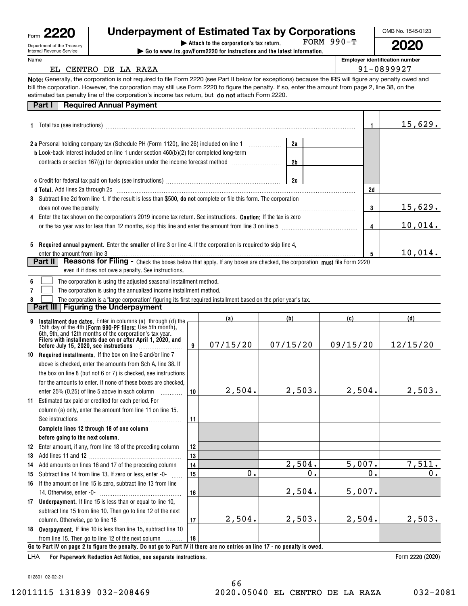| Form | M<br>π<br>٧<br>T |
|------|------------------|
|      |                  |

| 20         | <b>Underpayment of Estimated Tax by Corporations</b> |            |
|------------|------------------------------------------------------|------------|
| e Treasury | Attach to the corporation's tax return.              | FORM 990-T |

**| Go to www.irs.gov/Form2220 for instructions and the latest information.** FORM 990-T OMB No. 1545-0123 **2020**

| Department of the Treasury<br>Internal Revenue Service |
|--------------------------------------------------------|
| . .                                                    |

# Name

**Employer identification number**

# EL CENTRO DE LA RAZA  $\vert$  91-0899927

**Note:**Generally, the corporation is not required to file Form 2220 (see Part II below for exceptions) because the IRS will figure any penalty owed and bill the corporation. However, the corporation may still use Form 2220 to figure the penalty. If so, enter the amount from page 2, line 38, on the estimated tax penalty line of the corporation's income tax return, but **do not** attach Form 2220.

|  | <b>Part I</b> Required Annual Payment |
|--|---------------------------------------|

|   | raı ı ı<br>Regulied Annual Payment                                                                                                                                                                                             |                  |          |                |    |          |              |          |
|---|--------------------------------------------------------------------------------------------------------------------------------------------------------------------------------------------------------------------------------|------------------|----------|----------------|----|----------|--------------|----------|
|   | 1 Total tax (see instructions) manufacture and content to the set of the set of the set of the set of the set of the set of the set of the set of the set of the set of the set of the set of the set of the set of the set of |                  |          |                |    |          | $\mathbf{1}$ | 15,629.  |
|   |                                                                                                                                                                                                                                |                  |          |                |    |          |              |          |
|   |                                                                                                                                                                                                                                |                  |          | 2a             |    |          |              |          |
|   | <b>b</b> Look-back interest included on line 1 under section 460(b)(2) for completed long-term                                                                                                                                 |                  |          |                |    |          |              |          |
|   | contracts or section 167(g) for depreciation under the income forecast method [                                                                                                                                                |                  |          | 2 <sub>b</sub> |    |          |              |          |
|   |                                                                                                                                                                                                                                |                  |          |                |    |          |              |          |
|   |                                                                                                                                                                                                                                |                  |          | 2c             |    |          |              |          |
|   | d Total. Add lines 2a through 2c [11] matter contract the contract of the contract of the contract of the contract of the contract of the contract of the contract of the contract of the contract of the contract of the cont |                  |          |                |    |          | 2d           |          |
|   | 3 Subtract line 2d from line 1. If the result is less than \$500, do not complete or file this form. The corporation                                                                                                           |                  |          |                |    |          |              |          |
|   | does not owe the penalty                                                                                                                                                                                                       |                  |          |                |    |          | 3            | 15,629.  |
|   | 4 Enter the tax shown on the corporation's 2019 income tax return. See instructions. Caution: If the tax is zero                                                                                                               |                  |          |                |    |          |              |          |
|   |                                                                                                                                                                                                                                |                  |          |                |    |          | 4            | 10,014.  |
|   |                                                                                                                                                                                                                                |                  |          |                |    |          |              |          |
|   | 5 Required annual payment. Enter the smaller of line 3 or line 4. If the corporation is required to skip line 4,                                                                                                               |                  |          |                |    |          |              |          |
|   | enter the amount from line 3                                                                                                                                                                                                   |                  |          |                |    |          | 5            | 10,014.  |
|   | Reasons for Filing - Check the boxes below that apply. If any boxes are checked, the corporation must file Form 2220<br>Part II                                                                                                |                  |          |                |    |          |              |          |
|   | even if it does not owe a penalty. See instructions.                                                                                                                                                                           |                  |          |                |    |          |              |          |
| 6 | The corporation is using the adjusted seasonal installment method.                                                                                                                                                             |                  |          |                |    |          |              |          |
| 7 | The corporation is using the annualized income installment method.                                                                                                                                                             |                  |          |                |    |          |              |          |
|   | The corporation is a "large corporation" figuring its first required installment based on the prior year's tax.                                                                                                                |                  |          |                |    |          |              |          |
|   | <b>Figuring the Underpayment</b><br>Part III                                                                                                                                                                                   |                  |          |                |    |          |              |          |
| 9 |                                                                                                                                                                                                                                |                  | (a)      | (b)            |    | (c)      |              | (d)      |
|   | Installment due dates. Enter in columns (a) through (d) the<br>15th day of the 4th (Form 990-PF filers: Use 5th month),                                                                                                        |                  |          |                |    |          |              |          |
|   | 6th, 9th, and 12th months of the corporation's tax year.<br>Filers with installments due on or after April 1, 2020, and                                                                                                        |                  |          |                |    |          |              |          |
|   |                                                                                                                                                                                                                                | 9                | 07/15/20 | 07/15/20       |    | 09/15/20 |              | 12/15/20 |
|   | 10 Required installments. If the box on line 6 and/or line 7                                                                                                                                                                   |                  |          |                |    |          |              |          |
|   | above is checked, enter the amounts from Sch A, line 38. If                                                                                                                                                                    |                  |          |                |    |          |              |          |
|   | the box on line 8 (but not 6 or 7) is checked, see instructions                                                                                                                                                                |                  |          |                |    |          |              |          |
|   | for the amounts to enter. If none of these boxes are checked.                                                                                                                                                                  |                  |          |                |    |          |              |          |
|   | enter 25% (0.25) of line 5 above in each column<br>.                                                                                                                                                                           | 10 <sup>10</sup> | 2,504.   | 2,503.         |    | 2,504.   |              | 2,503.   |
|   | 11 Estimated tax paid or credited for each period. For                                                                                                                                                                         |                  |          |                |    |          |              |          |
|   | column (a) only, enter the amount from line 11 on line 15.                                                                                                                                                                     |                  |          |                |    |          |              |          |
|   | See instructions                                                                                                                                                                                                               | 11               |          |                |    |          |              |          |
|   | Complete lines 12 through 18 of one column                                                                                                                                                                                     |                  |          |                |    |          |              |          |
|   | before going to the next column.                                                                                                                                                                                               |                  |          |                |    |          |              |          |
|   | 12 Enter amount, if any, from line 18 of the preceding column                                                                                                                                                                  | 12               |          |                |    |          |              |          |
|   |                                                                                                                                                                                                                                | 13               |          |                |    |          |              |          |
|   | 14 Add amounts on lines 16 and 17 of the preceding column                                                                                                                                                                      | 14               |          | 2,504.         |    | 5,007.   |              | 7,511.   |
|   | 15 Subtract line 14 from line 13. If zero or less, enter -0-                                                                                                                                                                   | 15               | 0.       |                | 0. |          | 0.           | 0.       |
|   | 16 If the amount on line 15 is zero, subtract line 13 from line                                                                                                                                                                |                  |          |                |    |          |              |          |
|   | 14. Otherwise, enter -0-                                                                                                                                                                                                       | 16               |          | 2,504.         |    | 5,007.   |              |          |

|    | 14. Otherwise, enter -0-                                                 | 16 |        | 2,504. | $5.001$ . |        |
|----|--------------------------------------------------------------------------|----|--------|--------|-----------|--------|
| 17 | <b>Underpayment.</b> If line 15 is less than or equal to line 10,        |    |        |        |           |        |
|    | subtract line 15 from line 10. Then go to line 12 of the next            |    |        |        |           |        |
|    | column. Otherwise, go to line 18                                         |    | 2.504. | 2.503. | 2.504.    | 2,503. |
|    | <b>18 Overpayment.</b> If line 10 is less than line 15, subtract line 10 |    |        |        |           |        |
|    | from line 15. Then go to line 12 of the next column                      | 18 |        |        |           |        |
|    |                                                                          |    |        |        |           |        |

**Go to Part IV on page 2 to figure the penalty. Do not go to Part IV if there are no entries on line 17 - no penalty is owed.**

**For Paperwork Reduction Act Notice, see separate instructions.** LHA

Form 2220 (2020)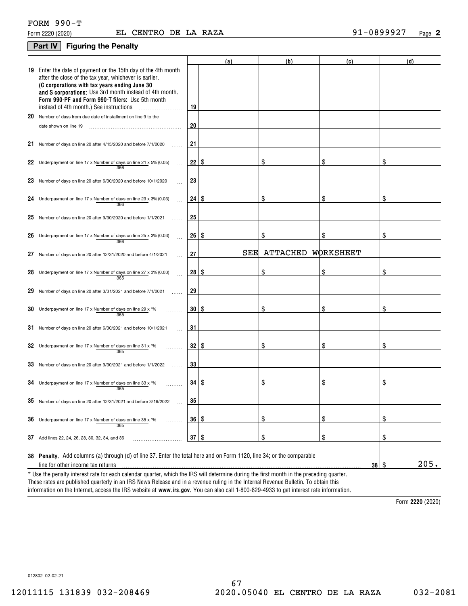# **Part IV Figuring the Penalty**

|    |                                                                                                                                                                                                                                                                                                                                    |                    | (a)  | (b)             | (c)        | (d)  |
|----|------------------------------------------------------------------------------------------------------------------------------------------------------------------------------------------------------------------------------------------------------------------------------------------------------------------------------------|--------------------|------|-----------------|------------|------|
|    | 19 Enter the date of payment or the 15th day of the 4th month<br>after the close of the tax year, whichever is earlier.<br>(C corporations with tax years ending June 30<br>and S corporations: Use 3rd month instead of 4th month.<br>Form 990-PF and Form 990-T filers: Use 5th month<br>instead of 4th month.) See instructions | 19                 |      |                 |            |      |
| 20 | Number of days from due date of installment on line 9 to the                                                                                                                                                                                                                                                                       |                    |      |                 |            |      |
|    | date shown on line 19                                                                                                                                                                                                                                                                                                              | 20                 |      |                 |            |      |
|    | 21 Number of days on line 20 after 4/15/2020 and before 7/1/2020                                                                                                                                                                                                                                                                   | 21                 |      |                 |            |      |
|    | 22 Underpayment on line 17 x Number of days on line 21 x 5% (0.05)<br>366                                                                                                                                                                                                                                                          | 22                 | \$   | \$              | \$         | \$   |
|    | 23 Number of days on line 20 after 6/30/2020 and before 10/1/2020                                                                                                                                                                                                                                                                  | 23                 |      |                 |            |      |
| 24 | Underpayment on line 17 x Number of days on line 23 x 3% (0.03)<br>366                                                                                                                                                                                                                                                             | 24                 | l \$ | \$              | \$         | \$   |
|    | $25$ Number of days on line 20 after 9/30/2020 and before 1/1/2021                                                                                                                                                                                                                                                                 | 25                 |      |                 |            |      |
| 26 | Underpayment on line 17 x Number of days on line 25 x 3% (0.03)<br>366                                                                                                                                                                                                                                                             | 26 S               |      | \$              |            | \$   |
| 27 | Number of days on line 20 after 12/31/2020 and before 4/1/2021                                                                                                                                                                                                                                                                     | 27                 | SEE  | <b>ATTACHED</b> | WORKSHEET  |      |
|    | 28 Underpayment on line 17 x Number of days on line 27 x 3% (0.03)<br>365                                                                                                                                                                                                                                                          | 28 S               |      |                 | \$         | \$   |
| 29 | Number of days on line 20 after 3/31/2021 and before 7/1/2021                                                                                                                                                                                                                                                                      | 29                 |      |                 |            |      |
| 30 | Underpayment on line 17 x Number of days on line 29 x *%<br>365                                                                                                                                                                                                                                                                    | 30   \$            |      | \$              | \$         | \$   |
|    | $31$ Number of days on line 20 after 6/30/2021 and before 10/1/2021                                                                                                                                                                                                                                                                | 31                 |      |                 |            |      |
|    | 32 Underpayment on line 17 x Number of days on line 31 x $*$ %<br>365                                                                                                                                                                                                                                                              | 32   \$            |      | \$              | \$         | \$   |
|    | 33 Number of days on line 20 after 9/30/2021 and before 1/1/2022                                                                                                                                                                                                                                                                   | 33                 |      |                 |            |      |
|    | 34 Underpayment on line 17 x Number of days on line 33 x $*$ %<br>365                                                                                                                                                                                                                                                              | $34$ $\frac{8}{3}$ |      | \$              | \$         | \$   |
|    | $35$ Number of days on line 20 after 12/31/2021 and before 3/16/2022                                                                                                                                                                                                                                                               | 35                 |      |                 |            |      |
| 36 | Underpayment on line 17 x Number of days on line 35 x *%<br>.<br>365                                                                                                                                                                                                                                                               | 36   \$            |      | \$              | \$         | \$   |
|    | 37 Add lines 22, 24, 26, 28, 30, 32, 34, and 36                                                                                                                                                                                                                                                                                    | $37  $ \$          |      | \$              | \$         | \$   |
|    | 38 Penalty. Add columns (a) through (d) of line 37. Enter the total here and on Form 1120, line 34; or the comparable                                                                                                                                                                                                              |                    |      |                 |            |      |
|    | line for other income tax returns                                                                                                                                                                                                                                                                                                  |                    |      |                 | $38 \quad$ | 205. |
|    | * Use the penalty interest rate for each calendar quarter, which the IRS will determine during the first month in the preceding quarter.                                                                                                                                                                                           |                    |      |                 |            |      |

information on the Internet, access the IRS website at **www.irs.gov**. You can also call 1-800-829-4933 to get interest rate information. These rates are published quarterly in an IRS News Release and in a revenue ruling in the Internal Revenue Bulletin. To obtain this

**2220**  Form (2020)

012802 02-02-21